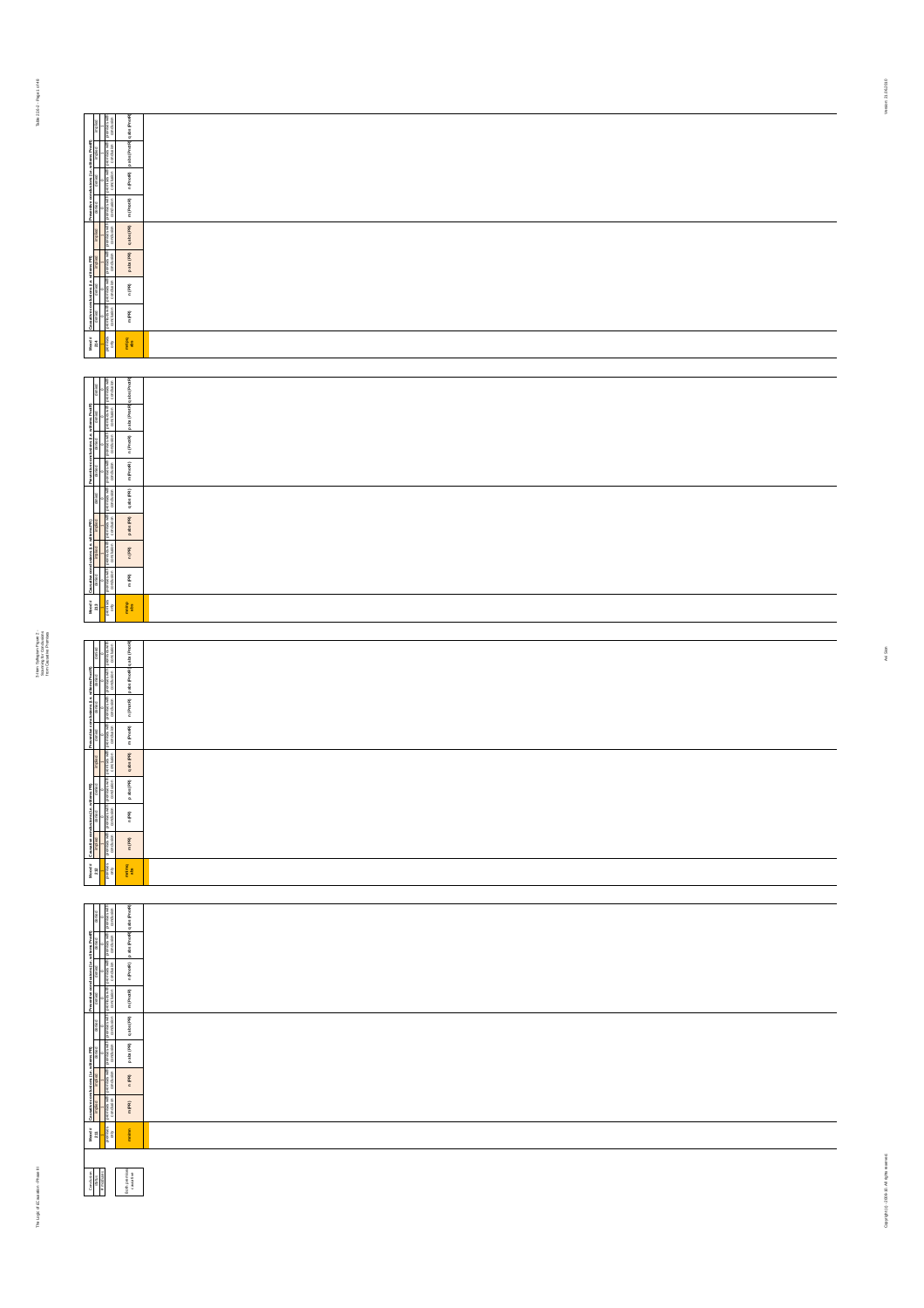| remises with<br>conclusion<br>peedus                                                                                                                                                                                                    |                                               |  |
|-----------------------------------------------------------------------------------------------------------------------------------------------------------------------------------------------------------------------------------------|-----------------------------------------------|--|
| Causarin conduises (a whene PM)<br>- The Constant Constant Constant Constant Constant Constant Constant Constant<br>- Development Constant Constant Constant Constant Constant Constant Constant Constant<br>- Constant Constant Consta | pabs (PnotR) q abs (PnotR                     |  |
|                                                                                                                                                                                                                                         | $n$ (Prooff)                                  |  |
|                                                                                                                                                                                                                                         | $m$ (P rooff)                                 |  |
|                                                                                                                                                                                                                                         |                                               |  |
|                                                                                                                                                                                                                                         | $p$ abs (PR) $q$ abs (PR)                     |  |
|                                                                                                                                                                                                                                         | $_{\rm n}$ (e s)                              |  |
|                                                                                                                                                                                                                                         | $\frac{6}{\pi}$                               |  |
| $\begin{array}{c}\n\text{Mod } \# \\ \text{214} \\ \hline\n\end{array}$ pomissi                                                                                                                                                         | ng g                                          |  |
|                                                                                                                                                                                                                                         |                                               |  |
| premises w                                                                                                                                                                                                                              |                                               |  |
|                                                                                                                                                                                                                                         | p abs (Pnoff) q abs (Pnotf)                   |  |
|                                                                                                                                                                                                                                         | n (ProdR)                                     |  |
|                                                                                                                                                                                                                                         | $m(\hbox{\rm Prox\,R})$                       |  |
| Preventive conclusions (i.e. where Proof)<br>compared the moment of the conclusion of the partners of the conclusion of the conclusion of conclusion (i.e.<br>conclusion conclusion conclusion promise in conclusion (i.e.              |                                               |  |
|                                                                                                                                                                                                                                         | $\bf q$ abs (PR)                              |  |
|                                                                                                                                                                                                                                         | $p$ atos (PR)                                 |  |
|                                                                                                                                                                                                                                         | $_{\rm n}$ (Ri                                |  |
| Coussale conclusions(Le_wikemapPR)<br>- Contori Principles and Principles<br>- Premiers portale and promier principle<br>- Produktor Conclusion Conclusion<br>- Conclusion Conclusion Conclusion                                        | $\mathfrak{g}_d$ or                           |  |
| Mood #                                                                                                                                                                                                                                  | $\frac{1}{2}$                                 |  |
|                                                                                                                                                                                                                                         |                                               |  |
| premises with<br>conclusion<br>denied                                                                                                                                                                                                   | patra (Prooft) q alsa (Prooft                 |  |
|                                                                                                                                                                                                                                         |                                               |  |
|                                                                                                                                                                                                                                         | $n$ (Pro $\mathfrak{M}$ )                     |  |
| Premiero operativo conduistors (a. wilhease Pools)<br>The Constant Constant (and Constant Constant)<br>The Constant Constant Constant Constant Constant (and Constant)<br>The Constant Constant Constant Constant Constant (and Constan | $m$ (ProofR)                                  |  |
|                                                                                                                                                                                                                                         | $q$ abs $\left( \mathsf{PR}\right)$           |  |
|                                                                                                                                                                                                                                         | pabs (PR)                                     |  |
|                                                                                                                                                                                                                                         | $\omega_{\rm d}$ as $\omega$                  |  |
| r Causativo conclusions (ι ανιλαπα PR)<br>- Transa utb ponta αναλικό de anima<br>- Transa utb ponta utb pontae van po<br>- Cardualon pontalabo onclusion o                                                                              | $m\left( \mathsf{PR}\right)$                  |  |
| Mood #<br>pomises                                                                                                                                                                                                                       | $\frac{g}{\epsilon}$ 8                        |  |
|                                                                                                                                                                                                                                         |                                               |  |
| cermaes<br>oondus                                                                                                                                                                                                                       |                                               |  |
|                                                                                                                                                                                                                                         |                                               |  |
|                                                                                                                                                                                                                                         |                                               |  |
|                                                                                                                                                                                                                                         | m (PnotR) n (PnotR) pists (PnotR) q abs (Pnot |  |
|                                                                                                                                                                                                                                         | qabs (PR)                                     |  |
|                                                                                                                                                                                                                                         | pate (PR)                                     |  |
|                                                                                                                                                                                                                                         | $_{\rm n}$ (PR)                               |  |
|                                                                                                                                                                                                                                         | $\frac{1}{n}$ (PR)                            |  |
| $\begin{array}{c}\n\mathbf{M} & \mathbf{M} \\ \hline\n\mathbf{M} & \mathbf{M}\n\end{array}$<br>pomissa<br>oly                                                                                                                           | moleno                                        |  |
|                                                                                                                                                                                                                                         |                                               |  |
|                                                                                                                                                                                                                                         | Both premises<br>causative                    |  |
|                                                                                                                                                                                                                                         |                                               |  |

| devies<br>g                                                                                                                                                                                                                                                                                                                                                                                                                                                  | qabs(Pr                               |  |
|--------------------------------------------------------------------------------------------------------------------------------------------------------------------------------------------------------------------------------------------------------------------------------------------------------------------------------------------------------------------------------------------------------------------------------------------------------------|---------------------------------------|--|
| premise<br>condi                                                                                                                                                                                                                                                                                                                                                                                                                                             | $\overline{z}$<br>ξ<br>$\Omega$       |  |
| Preventive conclusions (i.e. witheres Proc R)<br>compared to the compact of the process in processes<br>in processes processes in conclusion processes<br>conclusion conclusion conclusion in<br>$\frac{45}{8}$ 6                                                                                                                                                                                                                                            | $\widehat{\alpha}$<br>ै               |  |
|                                                                                                                                                                                                                                                                                                                                                                                                                                                              | $\frac{2}{8}$<br>န်                   |  |
|                                                                                                                                                                                                                                                                                                                                                                                                                                                              | $q$ abs $\langle \mathsf{PR} \rangle$ |  |
|                                                                                                                                                                                                                                                                                                                                                                                                                                                              | <b>ya (PR)</b><br>$\frac{8}{9}$       |  |
| Causative conclude na (Le. withmas PR)<br>- desired = <b>Propriet = Propriet = Propriet = Propriet = Propriet = Propriet = Propriet = Propriet = Propriet<br/>- promotion = Propriet = Propriet = Propriet = Propriet = Propriet = Prop</b>                                                                                                                                                                                                                  | $_{\rm n}$ (PR)                       |  |
|                                                                                                                                                                                                                                                                                                                                                                                                                                                              | $\mathfrak{m}$ (P R)                  |  |
| $\begin{array}{c}\n\mathbf{M} \text{ cos} \, \mathbf{B} \\ \hline\n\mathbf{M} \text{ cos} \, \mathbf{B} \\ \hline\n\mathbf{M} \text{ cos} \, \mathbf{B} \\ \hline\n\mathbf{M} \text{ cos} \, \mathbf{B} \\ \hline\n\mathbf{M} \text{ cos} \, \mathbf{B} \\ \hline\n\mathbf{M} \text{ cos} \, \mathbf{B} \\ \hline\n\mathbf{M} \text{ cos} \, \mathbf{B} \\ \hline\n\mathbf{M} \text{ cos} \, \mathbf{B} \\ \hline\n\mathbf{M} \text{ cos} \, \mathbf{B} \\ $ | $\frac{9}{3}$                         |  |

| mpled                                                                                 | premises with<br>conclusion                | 줄<br>q ats (P)                |  |
|---------------------------------------------------------------------------------------|--------------------------------------------|-------------------------------|--|
|                                                                                       | to on with<br>triusion<br>prenn<br>oon     | $\frac{8}{8}$<br>pabs (Pr     |  |
|                                                                                       | s with<br>premises<br>condui               | $n$ (ProofR)                  |  |
| Preventive conclusions (i.e. witems Prooft)<br>deniad                                 | $\frac{6}{3}$ 8<br>òй<br>promise<br>contiu | $m(p \text{ node})$           |  |
| 'E                                                                                    | premises with                              | $q$ also $(PR)$               |  |
|                                                                                       | tises with<br>titusion<br>e 8              | pats (PR)                     |  |
|                                                                                       | a<br>Ba<br>premise<br>condui               | $_{\rm n}$ (PR)               |  |
| Causaïve conclusions (i.e. willems PR)<br>General de Contes (i.e. <mark>impled</mark> | D<br>promises with<br>conclusion           | $\frac{\partial}{\partial t}$ |  |
| $\frac{M \cos \theta}{214}$                                                           | promises                                   | $\frac{5}{6}$                 |  |

 $4.35$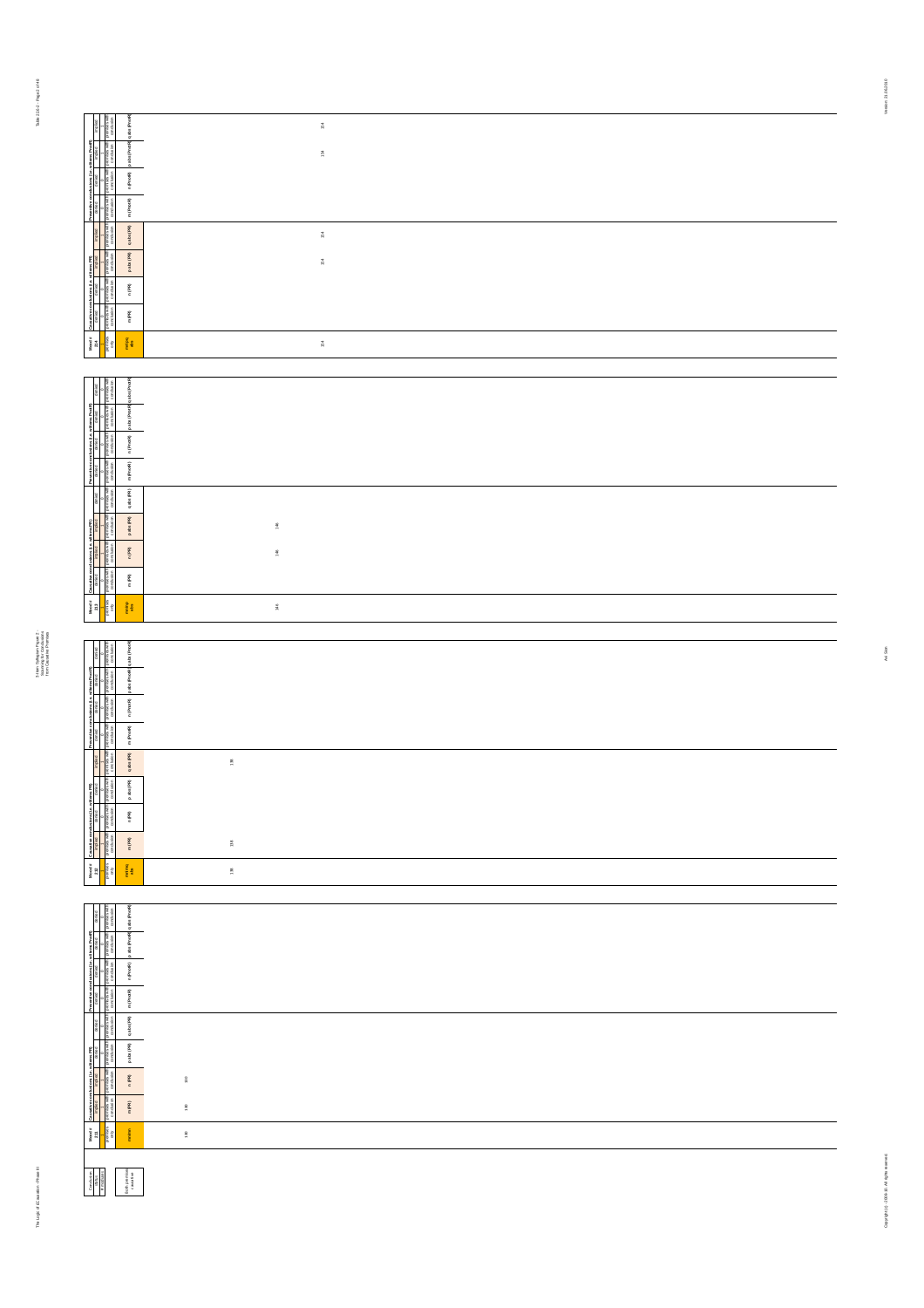|                         |                                                 | implied                    |        |                                                                                                                |                                                                                         |
|-------------------------|-------------------------------------------------|----------------------------|--------|----------------------------------------------------------------------------------------------------------------|-----------------------------------------------------------------------------------------|
|                         |                                                 | denied                     |        |                                                                                                                |                                                                                         |
|                         | Preventive conclusions (i.e. witems ProfR)      |                            |        |                                                                                                                |                                                                                         |
|                         |                                                 |                            |        |                                                                                                                |                                                                                         |
|                         |                                                 | implied implied on denied  |        |                                                                                                                |                                                                                         |
|                         |                                                 | dened                      |        |                                                                                                                |                                                                                         |
|                         | Mood # Causaive conclusions (i.e. witems PR)    | dinning                    |        | comises Domises with promises with Domises with Domises with Domises with promises with Domises with Domises w | only accusator condusion onclusion condustor conclusion condusion condustion conclusion |
|                         |                                                 | 214                        |        |                                                                                                                |                                                                                         |
|                         |                                                 |                            |        |                                                                                                                |                                                                                         |
|                         |                                                 | denvied                    |        | omises with premises with                                                                                      |                                                                                         |
|                         |                                                 | denied                     |        |                                                                                                                |                                                                                         |
|                         | Preventive conclusions (i.e. witems Pnot R)     | dicate                     |        | DI LINA WARREN DATE LINA WARREN                                                                                |                                                                                         |
|                         |                                                 | mpled mpled denied cleaned |        |                                                                                                                | orty Dondusion conclusion croclusion condusion condusion conclusion condusion condusion |
|                         |                                                 |                            |        |                                                                                                                |                                                                                         |
|                         |                                                 |                            |        |                                                                                                                |                                                                                         |
|                         |                                                 |                            |        |                                                                                                                |                                                                                         |
|                         | Mood # Causative conclusions (i.e., willems PR) | denied                     |        | comises Doomises with Doomises with promises with promises with Do                                             |                                                                                         |
|                         |                                                 |                            |        |                                                                                                                |                                                                                         |
|                         |                                                 |                            |        |                                                                                                                |                                                                                         |
| from Causative Premises |                                                 |                            |        | <b>GTS Secrets And Contract Contract Contract</b>                                                              |                                                                                         |
|                         |                                                 | denied annual              |        |                                                                                                                |                                                                                         |
|                         |                                                 |                            |        |                                                                                                                |                                                                                         |
|                         | Preventive conclusions (i.e. w/ltems Prooff)    | impled dend                |        | premises with premises with premises with premises with premises                                               | idusion condusion conclusion condusion condusion conclusion condustion                  |
|                         |                                                 |                            |        |                                                                                                                |                                                                                         |
|                         | ons (i.e. w/kems PR)                            | ends =<br>mied             |        | <b>ROW ROB</b>                                                                                                 |                                                                                         |
|                         |                                                 |                            |        |                                                                                                                | š                                                                                       |
|                         |                                                 |                            |        |                                                                                                                | condition                                                                               |
|                         |                                                 | î                          |        |                                                                                                                |                                                                                         |
|                         |                                                 |                            |        |                                                                                                                | oondus                                                                                  |
|                         |                                                 | Civity Lead                |        |                                                                                                                |                                                                                         |
|                         | " reventive conclusions (i.e.,                  |                            |        |                                                                                                                |                                                                                         |
|                         |                                                 |                            |        |                                                                                                                | CONCLUSION                                                                              |
|                         |                                                 |                            |        |                                                                                                                | CONGLUEDA                                                                               |
|                         |                                                 |                            |        |                                                                                                                |                                                                                         |
|                         |                                                 |                            |        |                                                                                                                |                                                                                         |
|                         |                                                 |                            |        |                                                                                                                | Colorado                                                                                |
|                         | į                                               | E                          |        |                                                                                                                |                                                                                         |
|                         |                                                 |                            |        |                                                                                                                |                                                                                         |
|                         |                                                 | <b>SRAW</b>                | moduse |                                                                                                                |                                                                                         |

Both premises

Bodh premiers<br>Causative<br>Causative

|                                                                                                                                                                                                                                     |                                                                                                                                                                                                                                                                                                                                                                                                                               | q abs (Prooft)                                                              |                               |                                    |               | $\frac{3}{24}$ |  |  |  |  |
|-------------------------------------------------------------------------------------------------------------------------------------------------------------------------------------------------------------------------------------|-------------------------------------------------------------------------------------------------------------------------------------------------------------------------------------------------------------------------------------------------------------------------------------------------------------------------------------------------------------------------------------------------------------------------------|-----------------------------------------------------------------------------|-------------------------------|------------------------------------|---------------|----------------|--|--|--|--|
|                                                                                                                                                                                                                                     | $\begin{tabular}{ c c c c } \hline \textbf{Power} & \textbf{F} & \textbf{F} & \textbf{F} & \textbf{F} & \textbf{F} & \textbf{F} & \textbf{F} & \textbf{F} & \textbf{F} & \textbf{F} & \textbf{F} & \textbf{F} & \textbf{F} & \textbf{F} & \textbf{F} & \textbf{F} & \textbf{F} & \textbf{F} & \textbf{F} & \textbf{F} & \textbf{F} & \textbf{F} & \textbf{F} & \textbf{F} & \textbf{F} & \textbf{F} & \textbf{F} & \textbf{F$ | p abs (ProtR)<br>$n$ (ProofR)                                               |                               |                                    |               | $\frac{3}{15}$ |  |  |  |  |
|                                                                                                                                                                                                                                     | Courante any desired in whene PM<br>- The Courante of the Courante of The Courante and Section<br>- Desired Park (2001)<br>- Desired The Courante of Desired and The Courante Park (2001)<br>- Desired Park (2001)<br>- Desired Park (2001)                                                                                                                                                                                   |                                                                             |                               |                                    |               |                |  |  |  |  |
|                                                                                                                                                                                                                                     |                                                                                                                                                                                                                                                                                                                                                                                                                               | p abs (PR) q abs (PR) m (P notR)                                            |                               |                                    |               | $\frac{3}{2}$  |  |  |  |  |
|                                                                                                                                                                                                                                     |                                                                                                                                                                                                                                                                                                                                                                                                                               | $n$ (PR)                                                                    |                               |                                    |               | $_{\rm 154}$   |  |  |  |  |
|                                                                                                                                                                                                                                     |                                                                                                                                                                                                                                                                                                                                                                                                                               | $\frac{\partial \widehat{\mathbf{r}}}{\partial \mathbf{r}}$                 |                               |                                    |               |                |  |  |  |  |
| $\begin{array}{c}\n\mathbf{M} \\ \mathbf{M} \\ \mathbf{M}\n\end{array}$                                                                                                                                                             | premises                                                                                                                                                                                                                                                                                                                                                                                                                      | $\frac{\sigma}{8}$ 8                                                        |                               |                                    |               | $\frac{3}{24}$ |  |  |  |  |
|                                                                                                                                                                                                                                     |                                                                                                                                                                                                                                                                                                                                                                                                                               | abs (Pn ofR) q abs (PnotR)                                                  |                               |                                    |               |                |  |  |  |  |
|                                                                                                                                                                                                                                     | anarative conclusion (i.e. whereas PA)<br>- The Concerning Concerning Concerning Concerning Concerning Concerning Concerning Concerning Concerning Conce<br>- Concerning Concerning Concerning Concerning Concerning Concerning Conc                                                                                                                                                                                          | $n$ (P rooff)                                                               |                               |                                    |               |                |  |  |  |  |
|                                                                                                                                                                                                                                     |                                                                                                                                                                                                                                                                                                                                                                                                                               | $m(ProotR)$                                                                 |                               |                                    |               |                |  |  |  |  |
|                                                                                                                                                                                                                                     |                                                                                                                                                                                                                                                                                                                                                                                                                               | $p$ abs $\langle \mathsf{PR} \rangle$ = q abs $\langle \mathsf{PR} \rangle$ |                               |                                    | $\frac{3}{2}$ |                |  |  |  |  |
|                                                                                                                                                                                                                                     |                                                                                                                                                                                                                                                                                                                                                                                                                               | $n$ (PR)<br>$\mathfrak{m}$ (PR)                                             |                               |                                    | $\frac{9}{2}$ |                |  |  |  |  |
| $\frac{M \cos \theta}{213}$                                                                                                                                                                                                         | $\frac{1}{\text{points}}$ or $\frac{1}{\text{odd}}$                                                                                                                                                                                                                                                                                                                                                                           | in 19                                                                       |                               |                                    | $\frac{6}{3}$ |                |  |  |  |  |
|                                                                                                                                                                                                                                     |                                                                                                                                                                                                                                                                                                                                                                                                                               | pates (Prooff) q alss (Proof                                                |                               |                                    |               |                |  |  |  |  |
|                                                                                                                                                                                                                                     |                                                                                                                                                                                                                                                                                                                                                                                                                               | $n$ (Pro $\mathfrak{R})$                                                    |                               |                                    |               |                |  |  |  |  |
|                                                                                                                                                                                                                                     |                                                                                                                                                                                                                                                                                                                                                                                                                               | $m$ (P roofR)                                                               |                               |                                    |               |                |  |  |  |  |
| Model Casamina concludes (a where PR) and Present on ordering a shown Profile of the Casamina (a shown a short<br>The Casamina Second Casamina (a short of the Casamina Casamina) and Casamina (and Casamina Casamina)<br>The Casam |                                                                                                                                                                                                                                                                                                                                                                                                                               | $q$ as $\left( \mathsf{PR}\right)$<br>$p$ abs (PR)                          |                               | $\frac{33}{14}$                    |               |                |  |  |  |  |
|                                                                                                                                                                                                                                     |                                                                                                                                                                                                                                                                                                                                                                                                                               | napa                                                                        |                               |                                    |               |                |  |  |  |  |
|                                                                                                                                                                                                                                     |                                                                                                                                                                                                                                                                                                                                                                                                                               | $m(pR)$<br>Į,                                                               |                               | $\frac{33}{14}$<br>$\frac{38}{14}$ |               |                |  |  |  |  |
|                                                                                                                                                                                                                                     |                                                                                                                                                                                                                                                                                                                                                                                                                               |                                                                             |                               |                                    |               |                |  |  |  |  |
|                                                                                                                                                                                                                                     |                                                                                                                                                                                                                                                                                                                                                                                                                               |                                                                             |                               |                                    |               |                |  |  |  |  |
|                                                                                                                                                                                                                                     |                                                                                                                                                                                                                                                                                                                                                                                                                               |                                                                             |                               |                                    |               |                |  |  |  |  |
|                                                                                                                                                                                                                                     |                                                                                                                                                                                                                                                                                                                                                                                                                               |                                                                             |                               |                                    |               |                |  |  |  |  |
|                                                                                                                                                                                                                                     | about Canadian anotheristic william PM)<br><b>All Canadian School Property and Canadian Canadian Canadian Canadian Canadian Canadian Canadian Canadian Can<br/> Property Canadian Canadian Canadian Canadian Canadian Canadian Canadi</b>                                                                                                                                                                                     |                                                                             |                               |                                    |               |                |  |  |  |  |
|                                                                                                                                                                                                                                     |                                                                                                                                                                                                                                                                                                                                                                                                                               | $\frac{1}{2}$ (PR)                                                          | $\frac{2}{3}$<br>$_{\rm 130}$ |                                    |               |                |  |  |  |  |
|                                                                                                                                                                                                                                     |                                                                                                                                                                                                                                                                                                                                                                                                                               |                                                                             | $^{\rm 30}$                   |                                    |               |                |  |  |  |  |
| ionclusion<br>Status<br>Fmoduzes                                                                                                                                                                                                    |                                                                                                                                                                                                                                                                                                                                                                                                                               | th premises<br>causative                                                    |                               |                                    |               |                |  |  |  |  |

|                       |                                          | ng <sub>11</sub><br>조치 <mark>기</mark> 호 100mm 100mm 100mm 100mm 100mm 100mm 100mm 100mm 100mm 100mm 100mm 100mm 100mm 100mm 100mm 100mm 100mm 100<br>- 대한민국의 대한민국의 대한민국의 대한민국의 대한민국의 대한민국의 대한민국의 대한민국의 대한민국의 대한민국의 대한민국의 대한민국의 대한민국의 대한민국의 대한민국의 대한민국의 대 | $\frac{3}{12}$ |  |
|-----------------------|------------------------------------------|----------------------------------------------------------------------------------------------------------------------------------------------------------------------------------------------------------------------------------------------------------|----------------|--|
|                       |                                          |                                                                                                                                                                                                                                                          |                |  |
|                       | denied<br>premises with<br>condusion     |                                                                                                                                                                                                                                                          |                |  |
| E.                    |                                          |                                                                                                                                                                                                                                                          |                |  |
|                       | 5.5<br>ania<br>anipomissa<br>a<br>contat | ÷<br>÷                                                                                                                                                                                                                                                   |                |  |
|                       | teas with<br>clusion                     | æ                                                                                                                                                                                                                                                        |                |  |
| $\frac{d \theta}{dt}$ | missa<br>ondusi                          | $\bf q$ abs $\langle \rm PR \rangle$                                                                                                                                                                                                                     |                |  |
| <b>Distantants</b>    | premises                                 | $\mathsf{p}$ atos (PR)                                                                                                                                                                                                                                   | 景              |  |
| perduit               | $\frac{1}{100}$                          | $\mathfrak{n}$ (PR)                                                                                                                                                                                                                                      | š              |  |
| ┑                     | denied<br>amises with<br>and usion       | $\frac{\rho}{\epsilon}$                                                                                                                                                                                                                                  |                |  |
|                       | i a <mark>l</mark> ia                    | 一番者                                                                                                                                                                                                                                                      | g              |  |

| promise<br>contilu                                                           |                                    | $\frac{3}{21}$ |  |
|------------------------------------------------------------------------------|------------------------------------|----------------|--|
| $\frac{1}{36}$<br>prom                                                       | $\sim$                             | Z.             |  |
| conclusions (i.e., witems PnotR)<br>Conclusion<br>wth<br>so<br>$\frac{1}{2}$ | $\ddot{\phantom{1}}$<br>$\epsilon$ |                |  |
| $\frac{1}{8}$ s<br>Preventive<br>$rac{1}{2}$                                 | €                                  |                |  |
| ta with<br>$rac{1}{2}$                                                       | Ê<br>$\ddot{\sigma}$               | $\frac{3}{24}$ |  |
| $\frac{1}{2}$<br>premis                                                      | ę.<br>s<br>$\Omega$                | $\frac{3}{24}$ |  |
| dusions (i.e. witems PR)<br><b>HEM BR</b><br>position is                     | E<br>$\mathbf{c}$                  |                |  |
| Causative conc<br>ta with<br>180<br>promise                                  | £<br>≂<br>$\mathbf{r}$             |                |  |
| $\frac{1}{2}$ $\frac{1}{2}$<br><b>B</b>                                      | $\frac{\sigma}{2}$                 |                |  |

The Logic of £Causation - Phase II

Deyright (c) - 2008-10

 $\equiv$ 

Avi Sion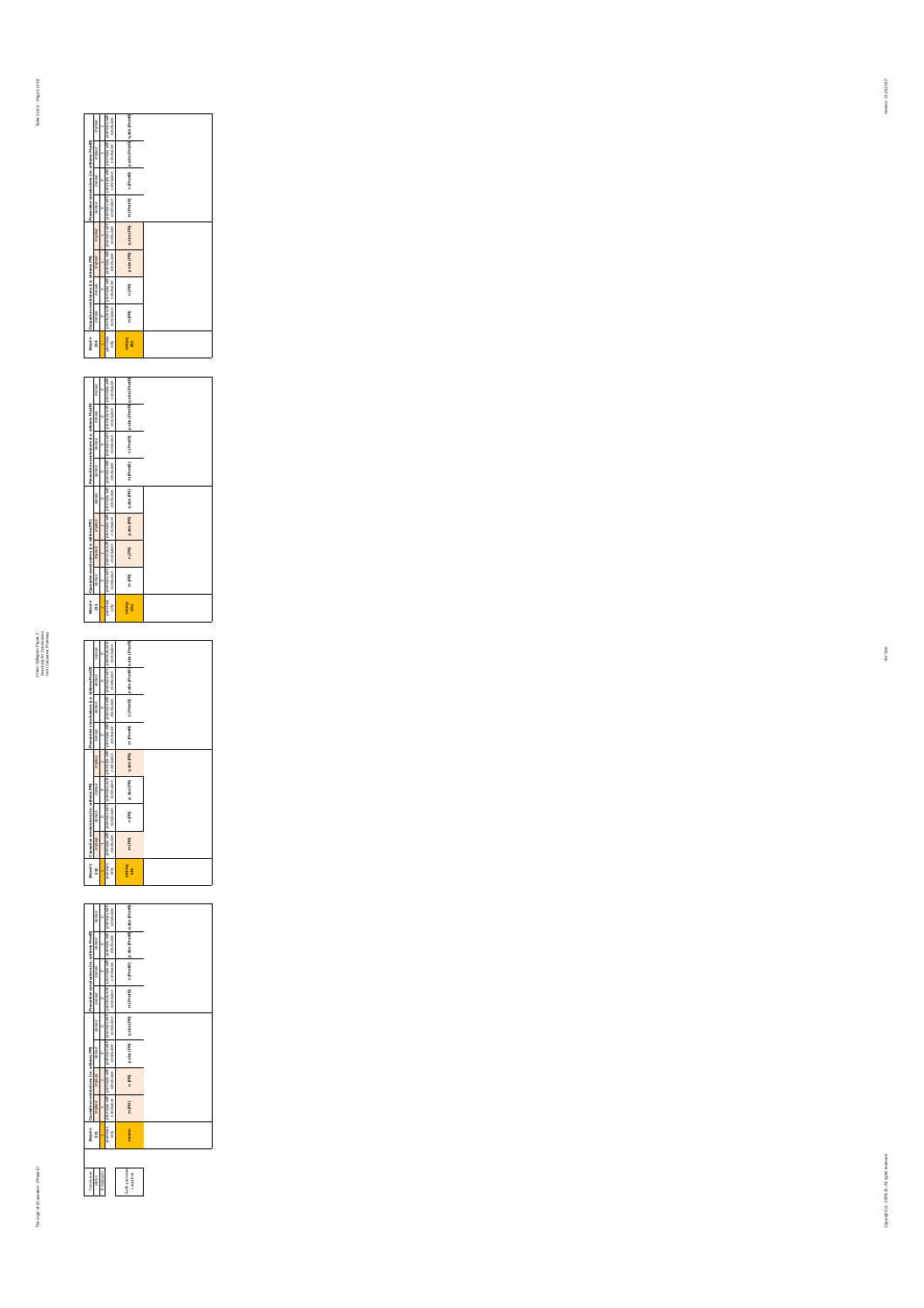| ann Syllasism Figure 2-                     | Scaming for Condusions<br>from Causative Premises |  |
|---------------------------------------------|---------------------------------------------------|--|
|                                             |                                                   |  |
|                                             |                                                   |  |
|                                             |                                                   |  |
|                                             |                                                   |  |
|                                             |                                                   |  |
|                                             |                                                   |  |
| -Thase III<br>The Logic of £Causation - Pha |                                                   |  |

Table 22.6-2 - Page 3 of 48

|                                             | mpled              | promises with<br>operation                             |                                                                   |  |
|---------------------------------------------|--------------------|--------------------------------------------------------|-------------------------------------------------------------------|--|
|                                             | implied            | premises with<br>oondusion                             |                                                                   |  |
|                                             | denied             | premises with<br>candusion                             | n (PnotR) pabs (PnotR) q abs (PnotR)                              |  |
| Preventive conclusions (i.e. witems Prooff) | denied             | promises with<br>conclusion                            |                                                                   |  |
|                                             | implied            | premises with<br>oprobasion                            |                                                                   |  |
|                                             | implied            | premises with<br>oondusion                             | pate (PR) qates (PR) m (P notR)                                   |  |
|                                             | dened              | pright sea with<br>candusion                           | n (PR)                                                            |  |
| Causaive conclusions (i.e. witems PR)       | dining             | 200m ses with<br>oorchasion                            | m(PR)                                                             |  |
| <b>Accord</b>                               | $\frac{2}{3}$      | D/01/11 905<br>only                                    | ě                                                                 |  |
|                                             |                    |                                                        |                                                                   |  |
|                                             | denied             | premises with<br>oondusion                             |                                                                   |  |
|                                             | denied             | premises with premises with<br>candualan               |                                                                   |  |
| Preventive conclusions (i.e. wiltems PhotR) | denied             | operation                                              | m(ProtR) n(ProdR) pabs (ProdR) qabs (ProtR)                       |  |
|                                             | denied             | premises with<br>oondusion                             |                                                                   |  |
|                                             | denied             | promises with<br>canduagon                             | qabs (PR)                                                         |  |
|                                             | implied            | pright sea with<br>conclusion                          | p atos (PR)                                                       |  |
| Causative conclusions (i.e. wiltems PR)     | implied            | Dream sea with<br>operation                            | n (PR)                                                            |  |
|                                             | denied             | comises with<br>oondusion                              | m (PR)                                                            |  |
| Mood #                                      | 23                 | premises<br>οtγ                                        | e digital                                                         |  |
|                                             |                    |                                                        |                                                                   |  |
|                                             | denied             | promises with<br>conclusion                            |                                                                   |  |
|                                             | denied             | DYN BREILIAND<br>operation                             |                                                                   |  |
| Preventive con dusions (i.e. w/ltems ProdR) | denied             | promises with<br>oondusion                             |                                                                   |  |
|                                             | denied             | promises with<br>condusion                             |                                                                   |  |
|                                             | mpled              | premises with<br>operation                             | pabs (PR) qabs (PR) m (PnotR) n (PnotR) pabs (PnotR) qabs (PnotR) |  |
| (i.e. w/tems PR)                            | dinied             | promises with premises with premises with<br>oondusion |                                                                   |  |
| Cau sative conclusions                      | š                  | oondusion                                              | n (PR)                                                            |  |
|                                             | impled             | condusion                                              | m(PR)                                                             |  |
| Mood #                                      | 212                | premises<br>only                                       | ming<br>43                                                        |  |
|                                             | dining             | condusion                                              |                                                                   |  |
|                                             | denied             | premises with premises with<br>candusion               | m (Prooft)   n (Prooft)   p abs (Prooft)   q abs (Prooft)         |  |
|                                             | denied             | promises with<br>canclusian                            |                                                                   |  |
| Preventive conclusions (i.e. witems Prooff) | denied             | Dream ses with<br>operation                            |                                                                   |  |
|                                             | denied             | committee with<br>oondusion                            | qabs (PR)                                                         |  |
|                                             | denied             | canduaton                                              | pates (PR)                                                        |  |
|                                             | implied            | promises with premises with<br>conclusion              | n(PR)                                                             |  |
| Causative condusions (i.e. wiltems PR)      | mplied             | 200m ses with<br>oprobasion                            | m(m)                                                              |  |
| <b>Rood</b>                                 | 211                | 200mlses<br>γi<br>δ                                    | movimo                                                            |  |
|                                             |                    |                                                        |                                                                   |  |
| Condusion                                   | status<br>#moduzes |                                                        | Both premises<br>causative                                        |  |
|                                             |                    |                                                        |                                                                   |  |

| Mood #           |                            | Causative conclusions (i.e. will ems PR) |                            |                             |            | Preventive conclusions (i.e. w/ltems ProtR)            |                                       |                             |
|------------------|----------------------------|------------------------------------------|----------------------------|-----------------------------|------------|--------------------------------------------------------|---------------------------------------|-----------------------------|
| 212              | impled                     | denied                                   | dining                     | mpled                       | denied     | denied                                                 | dining                                | denied                      |
|                  |                            | ö                                        |                            |                             | ö          | ۰                                                      |                                       |                             |
| premises<br>cely | promises with<br>condusion | premises with<br>oondusion               | promises with<br>oondusion | premises with<br>conclusion | candusion  | premises with premises with premises with<br>oondusion | operation                             | promises with<br>conclusion |
| ming<br>43       | m(PR)                      | n (PR)                                   |                            | pabs (PR) qabs (PR)         | m (Prooff) |                                                        | n (Pno IR) patra (PnofR) qaba (PnofR) |                             |
|                  |                            |                                          |                            |                             |            |                                                        |                                       |                             |
|                  |                            |                                          |                            |                             |            |                                                        |                                       |                             |
|                  |                            |                                          |                            |                             |            |                                                        |                                       |                             |
|                  |                            |                                          |                            |                             |            |                                                        |                                       |                             |
|                  |                            |                                          |                            |                             |            |                                                        |                                       |                             |
|                  |                            |                                          |                            |                             |            |                                                        |                                       |                             |
|                  |                            |                                          |                            |                             |            |                                                        |                                       |                             |
|                  |                            |                                          |                            |                             |            |                                                        |                                       |                             |
|                  |                            |                                          |                            |                             |            |                                                        |                                       |                             |

| n (ProofR) pabs (ProofR) q abs (ProofR)<br>D/00/11 90:5 W/D<br>operation<br>mpled<br>premises with premises with<br>oondusion<br>implied<br>candusion<br>denied<br>ö<br>m (ProofR)<br>promises with<br>conclusion<br>denied<br>q abs (PR)<br>premises with premises with<br>oondusion<br>implayd<br>pabs (PR)<br>oondusion<br>impland<br>premises with premises with<br>candusion<br>n (PR)<br>dened<br>ċ<br>conclusion<br>denied<br>$\frac{m(PR)}{E}$<br>premises<br>mang<br>ata<br>Z4<br>cely<br>premises with<br>oondusion<br>denied<br>ò<br>condusion<br>denied<br>ö | <b>Vorms Proof R)</b> | Mood# | Causaive con dusions (i.e. witems PR) |  |  | Preventive conclusions (i.e. wilterns Prooff) |  |
|--------------------------------------------------------------------------------------------------------------------------------------------------------------------------------------------------------------------------------------------------------------------------------------------------------------------------------------------------------------------------------------------------------------------------------------------------------------------------------------------------------------------------------------------------------------------------|-----------------------|-------|---------------------------------------|--|--|-----------------------------------------------|--|
| abs (PnotR) q abs (PnotR)<br>or with                                                                                                                                                                                                                                                                                                                                                                                                                                                                                                                                     |                       |       |                                       |  |  |                                               |  |
|                                                                                                                                                                                                                                                                                                                                                                                                                                                                                                                                                                          |                       |       |                                       |  |  |                                               |  |
|                                                                                                                                                                                                                                                                                                                                                                                                                                                                                                                                                                          |                       |       |                                       |  |  |                                               |  |
|                                                                                                                                                                                                                                                                                                                                                                                                                                                                                                                                                                          |                       |       |                                       |  |  |                                               |  |
|                                                                                                                                                                                                                                                                                                                                                                                                                                                                                                                                                                          |                       |       |                                       |  |  |                                               |  |
|                                                                                                                                                                                                                                                                                                                                                                                                                                                                                                                                                                          |                       |       |                                       |  |  |                                               |  |
|                                                                                                                                                                                                                                                                                                                                                                                                                                                                                                                                                                          |                       |       |                                       |  |  |                                               |  |
|                                                                                                                                                                                                                                                                                                                                                                                                                                                                                                                                                                          |                       |       |                                       |  |  |                                               |  |
|                                                                                                                                                                                                                                                                                                                                                                                                                                                                                                                                                                          |                       |       |                                       |  |  |                                               |  |
|                                                                                                                                                                                                                                                                                                                                                                                                                                                                                                                                                                          |                       |       |                                       |  |  |                                               |  |
|                                                                                                                                                                                                                                                                                                                                                                                                                                                                                                                                                                          |                       |       |                                       |  |  |                                               |  |
|                                                                                                                                                                                                                                                                                                                                                                                                                                                                                                                                                                          |                       |       |                                       |  |  |                                               |  |

Avi Sion

pyright (c) - 2008-10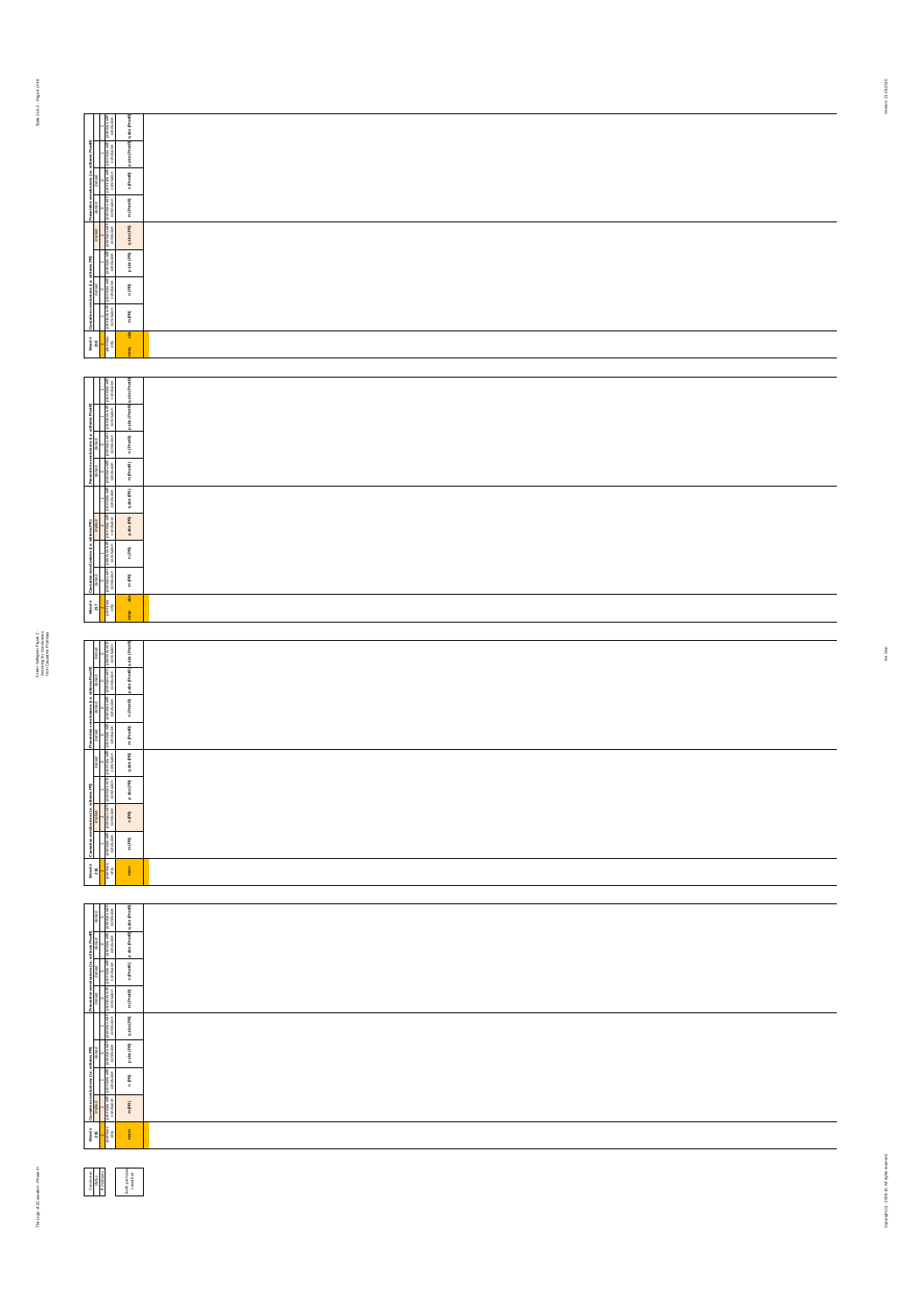| rtagism Figure 2-<br>3 for Condusions<br>zaative Premises<br>3-ltem Syl | Scaming for C<br>from Causer | $\label{eq:reduced} \begin{split} \mathcal{L}_{\text{c}}(\mathbf{r},\mathbf{r}) = \mathcal{L}_{\text{c}}(\mathbf{r},\mathbf{r}) = \mathcal{L}_{\text{c}}(\mathbf{r},\mathbf{r}) = \mathcal{L}_{\text{c}}(\mathbf{r},\mathbf{r}) = \mathcal{L}_{\text{c}}(\mathbf{r},\mathbf{r}) = \mathcal{L}_{\text{c}}(\mathbf{r},\mathbf{r}) = \mathcal{L}_{\text{c}}(\mathbf{r},\mathbf{r}) = \mathcal{L}_{\text{c}}(\mathbf{r},\mathbf{r}) = \mathcal{L}_{\text{c}}(\mathbf{$ |  |
|-------------------------------------------------------------------------|------------------------------|--------------------------------------------------------------------------------------------------------------------------------------------------------------------------------------------------------------------------------------------------------------------------------------------------------------------------------------------------------------------------------------------------------------------------------------------------------------------|--|
|                                                                         |                              |                                                                                                                                                                                                                                                                                                                                                                                                                                                                    |  |
|                                                                         |                              |                                                                                                                                                                                                                                                                                                                                                                                                                                                                    |  |
|                                                                         |                              |                                                                                                                                                                                                                                                                                                                                                                                                                                                                    |  |
|                                                                         |                              |                                                                                                                                                                                                                                                                                                                                                                                                                                                                    |  |
|                                                                         |                              |                                                                                                                                                                                                                                                                                                                                                                                                                                                                    |  |
|                                                                         |                              |                                                                                                                                                                                                                                                                                                                                                                                                                                                                    |  |
|                                                                         |                              |                                                                                                                                                                                                                                                                                                                                                                                                                                                                    |  |
|                                                                         |                              |                                                                                                                                                                                                                                                                                                                                                                                                                                                                    |  |
|                                                                         |                              |                                                                                                                                                                                                                                                                                                                                                                                                                                                                    |  |
| Ė<br>Phase<br>"cof £Causation-                                          |                              |                                                                                                                                                                                                                                                                                                                                                                                                                                                                    |  |
| The Lagic a                                                             |                              |                                                                                                                                                                                                                                                                                                                                                                                                                                                                    |  |

3-lam Syligjan Figure 2<br>Scaming for Condusions<br>from Causalive Premises

| 1<br>comises with<br>conclusion<br>q abs (Prooft)                                                                                                                                                                                                                           |
|-----------------------------------------------------------------------------------------------------------------------------------------------------------------------------------------------------------------------------------------------------------------------------|
| <br>  Generative conclusions.s(i.e., willearns Proces)<br> - promises with promises with promises with pr<br>  conclusion   conclusion   conclusion  <br>  conclusion   conclusion   conclusion  <br>p abs (ProtR)<br>$n$ (Prooff)                                          |
| $m(p \mod 2)$                                                                                                                                                                                                                                                               |
| $q$ abs (PR)<br>$\begin{array}{ l } \hline \text{implied} \\ \hline 2 \\ \text{pounds with} \\ \text{conflaxation} \end{array}$                                                                                                                                             |
| pats (PR)<br>$\begin{array}{c} 1 \\ \hline \text{promis as with} \\ \text{onclass on} \end{array}$                                                                                                                                                                          |
| Causaive con dusions (i.e. witems PR)<br>detect<br>promises with<br>condusion<br>$_{\rm n}$ (e)<br>1<br>promises with<br>corclusion<br>$\frac{m}{n}$                                                                                                                        |
| $\frac{1}{2}$<br>portises<br>Mood #<br>ę.                                                                                                                                                                                                                                   |
|                                                                                                                                                                                                                                                                             |
| p abs (PnofR) q abs (PnotR)<br>promises with<br>condusion<br>$\begin{array}{ c c }\n\hline\n1\n\hline\n1\n\hline\n1\n\end{array}$                                                                                                                                           |
| Perentine conclusions (i.e. witems Pnot R)<br>denied denied<br>premises with<br>conclusion<br>n (ProfR)                                                                                                                                                                     |
| 0<br>  promises with<br>  condusion<br>$m(\hbox{\rm ProzR})$                                                                                                                                                                                                                |
| nomias with<br>condusion<br>qabs (PR)                                                                                                                                                                                                                                       |
| $p$ atos (PR)<br>premises with<br>conclusion<br>$_{\rm n}$ (PR)                                                                                                                                                                                                             |
| <b>Causative conclusions (Le wikems PR)</b><br>- Garied - Cause (Le province PR)<br>- Promise (Promise vit) - Promise vith<br>- Conclusion - Conclusion - Conclusion<br>- Conclusion - Conclusion<br>$\frac{6}{6}$                                                          |
| $\frac{1}{2}$<br>$rac{1}{n}$<br>promises<br>$\frac{\Phi}{\hat{a}}$                                                                                                                                                                                                          |
| dented<br>promises with<br>conclusion                                                                                                                                                                                                                                       |
| patra (Prooft) quite (Prooft)                                                                                                                                                                                                                                               |
| <b>Proventive conclusions (a. w/horms Prosti)</b><br>derived derived deviations of the provider profile of the provider of the profile of the provider of the conclusion (c)<br>In providers deviations conclusion conclusion (c)<br>$\boldsymbol{n}$ (Pro $\mathfrak{S}$ ) |
| $m$ (ProofR)<br>$\begin{array}{c} \text{denied} \\ 0 \\ \text{prema} \\ \text{contag} \end{array}$<br>$q$ ab s $\left( \mathsf{PR}\right)$                                                                                                                                  |
| pabs (PR)<br>s (La w/terms PR)<br><mark>Nd -</mark><br>Bixith premissis with I<br>Bixith - oordusion                                                                                                                                                                        |
|                                                                                                                                                                                                                                                                             |
| $n \left( \mathbf{P} \mathbf{R} \right)$                                                                                                                                                                                                                                    |
| Causaline conclusions (in piace)<br>Premises with premises with a conclusion<br>Conclusion conclusion<br>$\mathfrak{m}(\mathsf{PR})$                                                                                                                                        |
| $\frac{1}{2}$<br>pomises<br>$\frac{1}{2}$                                                                                                                                                                                                                                   |
| denied<br>premises with<br>condusion                                                                                                                                                                                                                                        |
| pabs (ProtR) qabs (ProtR                                                                                                                                                                                                                                                    |
| n (ProdR)                                                                                                                                                                                                                                                                   |
| Prevantive conclusions(Le. willerms Prodit)<br>- divided - divided - divided<br>- promises on pamas - promises promises<br>- conclusion - conclusion - conclusion -<br>$\mathfrak{m}$ (P rooff)<br>$\frac{0}{\text{normalness with}}$                                       |
| nomias with<br>promias with<br>oordusion<br>qabs $\langle \mathsf{PR} \rangle$<br>pabs (PR)<br>premises with<br>condusion                                                                                                                                                   |
| 1<br>promises with<br>conclusion<br>$\alpha$ (PR)                                                                                                                                                                                                                           |
| usative conductors (i.e. witers PR)<br>Implied<br>remises with<br>corclusion<br>$\frac{60}{10}$<br>$M_{\odot}$<br>seminos<br>only<br><b>Books</b>                                                                                                                           |

|                                                                                                                   | ğ                           | ÷<br>÷                            |  |
|-------------------------------------------------------------------------------------------------------------------|-----------------------------|-----------------------------------|--|
|                                                                                                                   |                             | Ξ                                 |  |
|                                                                                                                   | premission                  | $\mathbf{a}$                      |  |
|                                                                                                                   | premises with<br>conclusion | $\boldsymbol{\varepsilon}$<br>ို့ |  |
|                                                                                                                   | premiser<br>oordu           | $\frac{2}{8}$<br>ို့              |  |
| Causable conclusions (Le, Wiems PR)<br>Causable conclusions (Le, Wiems PR)<br>Causable conclusions (Le, Wiems PR) | promises<br>condus          | e (PR)<br>÷                       |  |
|                                                                                                                   | promises with               | a (PR)<br>ă                       |  |
|                                                                                                                   | premises with<br>conclusion | $_{\rm n}$ (PR)                   |  |
|                                                                                                                   | premises with<br>condusion  | $_{\rm m,0.00}$                   |  |
| $\begin{array}{c}\n\text{Mod } n \\ \text{and}\n\end{array}$                                                      | 書套<br>Ιğ.                   | ٠                                 |  |

|        | premises with<br>conclusion                                                                                                                                                           | q abs (ProtR)                 |  |
|--------|---------------------------------------------------------------------------------------------------------------------------------------------------------------------------------------|-------------------------------|--|
|        |                                                                                                                                                                                       | p abs (ProtR)                 |  |
|        | Pavastics conclusions (a. willows Pnoth)<br>- Genica with premise with permise with premise with premise with premise with premise with per<br>- porchalan - cardualon - conclusion - | n (ProdR)                     |  |
|        |                                                                                                                                                                                       | $m(p \text{ node})$           |  |
| impled | Promises with<br>Condusion                                                                                                                                                            | $q$ abs $(PR)$                |  |
|        | 1<br>premises with<br>condusion                                                                                                                                                       | p abs (PR)                    |  |
|        |                                                                                                                                                                                       | $_{\rm n}(\rho\,R)$           |  |
|        | Causative conclusions (i.e. witems PR)<br>pomae conclusions of pomae conclusions<br>pomae conclusion conclusion conclusion<br>1<br>premises with<br>conclusion                        | $\frac{\partial}{\partial t}$ |  |
| Mood # | promises                                                                                                                                                                              | å<br>Ĩ                        |  |

Copyright (c) - 2008-10. All rights reserved. Avi Sion Version: 21.06.2010

 $M$  Sion

sign: 21.06.2010

Conclusion status # moduses causative Both premises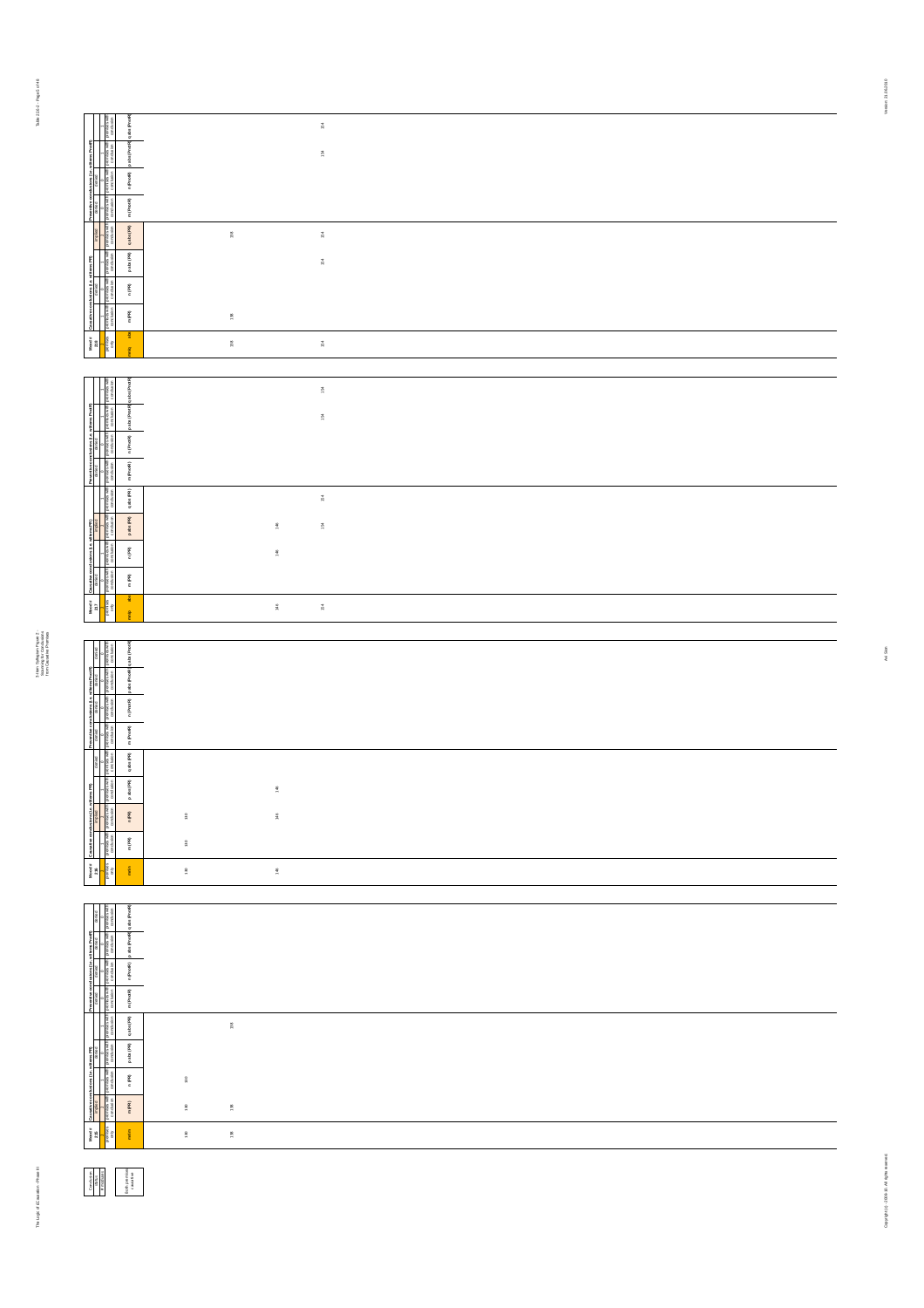| ł<br>-s exner<br>á<br>9-ltem Sylogism H              | <b>Turisms</b><br>ì<br>Condu<br>ś<br>saming. |
|------------------------------------------------------|----------------------------------------------|
|                                                      |                                              |
|                                                      |                                              |
|                                                      |                                              |
|                                                      |                                              |
|                                                      |                                              |
|                                                      |                                              |
|                                                      |                                              |
| haso III<br>ć<br>. ECausation -<br>The Logic of ECav |                                              |
|                                                      |                                              |

Conclusion status # moduses causative Both premises

premises only

130

 $138$ 

|                                                                                                                        |                                |                                  |                | $_{\rm 34}$      |  |  |  |  |
|------------------------------------------------------------------------------------------------------------------------|--------------------------------|----------------------------------|----------------|------------------|--|--|--|--|
| abs (ProtR) q abs (P)                                                                                                  |                                |                                  |                |                  |  |  |  |  |
| witems Proof?                                                                                                          |                                |                                  |                | $_{\rm 154}$     |  |  |  |  |
| n (Prooff)                                                                                                             |                                |                                  |                |                  |  |  |  |  |
| Preventive conclusions (i.e.,                                                                                          |                                |                                  |                |                  |  |  |  |  |
| $m$ (P rooff)                                                                                                          |                                |                                  |                |                  |  |  |  |  |
| q abs (PR)<br>implied                                                                                                  |                                | $^{\rm 33}$                      |                | $_{\rm 154}$     |  |  |  |  |
| pats (PR)<br>msPR)                                                                                                     |                                |                                  |                | $_{\rm 154}$     |  |  |  |  |
|                                                                                                                        |                                |                                  |                |                  |  |  |  |  |
| slons (i.e. v<br>$_{\rm n}$ (PR)                                                                                       |                                |                                  |                |                  |  |  |  |  |
| $\frac{\widehat{\mathfrak{g}}}{\mathfrak{g}}$                                                                          |                                | $\frac{33}{14}$                  |                |                  |  |  |  |  |
| å,                                                                                                                     |                                |                                  |                |                  |  |  |  |  |
| $\frac{1}{218}$<br>promises<br>only<br>ş                                                                               |                                | $\frac{9}{13}$                   |                | $\frac{3}{13}$   |  |  |  |  |
|                                                                                                                        |                                |                                  |                |                  |  |  |  |  |
| qabs (ProtR)                                                                                                           |                                |                                  |                | $\frac{\pi}{10}$ |  |  |  |  |
| pates (PnotR)                                                                                                          |                                |                                  |                | $\frac{3}{24}$   |  |  |  |  |
| Hons (La wilems ProtR)                                                                                                 |                                |                                  |                |                  |  |  |  |  |
| mises with<br>$n$ (P rooff)                                                                                            |                                |                                  |                |                  |  |  |  |  |
| Preventive cono<br>m(Proot R)                                                                                          |                                |                                  |                |                  |  |  |  |  |
|                                                                                                                        |                                |                                  |                |                  |  |  |  |  |
| qabs (PR)                                                                                                              |                                |                                  |                | $\frac{\pi}{10}$ |  |  |  |  |
| p als (PR)<br>nms PR)                                                                                                  |                                |                                  | $\frac{9}{14}$ | $\frac{3}{12}$   |  |  |  |  |
| usions (i.e.)<br>$_{\rm n}$ (PR)                                                                                       |                                |                                  | $_{\rm 146}$   |                  |  |  |  |  |
|                                                                                                                        |                                |                                  |                |                  |  |  |  |  |
| sative cond<br>$\mathfrak{g}_{\mathfrak{g}}$                                                                           |                                |                                  |                |                  |  |  |  |  |
| 普<br>$\frac{1}{2}$<br>xemises<br>orly<br>ę                                                                             |                                |                                  | $\frac{9}{26}$ | $\tilde{n}$      |  |  |  |  |
|                                                                                                                        |                                |                                  |                |                  |  |  |  |  |
|                                                                                                                        |                                |                                  |                |                  |  |  |  |  |
|                                                                                                                        |                                |                                  |                |                  |  |  |  |  |
| pala (Prooft)                                                                                                          |                                |                                  |                |                  |  |  |  |  |
| ates (ProofR)                                                                                                          |                                |                                  |                |                  |  |  |  |  |
|                                                                                                                        |                                |                                  |                |                  |  |  |  |  |
| Susions (i.e. w/leams Prooft)<br>  denied   denied<br>$n$ (Pro $\theta$ )                                              |                                |                                  |                |                  |  |  |  |  |
| Preventive con d<br>denied<br>$m$ (P rooff)<br><b>GM S661UD</b>                                                        |                                |                                  |                |                  |  |  |  |  |
|                                                                                                                        |                                |                                  |                |                  |  |  |  |  |
| denied<br>$q$ abs $\left( \mathsf{PR}\right)$                                                                          |                                |                                  |                |                  |  |  |  |  |
| p abs (PR)                                                                                                             |                                |                                  | $\frac{9}{24}$ |                  |  |  |  |  |
| asions (Le w/kems PR)<br>Impied<br>amates with premises with p<br>condusion condusion<br>n (PR)                        | $\mathop{\mathfrak{a}}$        |                                  | $\frac{6}{36}$ |                  |  |  |  |  |
|                                                                                                                        | $\frac{2}{13}$                 |                                  |                |                  |  |  |  |  |
| Causative conclus<br>$\mathop{\mathsf{m}}\nolimits(\mathsf{PR})$                                                       |                                |                                  |                |                  |  |  |  |  |
| $\frac{1}{2}\frac{1}{16}$<br>promises<br>only<br>$\frac{\epsilon}{4}$                                                  | $\frac{3}{2}$                  |                                  | $\frac{4}{3}$  |                  |  |  |  |  |
|                                                                                                                        |                                |                                  |                |                  |  |  |  |  |
| a abs (Prooft<br>dining                                                                                                |                                |                                  |                |                  |  |  |  |  |
|                                                                                                                        |                                |                                  |                |                  |  |  |  |  |
| pabs (ProtR)                                                                                                           |                                |                                  |                |                  |  |  |  |  |
| amises with<br>ravehisian<br>$n$ (ProofR)                                                                              |                                |                                  |                |                  |  |  |  |  |
| am see ma                                                                                                              |                                |                                  |                |                  |  |  |  |  |
| m (ProdR)                                                                                                              |                                |                                  |                |                  |  |  |  |  |
| qabs (PR)                                                                                                              |                                | $\frac{9}{13}$                   |                |                  |  |  |  |  |
| pates (PR)                                                                                                             |                                |                                  |                |                  |  |  |  |  |
|                                                                                                                        | $\frac{9}{14}$                 |                                  |                |                  |  |  |  |  |
| $_{\rm n}$ (PR)                                                                                                        |                                |                                  |                |                  |  |  |  |  |
| usative conductions (i.e. witems PR)<br>implied<br>$\frac{\partial}{\partial t}$<br>$\frac{1}{215}$<br>ventass<br>only | $\frac{9}{130}$<br>$^{\rm 30}$ | $\frac{9}{13}$<br>$\frac{3}{13}$ |                |                  |  |  |  |  |

Copyright (c) - 2008-10. All rights reserved. Avi Sion Version: 21.06.2010

Son

letal or: 21.06.2010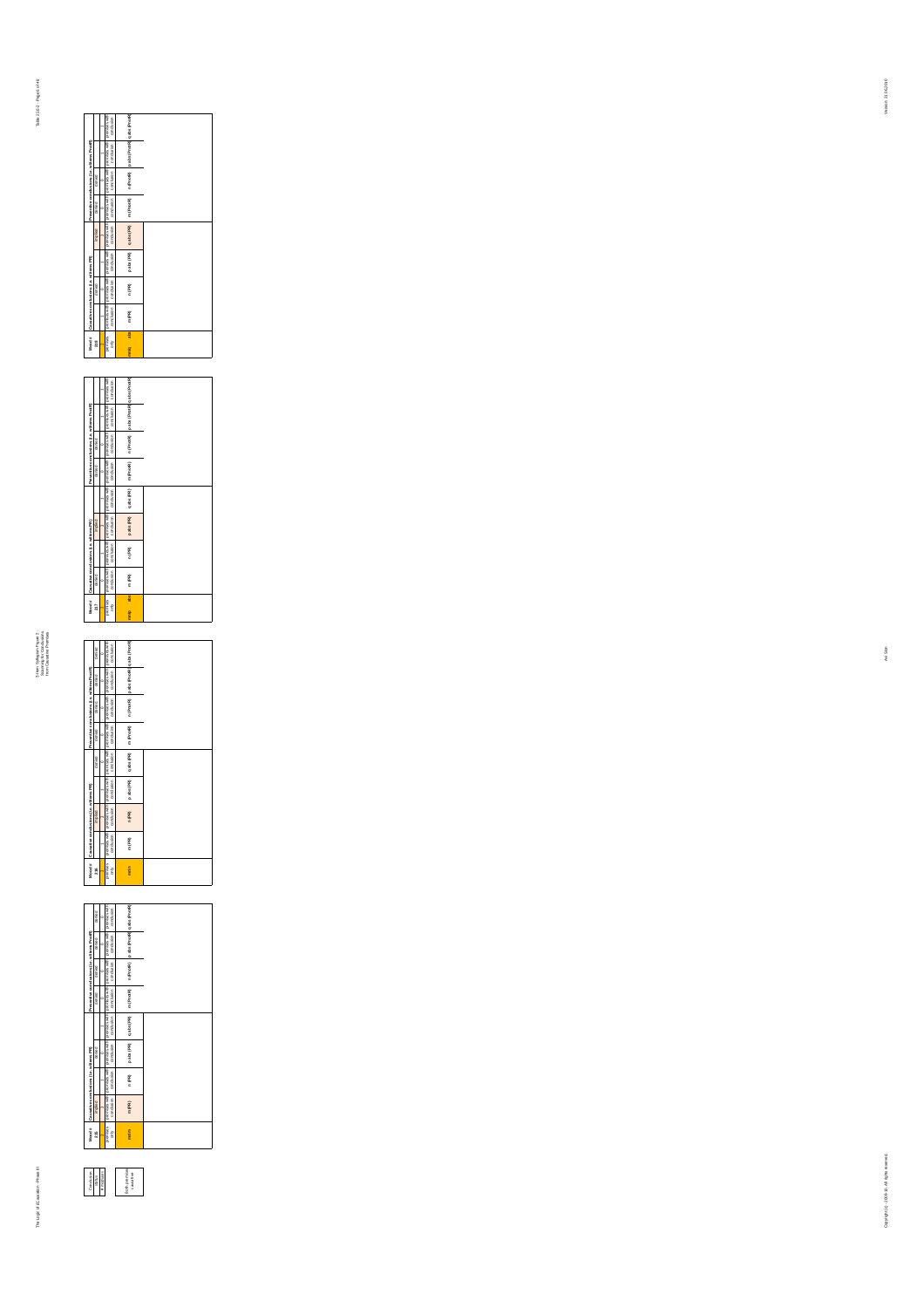| Condusion                  | Mood #        |                            | Causative condusions (i.e. wiltems PR) |                            |                            | Preventive conclusions (Le. wiltems Prooft) |                             |                                       |                                  |
|----------------------------|---------------|----------------------------|----------------------------------------|----------------------------|----------------------------|---------------------------------------------|-----------------------------|---------------------------------------|----------------------------------|
| status                     | 215           | mpland                     |                                        | denied                     |                            | denied                                      | dened                       | denied                                | dining                           |
| #moduses                   | N             |                            |                                        | ö                          |                            | ö                                           | $\circ$                     | ö                                     | ö                                |
|                            | premises<br>ă | premises with<br>operation | promises with<br>combasion             | premises with<br>candusion | promises with<br>oondusion | promises with<br>operation                  | promises with<br>conclusion | premises with<br>candusion            | <b>Jaw sestured</b><br>oondusion |
| soth premises<br>causative | movim         | m(m)                       | n (PR)                                 | pats (PR)                  | qabs (PR)                  | m (Prooff)                                  |                             | n (PnotR)   pabs (PnotR) qabs (PnotR) |                                  |
|                            |               |                            |                                        |                            |                            |                                             |                             |                                       |                                  |
|                            |               |                            |                                        |                            |                            |                                             |                             |                                       |                                  |
|                            |               |                            |                                        |                            |                            |                                             |                             |                                       |                                  |
|                            |               |                            |                                        |                            |                            |                                             |                             |                                       |                                  |
|                            |               |                            |                                        |                            |                            |                                             |                             |                                       |                                  |

|                                             | dened   | condusk                                                               | n (Proti                                                          |  |
|---------------------------------------------|---------|-----------------------------------------------------------------------|-------------------------------------------------------------------|--|
| Preventive conclusions (                    | dened   | conclusion                                                            |                                                                   |  |
|                                             | implied | premises with premises with premises with premises a<br>oondusion     |                                                                   |  |
|                                             |         | oondusion                                                             |                                                                   |  |
|                                             | dened   | promises with<br>candusion                                            | n (PR) pabs (PR) qabs (PR) m (Proof()                             |  |
| Causaive condusions (i.e. witems PR)        |         | 200 m ses with<br>conclusion                                          |                                                                   |  |
| Mood#                                       | 218     | D/00/11995<br>only                                                    | movie absorber(PR)                                                |  |
|                                             |         |                                                                       |                                                                   |  |
|                                             |         | oondusion                                                             | m (PnotR) n (PnotR) pabs (PnotR) qabs (PnotR)                     |  |
|                                             |         | candualan                                                             |                                                                   |  |
|                                             | dining  | premises with premises with premises with<br>operation                |                                                                   |  |
| Preventive conclusions (i.e. witems Pnot R) | denied  | oondusion                                                             |                                                                   |  |
|                                             |         | promises with premises with premises with<br>condusion                | patro (PR) qabs (PR)                                              |  |
|                                             | mpled   | conclusion                                                            |                                                                   |  |
| Causative conclusions (i.e. wiltems PR)     |         | comision with promises with<br>operation                              | n (PR)                                                            |  |
|                                             | denied  | oondusion                                                             | monto alos m.(PR)                                                 |  |
| Mood#                                       | 217     | premises<br>ğ                                                         |                                                                   |  |
|                                             |         |                                                                       |                                                                   |  |
|                                             | dened   | conclusion                                                            |                                                                   |  |
|                                             | denied  | Dream sea with Dremisea with<br>operation                             |                                                                   |  |
| Preventive conclusions (i.e. w/ltems ProtR) | denied  | promises with promises with promises with promises with<br>oondusion  | pabs (PR) qubs (PR) m (PnofR) n (PhotR) pubs (PnofR) qabs (PnofR) |  |
|                                             | denied  | condusion                                                             |                                                                   |  |
|                                             | denied  | conclusion                                                            |                                                                   |  |
|                                             |         | oondusion                                                             |                                                                   |  |
| Causative conclusions (i.e. wittems PR)     | impled  | premises with<br>oondusion                                            | m(PR) n(PR)                                                       |  |
|                                             |         | promises with<br>condusion                                            |                                                                   |  |
| Mood#                                       |         | Thi Second<br>only<br><b>PE</b>                                       | ş                                                                 |  |
|                                             |         |                                                                       |                                                                   |  |
|                                             | diciero | oondusion                                                             |                                                                   |  |
|                                             | denied  | condusion                                                             | n (P notR)   p abs (PnotR) q abs (P notR)                         |  |
| Preventive conclusions (Le. witems Profit)  | dened   | promises with promises with premises with premises with<br>conclusion |                                                                   |  |
|                                             | denied  | operation                                                             | m (ProtR)                                                         |  |
|                                             |         | oondusion<br>promises with                                            | qabs (PR)                                                         |  |
|                                             | denied  | promises with<br>candusion                                            | pate (PR)                                                         |  |
| Causalive condusions (i.e. witems PR)       |         | DY97115935 With<br>conclusion                                         | n (PR)                                                            |  |
|                                             | implied | yearn ses with<br>oonclusion                                          | m(m)                                                              |  |
| ă                                           |         |                                                                       | ł                                                                 |  |

|                                               |         |                | operation                                                                                 |                                         |  |
|-----------------------------------------------|---------|----------------|-------------------------------------------------------------------------------------------|-----------------------------------------|--|
|                                               |         |                | oondusion                                                                                 | pates (Prot R) q abs (P notR)           |  |
|                                               | dened   |                | premises with premises with premises with<br>condusion                                    | n (ProtR)                               |  |
| Preventive conclusions (i.e., wiltems Prooff) | denied  |                | conclusion                                                                                | m (ProtR)                               |  |
|                                               | implied |                | Dremises with promises with<br>opricion                                                   | qabs (PR)                               |  |
|                                               |         |                | promises with premises with<br>oondusion                                                  | pabs (PR)                               |  |
| Causaive condusions (i.e. wiltems PR)         | dened   | $\circ$        | candusion                                                                                 | n (PR)                                  |  |
|                                               |         |                | premises with<br>conclusion                                                               | m (PR)                                  |  |
| Mood#                                         | 218     |                | DY01TTI 50%<br>only                                                                       | Ş<br>ř                                  |  |
|                                               |         |                |                                                                                           |                                         |  |
|                                               |         |                | premises with<br>oondusion                                                                | pabs (PnotR) qabs (PnotR)               |  |
| Preventive conclusions (i.e. witems ProtR)    |         |                | promises with promises with<br>condusion                                                  |                                         |  |
|                                               | dicial  |                | conclusion                                                                                | n (Prooff)                              |  |
|                                               | denied  | ö              | promises with promises with promises with promises with<br>opriduation                    | m (ProotR)                              |  |
|                                               |         |                | candusion                                                                                 | qabs (PR)                               |  |
|                                               | mpled   |                | conclusion                                                                                | p also (PR)                             |  |
| Causative conclusions (i.e. wiltems PR)       |         |                | operation                                                                                 | n (PR)                                  |  |
|                                               | denied  |                | comises with<br>oondusion                                                                 | m (PR)                                  |  |
| Mood #                                        | Z       |                | premises<br>orly                                                                          | ă<br>ente                               |  |
|                                               |         |                |                                                                                           |                                         |  |
|                                               | denied  |                | DOWN 995 WITH<br>conclusion                                                               | n (PhotR) patra (P notR) q abs (P notR) |  |
| Preventive con duslons (i.e. w/ltems PnotR)   | denied  |                | premises with premises with<br>operation                                                  |                                         |  |
|                                               | denied  |                | oondusion                                                                                 |                                         |  |
|                                               | denied  |                | pright sea with<br>condusion                                                              | m (Prooff)                              |  |
|                                               | densed  |                | Dream ses with<br>conclusion                                                              | $q$ abs $(PR)$                          |  |
| W/tems <sub>PR)</sub>                         |         |                | premises with<br>oondusion                                                                | pabs (PR)                               |  |
|                                               | impled  | $\overline{a}$ | oondusion<br>premises with premises                                                       | nope                                    |  |
| Causative conclusions                         |         |                | condusion                                                                                 | m (PR)                                  |  |
| Mood #                                        | 216     |                | promises<br>only                                                                          | movin                                   |  |
|                                               |         |                |                                                                                           |                                         |  |
|                                               | denied  |                | promises with<br>oondusion                                                                | pabs (PnotR) qabs (PnotR)               |  |
|                                               | denied  |                | promises with<br>candusion                                                                |                                         |  |
| Preventive conclusions (Le. wiltems Prooff)   | denied  |                | promises with [promises with loromises with   promises with   promises with<br>conclusion | n (Prooft)                              |  |
|                                               | denied  |                | operation                                                                                 | m (ProtR)                               |  |
|                                               |         |                | oondusion                                                                                 | qabs (PR)                               |  |
|                                               | denied  |                | candusion                                                                                 | yabs (PR)                               |  |
| Causative condusions (i.e. wiltems PR)        |         |                | conclusion                                                                                | n (PR)                                  |  |
|                                               | mplied  |                | DYNTH SAS WITH<br>operation                                                               | m(PR)                                   |  |
| $A \cos \theta$                               | 215     |                | reaming<br>$\frac{3}{6}$                                                                  | f<br>Tarihi                             |  |

Avi Sion

Copyright (c) - 2008-10. All rights reserve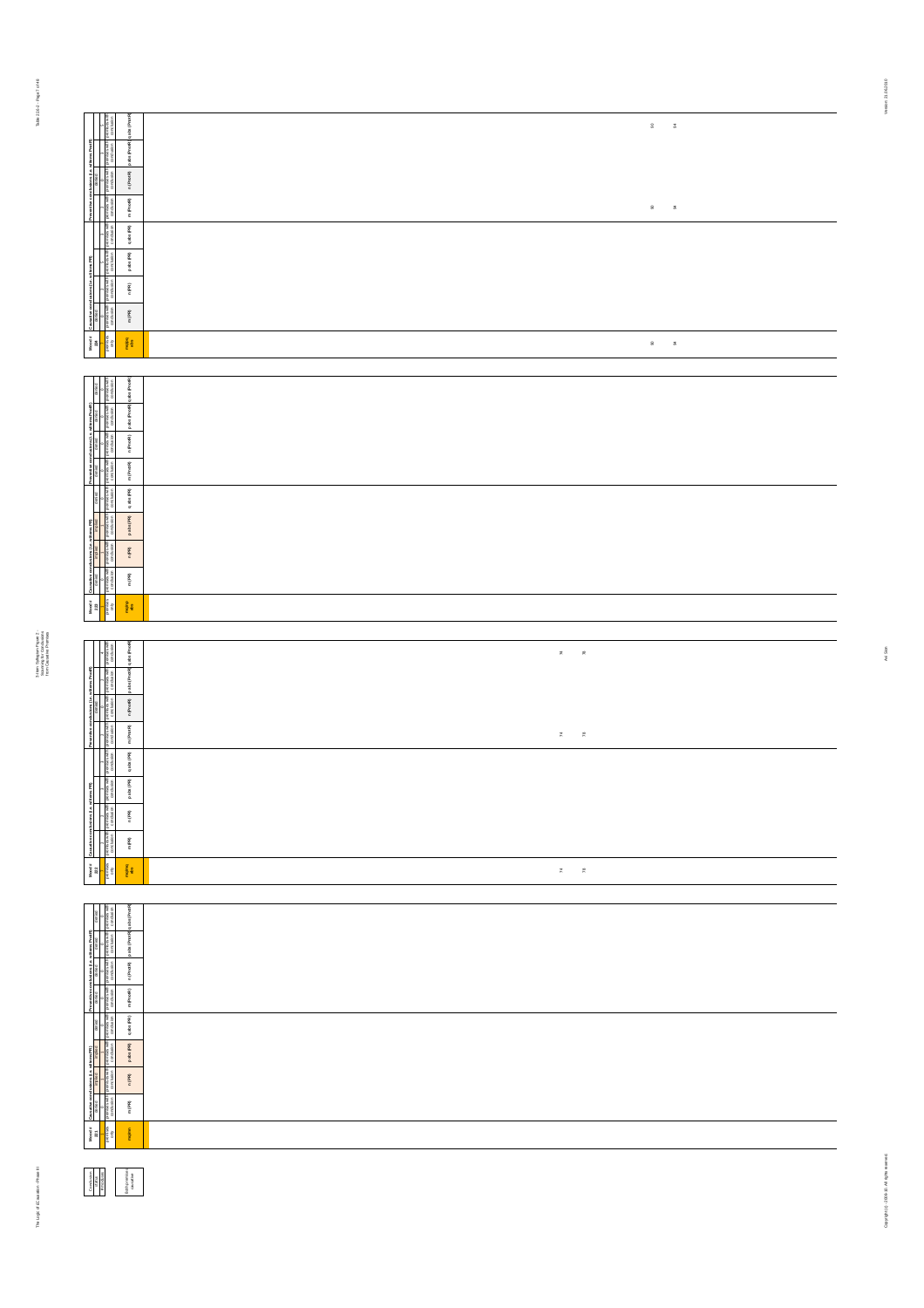| remises with<br>conclusion<br>abs (Prof                                                                                   | $\mathsf{S}$<br>$\overline{\mathfrak{F}}$                                       |
|---------------------------------------------------------------------------------------------------------------------------|---------------------------------------------------------------------------------|
| Preventive condustors (i.e. witems Prodit)<br>xemises with<br>condusion<br>xites (Proof                                   |                                                                                 |
| premises with<br>oondusion<br>n (Pn ofR)                                                                                  |                                                                                 |
| premises with<br>condusion<br>m $\left( \mathsf{Proof}\mathsf{R}\right)$                                                  | $\,$ 8 $\,$ $\,$ 3.                                                             |
| 3<br>pomiaes with<br>conclusion<br>$q$ ab s $\left( \mathsf{PR}\right)$                                                   |                                                                                 |
| a<br>premises with<br>condusion<br>pabs (PR)                                                                              |                                                                                 |
| comises with<br>condusion<br>$\alpha$ (b) $\alpha$                                                                        |                                                                                 |
| Causative conclusions (i.e. w/kems PR)<br>premises with<br>condusion<br>$\mathfrak{g}_{\mathfrak{g}}$                     |                                                                                 |
| $\frac{M_{\odot} \odot H}{2M}$<br>comissa<br>$\frac{g}{\theta}$ ;                                                         | $\begin{array}{ccc} \circ & \circ & \circ \\ \circ & \circ & \circ \end{array}$ |
|                                                                                                                           |                                                                                 |
| 1 ab s (P not                                                                                                             |                                                                                 |
| abs (Profit)                                                                                                              |                                                                                 |
| promises with<br>canclusian<br>n (ProfR)                                                                                  |                                                                                 |
| premises with<br>conclusion<br>$m(p \cos R)$                                                                              |                                                                                 |
| amiad<br>premises with<br>condusion<br>q abs (PR)                                                                         |                                                                                 |
| promises with<br>condusion<br>pats (PR)                                                                                   |                                                                                 |
| premises with<br>conclusion<br>$\mathfrak{n}\left(\mathsf{PR}\right)$                                                     |                                                                                 |
| Causative conclusions (i.e. witems PR)<br>direct the implied implied<br>nominios with<br>condusion<br>$\frac{1}{n}$       |                                                                                 |
| promises<br>$\begin{array}{c} \text{Mose } n \\ 223 \end{array}$<br>$\frac{9}{3}$ is                                      |                                                                                 |
|                                                                                                                           |                                                                                 |
| qabs (ProfR)                                                                                                              | $\boldsymbol{\pi}$<br>$\approx$                                                 |
| remises with<br>corclusion<br>pate (P                                                                                     |                                                                                 |
| nomisios with<br>condusion<br>n (ProtR)                                                                                   |                                                                                 |
| Preventive conclusions (i.e. witems Pro IR)<br>premises with<br>condusion<br>$m$ (Pn ofR)                                 | $\mathbb{R}^n \subset \mathbb{R}^n$                                             |
| 3<br>pramises with<br>condusion<br>qabs (PR)                                                                              |                                                                                 |
| t (La wiltems PR)<br>swth promissawth p<br>sion oxclusion<br>$p$ ala (PR)                                                 |                                                                                 |
| $\frac{1}{n}$<br>lusions (<br>comissa<br>condusi                                                                          |                                                                                 |
| Causative concl<br>$\omega_{\rm d}$                                                                                       |                                                                                 |
| $\frac{M_{\odot}d}{22}$<br>promises<br>$\frac{g}{2}$                                                                      | $\mathbf{g}$<br>$\approx$                                                       |
|                                                                                                                           |                                                                                 |
| i abs (Pro                                                                                                                |                                                                                 |
| Preventive conclusions (i.e., willems Proofit)<br>clothol district district of the control<br>hiw etermined<br>abs (ProtR |                                                                                 |
| premises with<br>candualon<br>$n$ (P rooff)                                                                               |                                                                                 |
| Domisias with<br>conclusion<br>$m(p \text{ node})$                                                                        |                                                                                 |
| denied<br>premises with<br>conclusion<br>$q$ abs (PR)                                                                     |                                                                                 |
| $p$ abs (PR)<br>xemises with<br>condusion                                                                                 |                                                                                 |
| remises with<br>candusion<br>$n$ (PR)                                                                                     |                                                                                 |
| Causative condustors (i.e. w/literate PR)<br>denied implied implied<br>vemises with<br>conclusion<br>$\frac{60}{\pi}$     |                                                                                 |
| vernises<br>only<br>$\frac{M \cos \theta}{221}$<br>mqimo                                                                  |                                                                                 |
|                                                                                                                           |                                                                                 |
| causative<br>causative                                                                                                    |                                                                                 |

Copyright (c) - 2008-10. All rights reserved. Avi Sion Version: 21.06.2010

Avi Sion

All rights reserv

right (c) - 2008-10

lenion: 21.06.2010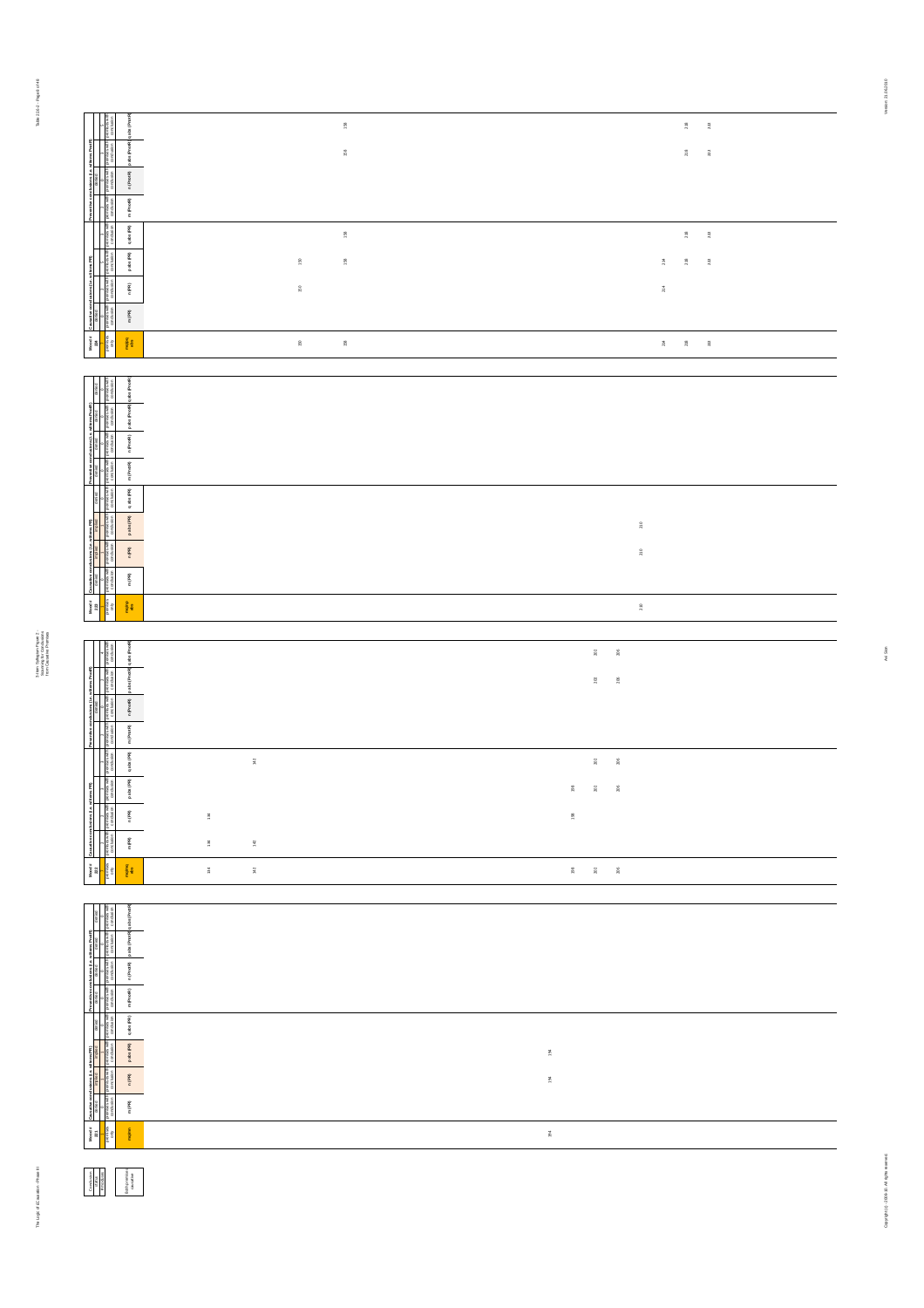| 훀                                                                                                                                                                                                                                                                                                                                                                                                                                                                                                           | $\frac{38}{14}$      | $\mathbf{g}=-\mathbf{g}$                                                                                                     |
|-------------------------------------------------------------------------------------------------------------------------------------------------------------------------------------------------------------------------------------------------------------------------------------------------------------------------------------------------------------------------------------------------------------------------------------------------------------------------------------------------------------|----------------------|------------------------------------------------------------------------------------------------------------------------------|
| $P_{\text{ROER}}$                                                                                                                                                                                                                                                                                                                                                                                                                                                                                           | $_{\rm 35}^{\rm m}$  | $\overline{\mathbf{a}}$ and $\overline{\mathbf{a}}$                                                                          |
| lons (i.e.                                                                                                                                                                                                                                                                                                                                                                                                                                                                                                  |                      |                                                                                                                              |
| $m(p \text{ node})$                                                                                                                                                                                                                                                                                                                                                                                                                                                                                         |                      |                                                                                                                              |
| Ě<br>$q$ ab s $(\mathsf{PR})$                                                                                                                                                                                                                                                                                                                                                                                                                                                                               | $\frac{38}{14}$      | $\mathbbmss{R}^{\mathbbmss{N}}$                                                                                              |
| $p$ abs (PR)<br>$_{\rm 350}$                                                                                                                                                                                                                                                                                                                                                                                                                                                                                | $_{\rm 158}^{\circ}$ | $\frac{3}{24}$<br>$\begin{array}{ccc} & 23 \\ & 23 \end{array}$                                                              |
| is (i.e. w/kems PR)<br>n (PR)<br>$\frac{9}{10}$                                                                                                                                                                                                                                                                                                                                                                                                                                                             |                      | $\vec{n}$                                                                                                                    |
| sative concl<br>Matiac<br>$\mathfrak{m}(\mathsf{PR})$                                                                                                                                                                                                                                                                                                                                                                                                                                                       |                      |                                                                                                                              |
|                                                                                                                                                                                                                                                                                                                                                                                                                                                                                                             |                      |                                                                                                                              |
| Mood #<br>$\frac{g}{2}$ ,<br>$_{\rm 150}$<br>omise                                                                                                                                                                                                                                                                                                                                                                                                                                                          | $\frac{1}{2}$        | $\begin{array}{ccccc} \vec{n} & \vec{n} & \vec{n} \\ \vec{n} & \vec{n} & \vec{n} \\ \vec{n} & \vec{n} & \vec{n} \end{array}$ |
| abs (Prod                                                                                                                                                                                                                                                                                                                                                                                                                                                                                                   |                      |                                                                                                                              |
|                                                                                                                                                                                                                                                                                                                                                                                                                                                                                                             |                      |                                                                                                                              |
| sions (Le. wilsems ProcR)                                                                                                                                                                                                                                                                                                                                                                                                                                                                                   |                      |                                                                                                                              |
| n (ProfR)                                                                                                                                                                                                                                                                                                                                                                                                                                                                                                   |                      |                                                                                                                              |
| Preventive cond<br>Ohnid<br>$m(p \mod R)$                                                                                                                                                                                                                                                                                                                                                                                                                                                                   |                      |                                                                                                                              |
| qabs $\langle \theta R \rangle$                                                                                                                                                                                                                                                                                                                                                                                                                                                                             |                      |                                                                                                                              |
| pats (PR)                                                                                                                                                                                                                                                                                                                                                                                                                                                                                                   |                      | $\rm^{20}$                                                                                                                   |
| sative conclusion s (i.e. willems PR)<br>annual<br>$_{\rm n}$ (PR)                                                                                                                                                                                                                                                                                                                                                                                                                                          |                      | $\mathbb{S}$                                                                                                                 |
| $\frac{\partial \mathbf{F}}{\partial \mathbf{r}}$                                                                                                                                                                                                                                                                                                                                                                                                                                                           |                      |                                                                                                                              |
| $\frac{M \cos \theta}{223}$<br>emissi<br>Si<br>$\frac{3}{2}$ is                                                                                                                                                                                                                                                                                                                                                                                                                                             |                      | $^{\rm 210}$                                                                                                                 |
|                                                                                                                                                                                                                                                                                                                                                                                                                                                                                                             |                      |                                                                                                                              |
| Pro (R)                                                                                                                                                                                                                                                                                                                                                                                                                                                                                                     |                      | $$\tt{m}$$                                                                                                                   |
| es (i.e. wite                                                                                                                                                                                                                                                                                                                                                                                                                                                                                               |                      | $\mathbb{R}$                                                                                                                 |
| ę                                                                                                                                                                                                                                                                                                                                                                                                                                                                                                           |                      |                                                                                                                              |
| $m$ (Pn ofR)                                                                                                                                                                                                                                                                                                                                                                                                                                                                                                |                      |                                                                                                                              |
| qabs (PR)<br>$\frac{a}{\pi}$                                                                                                                                                                                                                                                                                                                                                                                                                                                                                |                      | $\mathbbmss{S}^3$                                                                                                            |
| $p$ ab s $\langle \mathsf{PR} \rangle$<br>tms PR)                                                                                                                                                                                                                                                                                                                                                                                                                                                           |                      | 198<br>$\mathbb{R}^n$ – $\mathbb{R}^n$                                                                                       |
| $\begin{tabular}{l l l } \hline & \multicolumn{3}{l}{\textbf{class (i.a. whose}} \\ \hline \multicolumn{3}{l}{\textbf{class (ii)}} & \multicolumn{3}{l}{\textbf{class (iii)}} \\ \hline \multicolumn{3}{l}{\textbf{3.000}} & \multicolumn{3}{l}{\textbf{3.000}} \\ \hline \multicolumn{3}{l}{\textbf{3.000}} & \multicolumn{3}{l}{\textbf{3.000}} \\ \hline \multicolumn{3}{l}{\textbf{3.000}} & \multicolumn{3}{l}{\textbf{3.000}} \\ \hline \multicolumn{3}{l}{\text$<br>$\frac{6}{n}$<br>$\frac{\pi}{2}$ |                      | $\frac{98}{1}$                                                                                                               |
| Causative conclusions<br>$\mathfrak{g}_{\mathfrak{g}}$<br>$\vec{\mathbb{m}}$<br>$\frac{\alpha}{26}$                                                                                                                                                                                                                                                                                                                                                                                                         |                      |                                                                                                                              |
| $\frac{m\alpha}{m}$<br>$\frac{q}{q-2}$<br>Periment<br>orly<br>$\frac{\pi}{\alpha}$<br>$\frac{\alpha}{\alpha}$                                                                                                                                                                                                                                                                                                                                                                                               |                      | $\begin{matrix} 25 & 25 \\ 25 & 25 \end{matrix}$                                                                             |
|                                                                                                                                                                                                                                                                                                                                                                                                                                                                                                             |                      |                                                                                                                              |
| i atos (Pro                                                                                                                                                                                                                                                                                                                                                                                                                                                                                                 |                      |                                                                                                                              |
|                                                                                                                                                                                                                                                                                                                                                                                                                                                                                                             |                      |                                                                                                                              |
| n (ProfR)                                                                                                                                                                                                                                                                                                                                                                                                                                                                                                   |                      |                                                                                                                              |
| Preventive conclusions (i.e. witems PnoR)<br>derived derived derived<br>$m$ (P roofR)                                                                                                                                                                                                                                                                                                                                                                                                                       |                      |                                                                                                                              |
| $\mathbf{q}$ abs (PR)                                                                                                                                                                                                                                                                                                                                                                                                                                                                                       |                      |                                                                                                                              |
| p abs (PR)                                                                                                                                                                                                                                                                                                                                                                                                                                                                                                  |                      | $\frac{3}{2}$                                                                                                                |
| $n$ (PR)                                                                                                                                                                                                                                                                                                                                                                                                                                                                                                    |                      | $\frac{\sigma}{20}$                                                                                                          |
| Causative condustors (i.e. w/lease PR)<br>details                                                                                                                                                                                                                                                                                                                                                                                                                                                           |                      |                                                                                                                              |
| $\frac{6}{\pi}$                                                                                                                                                                                                                                                                                                                                                                                                                                                                                             |                      |                                                                                                                              |
| $\begin{array}{c} \text{mod } n \\ 221 \end{array}$<br>promises                                                                                                                                                                                                                                                                                                                                                                                                                                             |                      | $\frac{34}{2}$                                                                                                               |

Copyright (c) - 2008-10. All rights reserved. Avi Sion Version: 21.06.2010

 $4.8$ on

eral on: 21.06.2010

Table 22.6-2 - Page 8 of 48

8199894-2922941

Conclusion<br># moduses<br>xh premis<br>causative Both premises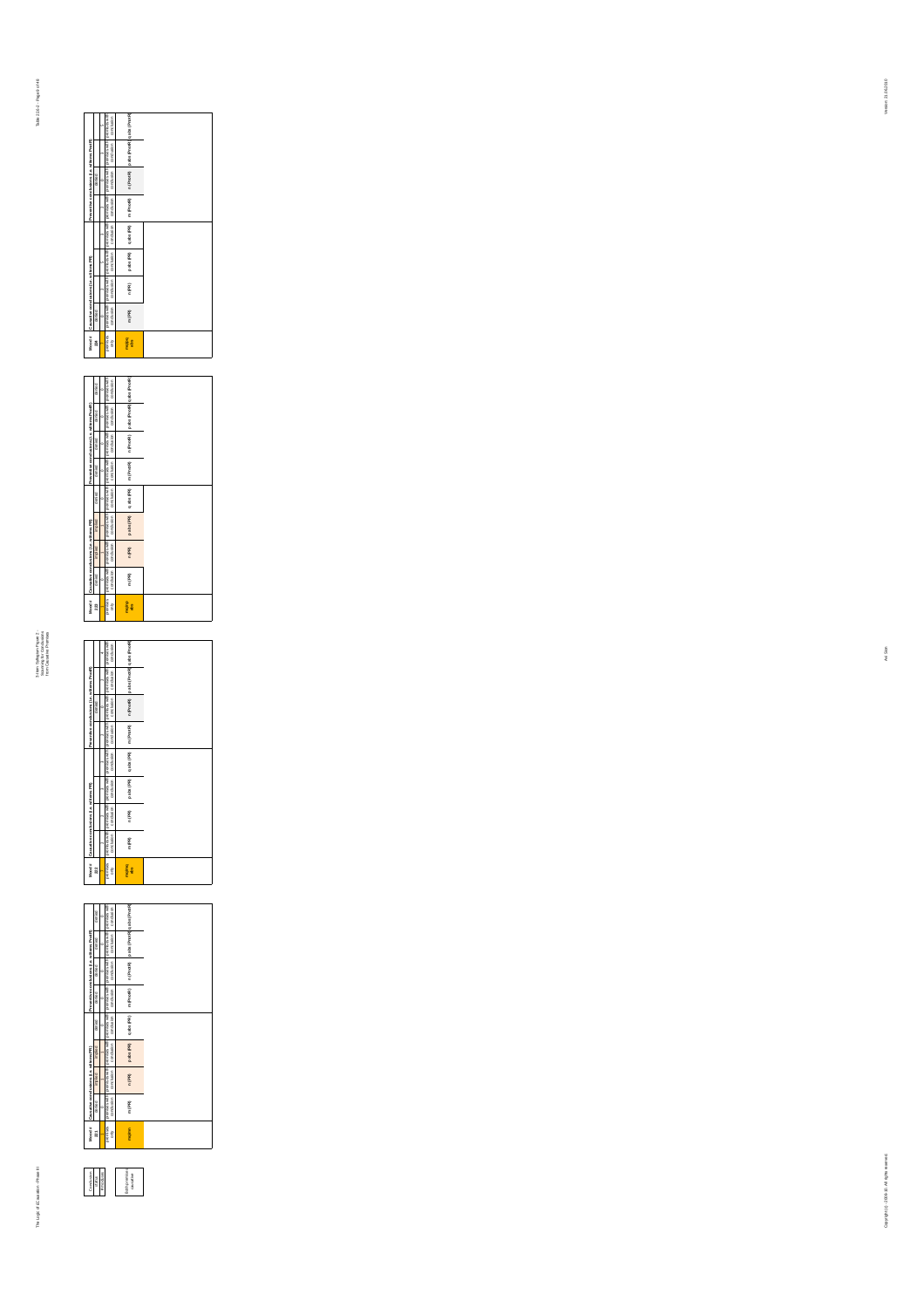| n (PnotR) pabs (PnotR) q abs (PnotR)<br><b>ORCHEO</b><br>promises with<br>oondusion<br>denied<br>۰<br>promises with<br>candusion<br>denied<br>ö<br>m (Prooff)<br>promises with<br>conclusion<br>dened<br>ö<br>pate (PR) qate (PR)<br>premises with<br>operation<br>dining<br>۰<br>promises with premises with<br>oondusion<br>implayd<br>candusion<br>implied<br>n (PR)<br>premises with<br>conclusion<br>denied<br>$\frac{m(PR)}{E}$<br>ö<br>pressures<br>mqimn<br>221<br>č |  | Causative conclusions (i.e. w/litems PR) |  | Preventive condusions (i.e. witems PnotR) |                            |
|------------------------------------------------------------------------------------------------------------------------------------------------------------------------------------------------------------------------------------------------------------------------------------------------------------------------------------------------------------------------------------------------------------------------------------------------------------------------------|--|------------------------------------------|--|-------------------------------------------|----------------------------|
|                                                                                                                                                                                                                                                                                                                                                                                                                                                                              |  |                                          |  |                                           |                            |
|                                                                                                                                                                                                                                                                                                                                                                                                                                                                              |  |                                          |  |                                           |                            |
|                                                                                                                                                                                                                                                                                                                                                                                                                                                                              |  |                                          |  |                                           | DYRTTI 905 WE<br>operation |
|                                                                                                                                                                                                                                                                                                                                                                                                                                                                              |  |                                          |  |                                           |                            |
|                                                                                                                                                                                                                                                                                                                                                                                                                                                                              |  |                                          |  |                                           |                            |
|                                                                                                                                                                                                                                                                                                                                                                                                                                                                              |  |                                          |  |                                           |                            |
|                                                                                                                                                                                                                                                                                                                                                                                                                                                                              |  |                                          |  |                                           |                            |
|                                                                                                                                                                                                                                                                                                                                                                                                                                                                              |  |                                          |  |                                           |                            |
|                                                                                                                                                                                                                                                                                                                                                                                                                                                                              |  |                                          |  |                                           |                            |

Conclusion<br># moduses<br>xh premis<br>causative Both premises

|                                              |                         |                             | conclusion  |                                                                   |  |
|----------------------------------------------|-------------------------|-----------------------------|-------------|-------------------------------------------------------------------|--|
|                                              |                         | promises with promises with | opricion    |                                                                   |  |
| Preventive conclusions (i.e. wiltems Profit) | denied                  |                             | condusion   | pabs (PR) qabs (PR) m (ProfR) n (PhofR) pabs (ProfR) qabs (ProfR) |  |
|                                              |                         | promises with premises with | candusion   |                                                                   |  |
|                                              |                         | Dream ses with              | oorclusion  |                                                                   |  |
|                                              |                         | premises with               | oondusion   |                                                                   |  |
|                                              |                         | premises with               | oondusion   | n (PR)                                                            |  |
| Causative conclusions (i.e. w/kems PR)       | dened                   | rom ses with                | condusion   | m(PR)                                                             |  |
| Mood #                                       | ă                       | 200 m 905                   | έ           | š                                                                 |  |
|                                              |                         |                             |             |                                                                   |  |
|                                              | denied                  | premises with               | opriduation | pates (Pro IR) qaba (ProfR)                                       |  |
|                                              | denied                  | promises with               | candusion   |                                                                   |  |
| Preventive conclusions (Le. witems Prot R)   | dened                   | pright sea with             | conclusion  | n (Prooff)                                                        |  |
|                                              | denied                  | Door sea with               | operation   | m (Prot R)                                                        |  |
|                                              | denied                  | promises with premises with | oondusion   | qabs (PR)                                                         |  |
|                                              | implied                 |                             | candusion   | pats (PR)                                                         |  |
| Causalive conclusions (i.e. wiltems PR)      | implied                 | Dream ses with              | operation   | n(PR)                                                             |  |
|                                              | dining                  | compass with                | opriduation | m (PR)                                                            |  |
| Mood #                                       | $\overline{\mathbf{a}}$ | ceautoos                    | γi<br>δ     | mayan                                                             |  |
|                                              |                         |                             |             |                                                                   |  |
|                                              |                         | premises with               | candusion   | qabs (PR) = m (PhotR) = n (PhotR) = p abs (PhotR) qabs (PhotR)    |  |
| Preventive conclusions (i.e. wittems Pno tR) |                         | Dream sea with              | conclusion  |                                                                   |  |
|                                              | dining                  | DYRITTIERS WITH             | oondusion   |                                                                   |  |
|                                              |                         | promises with premises with | oondusion   |                                                                   |  |
|                                              |                         |                             | condusion   |                                                                   |  |
| (i.e. wilterns PR)                           |                         | premises with<br>with       | conclusion  | $p$ ab $s$ $(PR)$                                                 |  |
| Causative conclusions                        |                         | premises with premises      | oondusion   | e<br>S                                                            |  |
|                                              |                         |                             | candusion   | m (PR)                                                            |  |
| Mood#                                        | 222                     | promises                    | öπ          | mqmq<br>abs                                                       |  |
|                                              | dicial                  | Dremises with               | operation   |                                                                   |  |
|                                              | denied                  | premises with               | oondusion   | pass (Prot R) q also (ProtR)                                      |  |
| Preventive condusions (i.e. willems Profit.) | denied                  | promises with               | candusion   |                                                                   |  |
|                                              | dened                   | promises with               | conclusion  | m (Prooff) n (Prooff)                                             |  |
|                                              | dinind                  | premises with               | oprehasion  | qabs (PR)                                                         |  |
|                                              | implied                 | premises with               | oondusion   | pabs (PR)                                                         |  |
|                                              | implied                 | promises with               | candusion   | n (PR)                                                            |  |
| ausative conclusions (i.e. w/lease PR)       | densed                  | crem ses with               | conclusion  | $\frac{m(PR)}{R}$                                                 |  |
| <b>Accod #</b>                               |                         | com ses                     | ğ           | <b>Malph</b>                                                      |  |

| Causative c                                | deried  |   | promises wit<br>candualan    | m (PR)                         |  |
|--------------------------------------------|---------|---|------------------------------|--------------------------------|--|
| Mood #                                     | 254     |   | promises<br>only             | <b>R</b><br>å                  |  |
|                                            |         |   |                              |                                |  |
|                                            | denied  |   | premises with<br>opriguation |                                |  |
|                                            | denied  | ö | promises with<br>candusion   | pates (Pro tR) q ab s (P notR) |  |
| Preventive conclusions (Le. witems Prot R) | dened   | ò | promises with<br>conclusion  | n (Prooff)                     |  |
|                                            | dining  | ۰ | Dream ses with<br>operation  | m (Prot R)                     |  |
|                                            | denied  | ö | promises with<br>oondusion   | qabs (PR)                      |  |
| toms PR)                                   | implied |   | premises with<br>candusion   | pate (PR)                      |  |

| <b>bod#</b>           |                            | Causative conclusions (i.e. w/kems PR) |                            |                             |            | Preventive conclusions (i.e. wiltems Prooff) |                                     |                             |
|-----------------------|----------------------------|----------------------------------------|----------------------------|-----------------------------|------------|----------------------------------------------|-------------------------------------|-----------------------------|
| 254                   | dened                      |                                        |                            |                             |            | denied                                       |                                     |                             |
|                       |                            |                                        |                            |                             |            |                                              |                                     |                             |
| <b>R06UU0</b><br>only | promises with<br>condusion | premises with<br>oondusion             | premises with<br>oondusion | premises with<br>conclusion | candusion  | premises with premises with<br>oondusion     | premises with<br>oondusion          | promises with<br>oorchasion |
| g s                   | m (PR)                     | n (PR)                                 |                            | pabs (PR) qabs (PR)         | m (Prooff) |                                              | n (PnotR) pats (PnotR) qabs (PnotR) |                             |
|                       |                            |                                        |                            |                             |            |                                              |                                     |                             |
|                       |                            |                                        |                            |                             |            |                                              |                                     |                             |

Avi Sion

Depright (c) - 2008-10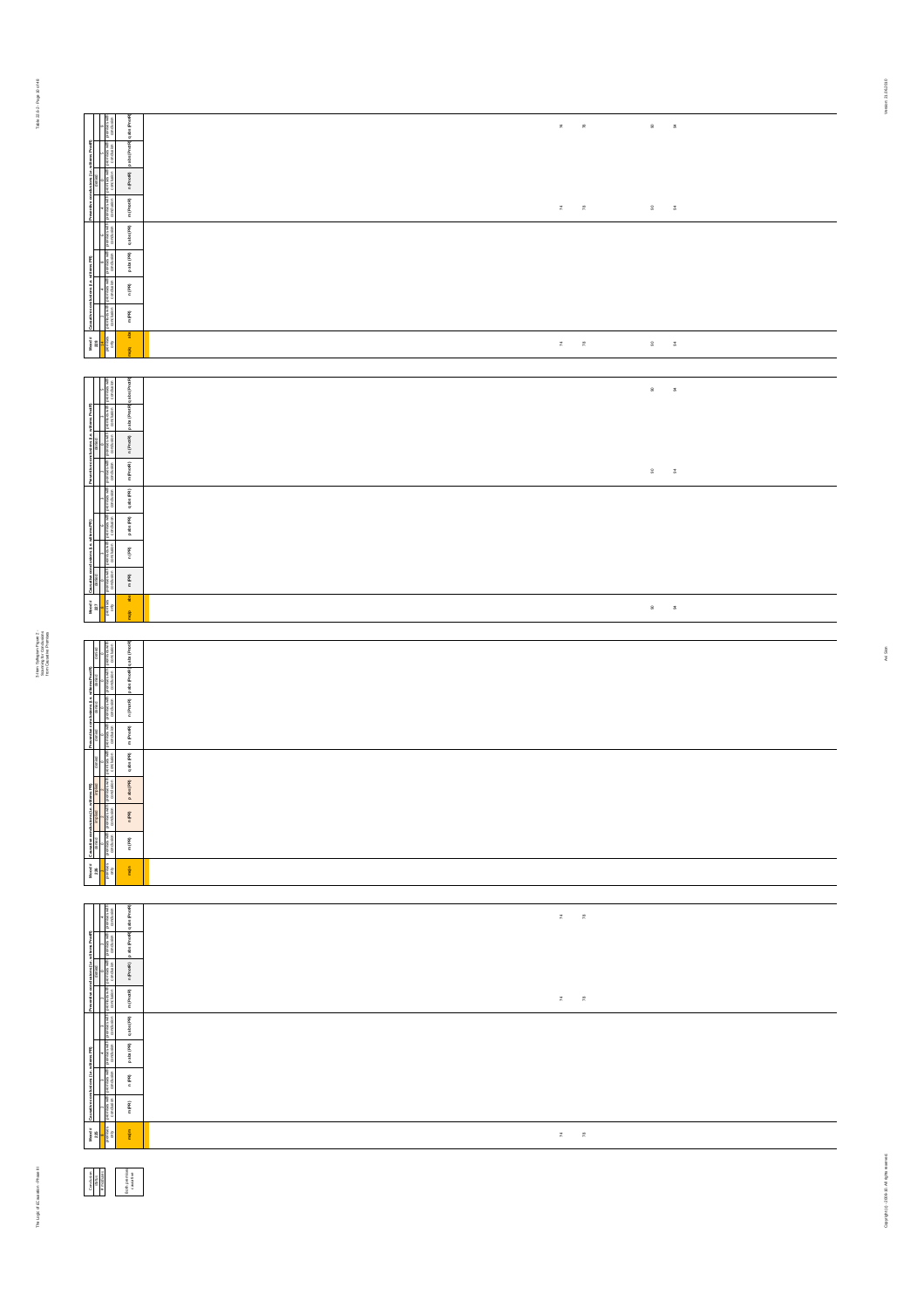| iq also (Prooft)                                                                                                                                                                                                                                                      | $\overline{\kappa}$<br>$\mathbb R$                                                                                   | $\mathbb{S}$<br>$\overline{\sigma}$                                                                                                                                                                                                                                                                                                                                                                                                                                                                                         |
|-----------------------------------------------------------------------------------------------------------------------------------------------------------------------------------------------------------------------------------------------------------------------|----------------------------------------------------------------------------------------------------------------------|-----------------------------------------------------------------------------------------------------------------------------------------------------------------------------------------------------------------------------------------------------------------------------------------------------------------------------------------------------------------------------------------------------------------------------------------------------------------------------------------------------------------------------|
| Prooff)<br>p abs (PnotR)                                                                                                                                                                                                                                              |                                                                                                                      |                                                                                                                                                                                                                                                                                                                                                                                                                                                                                                                             |
| omises with<br>condusion<br>$n$ (ProofR)                                                                                                                                                                                                                              |                                                                                                                      |                                                                                                                                                                                                                                                                                                                                                                                                                                                                                                                             |
| Preventive conclusions (i.e., witer<br>remises with<br>conclusion<br>$m$ (P rooff)                                                                                                                                                                                    | $\begin{array}{ccccccccccccc} \pi & \quad & \pi & \quad & \pi & \quad & \pi & \quad & \pi & \quad & \pi \end{array}$ |                                                                                                                                                                                                                                                                                                                                                                                                                                                                                                                             |
| iomissa with<br>condusion<br>$q$ abs (PR)                                                                                                                                                                                                                             |                                                                                                                      |                                                                                                                                                                                                                                                                                                                                                                                                                                                                                                                             |
| $\begin{array}{c c}\n8 & \text{with} & \text{in} \\ \hline\n\text{pounds} & \text{with} & \text{in} \\ \hline\n\end{array}$<br>pabs (PR)                                                                                                                              |                                                                                                                      |                                                                                                                                                                                                                                                                                                                                                                                                                                                                                                                             |
| ions (i.e. wiltems PR)<br>ramises with<br>n (PR)                                                                                                                                                                                                                      |                                                                                                                      |                                                                                                                                                                                                                                                                                                                                                                                                                                                                                                                             |
| stive condu<br>Tises with<br>$\frac{\partial \widehat{\mathbf{r}}}{\partial \mathbf{r}}$                                                                                                                                                                              |                                                                                                                      |                                                                                                                                                                                                                                                                                                                                                                                                                                                                                                                             |
| 圖<br>$\begin{array}{c} \text{Mood} \\ 228 \end{array}$                                                                                                                                                                                                                |                                                                                                                      | $\begin{array}{ccc} & 0 & 0 & 0 \\ 0 & 0 & 0 & 0 \\ 0 & 0 & 0 & 0 \\ 0 & 0 & 0 & 0 \\ 0 & 0 & 0 & 0 \\ 0 & 0 & 0 & 0 \\ 0 & 0 & 0 & 0 \\ 0 & 0 & 0 & 0 \\ 0 & 0 & 0 & 0 \\ 0 & 0 & 0 & 0 \\ 0 & 0 & 0 & 0 & 0 \\ 0 & 0 & 0 & 0 & 0 \\ 0 & 0 & 0 & 0 & 0 \\ 0 & 0 & 0 & 0 & 0 & 0 \\ 0 & 0 & 0 & 0 & 0 & 0 \\ 0 & 0 & 0 & 0 & 0$                                                                                                                                                                                             |
| huo<br>buo<br>÷                                                                                                                                                                                                                                                       | $\mathbb{R}^n \times \mathbb{R}^n \times \mathbb{R}^n$                                                               |                                                                                                                                                                                                                                                                                                                                                                                                                                                                                                                             |
|                                                                                                                                                                                                                                                                       |                                                                                                                      | $\begin{matrix} 0 & \cdots & \cdots & 0 \\ \vdots & \vdots & \ddots & \vdots \\ \vdots & \vdots & \ddots & \vdots \\ \vdots & \vdots & \ddots & \vdots \\ \vdots & \vdots & \ddots & \vdots \\ \vdots & \vdots & \ddots & \vdots \\ \vdots & \vdots & \ddots & \vdots \\ \vdots & \vdots & \ddots & \vdots \\ \vdots & \vdots & \ddots & \vdots \\ \vdots & \vdots & \ddots & \vdots \\ \vdots & \vdots & \ddots & \vdots \\ \vdots & \vdots & \vdots & \ddots \\ \vdots & \vdots & \vdots & \vdots \\ \vdots & \vdots & \$ |
| abs (PnofR) q abs (PnotR)<br>xemises with<br>condusion                                                                                                                                                                                                                |                                                                                                                      |                                                                                                                                                                                                                                                                                                                                                                                                                                                                                                                             |
| asions (Le witerns ProtR)<br>dirivid<br>$n$ (Prooff)                                                                                                                                                                                                                  |                                                                                                                      |                                                                                                                                                                                                                                                                                                                                                                                                                                                                                                                             |
| Preventive conclu<br>remises with<br>oorduston<br>$m(\hbox{Proof R})$                                                                                                                                                                                                 |                                                                                                                      |                                                                                                                                                                                                                                                                                                                                                                                                                                                                                                                             |
| 3<br>premises with<br>q alos (PR)                                                                                                                                                                                                                                     |                                                                                                                      |                                                                                                                                                                                                                                                                                                                                                                                                                                                                                                                             |
| $\begin{array}{c c}\n6 \\ \hline\n6\n\end{array}$                                                                                                                                                                                                                     |                                                                                                                      |                                                                                                                                                                                                                                                                                                                                                                                                                                                                                                                             |
| $p$ ata (PR)<br>Causative conclusions (i.e. wileens PR)<br>device<br>3<br>wmises with<br>corclusion                                                                                                                                                                   |                                                                                                                      |                                                                                                                                                                                                                                                                                                                                                                                                                                                                                                                             |
| $_{\rm n}$ (PR)                                                                                                                                                                                                                                                       |                                                                                                                      |                                                                                                                                                                                                                                                                                                                                                                                                                                                                                                                             |
| $\mathfrak{so}_{\Phi}$<br>$\frac{3}{4}$                                                                                                                                                                                                                               |                                                                                                                      |                                                                                                                                                                                                                                                                                                                                                                                                                                                                                                                             |
| $\frac{M \cos \theta}{27}$<br>pomises<br>pomises<br>$\frac{a}{2}$                                                                                                                                                                                                     |                                                                                                                      |                                                                                                                                                                                                                                                                                                                                                                                                                                                                                                                             |
|                                                                                                                                                                                                                                                                       |                                                                                                                      |                                                                                                                                                                                                                                                                                                                                                                                                                                                                                                                             |
| pates (Proofk) q alos (Proofk)                                                                                                                                                                                                                                        |                                                                                                                      |                                                                                                                                                                                                                                                                                                                                                                                                                                                                                                                             |
|                                                                                                                                                                                                                                                                       |                                                                                                                      |                                                                                                                                                                                                                                                                                                                                                                                                                                                                                                                             |
|                                                                                                                                                                                                                                                                       |                                                                                                                      |                                                                                                                                                                                                                                                                                                                                                                                                                                                                                                                             |
| sions (i.e. w/ltems PnotR)<br>denied denied<br>$n$ (Pro $\mathfrak{M}$ )                                                                                                                                                                                              |                                                                                                                      |                                                                                                                                                                                                                                                                                                                                                                                                                                                                                                                             |
| $m$ (ProofR)                                                                                                                                                                                                                                                          |                                                                                                                      |                                                                                                                                                                                                                                                                                                                                                                                                                                                                                                                             |
| annet and the contract of the contract of the contract of the contract of the contract of the contract of the contract of the contract of the contract of the contract of the contract of the contract of the contract of the<br>$q$ ab s $\left( \mathsf{PR}\right)$ |                                                                                                                      |                                                                                                                                                                                                                                                                                                                                                                                                                                                                                                                             |
|                                                                                                                                                                                                                                                                       |                                                                                                                      |                                                                                                                                                                                                                                                                                                                                                                                                                                                                                                                             |
| n (PR) palot (PR)<br>lusions (i.e. w/kems PR)<br>impled<br>commises with premises with<br>conclusion conclusion                                                                                                                                                       |                                                                                                                      |                                                                                                                                                                                                                                                                                                                                                                                                                                                                                                                             |
| $_{\rm m}$ $\varrho$ R)<br>Causative                                                                                                                                                                                                                                  |                                                                                                                      |                                                                                                                                                                                                                                                                                                                                                                                                                                                                                                                             |
| $\begin{array}{c}\n\text{mod } n \\ 2n \\ \hline\n\end{array}$<br>$\frac{\epsilon}{2}$                                                                                                                                                                                |                                                                                                                      |                                                                                                                                                                                                                                                                                                                                                                                                                                                                                                                             |
|                                                                                                                                                                                                                                                                       |                                                                                                                      |                                                                                                                                                                                                                                                                                                                                                                                                                                                                                                                             |
| <b>Moot</b>                                                                                                                                                                                                                                                           | $\mathcal{R}$<br>$\overline{\kappa}$                                                                                 |                                                                                                                                                                                                                                                                                                                                                                                                                                                                                                                             |
| pabs (PnotR) q abs (PnotR                                                                                                                                                                                                                                             |                                                                                                                      |                                                                                                                                                                                                                                                                                                                                                                                                                                                                                                                             |
| usions (Le . wite<br>denied<br>$n$ (P rooff)                                                                                                                                                                                                                          |                                                                                                                      |                                                                                                                                                                                                                                                                                                                                                                                                                                                                                                                             |
| haven the concli<br>m $\langle P \cos \theta \rangle$                                                                                                                                                                                                                 | $\mathcal{R}^{\pm}$ , $\pm$ $\mathcal{R}^{\pm}$                                                                      |                                                                                                                                                                                                                                                                                                                                                                                                                                                                                                                             |
| missa with<br>Indusion<br>q abs (PR)                                                                                                                                                                                                                                  |                                                                                                                      |                                                                                                                                                                                                                                                                                                                                                                                                                                                                                                                             |
| pabs (PR)<br>s PR)                                                                                                                                                                                                                                                    |                                                                                                                      |                                                                                                                                                                                                                                                                                                                                                                                                                                                                                                                             |
| es (i.e.<br>$\frac{1}{n}$ (PR)                                                                                                                                                                                                                                        |                                                                                                                      |                                                                                                                                                                                                                                                                                                                                                                                                                                                                                                                             |
| ive cond<br>$\frac{\partial}{\partial t}$                                                                                                                                                                                                                             |                                                                                                                      |                                                                                                                                                                                                                                                                                                                                                                                                                                                                                                                             |

Copyright (c) - 2008-10. All rights reserved. Avi Sion Version: 21.06.2010

 $M$  Sion

micr: 21.06.2010

|                                                                                                                                                                                                                                     | ି<br>š<br>$\sim$                              | $\mathbb R$  | $\mathbb{R}^n$ | $9 - 7$ |  |
|-------------------------------------------------------------------------------------------------------------------------------------------------------------------------------------------------------------------------------------|-----------------------------------------------|--------------|----------------|---------|--|
| omita), ao mampiasa ao mampiasa ny kaodim-paositra 41.000 mpo.<br>Ny INSEE dia mampiasa ny kaodim-paositra 31149.<br>I Constant Constantino (Constantino Constantino), constantino (Constantino), constantino (Constantino), consta | w.<br>÷<br>$\ddot{\phantom{0}}$<br>$\ddot{a}$ |              |                |         |  |
|                                                                                                                                                                                                                                     | $n$ (P roofR)                                 |              |                |         |  |
|                                                                                                                                                                                                                                     | (Proof)<br>€                                  | $\mathbb{R}$ | $\mathbb{R}^n$ | $9 - 7$ |  |
|                                                                                                                                                                                                                                     | $q$ abs $(PR)$                                |              |                |         |  |
|                                                                                                                                                                                                                                     | pates (PR)                                    |              |                |         |  |
|                                                                                                                                                                                                                                     | $_{\rm n}(\rho\,R)$                           |              |                |         |  |
|                                                                                                                                                                                                                                     | $\frac{60}{6}$                                |              |                |         |  |
| $\frac{1}{2}$                                                                                                                                                                                                                       | 圖                                             | $2 - 2$      |                |         |  |

Conclusion status # moduses causative Both premises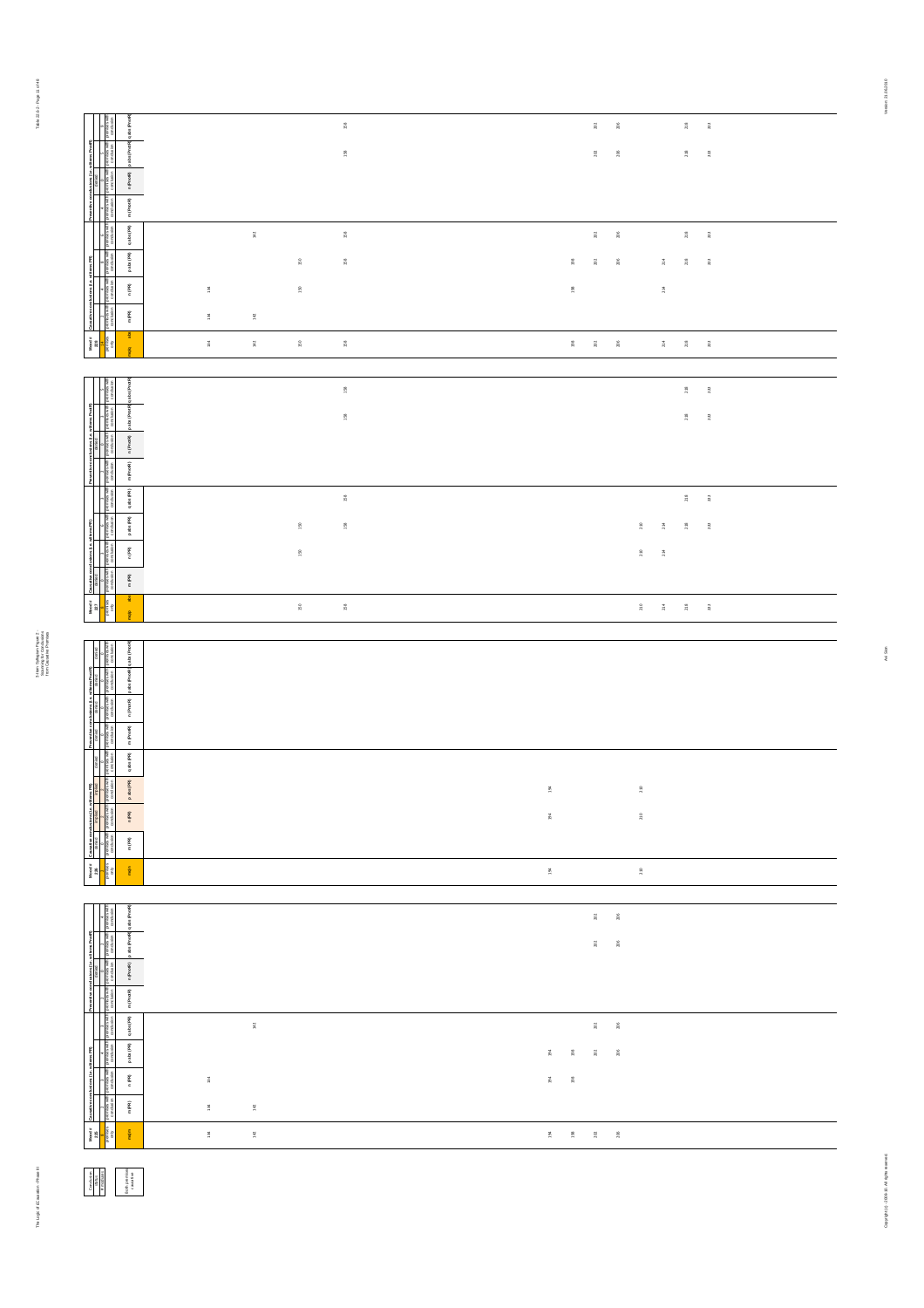|                                 |                | Ø) | premises with<br>oorchasion |                               |
|---------------------------------|----------------|----|-----------------------------|-------------------------------|
| sclusions (i.e. wiltems Prooft) |                |    | premises with<br>oondusion  | pabs (PnotR) is also (P notR) |
|                                 | <b>Digital</b> |    | promises with<br>candusion  | n (ProtR)                     |

|                                                                                                                                                                                                                                               | $_{\rm 158}$                                      |                |                                  | $\begin{array}{cc} 202 \\ 206 \end{array}$          |                                                                                                                                                                                                                                                                                                                                                                                                                                                                                         |                                                                                                                                                                                                      |                                           |  |
|-----------------------------------------------------------------------------------------------------------------------------------------------------------------------------------------------------------------------------------------------|---------------------------------------------------|----------------|----------------------------------|-----------------------------------------------------|-----------------------------------------------------------------------------------------------------------------------------------------------------------------------------------------------------------------------------------------------------------------------------------------------------------------------------------------------------------------------------------------------------------------------------------------------------------------------------------------|------------------------------------------------------------------------------------------------------------------------------------------------------------------------------------------------------|-------------------------------------------|--|
|                                                                                                                                                                                                                                               | $\frac{9}{13}$                                    |                |                                  |                                                     | $\begin{matrix} \mathfrak{A} & \mathfrak{A} & \mathfrak{A} & \mathfrak{A} \\ \mathfrak{A} & \mathfrak{A} & \mathfrak{A} & \mathfrak{A} \end{matrix}$                                                                                                                                                                                                                                                                                                                                    |                                                                                                                                                                                                      |                                           |  |
|                                                                                                                                                                                                                                               |                                                   |                |                                  |                                                     |                                                                                                                                                                                                                                                                                                                                                                                                                                                                                         |                                                                                                                                                                                                      |                                           |  |
| m(Prod                                                                                                                                                                                                                                        |                                                   |                |                                  |                                                     |                                                                                                                                                                                                                                                                                                                                                                                                                                                                                         |                                                                                                                                                                                                      |                                           |  |
| $q$ abs (PR)<br>$\frac{2}{3}$                                                                                                                                                                                                                 | $\mathbb{S}^3$                                    |                |                                  |                                                     | $\qquad \qquad \text{as} \qquad \qquad \text{as} \qquad \qquad \text{as} \qquad \text{as} \qquad \text{as} \qquad \text{as} \qquad \text{as} \qquad \text{as} \qquad \text{as} \qquad \text{as} \qquad \text{as} \qquad \text{as} \qquad \text{as} \qquad \text{as} \qquad \text{as} \qquad \text{as} \qquad \text{as} \qquad \text{as} \qquad \text{as} \qquad \text{as} \qquad \text{as} \qquad \text{as} \qquad \text{as} \qquad \text{as} \qquad \text{as} \qquad \text{as} \qquad$ |                                                                                                                                                                                                      |                                           |  |
| $p$ abs $\langle \mathsf{PR} \rangle$                                                                                                                                                                                                         | $_{\rm 150}$<br>$\frac{98}{16}$                   |                |                                  |                                                     | $\begin{matrix} 0 & 0 & 0 \\ 0 & 0 & 0 \\ 0 & 0 & 0 \\ 0 & 0 & 0 \\ 0 & 0 & 0 \\ 0 & 0 & 0 \\ 0 & 0 & 0 \\ 0 & 0 & 0 \\ 0 & 0 & 0 & 0 \\ 0 & 0 & 0 & 0 \\ 0 & 0 & 0 & 0 \\ 0 & 0 & 0 & 0 \\ 0 & 0 & 0 & 0 & 0 \\ 0 & 0 & 0 & 0 & 0 \\ 0 & 0 & 0 & 0 & 0 \\ 0 & 0 & 0 & 0 & 0 & 0 \\ 0 & 0 & 0 & 0 & 0 & 0 \\ 0 & 0 & 0 & 0 & 0$                                                                                                                                                         |                                                                                                                                                                                                      |                                           |  |
| lusions (i.e. wiltems PR)<br>$\overline{\mathfrak{m}}$                                                                                                                                                                                        | $\stackrel{\mathtt{o}}{\mathtt{m}}$               |                | $^{\rm 82}$                      |                                                     |                                                                                                                                                                                                                                                                                                                                                                                                                                                                                         | $\mathbbm{R}^4$                                                                                                                                                                                      |                                           |  |
| $n(\theta R)$                                                                                                                                                                                                                                 |                                                   |                |                                  |                                                     |                                                                                                                                                                                                                                                                                                                                                                                                                                                                                         |                                                                                                                                                                                                      |                                           |  |
| $\frac{60}{6}$<br>$\frac{\pi}{\alpha}$<br>$\frac{\Omega}{\Omega}$<br>圖                                                                                                                                                                        |                                                   |                |                                  |                                                     |                                                                                                                                                                                                                                                                                                                                                                                                                                                                                         |                                                                                                                                                                                                      |                                           |  |
| $\begin{array}{c}\n\mathbf{M} & \mathbf{M} \\ \hline\n\mathbf{M} & \mathbf{M}\n\end{array}$<br>promises<br>cethy<br>$\frac{4}{13}$                                                                                                            | $\frac{1}{2}$ 42<br>$\mathbf{50}$<br>$\sim 13$    |                |                                  |                                                     |                                                                                                                                                                                                                                                                                                                                                                                                                                                                                         |                                                                                                                                                                                                      |                                           |  |
| abs (ProtR                                                                                                                                                                                                                                    |                                                   | $\frac{m}{10}$ |                                  |                                                     |                                                                                                                                                                                                                                                                                                                                                                                                                                                                                         |                                                                                                                                                                                                      | $$\tt m$$                                 |  |
|                                                                                                                                                                                                                                               | $\widetilde{\mathbf{z}}$                          |                |                                  |                                                     |                                                                                                                                                                                                                                                                                                                                                                                                                                                                                         |                                                                                                                                                                                                      | $\mathbbmss{B}^{\mathbbmss{B}}$           |  |
| (i.e. witems ProtR)                                                                                                                                                                                                                           |                                                   |                |                                  |                                                     |                                                                                                                                                                                                                                                                                                                                                                                                                                                                                         |                                                                                                                                                                                                      |                                           |  |
|                                                                                                                                                                                                                                               |                                                   |                |                                  |                                                     |                                                                                                                                                                                                                                                                                                                                                                                                                                                                                         |                                                                                                                                                                                                      |                                           |  |
| m(Proot R)                                                                                                                                                                                                                                    |                                                   |                |                                  |                                                     |                                                                                                                                                                                                                                                                                                                                                                                                                                                                                         |                                                                                                                                                                                                      |                                           |  |
| qabs $\langle \mathsf{PR} \rangle$                                                                                                                                                                                                            | $\frac{\infty}{10}$                               |                |                                  |                                                     |                                                                                                                                                                                                                                                                                                                                                                                                                                                                                         |                                                                                                                                                                                                      | $\overline{\bf n}$ and $\overline{\bf n}$ |  |
| p also (PR)<br>sions (i.e. witems PR)                                                                                                                                                                                                         | $\frac{9}{13}$<br>$\frac{\partial S}{\partial t}$ |                |                                  |                                                     |                                                                                                                                                                                                                                                                                                                                                                                                                                                                                         | $\begin{array}{cccccccccc} \mathbf{S} & \cdots & \mathbf{S} & \cdots & \mathbf{S} & \cdots & \mathbf{S} \\ \mathbf{S} & \cdots & \mathbf{S} & \cdots & \mathbf{S} & \cdots & \mathbf{S} \end{array}$ |                                           |  |
| $\frac{66}{5}$                                                                                                                                                                                                                                | $_{\rm 50}$                                       |                |                                  |                                                     |                                                                                                                                                                                                                                                                                                                                                                                                                                                                                         |                                                                                                                                                                                                      |                                           |  |
| $m \varphi R$                                                                                                                                                                                                                                 |                                                   |                |                                  |                                                     |                                                                                                                                                                                                                                                                                                                                                                                                                                                                                         |                                                                                                                                                                                                      |                                           |  |
| $\frac{1}{n}$<br>pomissi                                                                                                                                                                                                                      | $\begin{matrix} 0 \\ 0 \\ 0 \\ 0 \end{matrix}$    |                |                                  |                                                     |                                                                                                                                                                                                                                                                                                                                                                                                                                                                                         |                                                                                                                                                                                                      |                                           |  |
|                                                                                                                                                                                                                                               |                                                   |                |                                  |                                                     |                                                                                                                                                                                                                                                                                                                                                                                                                                                                                         |                                                                                                                                                                                                      |                                           |  |
|                                                                                                                                                                                                                                               |                                                   |                |                                  |                                                     |                                                                                                                                                                                                                                                                                                                                                                                                                                                                                         |                                                                                                                                                                                                      |                                           |  |
| v/litems Prooff)                                                                                                                                                                                                                              |                                                   |                |                                  |                                                     |                                                                                                                                                                                                                                                                                                                                                                                                                                                                                         |                                                                                                                                                                                                      |                                           |  |
|                                                                                                                                                                                                                                               |                                                   |                |                                  |                                                     |                                                                                                                                                                                                                                                                                                                                                                                                                                                                                         |                                                                                                                                                                                                      |                                           |  |
| နို                                                                                                                                                                                                                                           |                                                   |                |                                  |                                                     |                                                                                                                                                                                                                                                                                                                                                                                                                                                                                         |                                                                                                                                                                                                      |                                           |  |
| $q$ at $\theta$ (PR)                                                                                                                                                                                                                          |                                                   |                |                                  |                                                     |                                                                                                                                                                                                                                                                                                                                                                                                                                                                                         |                                                                                                                                                                                                      |                                           |  |
| $p$ abs (PR)                                                                                                                                                                                                                                  |                                                   |                | $\frac{34}{21}$                  |                                                     | $\frac{1}{2}$                                                                                                                                                                                                                                                                                                                                                                                                                                                                           |                                                                                                                                                                                                      |                                           |  |
| n@R                                                                                                                                                                                                                                           |                                                   |                | $\frac{\pi}{20}$                 |                                                     | $_{\rm 21}^{\rm o}$                                                                                                                                                                                                                                                                                                                                                                                                                                                                     |                                                                                                                                                                                                      |                                           |  |
| $\mathfrak{g}_{\mathfrak{g}}$                                                                                                                                                                                                                 |                                                   |                |                                  |                                                     |                                                                                                                                                                                                                                                                                                                                                                                                                                                                                         |                                                                                                                                                                                                      |                                           |  |
| Mood Casasheconclusions (i.e. w Nems PR)<br>236 - Casasheconclusions (i.e. 1996)<br>236 - Carl Carl Contains (i.e. 1996)<br>237 - Casasheconclusions (i.e. 1996)<br>237 - Casasheconclusions (i.e. 1996)<br>promises<br>only<br>$\frac{6}{3}$ |                                                   |                | $\frac{34}{2}$                   |                                                     | $\mathop{\rm g}\nolimits$                                                                                                                                                                                                                                                                                                                                                                                                                                                               |                                                                                                                                                                                                      |                                           |  |
|                                                                                                                                                                                                                                               |                                                   |                |                                  |                                                     |                                                                                                                                                                                                                                                                                                                                                                                                                                                                                         |                                                                                                                                                                                                      |                                           |  |
|                                                                                                                                                                                                                                               |                                                   |                |                                  | $\frac{1}{2}$                                       | $\rm 206$                                                                                                                                                                                                                                                                                                                                                                                                                                                                               |                                                                                                                                                                                                      |                                           |  |
| abs (PnotR) q abs (Pn                                                                                                                                                                                                                         |                                                   |                |                                  | $\approx$ $\approx$                                 |                                                                                                                                                                                                                                                                                                                                                                                                                                                                                         |                                                                                                                                                                                                      |                                           |  |
|                                                                                                                                                                                                                                               |                                                   |                |                                  |                                                     |                                                                                                                                                                                                                                                                                                                                                                                                                                                                                         |                                                                                                                                                                                                      |                                           |  |
| reventive conclusions (i.e. witems PnotR)<br>è                                                                                                                                                                                                |                                                   |                |                                  |                                                     |                                                                                                                                                                                                                                                                                                                                                                                                                                                                                         |                                                                                                                                                                                                      |                                           |  |
| $m$ (ProofR)                                                                                                                                                                                                                                  |                                                   |                |                                  |                                                     |                                                                                                                                                                                                                                                                                                                                                                                                                                                                                         |                                                                                                                                                                                                      |                                           |  |
| q abs (PR)<br>$\frac{2}{3}$                                                                                                                                                                                                                   |                                                   |                |                                  | $\frac{20}{3}$ – $\frac{8}{3}$                      |                                                                                                                                                                                                                                                                                                                                                                                                                                                                                         |                                                                                                                                                                                                      |                                           |  |
| pates (PR)<br>stative condusions (i.e. witems PR)                                                                                                                                                                                             |                                                   |                | $\frac{\pi}{20}$<br>$_{\rm g_2}$ | $\widetilde{\mathbf{a}}$ , $\widetilde{\mathbf{a}}$ |                                                                                                                                                                                                                                                                                                                                                                                                                                                                                         |                                                                                                                                                                                                      |                                           |  |
| $_{\rm n}$ (PR)<br>$\frac{\pi}{\alpha}$                                                                                                                                                                                                       |                                                   |                | $\frac{3}{2}$<br>$\frac{98}{14}$ |                                                     |                                                                                                                                                                                                                                                                                                                                                                                                                                                                                         |                                                                                                                                                                                                      |                                           |  |
| $\frac{6}{3}$<br>$\frac{\pi}{24}$<br>$\frac{\alpha}{\alpha}$                                                                                                                                                                                  |                                                   |                |                                  |                                                     |                                                                                                                                                                                                                                                                                                                                                                                                                                                                                         |                                                                                                                                                                                                      |                                           |  |
| $M_{\rm cool}$<br>edunions<br>$\frac{4}{13}$<br>$\frac{2}{3}$                                                                                                                                                                                 |                                                   |                |                                  |                                                     |                                                                                                                                                                                                                                                                                                                                                                                                                                                                                         |                                                                                                                                                                                                      |                                           |  |

Conclusion status # moduses causative Both premises

Copyright (c) - 2008-10. All rights reserved. Avi Sion Version: 21.06.2010

 $\frac{8}{3}$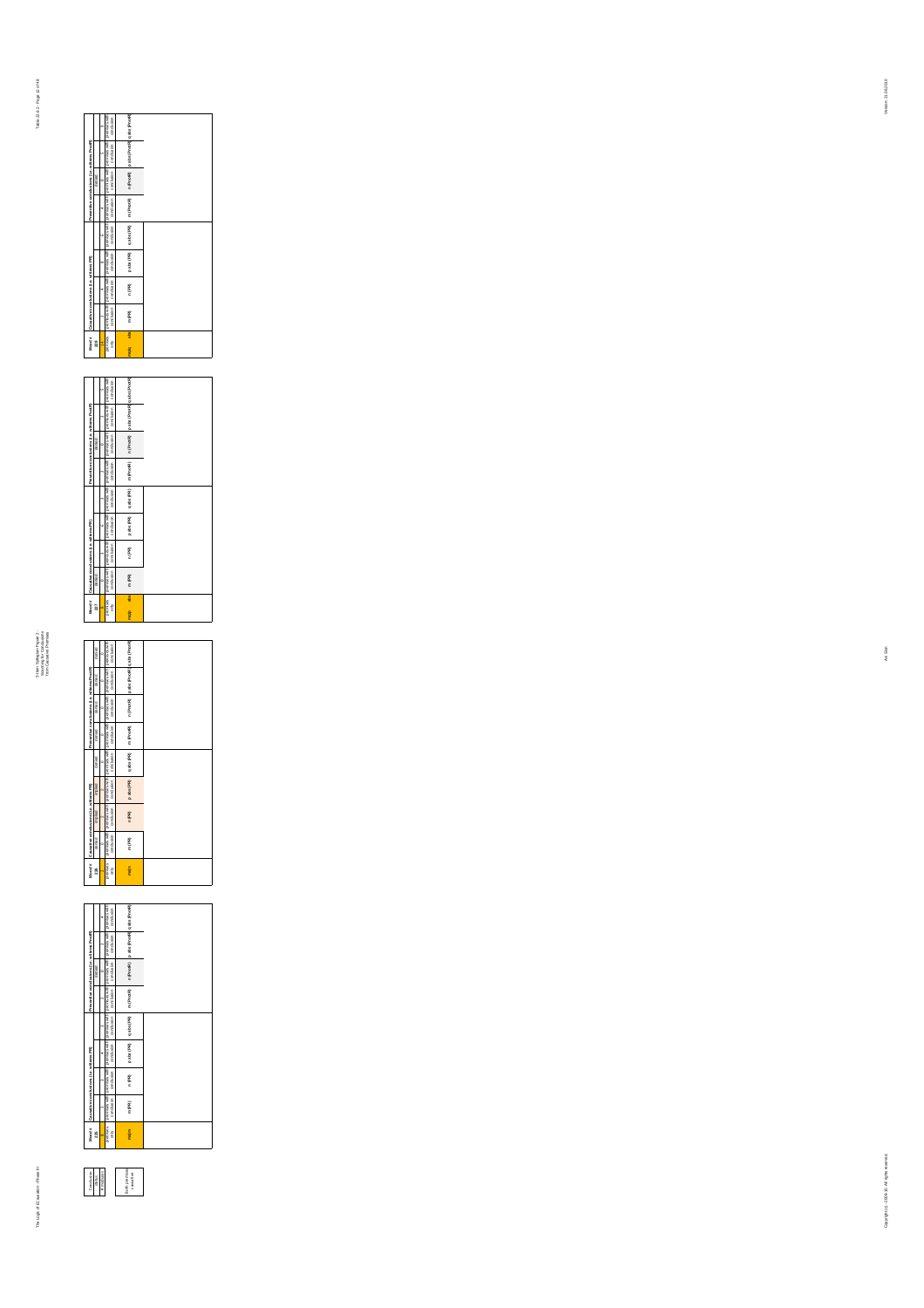|                                             |                         |   |                                                                    | oonclu     |                                                               |  |
|---------------------------------------------|-------------------------|---|--------------------------------------------------------------------|------------|---------------------------------------------------------------|--|
|                                             |                         |   |                                                                    | oondusion  |                                                               |  |
|                                             | dened                   |   |                                                                    | condusion  |                                                               |  |
| Preventive conclusions (i.e. witems Prooff) |                         |   |                                                                    | operation  | qabs (PR) = m (P notR) = n (P notR) = p abs (Pnot R) q abs (I |  |
|                                             |                         |   |                                                                    | oprobasion |                                                               |  |
|                                             |                         |   |                                                                    | oondusion  | pabs (PR)                                                     |  |
|                                             |                         |   |                                                                    | condusion  | n (PR)                                                        |  |
| Causative conclusions (i.e. willems PR)     |                         |   |                                                                    | conclusion |                                                               |  |
|                                             |                         |   |                                                                    |            | m(PR)<br>ł                                                    |  |
| Mood #                                      | 228                     | ă | premises                                                           | č          | ma <sub>rd</sub>                                              |  |
|                                             |                         |   |                                                                    | oondusion  |                                                               |  |
|                                             |                         |   | uppersonation uppersonal uppersons upper                           | condusion  | n (Prooff) pabs (Pn off) qabs (Pnot R)                        |  |
| Preventive conclusions (i.e. witems PnotR)  | dinind                  |   |                                                                    | operation  |                                                               |  |
|                                             |                         |   |                                                                    | oondusion  |                                                               |  |
|                                             |                         |   | or emises with premises with premises with                         |            | m (ProtR)                                                     |  |
|                                             |                         |   |                                                                    | condusion  | qabs (PR)                                                     |  |
| Causative conclusions (Le. wiltems PR)      |                         |   |                                                                    | conclusion | p abs (PR)                                                    |  |
|                                             |                         |   | comises with premises with                                         | operation  | n (PR)                                                        |  |
|                                             | denied                  |   |                                                                    | oondusion  | map abs m(PR)                                                 |  |
| Mood #                                      | $\overline{\mathbf{a}}$ |   | premises                                                           | č          |                                                               |  |
|                                             |                         |   |                                                                    |            |                                                               |  |
|                                             | dened                   |   | up weekuloog up weekuloog                                          | oonclusion |                                                               |  |
|                                             | dining                  |   |                                                                    | oorclusion |                                                               |  |
|                                             | denied                  |   |                                                                    | oondusion  |                                                               |  |
| Preventive conclusions (i.e. w/lease PnotR) | denied                  |   |                                                                    | condusion  |                                                               |  |
|                                             | denied                  |   | mises with premises with premises with premises with premises with | operation  | qubs(PR)   m(PnotR)   n(PnotR)   pubs (PnotR)   qubs (PnotR)  |  |
|                                             | implied                 |   |                                                                    | oondusion  | pabs (PR)                                                     |  |
| sions (i.e. witems PR)                      | paign                   |   |                                                                    | oondusion  | n (PR)                                                        |  |
| Causative conclus                           | deried                  |   | or with                                                            | candusian  | m (PR)                                                        |  |
| Mood #                                      | 226                     |   | promises                                                           | ĝ          | Î                                                             |  |
|                                             |                         |   |                                                                    |            |                                                               |  |
|                                             |                         |   | DYNTHERS WITH                                                      | oondusion  |                                                               |  |
|                                             |                         |   |                                                                    | canduagon  | m (PnotR) n (PnotR) pabs (PnotR) q abs (PnotR)                |  |
|                                             | dened                   |   |                                                                    | conclusion |                                                               |  |
| Preventive conclusions (Le. wiltems ProtR)  |                         |   | premises with premises with premises with                          | operation  |                                                               |  |
|                                             |                         |   |                                                                    | oondusion  | qabs (PR)                                                     |  |
|                                             |                         |   | promises with premises with premises with                          | candusion  | pates (PR)                                                    |  |
|                                             |                         |   |                                                                    |            |                                                               |  |
| Causalve condusions (i.e. witems PR)        |                         |   |                                                                    | corclusion | n (PR)                                                        |  |
|                                             |                         |   | 200m ses with                                                      | operation  | e<br>E                                                        |  |
| Mood #                                      | 225                     |   | Dreamiges                                                          | ă          | month                                                         |  |

Conclusion status # moduses causative Both premises

The Logic of ECausation - Phase II

| implied<br>implied<br>deried                                                        |                                                                                    | Preventive conclusions (i.e. w/lease Profit) |                                        |                                 |
|-------------------------------------------------------------------------------------|------------------------------------------------------------------------------------|----------------------------------------------|----------------------------------------|---------------------------------|
|                                                                                     | dened<br>densed                                                                    | denied                                       | denied                                 | dened                           |
| ö                                                                                   |                                                                                    |                                              |                                        |                                 |
| premises with<br>oondusion<br>promises with premises with<br>oondusion<br>condusion | premises with premises with premises with premises with<br>candusion<br>conclusion | oondusion                                    | operation                              | <b>Premission</b><br>conclusion |
| n@R<br>m (PR)                                                                       | pabs (PR) qabs (PR) m (PnofR)                                                      |                                              | n (Pro IR) patos (ProdR) q abs (ProdR) |                                 |
|                                                                                     |                                                                                    |                                              |                                        |                                 |
|                                                                                     |                                                                                    |                                              |                                        |                                 |

|                                               |                         |   | premises with premises with<br>operation                | m (ProofR) n (ProofR) pabs (ProofR) q abs (ProofR)              |  |
|-----------------------------------------------|-------------------------|---|---------------------------------------------------------|-----------------------------------------------------------------|--|
| Preventive conclusions (i.e., willems Prooff) |                         |   | oondusion                                               |                                                                 |  |
|                                               | dened                   |   | promises with<br>candusion                              |                                                                 |  |
|                                               |                         |   | promises with<br>oorchasion                             |                                                                 |  |
|                                               |                         |   | promises with<br>opridualon                             | qabs (PR)                                                       |  |
|                                               |                         |   | oondusion                                               | pabs (PR)                                                       |  |
|                                               |                         |   | or emises with locemises with<br>candusion              | n (PR)                                                          |  |
| ausative condusions (i.e. wiltems PR)         |                         |   | onmises with<br>oorchasion                              | $\frac{m(PR)}{E}$                                               |  |
| food #                                        | 228                     | ă | premises<br>only                                        | ę<br>majq                                                       |  |
|                                               |                         |   |                                                         |                                                                 |  |
|                                               |                         |   | or omises with coemises with<br>oondusion               |                                                                 |  |
|                                               |                         |   | condusion                                               |                                                                 |  |
| Preventive conclusions (i.e. wiltems PnotR)   | dinind                  |   | Dream sea with<br>conclusion                            |                                                                 |  |
|                                               |                         |   | Dreamines with<br>oondusion                             | q abs (PR) = m(PhotR) = n (PhotR) = p abs (PhotR) q abs (PhotR) |  |
|                                               |                         |   | promises with<br>candusion                              |                                                                 |  |
|                                               |                         |   | promises with<br>canclusian                             | p abs (PR)                                                      |  |
| CREative conclusions (Le. wiltems PR)         |                         |   | DYRITTI SIG WITH<br>oorchasion                          | n (PR)                                                          |  |
|                                               | denied                  |   | retime as with<br>oondusion                             | m(pR)                                                           |  |
| Mood#                                         | $\overline{\mathbf{z}}$ |   | premises<br>orly                                        | ă<br>mqb                                                        |  |
|                                               |                         |   |                                                         |                                                                 |  |
|                                               | dened                   |   | promises with<br>oonclusion                             |                                                                 |  |
|                                               | denied                  |   | Dream ses with<br>operation                             |                                                                 |  |
| Preventive conclusions (i.e. w/lease PnotR)   | denied                  |   | premises with<br>oondusion                              |                                                                 |  |
|                                               | denied                  |   | promises with<br>candusion                              | qubs (PR) m (PnoR) n (PnoR) pubs (PnoR) qabs (PnoR)             |  |
|                                               | denied                  |   | premises with<br>operation<br><b>UAN</b>                | æ                                                               |  |
|                                               | implied                 |   | oondusion                                               | pabs                                                            |  |
| Causative conclusions (i.e. witems PR         | impled                  |   | promises with premises with premises.<br>oondusion      | nope                                                            |  |
|                                               | denied                  |   | condusion                                               | m(pR)                                                           |  |
| Mood #                                        | ă                       |   | promises<br>only                                        | main                                                            |  |
|                                               |                         |   | oondusion                                               |                                                                 |  |
|                                               |                         |   | canduaton                                               |                                                                 |  |
|                                               | dened                   |   | promises with premises with premises with<br>canchasian | n (P notR) pabs (PnotR) qabs (P notR)                           |  |
| Preventive conclusions (Le. wiltems Proofit)  |                         |   | operchasion                                             | m (Prooff)                                                      |  |
|                                               |                         |   | premises with premises with<br>oondusion                | qabs (PR)                                                       |  |
|                                               |                         |   | condusion                                               | pate (PR)                                                       |  |
|                                               |                         |   | promises with premises with<br>conclusion               | n (PR)                                                          |  |
| Causative condusions (i.e. wiltems PR)        |                         |   | with postumov.<br>operation                             | e<br>m                                                          |  |
| ood #                                         |                         |   | amigas                                                  | mo <sub>m</sub>                                                 |  |
|                                               | 225                     |   | γi<br>δ                                                 |                                                                 |  |

Avi Sion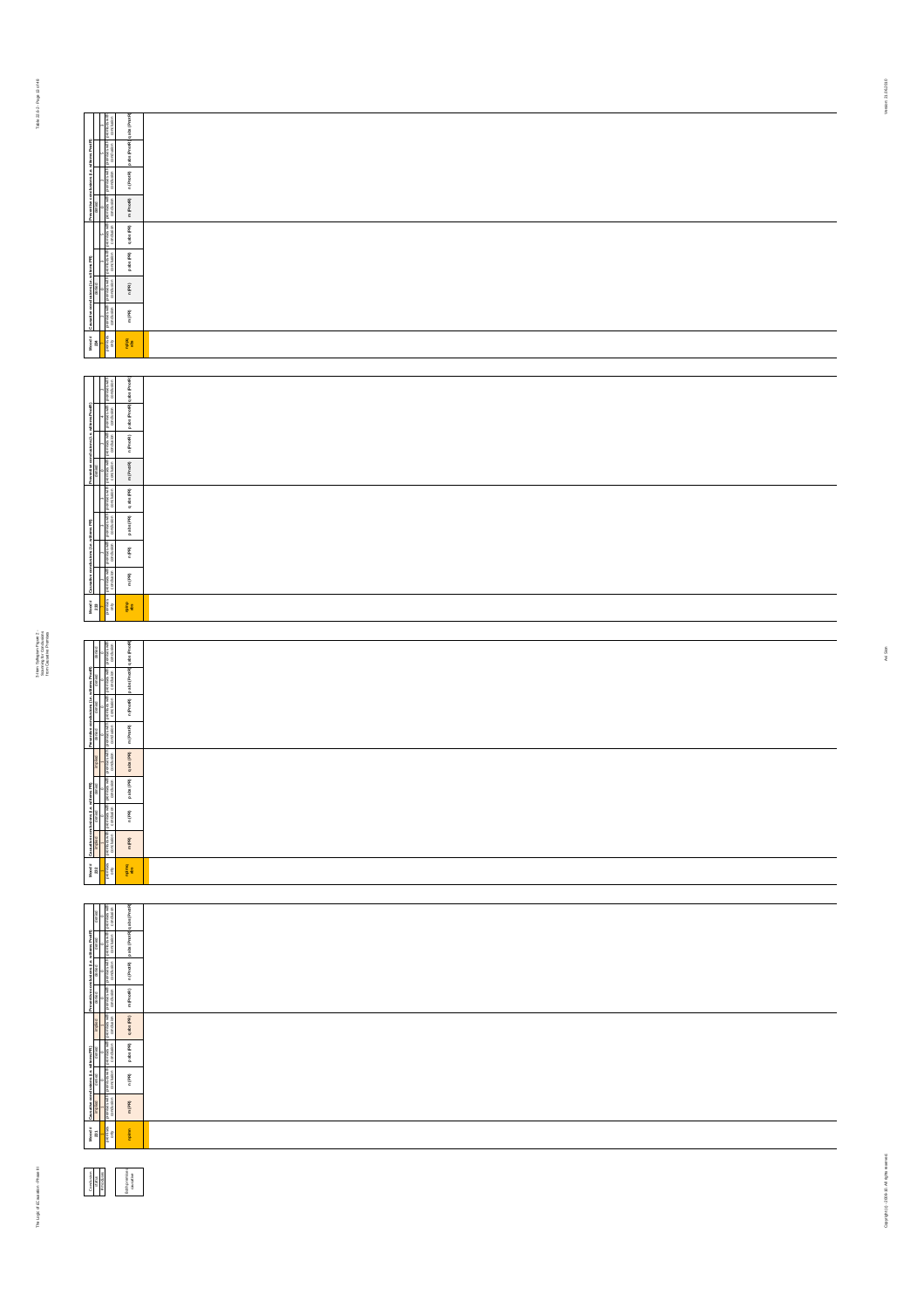|  |  | l |
|--|--|---|
|  |  |   |
|  |  | l |
|  |  | ľ |

Table 22.6-2 - Page 13 of 48

atle 22.6-2 - Page 13 of 48

|                                                         |                                  | ō                           |  |
|---------------------------------------------------------|----------------------------------|-----------------------------|--|
|                                                         | $\frac{6}{3}$<br>$rac{3}{2}$     | s.<br>$\bullet$             |  |
| a۳                                                      |                                  | ÷<br>ā.                     |  |
| ns Pro<br>計                                             | promises with<br>promises with   | aba (P<br>$\mathbf{a}$      |  |
| ons (i.e.                                               | promises with<br>condusion       | n (Pn ofR)                  |  |
| Preventive<br>detaid                                    | $\frac{1}{\sqrt{2}}$<br>promises | $\widehat{\mathbf{g}}$<br>e |  |
|                                                         | S<br>premises with<br>corobalism | $\mathfrak{so}(9)$<br>å.    |  |
| w/tems PR)                                              | a<br>promises with<br>condusion  | $p$ abs (PR)                |  |
| $\frac{\sin \theta}{\sin \theta}$                       | es with<br>usion<br>promise      | n@RJ                        |  |
| au sative concl<br>G                                    |                                  | $\mathfrak{m}(\mathsf{PR})$ |  |
| $\begin{array}{c} \mathbf{M} \\ \mathbf{M} \end{array}$ | pomissa<br>only                  | $\frac{g}{2}$ is            |  |

|                                                                                               |               | $\mathbf{r}$                                        |  |
|-----------------------------------------------------------------------------------------------|---------------|-----------------------------------------------------|--|
|                                                                                               | я.            | ଛ<br>$\mathbf{a}$                                   |  |
| Preventive conclusions (i.e., witems Protify)<br>Other and Conclusions (i.e., witems Protify) | å.            | $\boldsymbol{\varepsilon}$<br>ь<br>$\epsilon$       |  |
|                                                                                               |               | $\frac{g}{x}$<br>s<br>£                             |  |
|                                                                                               | ţ,            | $\widehat{\mathsf{g}}$<br>÷                         |  |
|                                                                                               | 記             | $\frac{\varepsilon}{\varepsilon}$<br>ъ.<br>$\Delta$ |  |
|                                                                                               |               | $\frac{1}{n}$                                       |  |
| Causative conclusions (i.e. willens PR)                                                       |               | $\frac{\partial \mathbf{R}}{\partial \mathbf{r}}$   |  |
| $M_{\rm cool}$                                                                                | <b>Semina</b> | $\frac{9}{6} \frac{1}{6}$                           |  |

| pates (Prooft) qabs (P<br>Prooff)<br>$\cos \theta$ .<br>$n$ (Pn ofR)<br>Preventive con d<br>$m$ (ProofR)                                                                                                                                                                                                                                                                                   |  |
|--------------------------------------------------------------------------------------------------------------------------------------------------------------------------------------------------------------------------------------------------------------------------------------------------------------------------------------------------------------------------------------------|--|
| $q$ ab s $(\mathsf{PR})$<br>premises with<br>conclusion<br>$\mathsf{p}$ abs (PR)<br>Causative conclusions (i.e. w/kems PR)<br>denia<br>remises with<br>condusion<br>n (PR)<br>premises with<br>condusion<br>$\mathfrak{g}_{\mathfrak{g}}$                                                                                                                                                  |  |
| $\frac{\text{Mod } B}{2M}$<br><b>Promises</b><br>$-\frac{g}{2}$ $\frac{g}{2}$<br>oondus                                                                                                                                                                                                                                                                                                    |  |
| abs (PhotR) q abs (P notR)<br>Preventive conclusions (i.e. witems PnotR)<br>-<br>- Online<br>condusion<br>$n$ (ProdR)<br>premises with<br>conclusion<br>$m$ (P root R)<br>premises with<br>conclusion                                                                                                                                                                                      |  |
| qabs (PR)<br>3<br>premises with<br>condusion<br>Dadi Real<br>Market of<br>tive conclusions (i.e. witems PR)<br>premises with<br>condusion<br>2<br>promises with<br>conclusion<br>$\frac{6}{n}$                                                                                                                                                                                             |  |
| 2<br>premises with<br>condusion<br>$\frac{\partial \mathbf{R}}{\partial \mathbf{r}}$<br>promises<br>$\frac{M \cos \theta}{233}$<br>$\frac{p}{2} \frac{p}{\alpha}$                                                                                                                                                                                                                          |  |
|                                                                                                                                                                                                                                                                                                                                                                                            |  |
| p abs (Prooft) q abs (Pro ff)<br>Preventive conclusions (i.e. witness Pnotif)<br>classical district density<br>premissa wan<br>oprebasion<br>n (ProotR)<br>0<br>premises with<br>condusion<br>m (Pn ofR)<br>premises with<br>condusion<br>q also (PR)<br>impled<br>premises with<br>condusion<br>$p$ ab s (PR)<br>$n(\theta R)$                                                            |  |
| Casadore conclusions 6.0. without a PRI<br>International Technical Control (and the profit of the profit of the profit of the profit of the profit of the<br>Profit conclusion (conclusion conclusion of the profit of the profit of<br>$\mathfrak{so}_{\mathfrak{m}}$<br>$\begin{array}{c}\n\text{Wood if } \\ \hline\n222 \\ \hline\n\end{array}$<br>$\frac{g}{\frac{3}{2}}\mathfrak{g}$ |  |
| n (PnotR) pabs (PnotR) quice (Pnot<br>Preventive conductions (i.e. witems PnotR)<br>detect derivation desired<br>$m$ (ProdR)<br>conclusi<br>q abs (PR)<br>sions (i.e. w/Nems PR)<br>derived devied<br>pats (PR)<br>$_{\rm n}(\rho\,R)$<br>imples exempta<br>$m(\theta R)$                                                                                                                  |  |

Copyright (c) - 2008-10. All rights reserved. Avi Sion Version: 21.06.2010

Avi Sion

Version: 21.06.2010

| pabs (PR) q abs (PR) m (PnoR) n (PnoR) pabs (PnoR) q abs (PnoR)                                                                                                                                                                                                                                               |  |
|---------------------------------------------------------------------------------------------------------------------------------------------------------------------------------------------------------------------------------------------------------------------------------------------------------------|--|
|                                                                                                                                                                                                                                                                                                               |  |
|                                                                                                                                                                                                                                                                                                               |  |
|                                                                                                                                                                                                                                                                                                               |  |
|                                                                                                                                                                                                                                                                                                               |  |
| $_{\rm n}$ (PR)                                                                                                                                                                                                                                                                                               |  |
| $\mathfrak{g}_{\mathfrak{g}}^{\mathfrak{g}_{\mathfrak{g}}}$                                                                                                                                                                                                                                                   |  |
| Novat Constitution/Law Man PR)<br>The Constitution of the Constitution of the Constitution of the Constitution of the Constitution of the Const<br>Decree Constitution of the Constitution of the Constitution of the Constitutio<br>$\frac{g}{2}$ ij                                                         |  |
|                                                                                                                                                                                                                                                                                                               |  |
| m (Prooff) n (Prooff) pates (Prooff) qubs (Prooff                                                                                                                                                                                                                                                             |  |
|                                                                                                                                                                                                                                                                                                               |  |
| promises with<br>conclusion                                                                                                                                                                                                                                                                                   |  |
|                                                                                                                                                                                                                                                                                                               |  |
| pats (PR) qats (PR)                                                                                                                                                                                                                                                                                           |  |
|                                                                                                                                                                                                                                                                                                               |  |
| $\frac{6}{\pi}$                                                                                                                                                                                                                                                                                               |  |
| $\frac{\partial \mathbf{f}}{\partial \mathbf{f}}$                                                                                                                                                                                                                                                             |  |
| $\frac{9}{6}$                                                                                                                                                                                                                                                                                                 |  |
|                                                                                                                                                                                                                                                                                                               |  |
|                                                                                                                                                                                                                                                                                                               |  |
|                                                                                                                                                                                                                                                                                                               |  |
|                                                                                                                                                                                                                                                                                                               |  |
| n (ProtR) palos (ProtR) qalos (ProtR)                                                                                                                                                                                                                                                                         |  |
| $m$ (Pn ofR)                                                                                                                                                                                                                                                                                                  |  |
|                                                                                                                                                                                                                                                                                                               |  |
| pas(PR) qabs (PR)                                                                                                                                                                                                                                                                                             |  |
| $_{\rm n}$ (eq.                                                                                                                                                                                                                                                                                               |  |
| $\omega_{\rm d}$ w                                                                                                                                                                                                                                                                                            |  |
| Pomissa<br>Comissa<br>$\frac{g}{\frac{1}{2}}\xi$                                                                                                                                                                                                                                                              |  |
|                                                                                                                                                                                                                                                                                                               |  |
|                                                                                                                                                                                                                                                                                                               |  |
|                                                                                                                                                                                                                                                                                                               |  |
| pemises with premises with<br>condusion condusion                                                                                                                                                                                                                                                             |  |
| premises with<br>conclusion                                                                                                                                                                                                                                                                                   |  |
|                                                                                                                                                                                                                                                                                                               |  |
| patos (PR) = qabos (PR) = m (P notR) = n (P notR) = patos (P not R) q abs (P not<br>o<br>comises with promises with<br>condusion conclusion                                                                                                                                                                   |  |
| premises with pre<br>condusion<br>$_{\rm n}$ (PR)                                                                                                                                                                                                                                                             |  |
| Muodi# Causasko oon duuloon (a. w.Meema PR) <mark>Preventivo oonduskon (a. w.Wenna Preve</mark> R) onid<br>231 <mark>– Indiaka –</mark> olnido – duulot – <mark>Indiaka –</mark> olnido – olnido – olnido – olnido – olnido –<br>premises with<br>conclusion<br>$m(\theta\theta)$<br>pomises<br>only<br>nplmn |  |

Conclusion<br># moduses<br>xh premis<br>causative Both premises

Lagic of ECausation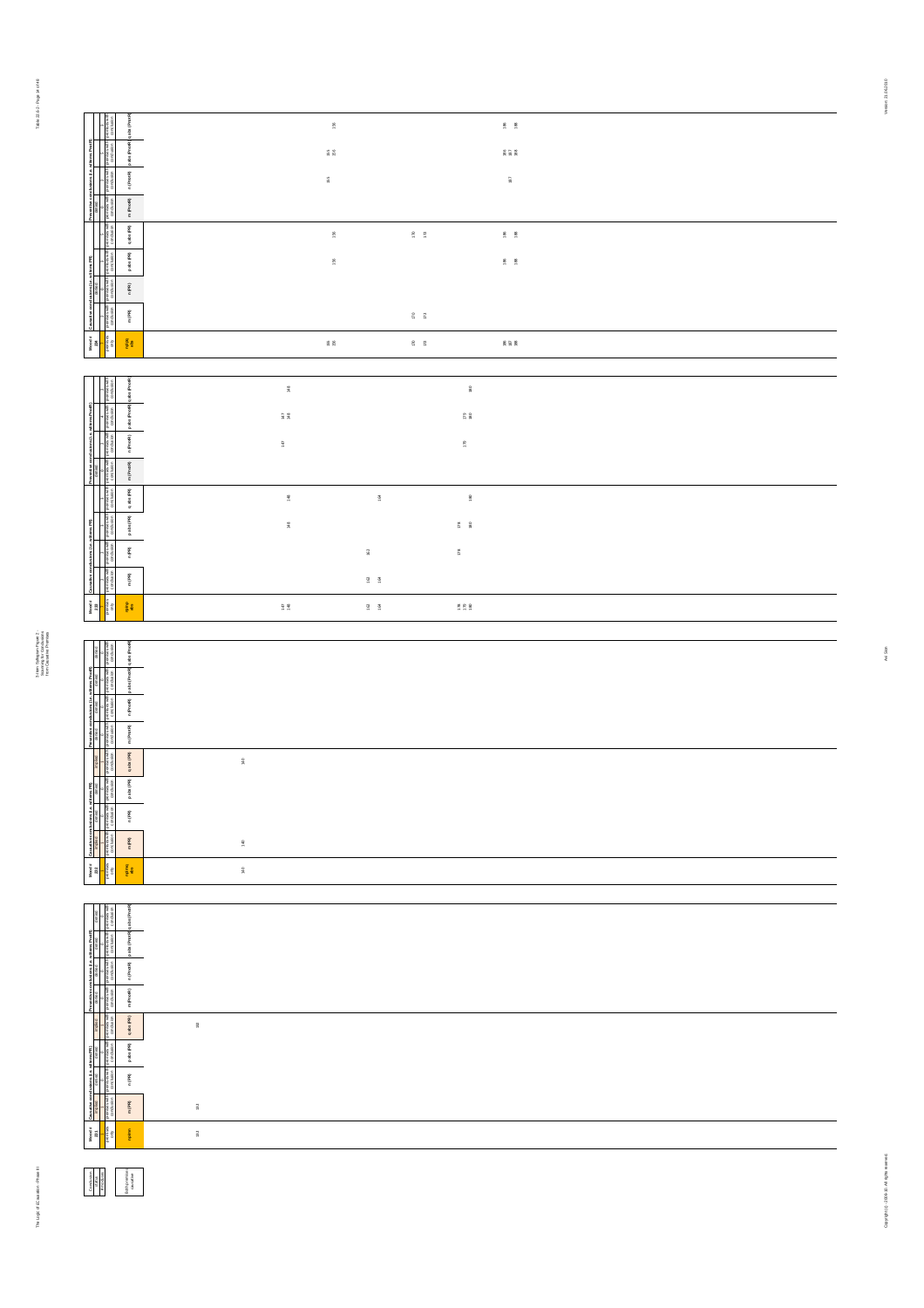|                   |  | mauson<br>ś<br>î | qabs (Pn       |
|-------------------|--|------------------|----------------|
| ea p              |  |                  | ā<br>tos (Pros |
| . (i.e. with<br>¥ |  |                  | ī<br>Ĕ         |

Table 22.6-2 - Page 14 of 48

fabie22.6-2- Page 14 of 48

|                                                          |                                                                                                                                                                                                                                                                                                  |                                                                                                                                  |              |                         |                                                   | $\frac{98}{2}$<br>$\substack{55 \\ 156}$ |                                           |                                               |                                                               | $\frac{8}{10}$ – $\frac{8}{10}$<br>$\frac{8}{3} \frac{5}{3} \frac{8}{3}$ |  |  |  |
|----------------------------------------------------------|--------------------------------------------------------------------------------------------------------------------------------------------------------------------------------------------------------------------------------------------------------------------------------------------------|----------------------------------------------------------------------------------------------------------------------------------|--------------|-------------------------|---------------------------------------------------|------------------------------------------|-------------------------------------------|-----------------------------------------------|---------------------------------------------------------------|--------------------------------------------------------------------------|--|--|--|
| 16.0                                                     |                                                                                                                                                                                                                                                                                                  |                                                                                                                                  |              |                         |                                                   | $155$                                    |                                           |                                               |                                                               | $^{\rm 187}$                                                             |  |  |  |
|                                                          |                                                                                                                                                                                                                                                                                                  | ê                                                                                                                                |              |                         |                                                   |                                          |                                           |                                               |                                                               |                                                                          |  |  |  |
|                                                          |                                                                                                                                                                                                                                                                                                  | $q$ at $\theta$ (PR)                                                                                                             |              |                         |                                                   | $\frac{95}{126}$                         |                                           | $\frac{1}{2}$ . $\frac{1}{2}$                 |                                                               | $\frac{8}{10}$ – $\frac{8}{10}$                                          |  |  |  |
| lusions (i.e. w/terns PR)<br>citried                     |                                                                                                                                                                                                                                                                                                  | $\mathsf{p}$ abs (PR)<br>n (PR)                                                                                                  |              |                         |                                                   | $156\,$                                  |                                           |                                               |                                                               | $\begin{array}{c} 136 \\ 133 \end{array}$                                |  |  |  |
|                                                          |                                                                                                                                                                                                                                                                                                  | $\mathfrak{m}(\mathsf{PR})$                                                                                                      |              |                         |                                                   |                                          |                                           | $\mathop{\mathbb{R}}_n=\mathop{\mathbb{R}}_n$ |                                                               |                                                                          |  |  |  |
| Mood #                                                   | viring.                                                                                                                                                                                                                                                                                          | $\frac{g}{2}$ $\frac{g}{4}$                                                                                                      |              |                         |                                                   | $\substack{156 \\ 156}$                  |                                           | $\frac{m}{n}$                                 |                                                               | $387$<br>$38$                                                            |  |  |  |
|                                                          |                                                                                                                                                                                                                                                                                                  |                                                                                                                                  |              |                         |                                                   |                                          |                                           |                                               |                                                               |                                                                          |  |  |  |
|                                                          |                                                                                                                                                                                                                                                                                                  |                                                                                                                                  |              |                         | $\frac{9}{148}$                                   |                                          |                                           |                                               | $^{\rm 180}$                                                  |                                                                          |  |  |  |
| ns (Le. wiltems Prot R                                   |                                                                                                                                                                                                                                                                                                  |                                                                                                                                  |              |                         | $\widetilde{\mathbf{x}}$ $\widetilde{\mathbf{x}}$ |                                          |                                           |                                               | $\mathop{\mathbb{R}}\nolimits$ $\mathop{\mathbb{R}}\nolimits$ |                                                                          |  |  |  |
|                                                          |                                                                                                                                                                                                                                                                                                  |                                                                                                                                  |              |                         | $\frac{\Omega}{\Omega}$                           |                                          |                                           |                                               | $\hat{\mathbf{z}}$                                            |                                                                          |  |  |  |
|                                                          | $\frac{3}{1666}$ with                                                                                                                                                                                                                                                                            | ř<br>qabs (PR)                                                                                                                   |              |                         | $\frac{9}{148}$                                   |                                          | $\frac{3}{2}$                             |                                               | $^{\rm 180}$                                                  |                                                                          |  |  |  |
|                                                          |                                                                                                                                                                                                                                                                                                  | œω<br>pate                                                                                                                       |              |                         | $\frac{\infty}{24}$                               |                                          |                                           |                                               | $\mathbb{S}^n$ . $\mathbb{S}^n$                               |                                                                          |  |  |  |
| ative conclusion s (i.e. witems PR)                      |                                                                                                                                                                                                                                                                                                  | $_{\rm n}$ (PR)                                                                                                                  |              |                         |                                                   |                                          | $^{\rm 22}$                               |                                               | $\mathbb{R}$                                                  |                                                                          |  |  |  |
|                                                          |                                                                                                                                                                                                                                                                                                  | $\frac{6}{6}$                                                                                                                    |              |                         |                                                   |                                          | $\begin{array}{c} 162 \\ 164 \end{array}$ |                                               |                                                               |                                                                          |  |  |  |
| $\begin{array}{c}\nM \text{ odd } n \\ 233\n\end{array}$ | misos<br>Pily                                                                                                                                                                                                                                                                                    | $\frac{8}{3}$                                                                                                                    |              |                         | $\frac{5}{3}\frac{9}{3}$                          |                                          | $\begin{array}{c} 162 \\ 164 \end{array}$ |                                               | $\begin{array}{c} 78 \\ 180 \\ 180 \end{array}$               |                                                                          |  |  |  |
|                                                          |                                                                                                                                                                                                                                                                                                  |                                                                                                                                  |              |                         |                                                   |                                          |                                           |                                               |                                                               |                                                                          |  |  |  |
|                                                          |                                                                                                                                                                                                                                                                                                  |                                                                                                                                  |              |                         |                                                   |                                          |                                           |                                               |                                                               |                                                                          |  |  |  |
|                                                          |                                                                                                                                                                                                                                                                                                  |                                                                                                                                  |              |                         |                                                   |                                          |                                           |                                               |                                                               |                                                                          |  |  |  |
|                                                          |                                                                                                                                                                                                                                                                                                  | န္                                                                                                                               |              |                         |                                                   |                                          |                                           |                                               |                                                               |                                                                          |  |  |  |
|                                                          |                                                                                                                                                                                                                                                                                                  | qabs (PR)                                                                                                                        |              | $\frac{9}{2}$           |                                                   |                                          |                                           |                                               |                                                               |                                                                          |  |  |  |
|                                                          |                                                                                                                                                                                                                                                                                                  | $p$ at $\left( \mathsf{PR}\right)$                                                                                               |              |                         |                                                   |                                          |                                           |                                               |                                                               |                                                                          |  |  |  |
|                                                          |                                                                                                                                                                                                                                                                                                  | $\mathfrak{n}$ (PR)                                                                                                              |              |                         |                                                   |                                          |                                           |                                               |                                                               |                                                                          |  |  |  |
|                                                          |                                                                                                                                                                                                                                                                                                  | $m(\theta R)$                                                                                                                    |              | $\frac{\Omega}{\Omega}$ |                                                   |                                          |                                           |                                               |                                                               |                                                                          |  |  |  |
|                                                          |                                                                                                                                                                                                                                                                                                  |                                                                                                                                  |              | $\tilde{\mathbf{z}}$    |                                                   |                                          |                                           |                                               |                                                               |                                                                          |  |  |  |
|                                                          |                                                                                                                                                                                                                                                                                                  |                                                                                                                                  |              |                         |                                                   |                                          |                                           |                                               |                                                               |                                                                          |  |  |  |
|                                                          |                                                                                                                                                                                                                                                                                                  |                                                                                                                                  |              |                         |                                                   |                                          |                                           |                                               |                                                               |                                                                          |  |  |  |
|                                                          | and the complete ordinate $k$ whose $\frac{\log k}{\log k}$ . Presents conditions of where $k$ and $\frac{\log k}{\log k}$ . The contract of $\frac{\log k}{\log k}$ is a contract of $\frac{\log k}{\log k}$ . The contract of $\frac{\log k}{\log k}$ is a contract of $\frac{\log k}{\log k}$ | patos (PR) - qabos (PR) - m (ProcR) - n (ProcR) - patos (ProcR) qabos (ProcR)<br>Patos (PR) - qabos (PR) - m (ProcR) - n (ProcR) |              |                         |                                                   |                                          |                                           |                                               |                                                               |                                                                          |  |  |  |
|                                                          |                                                                                                                                                                                                                                                                                                  |                                                                                                                                  |              |                         |                                                   |                                          |                                           |                                               |                                                               |                                                                          |  |  |  |
|                                                          |                                                                                                                                                                                                                                                                                                  |                                                                                                                                  | $^{\rm 132}$ |                         |                                                   |                                          |                                           |                                               |                                                               |                                                                          |  |  |  |
|                                                          |                                                                                                                                                                                                                                                                                                  |                                                                                                                                  |              |                         |                                                   |                                          |                                           |                                               |                                                               |                                                                          |  |  |  |
|                                                          |                                                                                                                                                                                                                                                                                                  | $n(PR)$                                                                                                                          |              |                         |                                                   |                                          |                                           |                                               |                                                               |                                                                          |  |  |  |
|                                                          |                                                                                                                                                                                                                                                                                                  | $m(\theta\theta)$                                                                                                                | $\Xi$        |                         |                                                   |                                          |                                           |                                               |                                                               |                                                                          |  |  |  |
|                                                          |                                                                                                                                                                                                                                                                                                  | Ĵ.                                                                                                                               | $_{132}$     |                         |                                                   |                                          |                                           |                                               |                                                               |                                                                          |  |  |  |

Copyright (c) - 2008-10. All rights reserved. Avi Sion Version: 21.06.2010

 $M$  Sion

 $400:2106.2010$ 

3-tem Sylagism Figure 2<br>Sauming for Cardiusions<br>from Causative Premises Scanning for Conclusions from Causative Premises

Conclusion<br># moduses<br>xh premis<br>causative Both premises

premises only

 $\frac{1}{2}$ 

 $\frac{1}{2}$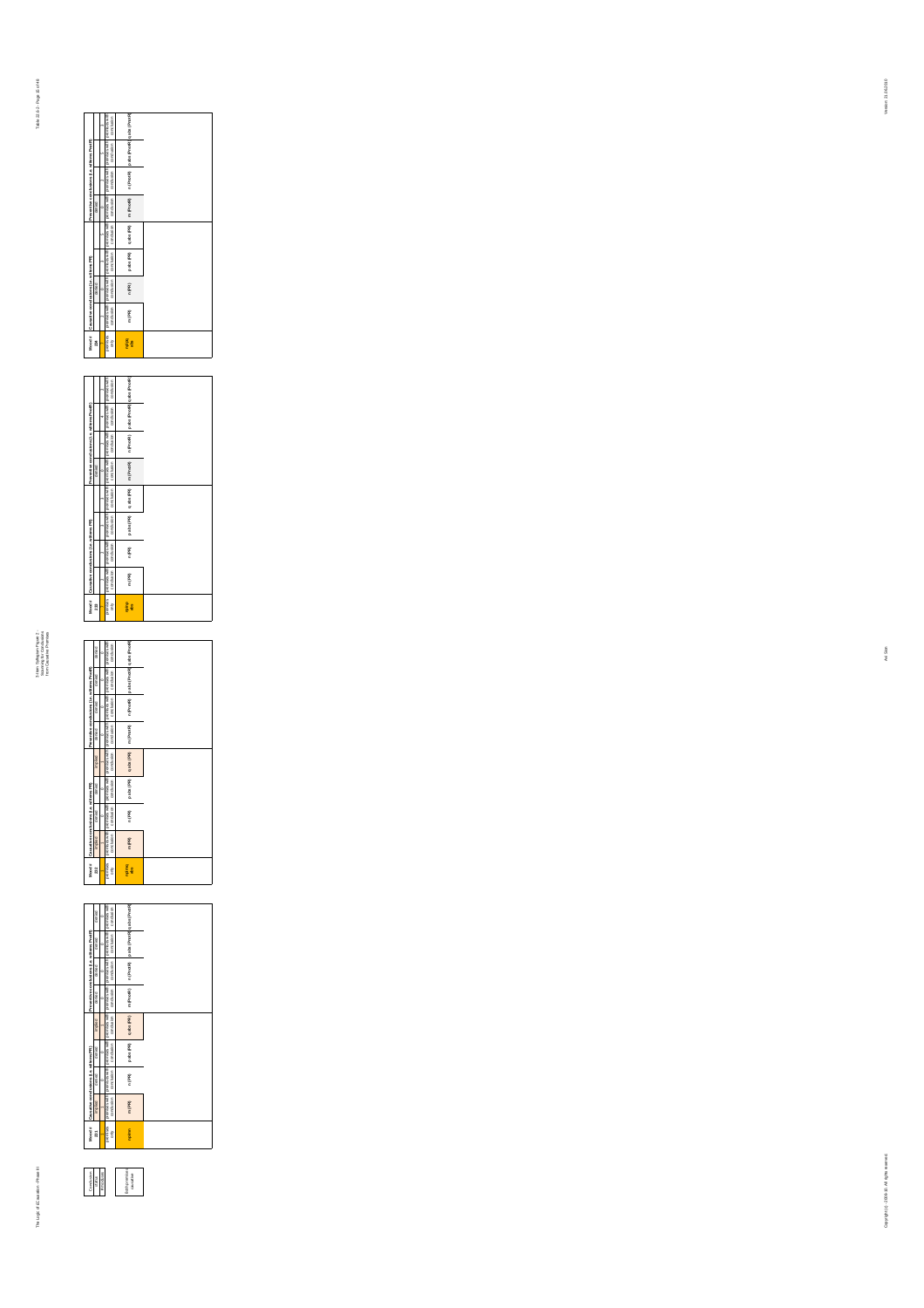| premises with<br>conclusion<br>mpled<br>m(PR)<br>premises<br>nplen<br>ā<br>only | premises with<br>candusion<br>dened<br>n (PR)<br>ö | promises with<br>pabs (PR)<br>oondusion<br>denied<br>۰ | premises with<br>q abs (PR)<br>operation<br>mpland | promises with<br>$m(P \text{ model})$<br>combasion<br>denied<br>ċ | n (ProofR)<br>candusion<br>denied<br>۰ | pass (Prot R) q abs (ProtR)<br>premises with premises with<br>oondusion<br>denied<br>ċ | <b>ORCHE</b>               |
|---------------------------------------------------------------------------------|----------------------------------------------------|--------------------------------------------------------|----------------------------------------------------|-------------------------------------------------------------------|----------------------------------------|----------------------------------------------------------------------------------------|----------------------------|
|                                                                                 |                                                    |                                                        |                                                    |                                                                   |                                        |                                                                                        |                            |
|                                                                                 |                                                    |                                                        |                                                    |                                                                   |                                        |                                                                                        | ロンタ やらの きしらくら<br>operation |
|                                                                                 |                                                    |                                                        |                                                    |                                                                   |                                        |                                                                                        |                            |
|                                                                                 |                                                    |                                                        |                                                    |                                                                   |                                        |                                                                                        |                            |
|                                                                                 |                                                    |                                                        |                                                    |                                                                   |                                        |                                                                                        |                            |
|                                                                                 |                                                    |                                                        |                                                    |                                                                   |                                        |                                                                                        |                            |
|                                                                                 |                                                    |                                                        |                                                    |                                                                   |                                        |                                                                                        |                            |
|                                                                                 |                                                    |                                                        |                                                    |                                                                   |                                        |                                                                                        |                            |
|                                                                                 |                                                    |                                                        |                                                    |                                                                   |                                        |                                                                                        |                            |

Conclusion<br># moduses<br>xh premis<br>causative Both premises

|                                              |         | DYRTH SAS WITH<br>conclusion                           |                                                                            |  |
|----------------------------------------------|---------|--------------------------------------------------------|----------------------------------------------------------------------------|--|
|                                              |         | DYRITTIERS WITH<br>opricion                            |                                                                            |  |
|                                              |         | promises with<br>oondusion                             |                                                                            |  |
| Preventive con dusions (i.e. witems ProfR)   | dened   | promises with<br>candusion                             | pabs (PR) qabs (PR)   m (ProoR)   n (PhoeR)   pabs (ProoR) qabs (ProoR)    |  |
|                                              |         | DYNTH 505 With<br>operation                            |                                                                            |  |
|                                              |         | <b>Normeggia</b> with<br>oondusion                     |                                                                            |  |
| Causative conclusions (i.e. w/kems PR)       | denied  | compass with<br>oondusion                              | n (PR)                                                                     |  |
|                                              |         | omises with<br>condusion                               | m(PR)                                                                      |  |
| Mood #                                       | ň       | 200 m 905<br>only                                      | g<br>§ 6                                                                   |  |
|                                              |         |                                                        |                                                                            |  |
|                                              |         | premises with<br>opriduation                           |                                                                            |  |
| Preventive conclusions (i.e. wiltems Prot R) |         | promises with<br>canduaton                             | q alos (PR) = m (P not R) = n (P notR) = p alos (Pno tR) q ab s (P notR)   |  |
|                                              |         | promises with<br>conclusion                            |                                                                            |  |
|                                              | dinind  | DYRITTI SIG WITH<br>operation                          |                                                                            |  |
|                                              |         | premises with<br>oondusion                             |                                                                            |  |
|                                              |         | Dramsas with<br>candusion                              |                                                                            |  |
|                                              |         | promises with<br>oorclusion                            | n (PR) pate (PR)                                                           |  |
| Causative conclusions (i.e. witems PR)       |         | meas with<br>opriduation                               | m(198)                                                                     |  |
| Mood #                                       | 233     | 200mlses<br>ă                                          | e<br>Šã                                                                    |  |
|                                              |         |                                                        |                                                                            |  |
|                                              | dened   | promises with<br>candusion                             | patis (PR)   qabs (PR)   m (PnoR)   n (PnotR)   patis (PnoR)   qabs (PnoR) |  |
| Preventive conclusions (i.e. wittens Pro IR) | denied  | 200m ses with<br>oprobasion                            |                                                                            |  |
|                                              | denied  | premises with<br>oondusion                             |                                                                            |  |
|                                              | denied  | oondusion                                              |                                                                            |  |
|                                              | implied | premises with premises with premises with<br>condusion |                                                                            |  |
| (i.e. willows PR)                            | dining  | conclusion                                             |                                                                            |  |
|                                              | dinie   | ş<br>oondusion                                         | e<br>G                                                                     |  |
| Causative conclusions                        | implied | promises with promise<br>candusion                     | m(pR)                                                                      |  |
| Mood#                                        | 22      | D'emises<br>öπ                                         | reing                                                                      |  |
|                                              |         |                                                        |                                                                            |  |
|                                              | dining  | DYNT 905 WET<br>operation                              | qabs (PR) m (PnotR) n (PnotR) pabs (PnotR) q abs (PnotR)                   |  |
|                                              | denied  | promises with<br>oondusion                             |                                                                            |  |
| Preventive condusions (i.e. witems Profit)   | denied  | promises with<br>candusion                             |                                                                            |  |
|                                              | dened   | DYOTH SOS WITH<br>corclusion                           |                                                                            |  |
|                                              | mplad   | com sea with<br>operation                              |                                                                            |  |
|                                              | denied  | compass with<br>oondusion                              | pats (PR)                                                                  |  |
| susative conclusions (i.e. w/lease PR)       | dened   | promises with<br>candusion                             | n (PR)                                                                     |  |
|                                              | mpled   | how postumos.<br>oorclusion                            | m(PR)                                                                      |  |
| Mood#                                        | ā       | <b>NYTH 50%</b><br>only                                | <b>I primer</b>                                                            |  |

|                                            |        |         | oondusion                                | pabs (PR)                      |  |
|--------------------------------------------|--------|---------|------------------------------------------|--------------------------------|--|
|                                            | denied |         | premises with premises with<br>oondusion | n (PR)                         |  |
| Causative conclusions (i.e. will ems PR)   |        |         | promises with<br>condusion               | m (PR)                         |  |
| Mood #                                     | ă      |         | premises<br>only                         | g g                            |  |
|                                            |        |         |                                          |                                |  |
|                                            |        |         | oondusion                                |                                |  |
|                                            |        |         | premises with premises with<br>candusion | pates (Pro IR) q ab s (P notR) |  |
|                                            |        |         | promises with<br>canclusian              | n (Prooff)                     |  |
| Preventive conclusions (Le. witems Prot R) | dining | $\circ$ | Dream sea with<br>operation              | m (ProtR)                      |  |
|                                            |        |         | <b>KNOWS</b> GRAVES<br>oondusion         | qabs (PR)                      |  |

Avi Sion

Copyright (c) - 2008-10. All rights r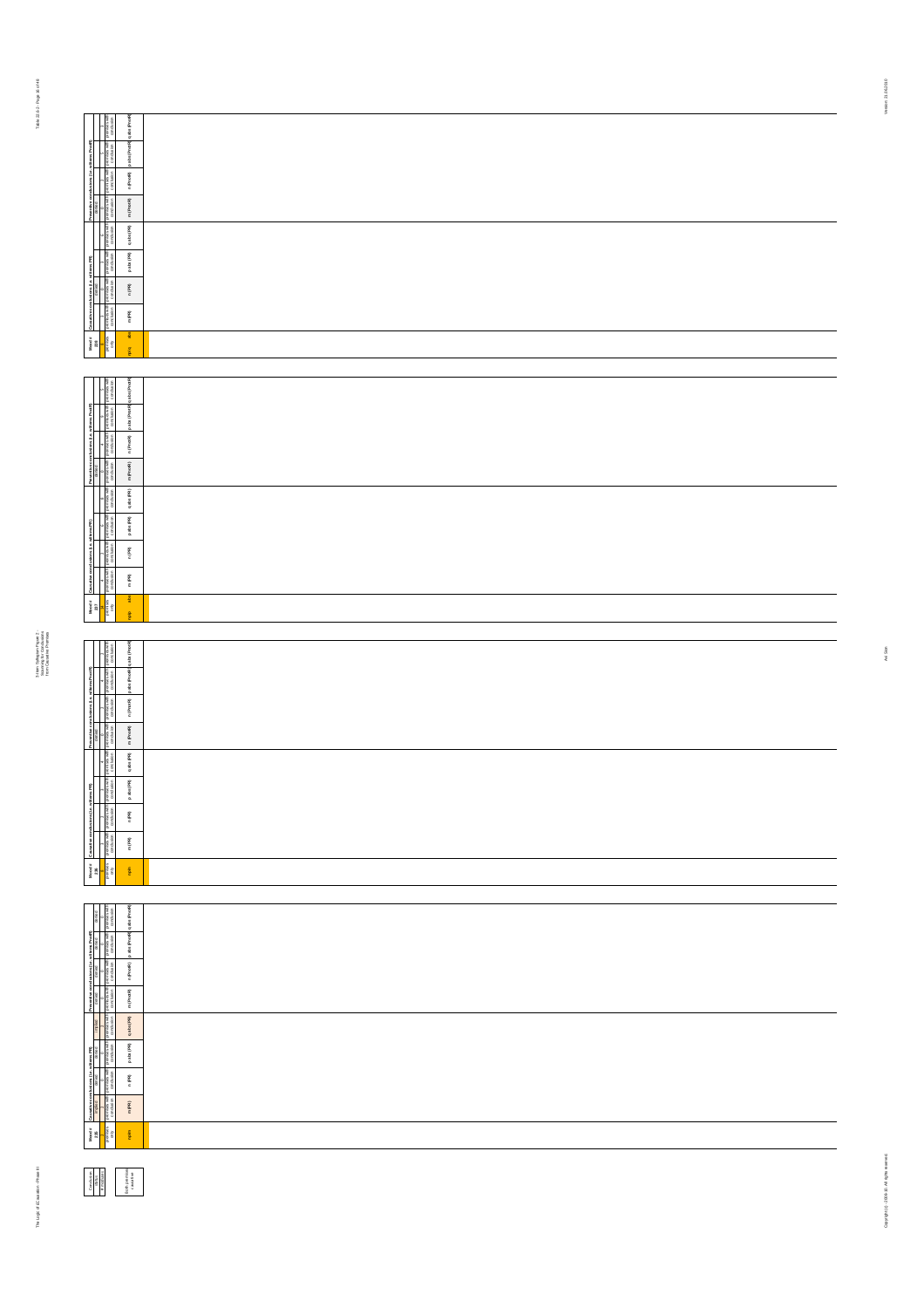|               |                                                                                                                                                                                                                                      | $\overline{a}$               |  |
|---------------|--------------------------------------------------------------------------------------------------------------------------------------------------------------------------------------------------------------------------------------|------------------------------|--|
|               |                                                                                                                                                                                                                                      | ø<br>ę<br>-9<br>$\mathbf{a}$ |  |
|               |                                                                                                                                                                                                                                      | $\widehat{\mathbf{g}}$<br>ৢ  |  |
|               |                                                                                                                                                                                                                                      | e.<br>ε<br>£                 |  |
|               |                                                                                                                                                                                                                                      | $q$ abs (PR)                 |  |
|               | Cuandre concelent (a Weima PR)<br>1990 - Carlo Carlo Carlo Barris (a Paris de Carlo Carlo Carlo Carlo Carlo Carlo Carlo Carlo Carlo Carlo Carlo<br>1990 - Carlo Carlo Carlo Carlo Carlo Carlo Carlo Carlo Carlo Carlo Carlo Carlo Ca | $\widehat{\mathsf{g}}$<br>ã. |  |
|               |                                                                                                                                                                                                                                      | $n$ (PR)                     |  |
|               |                                                                                                                                                                                                                                      | $\mathfrak{m}(\mathsf{PR})$  |  |
| Mood #<br>238 | portisos<br>only                                                                                                                                                                                                                     | å<br>$\mathbf{r}$            |  |

|                                                       | 5<br>premises with<br>~vndusion                                                                                                                                                                                                | -<br>$\sigma$<br>5              |  |
|-------------------------------------------------------|--------------------------------------------------------------------------------------------------------------------------------------------------------------------------------------------------------------------------------|---------------------------------|--|
|                                                       | $\frac{1}{8}$                                                                                                                                                                                                                  | $\sim$                          |  |
| Preventive conclusions (i.e. willems PnotR)<br>denied | inputs of the property of the conditional formulation of the state of the state of the state of the state of the state of the state of the state of the state of the state of the state of the state of the state of the state | $\mathbf{r}$<br>s<br>$\epsilon$ |  |
|                                                       | $rac{1}{2}$<br>promi                                                                                                                                                                                                           | $\widehat{\alpha}$              |  |
|                                                       |                                                                                                                                                                                                                                |                                 |  |
|                                                       |                                                                                                                                                                                                                                |                                 |  |
| Causative conclusions (i.e. witems PR)                |                                                                                                                                                                                                                                |                                 |  |
|                                                       | i<br>  santa dan jama'a dan kamalan dan kamalan jama'a dan kamalan<br>  santa dan jama'a dan kamalan dan kamalan dan kamalan dan kamalan dan kamalan dan kamalan dan kamalan dan kam                                           |                                 |  |

| s<br>minisas with<br>-----sion<br>abs (Profi<br>Parvantes conclusions (A. Whates Proces)<br>Commiss with promiss with promiss with permiss with<br>conclusion   conclusion   conclusion   conclusion<br>conclusion   conclusion   conclusion<br>pabs (ProtR)<br>$n$ (P rooff)<br>$m$ (ProofR)                                                                                                                                                                                                                          |  |
|------------------------------------------------------------------------------------------------------------------------------------------------------------------------------------------------------------------------------------------------------------------------------------------------------------------------------------------------------------------------------------------------------------------------------------------------------------------------------------------------------------------------|--|
| $p$ also (PR) $q$ also (PR)<br>Mood <mark>Causative conclusions (Le witherms PR)</mark><br>238 – parrisée van Givitél (Parrisée van Santian VI)<br>contra – conclusion (Parrisée van Santian VI)<br>contra – conclusion (Conclusion Conclusion II)<br>$n$ (PR)<br>$m(PR)$<br>÷<br>š                                                                                                                                                                                                                                    |  |
| $rac{5}{\text{poritase with}}$<br>abs (Pn ofR) q abs (PnotR<br><b>Preventive conclusions (Le Winnes Prock)</b><br>Tominiae with pormanic materials with promises with promises with promises with promises with provident pr<br>conclusion accordation accordation conclusion pro<br>n (ProdR)<br>$m(ProdR)$                                                                                                                                                                                                           |  |
| qabs (PR)<br>p also (PR)<br>Causative conclusions (i.e. witems PR)<br>promises with<br>conclusion<br>promises with<br>comises with<br>$\frac{1}{n}$ (PR)<br>4<br>premises with<br>$\omega$ or $\omega$<br>$\frac{3}{4}$<br>$\frac{\text{Mod } n}{27}$<br>and and the set<br>ę                                                                                                                                                                                                                                          |  |
| promises with<br>conclusion<br>qabs (PnotR<br>Peremière conclusions (Le wilherm Proces)<br>divisió de la pomisión inconsistente pos<br>in pamieurs de conclusion de conclusion de<br>conclusion donatusion conclusion d<br>pates (Prooff)<br>$n$ (Pro $\mathfrak{M}$<br>$m$ (ProofR)                                                                                                                                                                                                                                   |  |
| mentation<br> <br> <br> <br> <br> <br> <br>$p$ abs $(PR)$ $q$ abs $(PR)$<br>Causaine conclusions (i.e. w/kans PR)<br>pramas with poemia with permass with poemia<br>condusion condusion condusion co<br>npm<br>морно <mark>сававое соединците у ката в селото в селото селото селото селото селото селото селото селото селото село<br/>на виде в селото селото селото селото селото селото селото селото селото селото селото селото в рокоми<br/>селот</mark><br>$\mathfrak{m}(\mathsf{PR})$<br>$\frac{\epsilon}{2}$ |  |
| )<br>  dirilid<br>  promises with<br>qabs@n<br>m (Prooft) n (Prooft) pabs (Prooft                                                                                                                                                                                                                                                                                                                                                                                                                                      |  |
| Counting and<br>a structure of the structure of the structure of the structure of the structure of the<br>production of the structure of the structure of the structure of the<br>production of the structure of the structure of the<br>q abs (PR)<br>pats (PR)<br>$_{\rm n}$ (PR)<br>$\frac{\partial}{\partial t}$                                                                                                                                                                                                   |  |

Copyright (c) - 2008-10. All rights reserved. Avi Sion Version: 21.06.2010

Avi Sion

Version: 21.06.2010

|                                                                                                                                                                         |                                                                                                       | qabs@n                          |  |
|-------------------------------------------------------------------------------------------------------------------------------------------------------------------------|-------------------------------------------------------------------------------------------------------|---------------------------------|--|
|                                                                                                                                                                         | premis<br>cand                                                                                        | orR)<br>abs (Po<br>$\mathbf{a}$ |  |
|                                                                                                                                                                         | premises with                                                                                         | æ<br>통                          |  |
| Course o postalism (a vintema PR) preveninto conclusional (a vintema Presi)<br><mark>Inspira d</mark> corres corres <mark>inspira</mark> ones conclusional orienta dels | $\frac{1}{3}$<br>premises                                                                             | $\widehat{\mathbf{g}}$<br>န့်   |  |
|                                                                                                                                                                         | promises with<br>condusion                                                                            | q abs (PR)                      |  |
|                                                                                                                                                                         | premise<br>condus                                                                                     | pates (PR)                      |  |
|                                                                                                                                                                         | u<br>promises with<br>conclusion                                                                      | $\frac{1}{n}$ (PR)              |  |
|                                                                                                                                                                         | $\begin{array}{ c c }\n\hline\n\text{reduas with} \\ \hline\n\text{reduas on} \\ \hline\n\end{array}$ | $\mathfrak{m}(\mathsf{PR})$     |  |
| $\frac{M \cos \theta}{235}$                                                                                                                                             | premises<br>only                                                                                      | ÷                               |  |

Conclusion status # moduses causative

Both premises

a Logic of ECausation-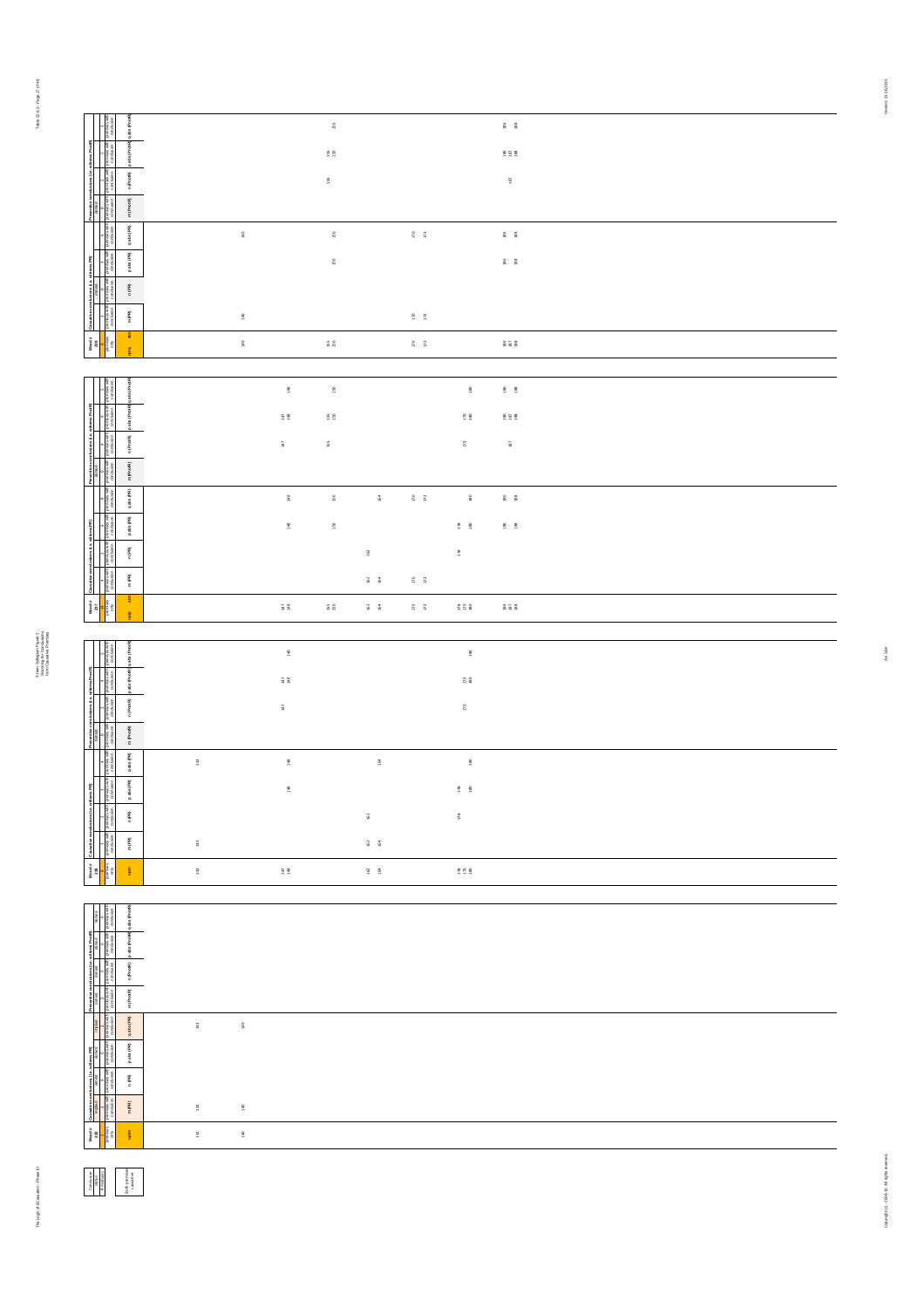|                                                                     |                   |                    |                                                     | $156\,$                                       |                                                                                            |                                               |                                                                                                             | $\frac{8}{13}$                                                                                              |  |  |  |
|---------------------------------------------------------------------|-------------------|--------------------|-----------------------------------------------------|-----------------------------------------------|--------------------------------------------------------------------------------------------|-----------------------------------------------|-------------------------------------------------------------------------------------------------------------|-------------------------------------------------------------------------------------------------------------|--|--|--|
| š                                                                   |                   |                    |                                                     | $\substack{156 \\ 156}$                       |                                                                                            |                                               |                                                                                                             | $\begin{array}{c} 88 \\ 33 \\ 33 \\ \end{array}$                                                            |  |  |  |
|                                                                     |                   |                    |                                                     | $\mathfrak{B}^{\mathsf{S}}$                   |                                                                                            |                                               |                                                                                                             | $\widetilde{\mathbf{z}}$                                                                                    |  |  |  |
| conclusions (i.e.<br>틑<br>$m$ (ProofR)                              |                   |                    |                                                     |                                               |                                                                                            |                                               |                                                                                                             |                                                                                                             |  |  |  |
|                                                                     |                   |                    |                                                     |                                               |                                                                                            |                                               |                                                                                                             |                                                                                                             |  |  |  |
| $q$ abs (PR)                                                        |                   | $\frac{9}{24}$     |                                                     | 156                                           |                                                                                            | $\frac{8}{12} - \frac{12}{12}$                |                                                                                                             | $\frac{8}{18}$                                                                                              |  |  |  |
| pates (PR)<br>witems PR)                                            |                   |                    |                                                     | 156                                           |                                                                                            |                                               |                                                                                                             | $\frac{8}{13}$                                                                                              |  |  |  |
| $n$ (PR)                                                            |                   |                    |                                                     |                                               |                                                                                            |                                               |                                                                                                             |                                                                                                             |  |  |  |
| $\frac{\widehat{\mathfrak{g}}}{\mathfrak{g}}$                       |                   | $\frac{2}{n}$      |                                                     |                                               |                                                                                            | $\mathop{\mathbb{R}}_n=\mathop{\mathbb{R}}_n$ |                                                                                                             |                                                                                                             |  |  |  |
| ÷<br>$\begin{array}{c} \text{Mood} \\ \text{238} \end{array}$<br>g. |                   | $\!240$            |                                                     | $\substack{156 \\ 156}$                       |                                                                                            | $\frac{20}{12}$                               |                                                                                                             | 3878                                                                                                        |  |  |  |
|                                                                     |                   |                    |                                                     |                                               |                                                                                            |                                               |                                                                                                             |                                                                                                             |  |  |  |
| abs (Prot R)                                                        |                   |                    | $\frac{\infty}{24}$                                 | $\mathfrak{g}$                                |                                                                                            |                                               | $\frac{\Omega}{28}$                                                                                         | $\frac{9}{21}$ – $\frac{9}{21}$                                                                             |  |  |  |
| witems Prot R)                                                      |                   |                    | $\frac{m}{2}$ if                                    | $\mathop{\mathfrak{B}}\nolimits$ is           |                                                                                            |                                               | $\mathop{\mathbb{R}}_n$                                                                                     | $\begin{array}{l} 8\  \  \, 8\  \  \, 8\\ 1\  \  \, 8\\ \end{array}$                                        |  |  |  |
| n (ProofR)                                                          |                   |                    | $\overline{\mathfrak{m}}$                           | $155\,$                                       |                                                                                            |                                               | $\frac{2}{n}$                                                                                               | $^{\rm 187}$                                                                                                |  |  |  |
| $m(Proof R)$                                                        |                   |                    |                                                     |                                               |                                                                                            |                                               |                                                                                                             |                                                                                                             |  |  |  |
|                                                                     |                   |                    |                                                     |                                               |                                                                                            |                                               |                                                                                                             |                                                                                                             |  |  |  |
| qabs (PR)                                                           |                   |                    | $\frac{\infty}{24}$                                 | $\mathfrak{g}_0$                              | $\frac{\pi}{26}$                                                                           | $\frac{8}{10}$ – $\frac{8}{10}$               | $\frac{6}{38}$                                                                                              | $\frac{9}{21}$ – $\frac{9}{21}$                                                                             |  |  |  |
| p also (PR)<br>$1000$ PR)                                           |                   |                    | $\frac{16}{24}$                                     | $\frac{96}{14}$                               |                                                                                            |                                               | $\frac{1}{2}$ – $\frac{1}{2}$                                                                               | $\mathbb{R}^n$                                                                                              |  |  |  |
| $\underset{e}{\mathfrak{g}}$                                        |                   |                    |                                                     |                                               | $^{\rm 162}$                                                                               |                                               | $\widetilde{\Xi}$                                                                                           |                                                                                                             |  |  |  |
| $\mathfrak{m}$ (PR)                                                 |                   |                    |                                                     |                                               | $\frac{52}{164}$                                                                           | $\frac{20}{3}$                                |                                                                                                             |                                                                                                             |  |  |  |
| 暮<br>$\frac{1}{2}$<br>흍흉                                            |                   |                    | $\widetilde{\mathbb{R}}$ , $\widetilde{\mathbb{R}}$ | $\begin{array}{c} 25.36 \\ 25.36 \end{array}$ | $\widetilde{\mathbf{g}}=\widetilde{\mathbf{g}}$                                            | $\mathbb{S}-\mathbb{S}$                       | $^{8}_{\Lambda}$ $^{8}_{\Lambda}$ $^{9}_{\Lambda}$                                                          | $\begin{smallmatrix} 0 & \mathbb{C} & \mathbb{C} \\ \mathbb{R} & \mathbb{R} & \mathbb{R} \end{smallmatrix}$ |  |  |  |
|                                                                     |                   |                    |                                                     |                                               |                                                                                            |                                               |                                                                                                             |                                                                                                             |  |  |  |
|                                                                     |                   |                    | $\frac{m}{2}$                                       |                                               |                                                                                            |                                               | $^{\rm 38}$                                                                                                 |                                                                                                             |  |  |  |
| ProfR)                                                              |                   |                    | $\frac{55}{24}$                                     |                                               |                                                                                            |                                               | $\stackrel{29}{\scriptstyle\sim} 180$                                                                       |                                                                                                             |  |  |  |
| (i.e. w/ltems                                                       |                   |                    | $\widetilde{\pi}$                                   |                                               |                                                                                            |                                               | $\widetilde{\Sigma}$                                                                                        |                                                                                                             |  |  |  |
| $m$ (ProofR)                                                        |                   |                    |                                                     |                                               |                                                                                            |                                               |                                                                                                             |                                                                                                             |  |  |  |
| $q$ at $\left( \rho \right)$                                        | $\frac{32}{2}$    |                    | $\frac{m}{2}$                                       |                                               | $\frac{35}{16}$                                                                            |                                               | $\frac{8}{18}$                                                                                              |                                                                                                             |  |  |  |
|                                                                     |                   |                    |                                                     |                                               |                                                                                            |                                               |                                                                                                             |                                                                                                             |  |  |  |
| $p$ abs (PR)<br>promises with<br>(Rems PR)                          |                   |                    | $\frac{9}{14}$                                      |                                               |                                                                                            |                                               | $\frac{1}{2}$ – $\frac{1}{2}$                                                                               |                                                                                                             |  |  |  |
| $_{\rm n}$ (PR)                                                     |                   |                    |                                                     |                                               | $\widetilde{\mathbf{z}}$                                                                   |                                               | $\mathbb{m}$                                                                                                |                                                                                                             |  |  |  |
| Causative conclusions (i.e.)<br>$_{\rm m}(\rho\,R)$                 | $12\,$            |                    |                                                     |                                               | $\begin{array}{cc} \Xi & \Xi \end{array}$                                                  |                                               |                                                                                                             |                                                                                                             |  |  |  |
| Mood #<br>$\frac{\epsilon}{2}$<br>हैं हैं                           | $\frac{32}{2}$    |                    | $\frac{16}{24}$                                     |                                               | $\begin{array}{cc} \mathfrak{A} & \mathfrak{A} \\ \mathfrak{A} & \mathfrak{A} \end{array}$ |                                               | $\mathop{\mathbb{R}}\limits^{\infty}\mathop{\mathbb{R}}\limits^{\infty}\mathop{\mathbb{R}}\limits^{\infty}$ |                                                                                                             |  |  |  |
|                                                                     |                   |                    |                                                     |                                               |                                                                                            |                                               |                                                                                                             |                                                                                                             |  |  |  |
| ab s (P                                                             |                   |                    |                                                     |                                               |                                                                                            |                                               |                                                                                                             |                                                                                                             |  |  |  |
| Preven tive conclusions (i.e. witems ProofR)<br>훂                   |                   |                    |                                                     |                                               |                                                                                            |                                               |                                                                                                             |                                                                                                             |  |  |  |
|                                                                     |                   |                    |                                                     |                                               |                                                                                            |                                               |                                                                                                             |                                                                                                             |  |  |  |
| $m(p \text{ node})$                                                 |                   |                    |                                                     |                                               |                                                                                            |                                               |                                                                                                             |                                                                                                             |  |  |  |
| qabs $\langle \theta R \rangle$                                     | $132\,$           | $\frac{9}{240}$    |                                                     |                                               |                                                                                            |                                               |                                                                                                             |                                                                                                             |  |  |  |
| pates (PR)                                                          |                   |                    |                                                     |                                               |                                                                                            |                                               |                                                                                                             |                                                                                                             |  |  |  |
| sions (i.e. witems PR)                                              |                   |                    |                                                     |                                               |                                                                                            |                                               |                                                                                                             |                                                                                                             |  |  |  |
| $\frac{1}{\alpha}$                                                  |                   |                    |                                                     |                                               |                                                                                            |                                               |                                                                                                             |                                                                                                             |  |  |  |
| $\frac{1}{m}$ (PR)<br>iusalve                                       | $^{\rm 132}$      | $\frac{\Omega}{2}$ |                                                     |                                               |                                                                                            |                                               |                                                                                                             |                                                                                                             |  |  |  |
| $\frac{4}{235}$<br>e fi                                             | $\widetilde{\Xi}$ | $\frac{6}{34}$     |                                                     |                                               |                                                                                            |                                               |                                                                                                             |                                                                                                             |  |  |  |

Copyright (c) - 2008-10. All rights reserved. Avi Sion Version: 21.06.2010

 $4.8$ on

 $\equiv$ 

 $\begin{array}{c}\n\hline\n\hline\n\end{array}$ 

Conclusion status # moduses causative Both premises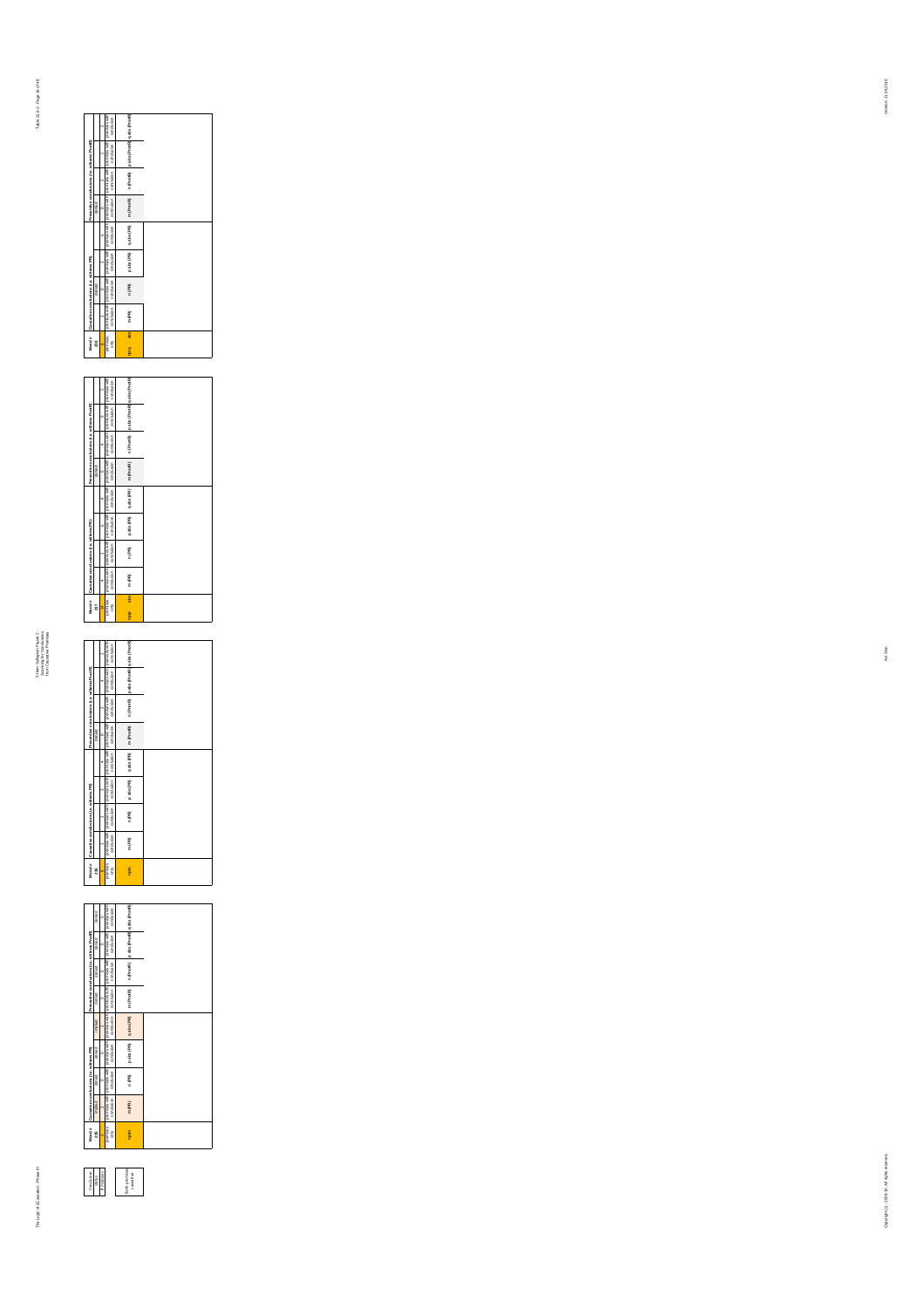Conclusion status # moduses causative Both premises

The Logic of ECausation - Phase III

|                                             |         |   | Dream ses with<br>oorchusion              |                                |  |
|---------------------------------------------|---------|---|-------------------------------------------|--------------------------------|--|
|                                             |         |   |                                           | pabs (PnotR) a abs (PnotR)     |  |
|                                             |         |   | premises with<br>oondusion                |                                |  |
|                                             |         |   | candusion                                 | n (ProofR)                     |  |
| Preventive conclusions (i.e. witems Prooff) | dened   |   | promises with promises with<br>conclusion | $m(P \text{ nodeR})$           |  |
|                                             |         |   | premises with<br>oondusion                | qabs (PR)                      |  |
|                                             |         |   | premises with<br>oondusion                | pabs (PR)                      |  |
|                                             |         |   |                                           |                                |  |
| ausaive condusions (i.e. witems PR)         | dened   |   | promises with<br>candusion                | n (PR)                         |  |
|                                             |         |   | いちょう でんきじゅう<br>conclusion                 | m(PR)                          |  |
| Mood#                                       | 238     |   | D/01/11 905<br>only                       | ab s<br>ă                      |  |
|                                             |         |   |                                           |                                |  |
|                                             |         |   | premises with<br>oondusion                |                                |  |
|                                             |         |   | DV 071 Security Mar-<br>candualan         | pates (Pn ofR) q alss (PnotR)  |  |
| Preventive conclusions (i.e. witems Phot R) |         |   | Dream sea with<br>operation               | n (Prooff)                     |  |
|                                             | denied  |   | promises with<br>condusion                | m (Proot R)                    |  |
|                                             |         |   |                                           |                                |  |
|                                             |         |   | promises with<br>canduagon                | qabs (PR)                      |  |
|                                             |         |   | pright sea with<br>conclusion             | p atos (PR)                    |  |
|                                             |         |   | premises with<br>operation                | n (PR)                         |  |
| Causative conclusions (Le. witems PR)       |         |   | につき きにこう<br>oondusion                     | m (PR)                         |  |
| Mood #                                      | ä       | ă | premises<br>ğ                             | 855                            |  |
|                                             |         |   |                                           | ê                              |  |
|                                             |         |   | Comments with<br>conclusion               |                                |  |
|                                             |         |   | DYNTH SAS WITH<br>operation               | pates (Prooff) q alss (Prooff) |  |
| Preventive con dustons (i.e. w/ltems PnotR) |         |   |                                           |                                |  |
|                                             |         |   | Contractor of Mary<br>oondusion           | n (Pro tR)                     |  |
|                                             | dened   |   | Dremises with<br>candusion                | $m(p \mod 8)$                  |  |
|                                             |         |   | Dream ses with<br>conclusion              | qabs (PR)                      |  |
| toms <sub>PR)</sub>                         |         |   | premises with<br>oondusion                | pabs (PR)                      |  |
|                                             |         |   | oondusion                                 | n (PR)                         |  |
| Causative conclusions (i.e. w/              |         |   | Temises with Deemises with<br>condusion   | m (PR)                         |  |
|                                             |         |   |                                           |                                |  |
| Mood #                                      | 238     |   | DYOTH 50%<br>cely                         | š                              |  |
|                                             |         |   | ţ                                         |                                |  |
|                                             | denied  |   | condusion<br>Vee Eest                     |                                |  |
|                                             | denied  |   | Demandable Ville<br>candusion             | Dabs (PnotR) q abs (PnotR)     |  |
|                                             | denied  |   | Dremises with<br>conclusion               | n (Prooft)                     |  |
| Preventive conclusions (i.e. wiltems ProtR) | denied  |   | promises with<br>oprehasion               | m (ProtR)                      |  |
|                                             | implied |   | promises with<br>oondusion                | qabs (PR)                      |  |
|                                             | denied  |   | promises with<br>candusion                | pate (PR)                      |  |
|                                             |         |   |                                           |                                |  |
| ausalve condusions (i.e. witems PR)         | denied  |   | conclusion<br>DYOTH SOS WITH              | n (PR)                         |  |
|                                             | implied |   | oorclusion<br>www.sea.with                | m(m)                           |  |
| food #                                      | 235     |   | vemices<br>only                           | notes.                         |  |

Aw Sion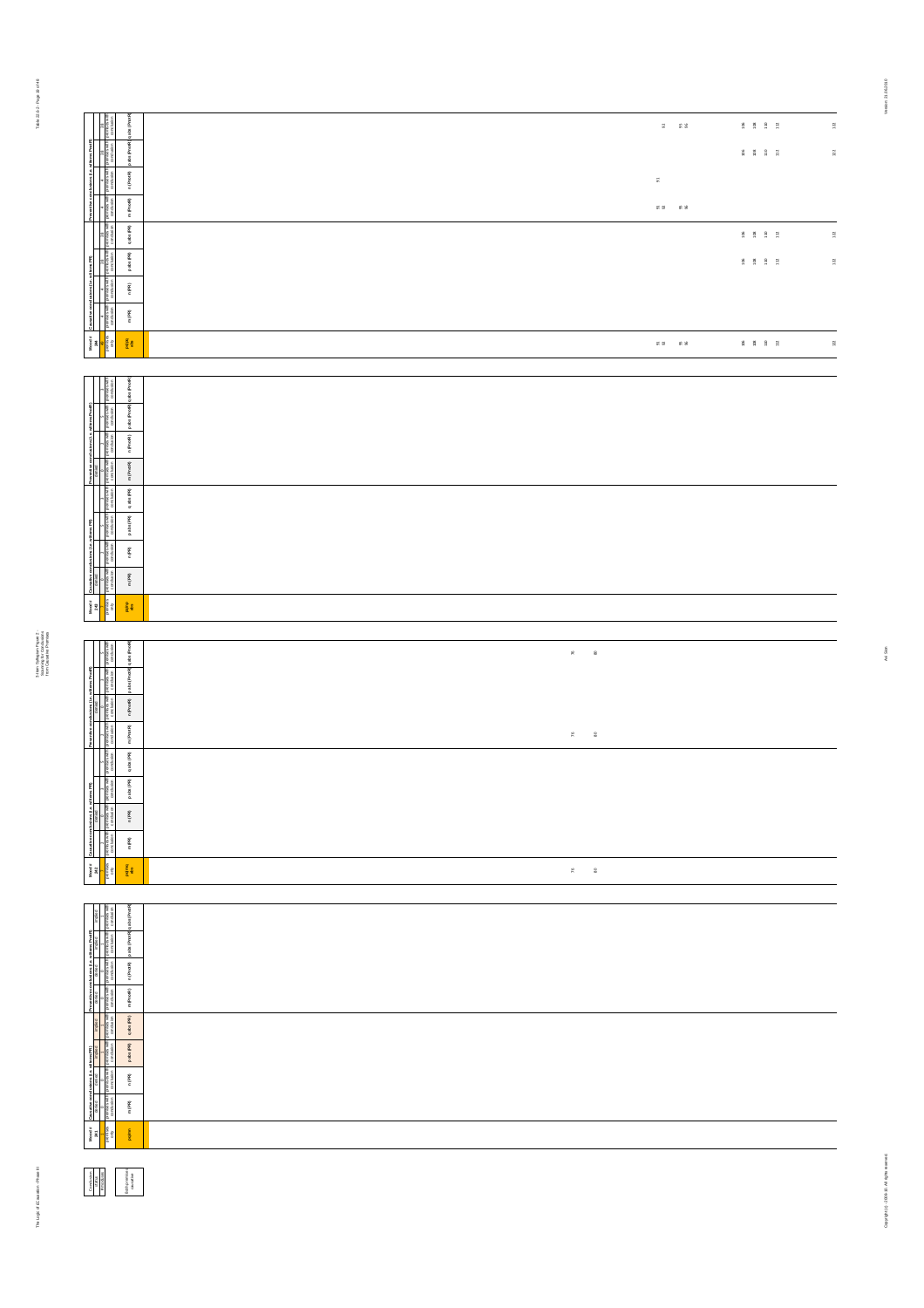|                                                                                                                                                                                                          | æ<br>qabs (Pric                   | S.   | 28        |
|----------------------------------------------------------------------------------------------------------------------------------------------------------------------------------------------------------|-----------------------------------|------|-----------|
|                                                                                                                                                                                                          | pates (Prooff)                    |      |           |
|                                                                                                                                                                                                          | n (Pn ofR)                        | 5    |           |
| zemasa with permissia with premissia with permissia with permissia with permissia with permissia with<br>.conclusion  conclusion  conclusion  conclusion  conclusion  conclusion  conclusion  conclusion | $m(p \text{ node})$               | s st | $\$$ $\$$ |
|                                                                                                                                                                                                          | $\mathbf{q}$ ab s $(\mathsf{PR})$ |      |           |
|                                                                                                                                                                                                          | pabs (PR)                         |      |           |
|                                                                                                                                                                                                          | n@R                               |      |           |
|                                                                                                                                                                                                          | $\mathfrak{m}(\mathsf{PR})$       |      |           |

|   | premises with<br>Southern with                                                                                                                                                                                                                                                                                                                                                                                      | s<br>$\bar{ }$<br>٠<br>$\mathbf{r}$ |  |
|---|---------------------------------------------------------------------------------------------------------------------------------------------------------------------------------------------------------------------------------------------------------------------------------------------------------------------------------------------------------------------------------------------------------------------|-------------------------------------|--|
| ٦ | 5<br>promises with<br>condusion                                                                                                                                                                                                                                                                                                                                                                                     | a (Proff)<br>$\Omega$               |  |
|   | promises with<br>conclusion                                                                                                                                                                                                                                                                                                                                                                                         | e.<br>ৢ                             |  |
| ٦ | $rac{0}{\sqrt{1-\frac{1}{2}}\sqrt{1-\frac{1}{2}}\sqrt{1-\frac{1}{2}}\sqrt{1-\frac{1}{2}}\sqrt{1-\frac{1}{2}}\sqrt{1-\frac{1}{2}}\sqrt{1-\frac{1}{2}}\sqrt{1-\frac{1}{2}}\sqrt{1-\frac{1}{2}}\sqrt{1-\frac{1}{2}}\sqrt{1-\frac{1}{2}}\sqrt{1-\frac{1}{2}}\sqrt{1-\frac{1}{2}}\sqrt{1-\frac{1}{2}}\sqrt{1-\frac{1}{2}}\sqrt{1-\frac{1}{2}}\sqrt{1-\frac{1}{2}}\sqrt{1-\frac{1}{2}}\sqrt{1-\frac{1}{2}}\sqrt{1-\frac{$ | $\frac{8}{8}$<br>ို                 |  |
|   | 3<br>premises with<br>condusion                                                                                                                                                                                                                                                                                                                                                                                     | qabs (PR)                           |  |
|   | 5<br>premises with<br>condusion                                                                                                                                                                                                                                                                                                                                                                                     | pats (PR)                           |  |
| J | 2<br>promises with<br>conclusion                                                                                                                                                                                                                                                                                                                                                                                    | $_{\rm n}$ (PR)                     |  |
|   | 0<br>promises with<br>condusion                                                                                                                                                                                                                                                                                                                                                                                     | m (PR)                              |  |
| ÷ | promises                                                                                                                                                                                                                                                                                                                                                                                                            | $\frac{8}{3}$                       |  |

|                                                               | $R$ $R$                |
|---------------------------------------------------------------|------------------------|
| ä<br>회                                                        |                        |
| e<br>ะ<br>$\epsilon$                                          |                        |
| -<br>€<br>å.                                                  |                        |
| e<br>ē.<br>$\sigma$                                           |                        |
| æ<br>€<br>s<br>$\mathbf{a}$<br>3⊩                             |                        |
| ç.<br>e.<br>$\epsilon$                                        |                        |
| e<br>s<br>€<br>- 61                                           |                        |
| Mood#<br>20<br>$\frac{g}{2}$ is<br>) 이 기<br>이 기<br>이 기<br>이 기 | $\aleph$<br>$^{\circ}$ |

| 38<br>promises with<br>conclusion<br>qabs (PnotR)                                                                                                                                                                                                                                                                                                                                                                                                                                                           | $\begin{array}{ccc} \mathfrak{A} & \mathfrak{A} & \mathfrak{B} & \mathfrak{B} \\ \mathfrak{B} & \mathfrak{B} & \mathfrak{B} \end{array}$ |                                                                                                                                                                                                         | $\Xi$                    |
|-------------------------------------------------------------------------------------------------------------------------------------------------------------------------------------------------------------------------------------------------------------------------------------------------------------------------------------------------------------------------------------------------------------------------------------------------------------------------------------------------------------|------------------------------------------------------------------------------------------------------------------------------------------|---------------------------------------------------------------------------------------------------------------------------------------------------------------------------------------------------------|--------------------------|
| 38<br>premises with<br>condusion<br>pates (Proof)                                                                                                                                                                                                                                                                                                                                                                                                                                                           |                                                                                                                                          | $\begin{array}{ccccc} \mathbf{g} & \mathbf{g} & \mathbf{g} & \mathbf{g} & \mathbf{g} \\ \mathbf{g} & \mathbf{g} & \mathbf{g} & \mathbf{g} & \mathbf{g} \end{array}$                                     | $\widetilde{\mathbb{H}}$ |
| nemises with<br>condusion<br>n (Pn ofR)                                                                                                                                                                                                                                                                                                                                                                                                                                                                     | $\overline{\circ}$                                                                                                                       |                                                                                                                                                                                                         |                          |
| Preventive conditations (i.e. wittens ProdR)<br>$m$ (Prooff)                                                                                                                                                                                                                                                                                                                                                                                                                                                | $\begin{array}{ccc} \mathbb{R} & \mathbb{R} & \mathbb{R} & \mathbb{R} \end{array}$                                                       |                                                                                                                                                                                                         |                          |
| - Promises with promises with p<br>- Promises promises postesson<br>- Promises postesson                                                                                                                                                                                                                                                                                                                                                                                                                    |                                                                                                                                          |                                                                                                                                                                                                         |                          |
| $q$ ab s $\langle \mathsf{PR} \rangle$                                                                                                                                                                                                                                                                                                                                                                                                                                                                      |                                                                                                                                          | $\begin{array}{cccccccccc} \texttt{8} & \texttt{8} & \texttt{8} & \texttt{8} & \texttt{8} \end{array}$                                                                                                  | $\Xi$                    |
| pabs (PR)                                                                                                                                                                                                                                                                                                                                                                                                                                                                                                   |                                                                                                                                          | $\begin{array}{cccccccccc} \mathcal{B} & & \mathcal{B} & & \mathcal{B} & & \mathcal{B} & & \mathcal{B} \\ & \mathcal{B} & & \mathcal{B} & & \mathcal{B} & & \mathcal{B} & & \mathcal{B} \\ \end{array}$ | $\widetilde{\mathbb{H}}$ |
| $\mathfrak{so}_{\mathfrak{g}}$                                                                                                                                                                                                                                                                                                                                                                                                                                                                              |                                                                                                                                          |                                                                                                                                                                                                         |                          |
| Causative conclusions (i.e. w/kems PR)<br>pensas un premiere units pensas un pensa<br>condusion condusion condusion co<br>$\mathfrak{g}_{\mathfrak{m}}$                                                                                                                                                                                                                                                                                                                                                     |                                                                                                                                          |                                                                                                                                                                                                         |                          |
| promises<br>$\begin{array}{c}\n\text{Mod } n \\ 24\n\end{array}$<br>$\frac{g}{2}$ $\frac{g}{4}$                                                                                                                                                                                                                                                                                                                                                                                                             | $55 - 38$                                                                                                                                | $\begin{array}{cccccccccc} 8 & 8 & 8 & 8 & 8 \\ \end{array}$                                                                                                                                            | $\mathbb{R}^2$           |
|                                                                                                                                                                                                                                                                                                                                                                                                                                                                                                             |                                                                                                                                          |                                                                                                                                                                                                         |                          |
| remises with<br>condusion<br>qubs (Prooft)                                                                                                                                                                                                                                                                                                                                                                                                                                                                  |                                                                                                                                          |                                                                                                                                                                                                         |                          |
| abs (Profit)<br>5<br>promises with<br>condusion                                                                                                                                                                                                                                                                                                                                                                                                                                                             |                                                                                                                                          |                                                                                                                                                                                                         |                          |
| premises with<br>conclusion<br>$n$ (P rooff)                                                                                                                                                                                                                                                                                                                                                                                                                                                                |                                                                                                                                          |                                                                                                                                                                                                         |                          |
| Preventive conclusions (i.e. witems Prot R)<br>dinkid<br>0<br>promises with<br>corclusion<br>m (Proot R)                                                                                                                                                                                                                                                                                                                                                                                                    |                                                                                                                                          |                                                                                                                                                                                                         |                          |
| qabs $\langle \theta R \rangle$                                                                                                                                                                                                                                                                                                                                                                                                                                                                             |                                                                                                                                          |                                                                                                                                                                                                         |                          |
| Causative conclusions (i.e., withmse PR)<br>- Series with permass with promise with permass with permass with permass with permass with permass with in<br>- conduision - conclusion - conclusion - conclusion<br>pabs (PR)                                                                                                                                                                                                                                                                                 |                                                                                                                                          |                                                                                                                                                                                                         |                          |
|                                                                                                                                                                                                                                                                                                                                                                                                                                                                                                             |                                                                                                                                          |                                                                                                                                                                                                         |                          |
| $\frac{\widehat{\mathbf{g}}}{\mathbf{g}}$                                                                                                                                                                                                                                                                                                                                                                                                                                                                   |                                                                                                                                          |                                                                                                                                                                                                         |                          |
| $\frac{\partial \mathbf{R}}{\partial \mathbf{r}}$                                                                                                                                                                                                                                                                                                                                                                                                                                                           |                                                                                                                                          |                                                                                                                                                                                                         |                          |
| $M = 243$<br>$\frac{3}{2}$                                                                                                                                                                                                                                                                                                                                                                                                                                                                                  |                                                                                                                                          |                                                                                                                                                                                                         |                          |
| promises                                                                                                                                                                                                                                                                                                                                                                                                                                                                                                    |                                                                                                                                          |                                                                                                                                                                                                         |                          |
|                                                                                                                                                                                                                                                                                                                                                                                                                                                                                                             |                                                                                                                                          |                                                                                                                                                                                                         |                          |
| qabs (ProtR)<br>5<br>promises with<br>condusion<br>$\kappa$ – $\kappa$                                                                                                                                                                                                                                                                                                                                                                                                                                      |                                                                                                                                          |                                                                                                                                                                                                         |                          |
|                                                                                                                                                                                                                                                                                                                                                                                                                                                                                                             |                                                                                                                                          |                                                                                                                                                                                                         |                          |
| n (Prock) pabs (Prock)                                                                                                                                                                                                                                                                                                                                                                                                                                                                                      |                                                                                                                                          |                                                                                                                                                                                                         |                          |
| $m$ (Pn ofR)<br>$\mathbb R$ - $\mathbb R$                                                                                                                                                                                                                                                                                                                                                                                                                                                                   |                                                                                                                                          |                                                                                                                                                                                                         |                          |
| Preventive conclusions () a wikens Proviti<br>- 2<br>- promise with pormous with premise with pro<br>- provision - portision - portision - co<br>- provision - portision - portision - co                                                                                                                                                                                                                                                                                                                   |                                                                                                                                          |                                                                                                                                                                                                         |                          |
| qabs (PR)                                                                                                                                                                                                                                                                                                                                                                                                                                                                                                   |                                                                                                                                          |                                                                                                                                                                                                         |                          |
| pabs(PR)                                                                                                                                                                                                                                                                                                                                                                                                                                                                                                    |                                                                                                                                          |                                                                                                                                                                                                         |                          |
| $\mathfrak{n}$ (PR)                                                                                                                                                                                                                                                                                                                                                                                                                                                                                         |                                                                                                                                          |                                                                                                                                                                                                         |                          |
| $\mathfrak{m} \varphi \mathfrak{K}$                                                                                                                                                                                                                                                                                                                                                                                                                                                                         |                                                                                                                                          |                                                                                                                                                                                                         |                          |
| $\begin{tabular}{ c c c c } \hline & \multicolumn{3}{ c }{\textbf{Mod}} & \multicolumn{3}{ c }{\textbf{Mod}} & \multicolumn{3}{ c }{\textbf{Mod}} & \multicolumn{3}{ c }{\textbf{Mod}} \\ \hline \multicolumn{3}{ c }{\textbf{Mod}} & \multicolumn{3}{ c }{\textbf{Mod}} & \multicolumn{3}{ c }{\textbf{Mod}} & \multicolumn{3}{ c }{\textbf{Mod}} \\ \hline \multicolumn{3}{ c }{\textbf{Mod}} & \multicolumn{3}{ c }{\textbf{Mod}} & \multicolumn{3}{ c }{\textbf$<br>$\frac{g}{2}$ is<br>R<br>$^{\circ}$ |                                                                                                                                          |                                                                                                                                                                                                         |                          |
|                                                                                                                                                                                                                                                                                                                                                                                                                                                                                                             |                                                                                                                                          |                                                                                                                                                                                                         |                          |
|                                                                                                                                                                                                                                                                                                                                                                                                                                                                                                             |                                                                                                                                          |                                                                                                                                                                                                         |                          |
|                                                                                                                                                                                                                                                                                                                                                                                                                                                                                                             |                                                                                                                                          |                                                                                                                                                                                                         |                          |
|                                                                                                                                                                                                                                                                                                                                                                                                                                                                                                             |                                                                                                                                          |                                                                                                                                                                                                         |                          |
|                                                                                                                                                                                                                                                                                                                                                                                                                                                                                                             |                                                                                                                                          |                                                                                                                                                                                                         |                          |
|                                                                                                                                                                                                                                                                                                                                                                                                                                                                                                             |                                                                                                                                          |                                                                                                                                                                                                         |                          |
| pates (PR) also (PR) im (PhoeR) in (PhoeR) pates (PhoeR) quite (Phoe                                                                                                                                                                                                                                                                                                                                                                                                                                        |                                                                                                                                          |                                                                                                                                                                                                         |                          |
| $_{\rm n}$ (PR)                                                                                                                                                                                                                                                                                                                                                                                                                                                                                             |                                                                                                                                          |                                                                                                                                                                                                         |                          |
|                                                                                                                                                                                                                                                                                                                                                                                                                                                                                                             |                                                                                                                                          |                                                                                                                                                                                                         |                          |
| Mood Countries concluded by When Pri and Movement conclusion is a wheat of the state of the state of the state of the state of the state of the state of the state of the state of the state of the state of the state of the<br>$\frac{\partial}{\partial t}$<br>promises<br>only<br>power                                                                                                                                                                                                                 |                                                                                                                                          |                                                                                                                                                                                                         |                          |

The Logic of Economic of Economic of Figure 2 - Phase III 3-Item Sylvism Figure 2 - Phase III 30-Item Sylvism Figure 2 - Phase III 30-Item Sylvism Figure 2 - Phase III 30-Item Sylvism Figure 2 - Phase III 31-Item Sylvism F The Lagic of ECausation

Conclusion<br># moduses<br>xh premis<br>causative Both premises

Avi Sion

**NOV 21062010**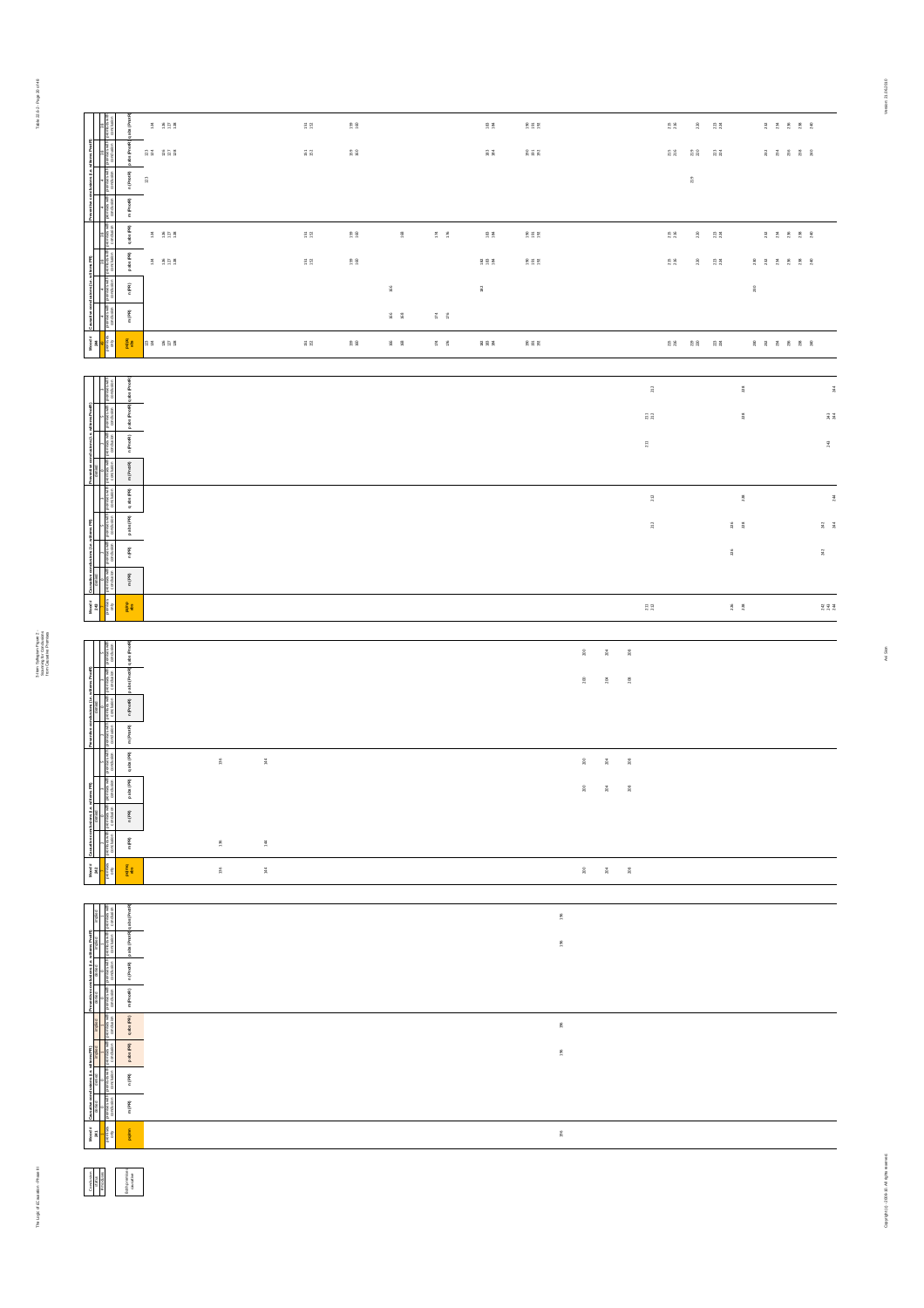|                                           | oorchase                    | abs (Pnot                              |              | 3.333                                                                                                                                                |                 |                                                                                                                  |                       | $\frac{53}{12}$ $\frac{53}{12}$          | $\begin{smallmatrix} 8 \\ 16 \\ 16 \end{smallmatrix}$ |                                           |                  | $\frac{33}{13}$                                  | $\mathop{\mathbb{R}}\nolimits$ $\mathop{\mathbb{R}}\nolimits$ $\mathop{\mathbb{R}}\nolimits$ |              |              |                                                                                                           |                 |                                   | $\substack{2.35 \\ -2.36}$ |
|-------------------------------------------|-----------------------------|----------------------------------------|--------------|------------------------------------------------------------------------------------------------------------------------------------------------------|-----------------|------------------------------------------------------------------------------------------------------------------|-----------------------|------------------------------------------|-------------------------------------------------------|-------------------------------------------|------------------|--------------------------------------------------|----------------------------------------------------------------------------------------------|--------------|--------------|-----------------------------------------------------------------------------------------------------------|-----------------|-----------------------------------|----------------------------|
| alleems                                   |                             | abs (Prod                              |              | 33 32                                                                                                                                                |                 |                                                                                                                  |                       | $\frac{51}{152}$                         | 359                                                   |                                           |                  | $\Xi\ \Xi$                                       | $\frac{9}{2}$ $\frac{5}{2}$ $\frac{3}{2}$                                                    |              |              |                                                                                                           |                 |                                   | $\substack{215 \\ 216}$    |
| dusions (i.e                              | communities with            | n (Pn ofR)                             | $^{\rm 123}$ |                                                                                                                                                      |                 |                                                                                                                  |                       |                                          |                                                       |                                           |                  |                                                  |                                                                                              |              |              |                                                                                                           |                 |                                   |                            |
| reventive con                             | premises wr<br>condusion    | $m(p \text{ node})$                    |              |                                                                                                                                                      |                 |                                                                                                                  |                       |                                          |                                                       |                                           |                  |                                                  |                                                                                              |              |              |                                                                                                           |                 |                                   |                            |
|                                           | remana mu                   | $q$ ab s $\langle \mathsf{PR} \rangle$ |              | 3.888                                                                                                                                                |                 |                                                                                                                  |                       | $^{55}_{22}$                             | $\frac{93}{14}$                                       |                                           |                  | 第1回 12 月1日 12 12 12 13 13 14 15                  | 999                                                                                          |              |              |                                                                                                           |                 |                                   | $\substack{2.35 \\ -2.36}$ |
|                                           | remises with<br>condusion   | $p$ abs (PR)                           |              | $\begin{array}{cc} \mathbb{R} & \mathbb{R} & \mathbb{R} \\ \mathbb{R} & \mathbb{R} & \mathbb{R} \\ \mathbb{R} & \mathbb{R} & \mathbb{R} \end{array}$ |                 |                                                                                                                  |                       | $\begin{array}{c} 51 \\ 152 \end{array}$ | $\frac{39}{160}$                                      |                                           |                  | $\begin{array}{c} 23 \\ 23 \\ 34 \\ \end{array}$ | $\frac{9}{2}$ $\frac{5}{2}$ $\frac{3}{2}$                                                    |              |              |                                                                                                           |                 |                                   | $\substack{215 \\ 216}$    |
| lons (i.e. w/kems PR)                     | windus.ww                   | in (P R)                               |              |                                                                                                                                                      |                 |                                                                                                                  |                       |                                          |                                                       | $\%$                                      |                  | $\widetilde{\mathfrak{A}}$                       |                                                                                              |              |              |                                                                                                           |                 |                                   |                            |
| Contact no.                               | rummun<br>condusion         | $\mathfrak{m}(\mathsf{PR})$            |              |                                                                                                                                                      |                 |                                                                                                                  |                       |                                          |                                                       | $\frac{9}{10}$ – $\frac{93}{10}$          | 昇 恩              |                                                  |                                                                                              |              |              |                                                                                                           |                 |                                   |                            |
| $\frac{1}{2}$                             | <b>September</b>            | 囊                                      |              | Bă Abã                                                                                                                                               |                 |                                                                                                                  |                       | 151                                      | 3.9                                                   | $\begin{array}{c} 166 \\ 168 \end{array}$ | $\frac{74}{176}$ | ន្តន្ត                                           | 253                                                                                          |              |              |                                                                                                           |                 |                                   | $\substack{215 \\ 216}$    |
|                                           |                             |                                        |              |                                                                                                                                                      |                 |                                                                                                                  |                       |                                          |                                                       |                                           |                  |                                                  |                                                                                              |              |              |                                                                                                           |                 |                                   |                            |
|                                           | remises we<br>oondusion     | qabs(PnotR                             |              |                                                                                                                                                      |                 |                                                                                                                  |                       |                                          |                                                       |                                           |                  |                                                  |                                                                                              |              |              |                                                                                                           |                 | $_{\rm 21}^{\rm 2}$               |                            |
| witems Prot R)                            | zemises wan<br>condusion    | p abs (Pro tR)                         |              |                                                                                                                                                      |                 |                                                                                                                  |                       |                                          |                                                       |                                           |                  |                                                  |                                                                                              |              |              |                                                                                                           |                 | $\underset{23}{\scriptstyle{53}}$ |                            |
| lusions (Le.                              | xemises with<br>conclusion  | n (ProdR)                              |              |                                                                                                                                                      |                 |                                                                                                                  |                       |                                          |                                                       |                                           |                  |                                                  |                                                                                              |              |              |                                                                                                           |                 | $\mathbb{R}^n$                    |                            |
| eventive conc                             | ventuos mu                  | $m(p \mod R)$                          |              |                                                                                                                                                      |                 |                                                                                                                  |                       |                                          |                                                       |                                           |                  |                                                  |                                                                                              |              |              |                                                                                                           |                 |                                   |                            |
|                                           | remses with<br>condusion    | qabs (PR)                              |              |                                                                                                                                                      |                 |                                                                                                                  |                       |                                          |                                                       |                                           |                  |                                                  |                                                                                              |              |              |                                                                                                           |                 | $_{\rm 212}$                      |                            |
| witems PR)                                | promises with<br>condusion  | pata (PR)                              |              |                                                                                                                                                      |                 |                                                                                                                  |                       |                                          |                                                       |                                           |                  |                                                  |                                                                                              |              |              |                                                                                                           |                 | $_{\rm 21}$                       |                            |
|                                           | conclusion                  | $_{\rm n}$ (PR)                        |              |                                                                                                                                                      |                 |                                                                                                                  |                       |                                          |                                                       |                                           |                  |                                                  |                                                                                              |              |              |                                                                                                           |                 |                                   |                            |
| ausative conclusions (i.e.                | $\frac{1}{2}$               | $\frac{60}{6}$                         |              |                                                                                                                                                      |                 |                                                                                                                  |                       |                                          |                                                       |                                           |                  |                                                  |                                                                                              |              |              |                                                                                                           |                 |                                   |                            |
| $M = 243$                                 | ceation<br>only             | $\frac{5}{3}$                          |              |                                                                                                                                                      |                 |                                                                                                                  |                       |                                          |                                                       |                                           |                  |                                                  |                                                                                              |              |              |                                                                                                           |                 | $\Xi$ $\Xi$                       |                            |
|                                           |                             |                                        |              |                                                                                                                                                      |                 |                                                                                                                  |                       |                                          |                                                       |                                           |                  |                                                  |                                                                                              |              |              |                                                                                                           |                 |                                   |                            |
|                                           | a casara and<br>Transporta  | qabs (ProfR)                           |              |                                                                                                                                                      |                 |                                                                                                                  |                       |                                          |                                                       |                                           |                  |                                                  |                                                                                              |              | $_{\rm 20}$  | $\tilde{\mathbf{a}}$                                                                                      | $\mathbbmss{3}$ |                                   |                            |
| usions (i.e. witters ProfR)               | xermaas war<br>oorclusion   | pates (ProofR)                         |              |                                                                                                                                                      |                 |                                                                                                                  |                       |                                          |                                                       |                                           |                  |                                                  |                                                                                              |              | $_{\rm 200}$ | $_{\rm 204}$                                                                                              | $_{\rm 20}$     |                                   |                            |
|                                           | oondusion                   | n (ProtR)                              |              |                                                                                                                                                      |                 |                                                                                                                  |                       |                                          |                                                       |                                           |                  |                                                  |                                                                                              |              |              |                                                                                                           |                 |                                   |                            |
|                                           | remses wur<br>oondusion     | m(pn, odd)                             |              |                                                                                                                                                      |                 |                                                                                                                  |                       |                                          |                                                       |                                           |                  |                                                  |                                                                                              |              |              |                                                                                                           |                 |                                   |                            |
|                                           | premises was                | qabs (PR)                              |              |                                                                                                                                                      |                 | $\begin{array}{ccccccccc} \mathbf{g} & & & & \mathbf{g} & & \\ & \mathbf{g} & & & \mathbf{g} & & \\ \end{array}$ |                       |                                          |                                                       |                                           |                  |                                                  |                                                                                              |              | $_{\rm 20}$  | $\rm _2$                                                                                                  | $\overline{2}$  |                                   |                            |
| Norms <sub>PR)</sub>                      | premises with<br>oonclusion | $p$ abs (PR)                           |              |                                                                                                                                                      |                 |                                                                                                                  |                       |                                          |                                                       |                                           |                  |                                                  |                                                                                              |              | $_{\rm 20}$  | $\rm _2$                                                                                                  | $_{\rm 208}$    |                                   |                            |
| fusions (i.e.                             | remses<br>oondusi           | $n$ (PR)                               |              |                                                                                                                                                      |                 |                                                                                                                  |                       |                                          |                                                       |                                           |                  |                                                  |                                                                                              |              |              |                                                                                                           |                 |                                   |                            |
| Causative com                             | wamatan<br>Candusio         | $\omega$ or $\omega$                   |              |                                                                                                                                                      | $\mathbbmss{B}$ |                                                                                                                  | $\sim$ $\frac{3}{20}$ |                                          |                                                       |                                           |                  |                                                  |                                                                                              |              |              |                                                                                                           |                 |                                   |                            |
| $\frac{\text{Mod } H}{2 \Omega}$          | promises                    | $\frac{g}{8}$ 8                        |              |                                                                                                                                                      | $\frac{38}{2}$  |                                                                                                                  | $\frac{3}{2}$         |                                          |                                                       |                                           |                  |                                                  |                                                                                              |              |              | $\begin{matrix} \mathfrak{g} & \mathfrak{g} & \mathfrak{g} \\ & \mathfrak{g} & \mathfrak{g} \end{matrix}$ |                 |                                   |                            |
|                                           |                             |                                        |              |                                                                                                                                                      |                 |                                                                                                                  |                       |                                          |                                                       |                                           |                  |                                                  |                                                                                              |              |              |                                                                                                           |                 |                                   |                            |
|                                           | conclus                     | abs(ProtR) q abs (Prot                 |              |                                                                                                                                                      |                 |                                                                                                                  |                       |                                          |                                                       |                                           |                  |                                                  |                                                                                              | $^{\rm 196}$ |              |                                                                                                           |                 |                                   |                            |
|                                           | ondusion                    |                                        |              |                                                                                                                                                      |                 |                                                                                                                  |                       |                                          |                                                       |                                           |                  |                                                  |                                                                                              | $196\,$      |              |                                                                                                           |                 |                                   |                            |
| reventive condiusions (i.e. witems PnotR) |                             | n (ProdR)                              |              |                                                                                                                                                      |                 |                                                                                                                  |                       |                                          |                                                       |                                           |                  |                                                  |                                                                                              |              |              |                                                                                                           |                 |                                   |                            |
|                                           | comises with<br>conclusion  | $m(p \text{ node})$                    |              |                                                                                                                                                      |                 |                                                                                                                  |                       |                                          |                                                       |                                           |                  |                                                  |                                                                                              |              |              |                                                                                                           |                 |                                   |                            |
|                                           |                             | $q$ abs $(PR)$                         |              |                                                                                                                                                      |                 |                                                                                                                  |                       |                                          |                                                       |                                           |                  |                                                  |                                                                                              | $^{\rm 196}$ |              |                                                                                                           |                 |                                   |                            |
| sions (i.e. w/leams PR)                   |                             | pates (PR)                             |              |                                                                                                                                                      |                 |                                                                                                                  |                       |                                          |                                                       |                                           |                  |                                                  |                                                                                              | $196\,$      |              |                                                                                                           |                 |                                   |                            |
|                                           |                             | $n(\mathsf{PR})$                       |              |                                                                                                                                                      |                 |                                                                                                                  |                       |                                          |                                                       |                                           |                  |                                                  |                                                                                              |              |              |                                                                                                           |                 |                                   |                            |
| ative                                     |                             | $\frac{60}{\pi}$                       |              |                                                                                                                                                      |                 |                                                                                                                  |                       |                                          |                                                       |                                           |                  |                                                  |                                                                                              |              |              |                                                                                                           |                 |                                   |                            |
| $\frac{3}{2}$                             | i<br>S                      | Į                                      |              |                                                                                                                                                      |                 |                                                                                                                  |                       |                                          |                                                       |                                           |                  |                                                  |                                                                                              | $196\,$      |              |                                                                                                           |                 |                                   |                            |

|                                                     |                                                                       | qası@                                             |                 |                   |  |  |              |                               |                 | $\ddot{z}$          |         | $\tilde{n}$                               |
|-----------------------------------------------------|-----------------------------------------------------------------------|---------------------------------------------------|-----------------|-------------------|--|--|--------------|-------------------------------|-----------------|---------------------|---------|-------------------------------------------|
| www.tive-conclusions (Le. wiltems PnotR)            |                                                                       | Pro (R)                                           |                 |                   |  |  |              |                               |                 | $\Xi$ $\Xi$         |         | $_{\rm ns}$                               |
|                                                     |                                                                       | $n$ (P rooff)                                     |                 |                   |  |  |              |                               |                 | $\Xi$               |         |                                           |
|                                                     |                                                                       | $m(p \mod R)$                                     |                 |                   |  |  |              |                               |                 |                     |         |                                           |
|                                                     |                                                                       | qabs $(\mathsf{PR})$                              |                 |                   |  |  |              |                               |                 | $_{\rm 21}^{\rm 2}$ |         | $_{\rm 228}$                              |
|                                                     |                                                                       | pata (PR)                                         |                 |                   |  |  |              |                               |                 | $_{\rm 21}$         |         | $\mathbf{z}_6$ as                         |
| Causal ive conclusions (i.e. willows PR)<br>dirivid |                                                                       | $_{\rm n}$ (PR)                                   |                 |                   |  |  |              |                               |                 |                     | $226\,$ |                                           |
|                                                     |                                                                       | $\frac{\partial \mathbf{R}}{\partial \mathbf{r}}$ |                 |                   |  |  |              |                               |                 |                     |         |                                           |
| $\frac{1}{2}$                                       | emis<br>'                                                             | $\frac{3}{2}$ is                                  |                 |                   |  |  |              |                               |                 | $\Xi$ $\Xi$         |         | $\begin{array}{c} 226 \\ 228 \end{array}$ |
|                                                     |                                                                       |                                                   |                 |                   |  |  |              |                               |                 |                     |         |                                           |
|                                                     |                                                                       | abs (Pro tR)                                      |                 |                   |  |  | $_{\rm 8}$   | $\tilde{\mathbf{a}}$          | $\mathbbmss{z}$ |                     |         |                                           |
| reventive conclusions (i.e. witems Pno IR)          |                                                                       |                                                   |                 |                   |  |  | $_{\rm 20}$  | $\tilde{z}$                   | $_{\rm 2.08}$   |                     |         |                                           |
|                                                     |                                                                       | n (ProtR)                                         |                 |                   |  |  |              |                               |                 |                     |         |                                           |
|                                                     |                                                                       | $m(p_{\rm mod}q)$                                 |                 |                   |  |  |              |                               |                 |                     |         |                                           |
|                                                     |                                                                       | qabs (PR)                                         | $\mathbbmss{3}$ | $\frac{4}{3}$     |  |  | $\mathbb{S}$ | $_{\rm 201}$                  | $_{\rm 20}$     |                     |         |                                           |
|                                                     |                                                                       | $p$ at $\left( \rho \right)$                      |                 |                   |  |  | $_{\rm 200}$ | $\tilde{z}$                   | $\mathbb{S}$    |                     |         |                                           |
| Causative conclusions (i.e. wilems PR)              |                                                                       | $_{\rm n}$ (ee)                                   |                 |                   |  |  |              |                               |                 |                     |         |                                           |
|                                                     |                                                                       | $\frac{1}{2}$                                     | $\mathbbm{B}$   | $\frac{\pi}{2}$   |  |  |              |                               |                 |                     |         |                                           |
|                                                     | $\begin{array}{c c}\n\text{seat} \\ \hline\n\text{redu}\n\end{array}$ | $\frac{1}{2}$                                     | $\frac{1}{2}$   | $\frac{\pi}{2}$ . |  |  |              | $\mathbb{R}$ and $\mathbb{R}$ |                 |                     |         |                                           |

|                                                   |                  |                                                   | <mark>। अत्र को साथ से समय</mark> से समय से साथ से साथ से साथ से साथ से साथ से साथ से साथ से साथ से साथ से साथ से साथ से सा<br>प्रदेश को साथ से साथ से साथ से साथ से साथ से साथ से साथ से साथ से साथ से साथ से साथ से साथ से साथ से साथ से |                 |                |                | នន | - 52 | $\frac{36}{10}$ $\frac{36}{10}$ | 74.76 | 음종종 | ឌីនីនី |              |                           |                                                                                                           |                          | ដូដ ដូង ដូង |                                                      | a a a a a a |                                                                     |
|---------------------------------------------------|------------------|---------------------------------------------------|--------------------------------------------------------------------------------------------------------------------------------------------------------------------------------------------------------------------------------------------|-----------------|----------------|----------------|----|------|---------------------------------|-------|-----|--------|--------------|---------------------------|-----------------------------------------------------------------------------------------------------------|--------------------------|-------------|------------------------------------------------------|-------------|---------------------------------------------------------------------|
|                                                   |                  |                                                   |                                                                                                                                                                                                                                            |                 |                |                |    |      |                                 |       |     |        |              |                           |                                                                                                           |                          |             |                                                      |             |                                                                     |
|                                                   |                  | ab a (P                                           |                                                                                                                                                                                                                                            |                 |                |                |    |      |                                 |       |     |        |              |                           |                                                                                                           | $_{\rm 21}$              |             | $_{\rm 228}$                                         |             |                                                                     |
| sions (i.e. witems PnotR)                         |                  |                                                   |                                                                                                                                                                                                                                            |                 |                |                |    |      |                                 |       |     |        |              |                           |                                                                                                           | $\overline{\rm a}$ a     |             | $_{\rm 23}$                                          |             | $\frac{3}{8}$                                                       |
|                                                   |                  | n (ProtR)                                         |                                                                                                                                                                                                                                            |                 |                |                |    |      |                                 |       |     |        |              |                           |                                                                                                           | $\Xi$                    |             |                                                      |             | $\mathbb{R}^3$                                                      |
| wyantive con                                      |                  | m (Proot R)                                       |                                                                                                                                                                                                                                            |                 |                |                |    |      |                                 |       |     |        |              |                           |                                                                                                           |                          |             |                                                      |             |                                                                     |
|                                                   |                  | q abs (PR)                                        |                                                                                                                                                                                                                                            |                 |                |                |    |      |                                 |       |     |        |              |                           |                                                                                                           | $_{\rm 21}$              |             | $\frac{1}{2}$                                        |             | $\ddot{z}$                                                          |
|                                                   |                  | pabs (PR)                                         |                                                                                                                                                                                                                                            |                 |                |                |    |      |                                 |       |     |        |              |                           |                                                                                                           | $\widetilde{\mathbf{z}}$ |             | $\begin{array}{c} 256 \\ \phantom{00}23 \end{array}$ |             | $\frac{2}{3}$                                                       |
| stative conclusions (i.e. wilems PR)              |                  | $_{\rm n}$ (PR)                                   |                                                                                                                                                                                                                                            |                 |                |                |    |      |                                 |       |     |        |              |                           |                                                                                                           |                          |             | $_{\rm 2.35}$                                        |             | $_{\rm 24}$                                                         |
|                                                   |                  | $\frac{\partial \mathbf{R}}{\partial \mathbf{r}}$ |                                                                                                                                                                                                                                            |                 |                |                |    |      |                                 |       |     |        |              |                           |                                                                                                           |                          |             |                                                      |             |                                                                     |
|                                                   |                  |                                                   |                                                                                                                                                                                                                                            |                 |                |                |    |      |                                 |       |     |        |              |                           |                                                                                                           |                          |             |                                                      |             |                                                                     |
| $\begin{array}{c} \text{Mood} \\ 243 \end{array}$ | Êĉ               | $\frac{8}{2}$                                     |                                                                                                                                                                                                                                            |                 |                |                |    |      |                                 |       |     |        |              |                           |                                                                                                           | $\Xi$ $\Xi$              |             | $\begin{array}{c} 226 \\ 23 \end{array}$             |             | $\left.\begin{smallmatrix} 2 & 2 \\ 3 & 3 \end{smallmatrix}\right.$ |
|                                                   |                  | abs (Prot                                         |                                                                                                                                                                                                                                            |                 |                |                |    |      |                                 |       |     |        |              | $\mathbb{R}^2$            | $\tilde{R}$ – $\tilde{R}$                                                                                 |                          |             |                                                      |             |                                                                     |
| Prooff)                                           |                  |                                                   |                                                                                                                                                                                                                                            |                 |                |                |    |      |                                 |       |     |        |              |                           |                                                                                                           |                          |             |                                                      |             |                                                                     |
| ons (i.e. witoms                                  |                  | 죸                                                 |                                                                                                                                                                                                                                            |                 |                |                |    |      |                                 |       |     |        |              | $\mathop{\rm g}\nolimits$ | $\mathbb{R}^{\mathbb{N}}$ , $\mathbb{R}^{\mathbb{N}}$                                                     |                          |             |                                                      |             |                                                                     |
|                                                   |                  | n (ProtR)                                         |                                                                                                                                                                                                                                            |                 |                |                |    |      |                                 |       |     |        |              |                           |                                                                                                           |                          |             |                                                      |             |                                                                     |
| Preventive                                        |                  | $m$ (Pn ofR)                                      |                                                                                                                                                                                                                                            |                 |                |                |    |      |                                 |       |     |        |              |                           |                                                                                                           |                          |             |                                                      |             |                                                                     |
|                                                   |                  | q alos (PR)                                       |                                                                                                                                                                                                                                            | $\frac{8}{14}$  | $\sim 10^{11}$ |                |    |      |                                 |       |     |        |              |                           | $\begin{matrix} \mathfrak{g} & \mathfrak{g} & \mathfrak{g} \\ & \mathfrak{h} & \mathfrak{g} \end{matrix}$ |                          |             |                                                      |             |                                                                     |
| ilons (i.e. witems PR)                            |                  | $p$ at $p$ (PR)                                   |                                                                                                                                                                                                                                            |                 |                |                |    |      |                                 |       |     |        |              |                           | $\begin{matrix} \mathfrak{g} & \mathfrak{g} & \mathfrak{g} \\ & \mathfrak{h} & \mathfrak{g} \end{matrix}$ |                          |             |                                                      |             |                                                                     |
|                                                   |                  | $_{\rm n}$ (ex)                                   |                                                                                                                                                                                                                                            |                 |                |                |    |      |                                 |       |     |        |              |                           |                                                                                                           |                          |             |                                                      |             |                                                                     |
| <b>MISSON</b> COMO                                |                  | $\mathfrak{so}$                                   |                                                                                                                                                                                                                                            | $\mathbbmss{B}$ | $\sim 10^{11}$ |                |    |      |                                 |       |     |        |              |                           |                                                                                                           |                          |             |                                                      |             |                                                                     |
| $rac{d}{d\alpha}$                                 | remise<br>orly   | $\frac{g}{2}$ is                                  |                                                                                                                                                                                                                                            | $\mathbf{3}$    |                | $\mathbb{R}^+$ |    |      |                                 |       |     |        |              |                           | $\begin{matrix} \mathfrak{g} & \mathfrak{g} & \mathfrak{g} \\ & \mathfrak{h} & \mathfrak{g} \end{matrix}$ |                          |             |                                                      |             |                                                                     |
|                                                   |                  |                                                   |                                                                                                                                                                                                                                            |                 |                |                |    |      |                                 |       |     |        |              |                           |                                                                                                           |                          |             |                                                      |             |                                                                     |
|                                                   |                  |                                                   |                                                                                                                                                                                                                                            |                 |                |                |    |      |                                 |       |     |        | $^{\rm 96}$  |                           |                                                                                                           |                          |             |                                                      |             |                                                                     |
| sions (i.e. wiltems PriotR)                       |                  |                                                   |                                                                                                                                                                                                                                            |                 |                |                |    |      |                                 |       |     |        | $^{\rm 196}$ |                           |                                                                                                           |                          |             |                                                      |             |                                                                     |
|                                                   |                  | n (ProdR)                                         |                                                                                                                                                                                                                                            |                 |                |                |    |      |                                 |       |     |        |              |                           |                                                                                                           |                          |             |                                                      |             |                                                                     |
| Preventive condui                                 |                  | $m(p \text{ node})$                               |                                                                                                                                                                                                                                            |                 |                |                |    |      |                                 |       |     |        |              |                           |                                                                                                           |                          |             |                                                      |             |                                                                     |
|                                                   |                  | $q$ abs $(PR)$                                    |                                                                                                                                                                                                                                            |                 |                |                |    |      |                                 |       |     |        | $_{\rm 196}$ |                           |                                                                                                           |                          |             |                                                      |             |                                                                     |
|                                                   |                  | pats (PR)                                         |                                                                                                                                                                                                                                            |                 |                |                |    |      |                                 |       |     |        | $^{\rm 196}$ |                           |                                                                                                           |                          |             |                                                      |             |                                                                     |
| sions (i.e. w/leams PR)                           |                  |                                                   |                                                                                                                                                                                                                                            |                 |                |                |    |      |                                 |       |     |        |              |                           |                                                                                                           |                          |             |                                                      |             |                                                                     |
| sative cond                                       |                  | $_{\rm n}$ (kg d)                                 |                                                                                                                                                                                                                                            |                 |                |                |    |      |                                 |       |     |        |              |                           |                                                                                                           |                          |             |                                                      |             |                                                                     |
|                                                   |                  | $\frac{60}{\pi}$                                  |                                                                                                                                                                                                                                            |                 |                |                |    |      |                                 |       |     |        |              |                           |                                                                                                           |                          |             |                                                      |             |                                                                     |
| Mood #                                            | ventises<br>only |                                                   |                                                                                                                                                                                                                                            |                 |                |                |    |      |                                 |       |     |        | $^{\rm 196}$ |                           |                                                                                                           |                          |             |                                                      |             |                                                                     |

Conclusion<br># moduses<br>xh premis<br>causative

Both premises

The Lagic of ECausation

 $\begin{array}{cc} R & R \\ R & \end{array}$ 

 $\begin{array}{cc} \mathbf{R} & \mathbf{R} \\ \mathbf{R} & \mathbf{R} \end{array}$ 

 $\begin{matrix} 2 & 3 & 3 \\ 3 & 4 & 5 \\ 1 & 1 & 3 \end{matrix}$ 

219

 $\begin{array}{cc} R & R \\ R & \end{array}$ 

**22 23** 

230 230 230

 $_{\rm 20}$ 

 $\begin{array}{c} 243 \\ 243 \\ 244 \end{array}$ 

Avi Sion

 $\begin{array}{cc} \mathbb{R} & \mathbb{R} \\ \mathbb{R} & \mathbb{R} \end{array}$ 

 $\frac{1}{2}$ 

 $\frac{1}{2}$ 

 $\ddot{x}$  $_{\rm 24}$ 

 $\begin{array}{cccccccccc} \mathbb{H} & \mathbb{H} & \mathbb{H} & \mathbb{H} & \mathbb{H} & \mathbb{H} \end{array}$ 

 $\begin{array}{cccccccccc} \mathbf{a} & \mathbf{a} & \mathbf{a} & \mathbf{a} & \mathbf{a} & \mathbf{a} & \mathbf{a} \\ \mathbf{a} & \mathbf{a} & \mathbf{a} & \mathbf{a} & \mathbf{a} & \mathbf{a} & \mathbf{a} \end{array}$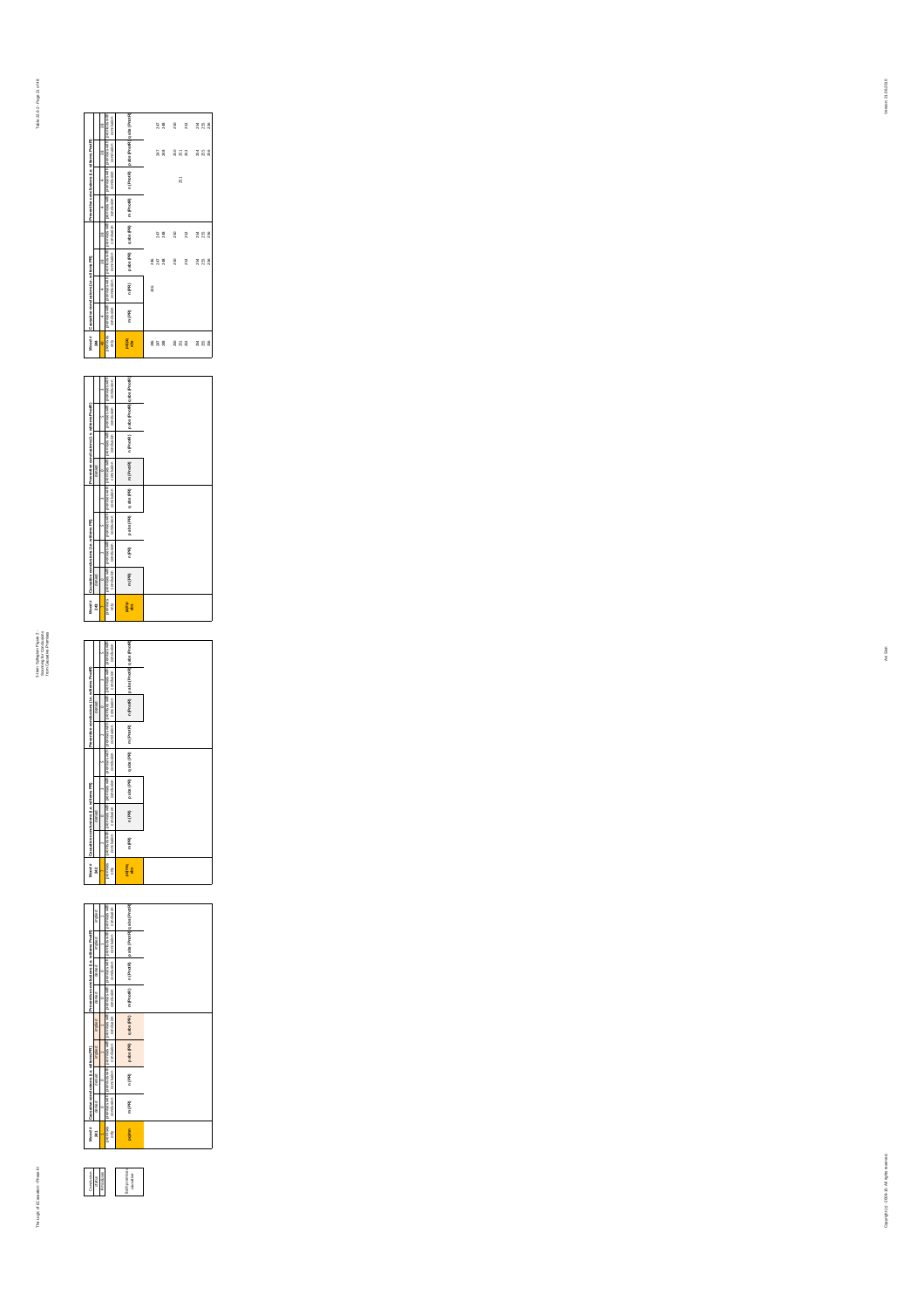| Mood #          |                            | Causative conclusions (i.e. witems PR) |                            |                             |                            | Preventive con dusions (i.e. wiltems Prooft) |                               |                             |
|-----------------|----------------------------|----------------------------------------|----------------------------|-----------------------------|----------------------------|----------------------------------------------|-------------------------------|-----------------------------|
| 246             |                            |                                        |                            |                             |                            |                                              |                               |                             |
| ę               |                            | ۰                                      | æ,                         | æ                           |                            |                                              | æ,                            | æ                           |
| 300 m 00<br>ğ   | promises with<br>condusion | premises with<br>oondusion             | premises with<br>oondusion | premises with<br>conclusion | promises with<br>candusion | premises with<br>oondusion                   | premises with<br>opricion     | promises with<br>oonclusion |
| g g             | m (PR)                     | n (PR)                                 | pabs (PR)                  | $q$ abs $(PR)$              | m (ProtR)                  | n (PhotP)                                    | patos (ProofR) q abs (ProofR) |                             |
| 222             |                            | g                                      | 245                        |                             |                            |                                              |                               |                             |
|                 |                            |                                        |                            | 247                         |                            |                                              | 247                           | 247                         |
|                 |                            |                                        | 248                        | 248                         |                            |                                              | 248                           | $\frac{3}{2}$               |
| 250             |                            |                                        | 30                         | 290                         |                            |                                              | 250                           | 290                         |
| 25 <sub>2</sub> |                            |                                        |                            |                             |                            | 51                                           | $\overline{251}$              |                             |
|                 |                            |                                        | 252                        | 32                          |                            |                                              | 32                            | 32                          |
| 254             |                            |                                        | 254                        | 254                         |                            |                                              | 254                           | 254                         |
| 3               |                            |                                        | 255                        | $^{58}$                     |                            |                                              | 255                           | 3                           |
|                 |                            |                                        |                            |                             |                            |                                              |                               |                             |

|                                              |         | 38 | <b>UAM SRS (URAC)</b>       | operation     |                                     |     | 舞器               |     | 8   |            | 32  | 3 8        |     |
|----------------------------------------------|---------|----|-----------------------------|---------------|-------------------------------------|-----|------------------|-----|-----|------------|-----|------------|-----|
|                                              |         | 38 | Dream beau with             | opricion      | pates (PriceR) quite (PriceR)       |     | ã                | 248 | 250 | 51         | 252 | 254        | 255 |
| Preventive conclusions (i.e. wiltems Profit) |         |    |                             | oondusion     | n (Pn ofR)                          |     |                  |     |     | 31         |     |            |     |
|                                              |         |    | promises with premises with | candusion     | m (ProtR)                           |     |                  |     |     |            |     |            |     |
|                                              |         | æ  | promises with               | conclusion    | $q$ abs $(PR)$                      |     | 2.48             |     | 290 |            | 32  | 3 8        |     |
|                                              |         | 38 | premises with               | opedualon     | pabs (PR)                           |     | 222              |     | 250 |            | 252 | 254        | 255 |
|                                              |         |    | premises with               | oondusion     | n (PR)                              | 346 |                  |     |     |            |     |            |     |
| Causative conclusions (i.e. will ems PR)     |         |    | promises with               | condusion     | m (PR)                              |     |                  |     |     |            |     |            |     |
| Wood #                                       | 244     | ę  | DON'T SOS                   | È             | š                                   |     | <b>g &amp; g</b> |     |     | <b>SSS</b> |     | 254<br>255 |     |
|                                              |         |    |                             |               |                                     |     |                  |     |     |            |     |            |     |
|                                              |         |    | premises with               | oondusion     |                                     |     |                  |     |     |            |     |            |     |
|                                              |         |    | promises with               | candusion     | pabs (Pro (R) q abs (ProfR)         |     |                  |     |     |            |     |            |     |
|                                              |         |    | promises with               | conclusion    | n (ProtR)                           |     |                  |     |     |            |     |            |     |
| Preventive conclusions (Le. wiltems ProtR)   | dinind  | 0  | Dream ses with              | operation     | m (Prot <sub>R)</sub>               |     |                  |     |     |            |     |            |     |
|                                              |         |    | premises with               | oondusion     | qabs (PR)                           |     |                  |     |     |            |     |            |     |
|                                              |         |    | promises with               | candusion     | pates (PR)                          |     |                  |     |     |            |     |            |     |
|                                              |         |    | promises with               | oonclusion    | n (PR)                              |     |                  |     |     |            |     |            |     |
| Causalive conclusions (i.e. willems PR)      | dining  |    | premises with               | oondusion     | m(m)                                |     |                  |     |     |            |     |            |     |
| Mood #                                       | 243     |    | ceautoos                    | $\frac{3}{6}$ | pake<br>35                          |     |                  |     |     |            |     |            |     |
|                                              |         |    |                             |               |                                     |     |                  |     |     |            |     |            |     |
|                                              |         |    | promises with               | candusion     |                                     |     |                  |     |     |            |     |            |     |
|                                              |         |    | premises with               | conclusion    | n (ProtR) pats (ProtR) qats (ProtR) |     |                  |     |     |            |     |            |     |
|                                              | dining  |    | premises with               | oondusion     |                                     |     |                  |     |     |            |     |            |     |
| Preventive conclusions (i.e. wittems Pno IR) |         |    |                             | oondusion     | m (Pn ofR)                          |     |                  |     |     |            |     |            |     |
|                                              |         |    | promises with premises with | condusion     | qabs (PR)                           |     |                  |     |     |            |     |            |     |
| witnes PR)                                   |         |    | Dream ses with              | conclusion    | $p$ abs $(PR)$                      |     |                  |     |     |            |     |            |     |
|                                              | dinied  |    | with                        | oondusion     | e<br>S                              |     |                  |     |     |            |     |            |     |
| Causative conclusions                        |         |    | premises with premises      | candusion     | m (PR)                              |     |                  |     |     |            |     |            |     |
| Mooda                                        | 242     |    | promises                    | orly          | panes<br>8                          |     |                  |     |     |            |     |            |     |
|                                              |         |    |                             |               |                                     |     |                  |     |     |            |     |            |     |
|                                              | mpled   |    | Dremises with               | operation     |                                     |     |                  |     |     |            |     |            |     |
|                                              | implied |    | promises with               | oondusion     | paths (Priot R) q abs (PriotR)      |     |                  |     |     |            |     |            |     |
| Preventive condusions (i.e. wilters Profit)  | denied  |    | promises with premises with | candusion     | n (Proof)                           |     |                  |     |     |            |     |            |     |
|                                              | dened   |    |                             | corclusion    | m (Prooff)                          |     |                  |     |     |            |     |            |     |
|                                              | implied |    | Dream sea with              | operation     | qabs (PR)                           |     |                  |     |     |            |     |            |     |
|                                              | implied |    | premises with               | oondusion     | pabs (PR)                           |     |                  |     |     |            |     |            |     |
| ausative con dusions (i.e. w/ltems PR)       | dened   |    | premises with               | candusion     | n (PR)                              |     |                  |     |     |            |     |            |     |
|                                              | densed  |    | Dream sessivery             | operation     | $\frac{m(PR)}{E}$                   |     |                  |     |     |            |     |            |     |
| food #                                       | 241     |    | <b>NYTH 90%</b>             | only          | a vittin                            |     |                  |     |     |            |     |            |     |

Conclusion<br># moduses<br>xh premis<br>causative Both premises

 $\begin{array}{c|c}\nM \text{ cosat } & \text{C}\n\end{array}$ 

politics

Aw Sion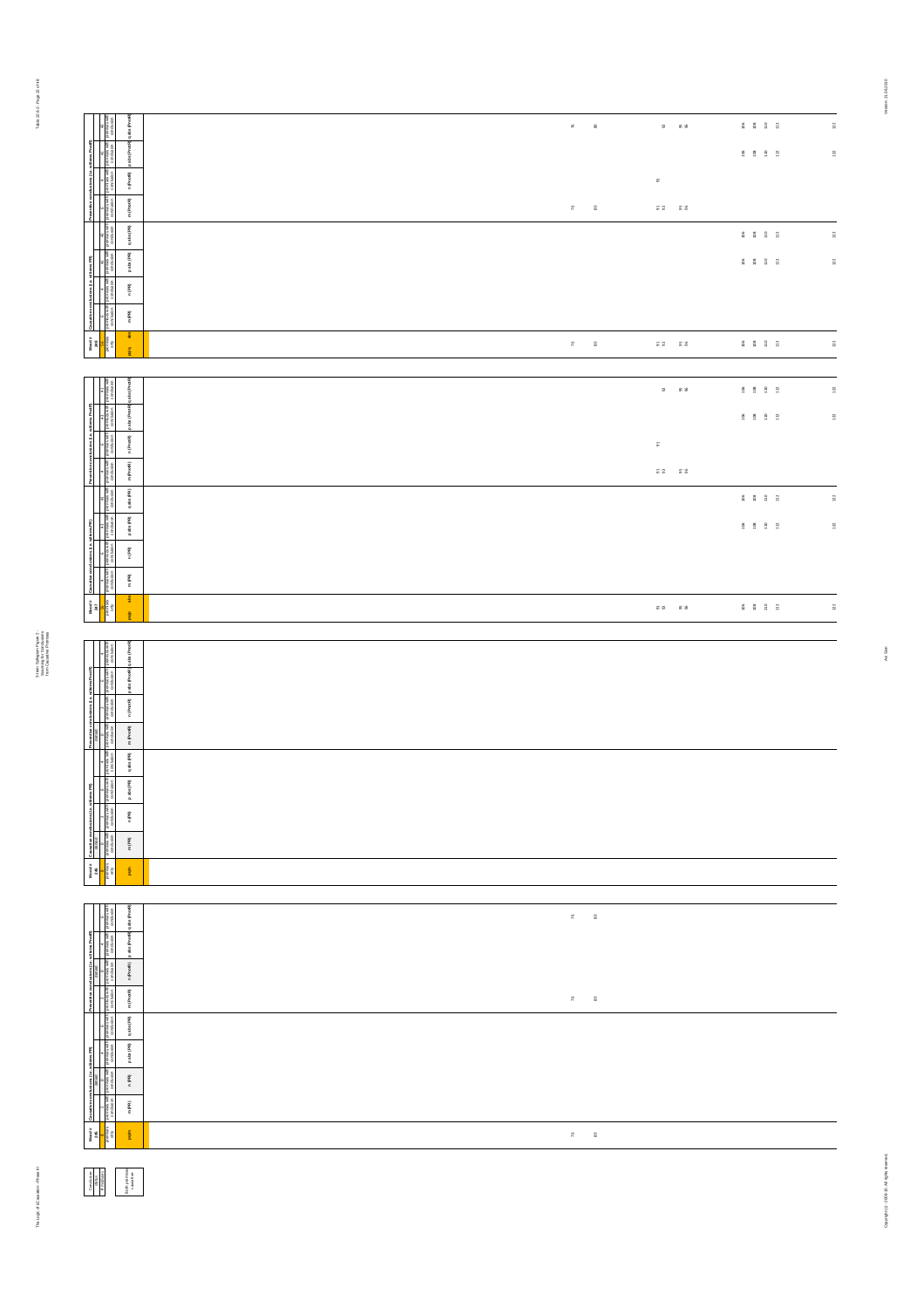|                                                                                                                                                                                                                   | p abs (PnotR) q abs (PnotR) | $\mathbb{R}^n$  | $\mathbb{S}$ |
|-------------------------------------------------------------------------------------------------------------------------------------------------------------------------------------------------------------------|-----------------------------|-----------------|--------------|
|                                                                                                                                                                                                                   |                             |                 |              |
|                                                                                                                                                                                                                   | $n$ (P rooff)               |                 |              |
|                                                                                                                                                                                                                   | $m(p \text{ node})$         | $\frac{16}{16}$ | $\mathbb{S}$ |
|                                                                                                                                                                                                                   | $\bf{q}$ abs (PR)           |                 |              |
|                                                                                                                                                                                                                   | p abs (PR)                  |                 |              |
| xemises wth premises with premises with premises with premises with premises with premises with premises with<br>conclusion — condusion — condusion — condusion — conclusion — condusion — condusion — conclusion | $_{\rm n}(\rho\,R)$         |                 |              |
|                                                                                                                                                                                                                   | $\frac{60}{10}$             |                 |              |

| atos (Prooff<br>$43$<br>nomiass with<br>corolusion                                                                                                                                                                                            | $\begin{matrix} \mathfrak{L} & \cdots & \mathfrak{L} \\ \mathfrak{L} & \cdots & \mathfrak{L} \\ \end{matrix}$                                                                                                                                                                                                                   | $\begin{array}{ccc} \mathbb{S}^1 & \mathbb{S}^1 \mathbb{S}^1 \\ \mathbb{S}^1 & \mathbb{S}^1 \mathbb{S}^1 \end{array}$                                                                                                                                                                                                                                                                                                                         | $\begin{array}{cccccccccc} 18 & 18 & 19 & 19 & 19 \\ 18 & 19 & 19 & 19 & 19 \\ 19 & 19 & 19 & 19 & 19 \\ \end{array}$ | $\mathbb{R}^2$           |
|-----------------------------------------------------------------------------------------------------------------------------------------------------------------------------------------------------------------------------------------------|---------------------------------------------------------------------------------------------------------------------------------------------------------------------------------------------------------------------------------------------------------------------------------------------------------------------------------|-----------------------------------------------------------------------------------------------------------------------------------------------------------------------------------------------------------------------------------------------------------------------------------------------------------------------------------------------------------------------------------------------------------------------------------------------|-----------------------------------------------------------------------------------------------------------------------|--------------------------|
| abs (ProtR)                                                                                                                                                                                                                                   |                                                                                                                                                                                                                                                                                                                                 |                                                                                                                                                                                                                                                                                                                                                                                                                                               | $\begin{array}{cccccccccc} \mathbf{g} & & \mathbf{g} & & \mathbf{g} & & \mathbf{g} & & \mathbf{g} \\ \end{array}$     | $\mathbb{R}^2$           |
| n (ProfR)                                                                                                                                                                                                                                     |                                                                                                                                                                                                                                                                                                                                 | $\mathbbmss{S}$                                                                                                                                                                                                                                                                                                                                                                                                                               |                                                                                                                       |                          |
| Preventive conclusions (i.e. witems Profit<br>$m$ (P roofR)                                                                                                                                                                                   | $\begin{matrix} 1 & 0 & 0 \\ 0 & 0 & 0 \\ 0 & 0 & 0 \\ 0 & 0 & 0 \\ 0 & 0 & 0 \\ 0 & 0 & 0 \\ 0 & 0 & 0 \\ 0 & 0 & 0 \\ 0 & 0 & 0 & 0 \\ 0 & 0 & 0 & 0 \\ 0 & 0 & 0 & 0 \\ 0 & 0 & 0 & 0 \\ 0 & 0 & 0 & 0 & 0 \\ 0 & 0 & 0 & 0 & 0 \\ 0 & 0 & 0 & 0 & 0 \\ 0 & 0 & 0 & 0 & 0 & 0 \\ 0 & 0 & 0 & 0 & 0 & 0 \\ 0 & 0 & 0 & 0 & 0$ | $53$ $53$                                                                                                                                                                                                                                                                                                                                                                                                                                     |                                                                                                                       |                          |
| 43<br>remises with<br>opridual on<br>$\mathbf{q}$ abs (PR)                                                                                                                                                                                    |                                                                                                                                                                                                                                                                                                                                 |                                                                                                                                                                                                                                                                                                                                                                                                                                               | $\begin{array}{cccccccccc} \mathcal{B} & \mathcal{B} & \mathcal{B} & \mathcal{B} & \mathcal{B} & \end{array}$         | $\,$ $\,$ $\,$           |
| p abs $(\mathsf{PR})$                                                                                                                                                                                                                         |                                                                                                                                                                                                                                                                                                                                 |                                                                                                                                                                                                                                                                                                                                                                                                                                               | $\begin{array}{cccccccccc} \mathbf{g} & & \mathbf{g} & & \mathbf{g} & & \mathbf{g} & & \mathbf{g} \\ \end{array}$     | $\mathbb{R}^2$           |
| $_{\rm n}(\rho\,R)$                                                                                                                                                                                                                           |                                                                                                                                                                                                                                                                                                                                 |                                                                                                                                                                                                                                                                                                                                                                                                                                               |                                                                                                                       |                          |
| ausative con dusions (i.e. witems PR)<br>$\frac{60}{10}$                                                                                                                                                                                      |                                                                                                                                                                                                                                                                                                                                 |                                                                                                                                                                                                                                                                                                                                                                                                                                               |                                                                                                                       |                          |
| ÷<br>$\begin{array}{r}\n\text{Mod } \# \\ \hline\n248 \\ \hline\n\text{pounds} \\ \hline\n\end{array}$                                                                                                                                        |                                                                                                                                                                                                                                                                                                                                 | $\begin{array}{cccccccccccccc} \varphi & \quad & \  \  &\otimes & \  \  &\circ & \  \  &\circ & \  \  &\circ & \  \  &\circ & \  \  &\circ & \  \  &\circ & \  \  &\circ & \  \  &\circ & \  \  &\circ & \  \  &\circ & \  \  &\circ & \  \  &\circ & \  \  &\circ & \  \  &\circ & \  \  &\circ & \  \  &\circ & \  \  &\circ & \  \  &\circ & \  \  &\circ & \  \  &\circ & \  \  &\circ & \  \  &\circ & \  \  &\circ & \  \  &\circ & \ $ | $\begin{array}{cccccccccccccc} 8 & 8 & 9 & 9 & 3 \\ \end{array}$                                                      | $\mathbb{R}^2$           |
|                                                                                                                                                                                                                                               |                                                                                                                                                                                                                                                                                                                                 |                                                                                                                                                                                                                                                                                                                                                                                                                                               |                                                                                                                       |                          |
| pates (ProotR)                                                                                                                                                                                                                                |                                                                                                                                                                                                                                                                                                                                 | $\begin{tabular}{lllllll} \multicolumn{2}{l}{{\bf S} & {\bf S} & {\bf S} \\ & {\bf S} & {\bf S} & {\bf S} \\ \end{tabular}$                                                                                                                                                                                                                                                                                                                   | $\begin{array}{cccccccccc} \mathbf{g} & \mathbf{g} & \mathbf{g} & \mathbf{g} & \mathbf{g} \end{array}$                | $\widetilde{\mathbf{u}}$ |
| ions (i.e. wiltems ProtR)<br>i (PnotR)<br>죸                                                                                                                                                                                                   |                                                                                                                                                                                                                                                                                                                                 |                                                                                                                                                                                                                                                                                                                                                                                                                                               | $\begin{array}{cccccccccc} \mathbf{g} & & \mathbf{g} & & \mathbf{g} & & \mathbf{g} & & \mathbf{g} \end{array}$        | $\Xi$                    |
| n (ProfR)                                                                                                                                                                                                                                     |                                                                                                                                                                                                                                                                                                                                 | $\overline{\circ}$                                                                                                                                                                                                                                                                                                                                                                                                                            |                                                                                                                       |                          |
| Preventive cor<br>$m(Proot R)$                                                                                                                                                                                                                |                                                                                                                                                                                                                                                                                                                                 | $\begin{array}{ccc} 5 & 3 & & 3 & 3 \\ 5 & 6 & & & 3 & 3 \end{array}$                                                                                                                                                                                                                                                                                                                                                                         |                                                                                                                       |                          |
| 41<br>premises with<br>canduseon<br>q abs (PR)                                                                                                                                                                                                |                                                                                                                                                                                                                                                                                                                                 |                                                                                                                                                                                                                                                                                                                                                                                                                                               | $\begin{array}{cccccccccc} \texttt{8} & \texttt{8} & \texttt{9} & \texttt{9} & \texttt{1} \end{array}$                | $\widetilde{\mathbf{u}}$ |
| 43<br>pramises with<br>conclusion<br>$p$ abs $\langle \mathsf{PR} \rangle$                                                                                                                                                                    |                                                                                                                                                                                                                                                                                                                                 |                                                                                                                                                                                                                                                                                                                                                                                                                                               | $\begin{array}{cccccccccc} \mathbf{g} & & \mathbf{g} & & \mathbf{g} & & \mathbf{g} & & \mathbf{g} \end{array}$        | $\Xi$                    |
| usative conclusions (i.e. witems PR)<br>$_{\rm n}$ (PR)                                                                                                                                                                                       |                                                                                                                                                                                                                                                                                                                                 |                                                                                                                                                                                                                                                                                                                                                                                                                                               |                                                                                                                       |                          |
| $\omega$ or $\omega$                                                                                                                                                                                                                          |                                                                                                                                                                                                                                                                                                                                 |                                                                                                                                                                                                                                                                                                                                                                                                                                               |                                                                                                                       |                          |
| 漫<br>Mood#<br>247<br>promises<br>comises<br>å                                                                                                                                                                                                 |                                                                                                                                                                                                                                                                                                                                 | $88$ $88$                                                                                                                                                                                                                                                                                                                                                                                                                                     |                                                                                                                       | $\mathbb{R}^2$           |
|                                                                                                                                                                                                                                               |                                                                                                                                                                                                                                                                                                                                 |                                                                                                                                                                                                                                                                                                                                                                                                                                               |                                                                                                                       |                          |
| 흨                                                                                                                                                                                                                                             |                                                                                                                                                                                                                                                                                                                                 |                                                                                                                                                                                                                                                                                                                                                                                                                                               |                                                                                                                       |                          |
| 흌                                                                                                                                                                                                                                             |                                                                                                                                                                                                                                                                                                                                 |                                                                                                                                                                                                                                                                                                                                                                                                                                               |                                                                                                                       |                          |
| Preventive conclusions (i.e. withere Prost)<br>- derived<br>- pramise with poemies with poemies with pro<br>- conclusion - conclusion - conclusion - co<br>n (Proff)                                                                          |                                                                                                                                                                                                                                                                                                                                 |                                                                                                                                                                                                                                                                                                                                                                                                                                               |                                                                                                                       |                          |
| u<br>promises with<br>candusion<br>$m$ (Prooff)                                                                                                                                                                                               |                                                                                                                                                                                                                                                                                                                                 |                                                                                                                                                                                                                                                                                                                                                                                                                                               |                                                                                                                       |                          |
| $q$ abs $\langle \mathsf{PR} \rangle$<br>4<br>comises with<br>corclusion                                                                                                                                                                      |                                                                                                                                                                                                                                                                                                                                 |                                                                                                                                                                                                                                                                                                                                                                                                                                               |                                                                                                                       |                          |
| $p$ abs (PR)                                                                                                                                                                                                                                  |                                                                                                                                                                                                                                                                                                                                 |                                                                                                                                                                                                                                                                                                                                                                                                                                               |                                                                                                                       |                          |
| $\frac{6}{5}$                                                                                                                                                                                                                                 |                                                                                                                                                                                                                                                                                                                                 |                                                                                                                                                                                                                                                                                                                                                                                                                                               |                                                                                                                       |                          |
| Moodial Causanive.com/subloms.β.e.w/kamas.PR)<br>2.46 – civilies – civilies – civiliana (Alexandre PR)<br>pomilies – pomilies van pomilies van pomilies van<br>pomilies – conclusion – conclusion – conclusion<br>$\mathfrak{m}(\mathsf{PR})$ |                                                                                                                                                                                                                                                                                                                                 |                                                                                                                                                                                                                                                                                                                                                                                                                                               |                                                                                                                       |                          |
| $\frac{\epsilon}{2}$                                                                                                                                                                                                                          |                                                                                                                                                                                                                                                                                                                                 |                                                                                                                                                                                                                                                                                                                                                                                                                                               |                                                                                                                       |                          |
|                                                                                                                                                                                                                                               |                                                                                                                                                                                                                                                                                                                                 |                                                                                                                                                                                                                                                                                                                                                                                                                                               |                                                                                                                       |                          |
| quisipho                                                                                                                                                                                                                                      | $\mathbf{S}$<br>$\approx$                                                                                                                                                                                                                                                                                                       |                                                                                                                                                                                                                                                                                                                                                                                                                                               |                                                                                                                       |                          |
| reventive conclusions (i.e., witems PnoR)<br>p abs (PnotR)<br>4<br>omkres with<br>condusion                                                                                                                                                   |                                                                                                                                                                                                                                                                                                                                 |                                                                                                                                                                                                                                                                                                                                                                                                                                               |                                                                                                                       |                          |
| $n$ (P roofR)                                                                                                                                                                                                                                 |                                                                                                                                                                                                                                                                                                                                 |                                                                                                                                                                                                                                                                                                                                                                                                                                               |                                                                                                                       |                          |
| $m$ (P rooff)<br>6<br>comises with premises with<br>condusion conclusion                                                                                                                                                                      | $\stackrel{\scriptscriptstyle \times}{\phantom{}_{\sim}}$ . $\stackrel{\scriptscriptstyle \times}{\phantom{}_{\sim}}$                                                                                                                                                                                                           |                                                                                                                                                                                                                                                                                                                                                                                                                                               |                                                                                                                       |                          |
| q abs (PR)                                                                                                                                                                                                                                    |                                                                                                                                                                                                                                                                                                                                 |                                                                                                                                                                                                                                                                                                                                                                                                                                               |                                                                                                                       |                          |
| p abs $\varphi$ R)<br>usative condiusions (i.e. witems PR)<br>  derival                                                                                                                                                                       |                                                                                                                                                                                                                                                                                                                                 |                                                                                                                                                                                                                                                                                                                                                                                                                                               |                                                                                                                       |                          |
| $_{\rm n}$ (PR)                                                                                                                                                                                                                               |                                                                                                                                                                                                                                                                                                                                 |                                                                                                                                                                                                                                                                                                                                                                                                                                               |                                                                                                                       |                          |
| $\frac{\partial R}{\partial t}$                                                                                                                                                                                                               |                                                                                                                                                                                                                                                                                                                                 |                                                                                                                                                                                                                                                                                                                                                                                                                                               |                                                                                                                       |                          |
| $\frac{1}{245}$<br>amissa<br>only                                                                                                                                                                                                             | 76<br>$\mathbb{S}$                                                                                                                                                                                                                                                                                                              |                                                                                                                                                                                                                                                                                                                                                                                                                                               |                                                                                                                       |                          |

|                        | Iă.                   | $\mathbf{r}$                 |  |
|------------------------|-----------------------|------------------------------|--|
| a۳<br>-a<br>ş.         | ほく<br>l≊.             | ÷<br>$\mathbf{a}$            |  |
| ÷                      | $\frac{6}{8}$ g<br>็∛ | e.<br>ъ.<br>$\epsilon$       |  |
| Preventive<br>detailed | lž.<br>E <sub>S</sub> | $\widehat{\alpha}$<br>氐<br>€ |  |
|                        | i with<br>Iă.         | s (PR)<br>$\sigma$           |  |
| £<br>÷.                | <b>Light</b>          | Ê<br>$\mathbf{a}$            |  |
| ತ                      | ۱ŧ,<br>$\sim 8$       | ε<br>$\epsilon$              |  |
| - 3                    | astre<br>Seried<br>E  | $\widehat{\mathbf{g}}$<br>€  |  |
| Mood #                 | <b>Kubo</b>           |                              |  |

| p abs (ProtR)<br>41<br>premises with<br>condusion                                                                                                                                                                                                                                                                                                                                                                                                                                                                                                               |                                   |                                                                                    | $\mathbb{R}^2$                                                                                                                                                                                                                                                                                                                                             |
|-----------------------------------------------------------------------------------------------------------------------------------------------------------------------------------------------------------------------------------------------------------------------------------------------------------------------------------------------------------------------------------------------------------------------------------------------------------------------------------------------------------------------------------------------------------------|-----------------------------------|------------------------------------------------------------------------------------|------------------------------------------------------------------------------------------------------------------------------------------------------------------------------------------------------------------------------------------------------------------------------------------------------------------------------------------------------------|
| n (ProdR)                                                                                                                                                                                                                                                                                                                                                                                                                                                                                                                                                       |                                   | $\rm s$                                                                            |                                                                                                                                                                                                                                                                                                                                                            |
| reventive conclusions (i.e. witems Prooft)<br>$m$ (P rooff)                                                                                                                                                                                                                                                                                                                                                                                                                                                                                                     | $\mathcal{C}$ , $\mathcal{C}$     | 53 58                                                                              |                                                                                                                                                                                                                                                                                                                                                            |
| $q$ abs (PR)                                                                                                                                                                                                                                                                                                                                                                                                                                                                                                                                                    |                                   |                                                                                    | $\begin{array}{cccccccccccccc} 8 & 8 & 9 & 9 & 3 \\ \end{array}$<br>$\widetilde{\mathbf{z}}$                                                                                                                                                                                                                                                               |
| 41<br>remises with<br>condusion<br>pats (PR)                                                                                                                                                                                                                                                                                                                                                                                                                                                                                                                    |                                   |                                                                                    | $\mathbb{R}^2$<br>$\begin{array}{cccccccccc} 8 & & 8 & & 9 & & 9 \\ 10 & & 10 & & 10 & & 10 \\ 11 & & 11 & & 10 & & 10 \\ 12 & & 12 & & 12 & & 10 \\ 13 & & 13 & & 12 & & 10 \\ 14 & & 14 & & 14 & & 10 \\ 15 & & 15 & & 12 & & 10 \\ 16 & & 15 & & 12 & & 10 \\ 17 & & 15 & & 12 & & 10 \\ 18 & & 15 & & 12 & & 10 \\ 19 & & 15 & & 12 & & 10 \\ 19 & & $ |
| ses with<br>1usien<br>$_{\rm n}$ (PR)                                                                                                                                                                                                                                                                                                                                                                                                                                                                                                                           |                                   |                                                                                    |                                                                                                                                                                                                                                                                                                                                                            |
| ausative con duslons (i.e. witems PR)<br>6<br>remises with<br>conclusion<br>$\frac{68}{6}$                                                                                                                                                                                                                                                                                                                                                                                                                                                                      |                                   |                                                                                    |                                                                                                                                                                                                                                                                                                                                                            |
| ÷                                                                                                                                                                                                                                                                                                                                                                                                                                                                                                                                                               |                                   |                                                                                    |                                                                                                                                                                                                                                                                                                                                                            |
| $\begin{array}{c c}\n\text{Mod } n \\ \hline\n248\n\end{array}$<br>see Library<br>contrast<br>contrast<br>$\frac{g}{R}$                                                                                                                                                                                                                                                                                                                                                                                                                                         | $\mathcal{R}$ , and $\mathcal{R}$ | $53 - 58$                                                                          | $-\frac{2}{12}$<br>$\begin{array}{cccccccccccccc} 8 & 8 & 8 & 8 & 8 & 8 \\ \end{array}$                                                                                                                                                                                                                                                                    |
| q abs (Prot R)<br>41<br>premises with<br>condusion                                                                                                                                                                                                                                                                                                                                                                                                                                                                                                              |                                   | $\begin{array}{ccc} \mathbb{S} & \mathbb{S} & \mathbb{S} \end{array}$              | $\widetilde{\mathbf{a}}$                                                                                                                                                                                                                                                                                                                                   |
| abs (Pnot                                                                                                                                                                                                                                                                                                                                                                                                                                                                                                                                                       |                                   |                                                                                    | $\Xi$<br>$\begin{array}{cccccccccc} \mathbf{g} & & \mathbf{g} & & \mathbf{g} & & \mathbf{g} & & \mathbf{g} \end{array}$                                                                                                                                                                                                                                    |
| Preventive conclusions (i.e. whereas ProcR)<br> -<br>  pomises with   pomises with   promises with   pro<br>  pondusion   pomises   conclusion   pro<br>n (ProfR)                                                                                                                                                                                                                                                                                                                                                                                               |                                   | $\overline{\circ}$                                                                 |                                                                                                                                                                                                                                                                                                                                                            |
|                                                                                                                                                                                                                                                                                                                                                                                                                                                                                                                                                                 |                                   |                                                                                    |                                                                                                                                                                                                                                                                                                                                                            |
| $m(\mathsf{Proof}\,\mathsf{R})$<br>$\frac{43}{4}$ premises with premises with<br>condusion condusion                                                                                                                                                                                                                                                                                                                                                                                                                                                            |                                   | $53$ $38$                                                                          |                                                                                                                                                                                                                                                                                                                                                            |
| qabs $(PR)$                                                                                                                                                                                                                                                                                                                                                                                                                                                                                                                                                     |                                   |                                                                                    | $\begin{array}{cccccccccc} \texttt{8} & \texttt{8} & \texttt{9} & \texttt{9} & \texttt{1} \end{array}$<br>$\widetilde{\mathbf{a}}$                                                                                                                                                                                                                         |
| 43<br>premises with<br>conclusion<br>$p$ atos $\langle \mathsf{PR} \rangle$                                                                                                                                                                                                                                                                                                                                                                                                                                                                                     |                                   |                                                                                    | $\begin{array}{cccccccccc} \mathbf{g} & & \mathbf{g} & & \mathbf{g} & & \mathbf{g} & & \mathbf{g} \end{array}$<br>$\Xi$                                                                                                                                                                                                                                    |
| usative conclusions (i.e. witems PR)<br>$\frac{6}{6}$                                                                                                                                                                                                                                                                                                                                                                                                                                                                                                           |                                   |                                                                                    |                                                                                                                                                                                                                                                                                                                                                            |
| 4<br>comises with<br>condusion<br>$\mathfrak{g}_{\mathfrak{g}}$                                                                                                                                                                                                                                                                                                                                                                                                                                                                                                 |                                   |                                                                                    |                                                                                                                                                                                                                                                                                                                                                            |
| 圖<br>$\begin{array}{r}\n\text{Mod } n \\ \text{and } \\ \text{and } \\ \text{points on} \\ \text{or } \\ \text{or } \\ \text{or } \\ \text{or } \\ \text{or } \\ \text{or } \\ \text{or } \\ \text{or } \\ \text{or } \\ \text{or } \\ \text{or } \\ \text{or } \\ \text{or } \\ \text{or } \\ \text{or } \\ \text{or } \\ \text{or } \\ \text{or } \\ \text{or } \\ \text{or } \\ \text{or } \\ \text{or } \\ \text{or } \\ \text{or } \\ \text{or } \\ \text{or } \\ \text{or } \\ \text{or } \\ \text{or } \\ \text{or } \\ \text{or } \\ $<br>$\frac{a}{R}$ |                                   | $\begin{array}{ccc} \texttt{g} & \texttt{g} & \texttt{g} & \texttt{g} \end{array}$ | $\widetilde{\mathbf{a}}$                                                                                                                                                                                                                                                                                                                                   |
|                                                                                                                                                                                                                                                                                                                                                                                                                                                                                                                                                                 |                                   |                                                                                    |                                                                                                                                                                                                                                                                                                                                                            |
| $a$ also $(p \text{ node})$<br>4<br>remises with<br>conclusion                                                                                                                                                                                                                                                                                                                                                                                                                                                                                                  |                                   |                                                                                    |                                                                                                                                                                                                                                                                                                                                                            |
| lusions (i.e. w/lorms Prooff)<br>stos (ProdR)                                                                                                                                                                                                                                                                                                                                                                                                                                                                                                                   |                                   |                                                                                    |                                                                                                                                                                                                                                                                                                                                                            |
| $n$ (Pro $\mathfrak{R}$ )                                                                                                                                                                                                                                                                                                                                                                                                                                                                                                                                       |                                   |                                                                                    |                                                                                                                                                                                                                                                                                                                                                            |
| $m$ (P rooff)                                                                                                                                                                                                                                                                                                                                                                                                                                                                                                                                                   |                                   |                                                                                    |                                                                                                                                                                                                                                                                                                                                                            |
| $q$ ab s $\langle \mathsf{PR} \rangle$<br>A<br>premises with<br>conclusion                                                                                                                                                                                                                                                                                                                                                                                                                                                                                      |                                   |                                                                                    |                                                                                                                                                                                                                                                                                                                                                            |
| 6<br>premises with<br>condusion<br>$p$ abs (PR)                                                                                                                                                                                                                                                                                                                                                                                                                                                                                                                 |                                   |                                                                                    |                                                                                                                                                                                                                                                                                                                                                            |
| n (PR)                                                                                                                                                                                                                                                                                                                                                                                                                                                                                                                                                          |                                   |                                                                                    |                                                                                                                                                                                                                                                                                                                                                            |
| Causative conclusions (i.e. whene PR)<br> -<br>  penison   penison is   peninse with<br>  conclusion   conclusion   conclusion  <br>$\mathfrak{m}(\mathsf{PR})$                                                                                                                                                                                                                                                                                                                                                                                                 |                                   |                                                                                    |                                                                                                                                                                                                                                                                                                                                                            |
| $\begin{array}{c}\n\text{Mod } n \\ \hline\n246\n\end{array}$<br>pomises<br>$\frac{e}{\hbar}$                                                                                                                                                                                                                                                                                                                                                                                                                                                                   |                                   |                                                                                    |                                                                                                                                                                                                                                                                                                                                                            |
|                                                                                                                                                                                                                                                                                                                                                                                                                                                                                                                                                                 |                                   |                                                                                    |                                                                                                                                                                                                                                                                                                                                                            |
| 6<br>promises with<br>condusion<br>qabs@no                                                                                                                                                                                                                                                                                                                                                                                                                                                                                                                      | $\mathbb{R}^n$<br>$\mathbb{S}$    |                                                                                    |                                                                                                                                                                                                                                                                                                                                                            |
| reventive conclusions (i.e. witems Pnoff)<br>p abs (ProtR)                                                                                                                                                                                                                                                                                                                                                                                                                                                                                                      |                                   |                                                                                    |                                                                                                                                                                                                                                                                                                                                                            |
| $n$ (ProofR)                                                                                                                                                                                                                                                                                                                                                                                                                                                                                                                                                    |                                   |                                                                                    |                                                                                                                                                                                                                                                                                                                                                            |
| $m$ (P roofR)                                                                                                                                                                                                                                                                                                                                                                                                                                                                                                                                                   | $\mathbb{R}$ – $\mathbb{S}$       |                                                                                    |                                                                                                                                                                                                                                                                                                                                                            |
| $\frac{6}{100}$ with premises with premises with conclusion<br>qabs (PR)                                                                                                                                                                                                                                                                                                                                                                                                                                                                                        |                                   |                                                                                    |                                                                                                                                                                                                                                                                                                                                                            |
| pates (PR)                                                                                                                                                                                                                                                                                                                                                                                                                                                                                                                                                      |                                   |                                                                                    |                                                                                                                                                                                                                                                                                                                                                            |
| usative condusions (i.e. witems PR)<br>$_{\rm n}$ (PR)                                                                                                                                                                                                                                                                                                                                                                                                                                                                                                          |                                   |                                                                                    |                                                                                                                                                                                                                                                                                                                                                            |
|                                                                                                                                                                                                                                                                                                                                                                                                                                                                                                                                                                 |                                   |                                                                                    |                                                                                                                                                                                                                                                                                                                                                            |
| m (PR)                                                                                                                                                                                                                                                                                                                                                                                                                                                                                                                                                          |                                   |                                                                                    |                                                                                                                                                                                                                                                                                                                                                            |
| $\begin{array}{c}\n\mathbf{M} \\ \mathbf{M} \\ \mathbf{M}\n\end{array}$<br>premises<br>$\frac{6}{3}$                                                                                                                                                                                                                                                                                                                                                                                                                                                            |                                   |                                                                                    |                                                                                                                                                                                                                                                                                                                                                            |

Conclusion status # moduses causative Both premises

 $rac{6}{30}$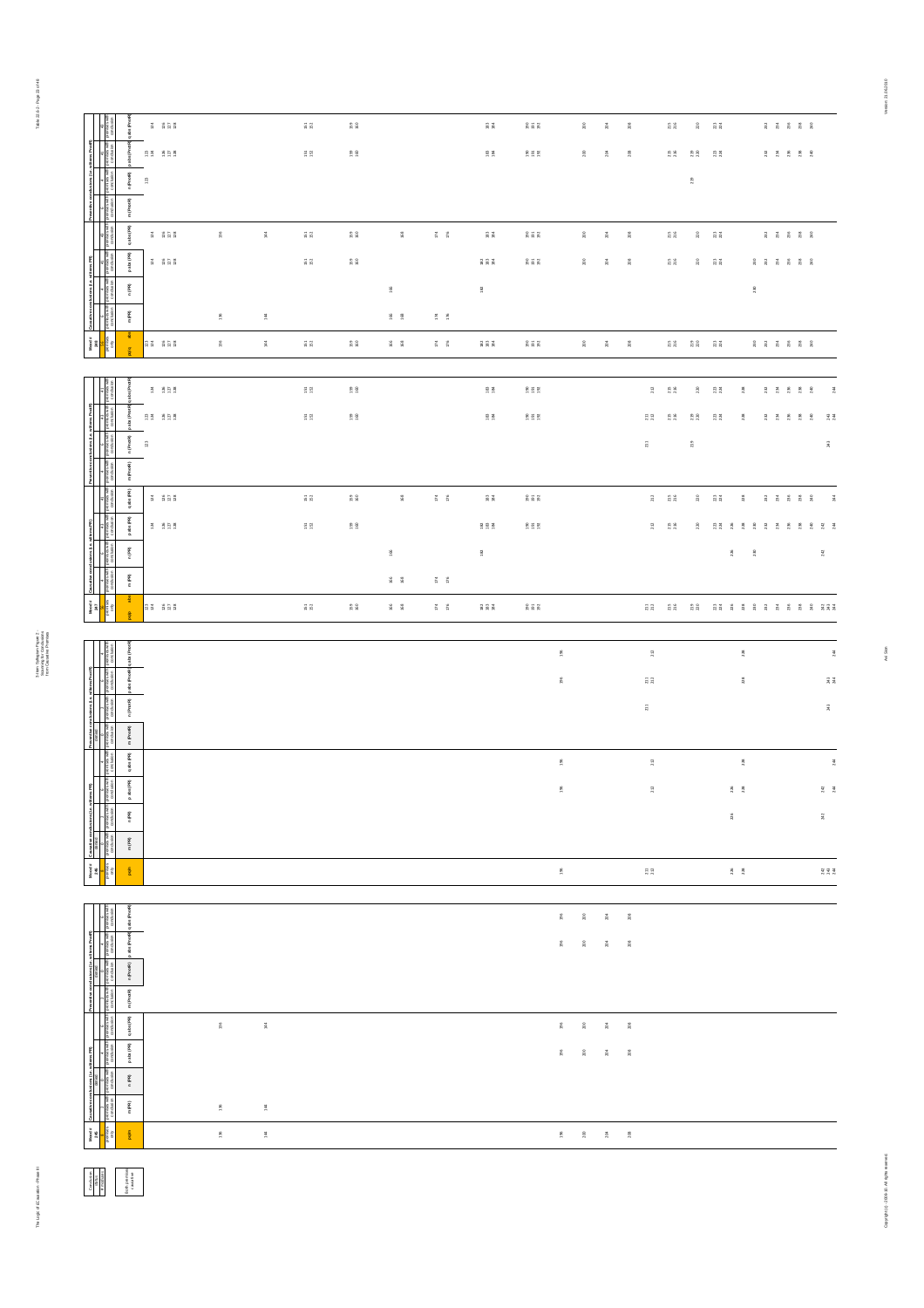|                                       |                             |                         | $\begin{array}{cc} \mathbb{R} & \mathbb{R} & \mathbb{R} \\ \mathbb{R} & \mathbb{R} & \mathbb{R} \\ \mathbb{R} & \mathbb{R} & \mathbb{R} \end{array}$                                                                                                                                                                                                                                                                                       |                                       |                 | $\frac{51}{152}$                                                                                                                                                        | <b>59</b><br>160                                       |                                                |                                           | $\substack{23 \\ 23}$                                                          | $\frac{8}{3}$ $\frac{5}{3}$ $\frac{8}{3}$                                   |                |                                                                                                                                                                                                                                                                                                                                  | $\begin{matrix} 2 & 3 & 3 \\ 2 & 3 & 3 \\ 3 & 3 & 3 \\ 3 & 3 & 3 \\ 3 & 3 & 3 \\ 3 & 3 & 3 \\ 3 & 3 & 3 \\ 3 & 3 & 3 \\ 3 & 3 & 3 \\ 3 & 3 & 3 \\ 3 & 3 & 3 \\ 3 & 3 & 3 \\ 3 & 3 & 3 \\ 3 & 3 & 3 \\ 3 & 3 & 3 & 3 \\ 3 & 3 & 3 & 3 \\ 3 & 3 & 3 & 3 \\ 3 & 3 & 3 & 3 \\ 3 & 3 & 3 & 3 \\ 3 & 3 & 3 & 3 \\ 3 & 3 & 3 & 3 \\ 3 & 3$   |                                                                                                                                                                                                                                                                                                                                   |                      | $\substack{215 \\ 216}$                                       |                   | $\begin{array}{cc} 20 & 23 \\ 23 & 24 \end{array}$                                                        |                                          |                                                                                                                                                                                                                                                                                                                                                                                                                                     | $\begin{array}{cccccccccc} \Xi & \Xi & \Xi & \Xi & \Xi & \Xi \end{array}$ |                                                                                                                                                                                                                                                                                                                                                                                                                                                               |
|---------------------------------------|-----------------------------|-------------------------|--------------------------------------------------------------------------------------------------------------------------------------------------------------------------------------------------------------------------------------------------------------------------------------------------------------------------------------------------------------------------------------------------------------------------------------------|---------------------------------------|-----------------|-------------------------------------------------------------------------------------------------------------------------------------------------------------------------|--------------------------------------------------------|------------------------------------------------|-------------------------------------------|--------------------------------------------------------------------------------|-----------------------------------------------------------------------------|----------------|----------------------------------------------------------------------------------------------------------------------------------------------------------------------------------------------------------------------------------------------------------------------------------------------------------------------------------|---------------------------------------------------------------------------------------------------------------------------------------------------------------------------------------------------------------------------------------------------------------------------------------------------------------------------------------|-----------------------------------------------------------------------------------------------------------------------------------------------------------------------------------------------------------------------------------------------------------------------------------------------------------------------------------|----------------------|---------------------------------------------------------------|-------------------|-----------------------------------------------------------------------------------------------------------|------------------------------------------|-------------------------------------------------------------------------------------------------------------------------------------------------------------------------------------------------------------------------------------------------------------------------------------------------------------------------------------------------------------------------------------------------------------------------------------|---------------------------------------------------------------------------|---------------------------------------------------------------------------------------------------------------------------------------------------------------------------------------------------------------------------------------------------------------------------------------------------------------------------------------------------------------------------------------------------------------------------------------------------------------|
|                                       |                             |                         | $33 - 333$                                                                                                                                                                                                                                                                                                                                                                                                                                 |                                       |                 | 151                                                                                                                                                                     | <b>SS</b><br>160                                       |                                                |                                           | $\substack{23 \\ 23}$                                                          | $\frac{5}{2}$ $\frac{5}{2}$ $\frac{3}{2}$                                   |                |                                                                                                                                                                                                                                                                                                                                  | $\begin{matrix} 0 & \cdots & 0 \\ 0 & \cdots & 0 \\ 0 & \cdots & 0 \end{matrix}$                                                                                                                                                                                                                                                      |                                                                                                                                                                                                                                                                                                                                   |                      |                                                               |                   | $\begin{array}{ccc}\n\text{11} & \text{12} & \text{13} \\ \text{14} & \text{15} & \text{16}\n\end{array}$ |                                          |                                                                                                                                                                                                                                                                                                                                                                                                                                     | $\begin{array}{cccccccccc} \Xi & \Xi & \Xi & \Xi & \Xi & \Xi \end{array}$ |                                                                                                                                                                                                                                                                                                                                                                                                                                                               |
|                                       |                             | $\overline{\mathbf{u}}$ |                                                                                                                                                                                                                                                                                                                                                                                                                                            |                                       |                 |                                                                                                                                                                         |                                                        |                                                |                                           |                                                                                |                                                                             |                |                                                                                                                                                                                                                                                                                                                                  |                                                                                                                                                                                                                                                                                                                                       |                                                                                                                                                                                                                                                                                                                                   |                      |                                                               | $_{\rm 219}$      |                                                                                                           |                                          |                                                                                                                                                                                                                                                                                                                                                                                                                                     |                                                                           |                                                                                                                                                                                                                                                                                                                                                                                                                                                               |
|                                       |                             |                         |                                                                                                                                                                                                                                                                                                                                                                                                                                            |                                       |                 |                                                                                                                                                                         |                                                        |                                                |                                           |                                                                                |                                                                             |                |                                                                                                                                                                                                                                                                                                                                  |                                                                                                                                                                                                                                                                                                                                       |                                                                                                                                                                                                                                                                                                                                   |                      |                                                               |                   |                                                                                                           |                                          |                                                                                                                                                                                                                                                                                                                                                                                                                                     |                                                                           |                                                                                                                                                                                                                                                                                                                                                                                                                                                               |
|                                       | 1ab6(PR)                    |                         | $\begin{array}{cc} \mathbf{3} & \mathbf{3} & \mathbf{5} \\ \mathbf{2} & \mathbf{3} & \mathbf{3} \\ \end{array}$                                                                                                                                                                                                                                                                                                                            | $_{136}$                              | $\frac{4}{3}$   | $\substack{+5.1\\-1.52}$                                                                                                                                                | 359                                                    |                                                | $168$ $174$                               | $\frac{23}{18}$                                                                | $\begin{smallmatrix} 0 & 0 & 0 \\ 0 & 0 & 0 \\ 0 & 0 & 0 \end{smallmatrix}$ |                |                                                                                                                                                                                                                                                                                                                                  | $\begin{matrix} 2 & 3 \\ 2 & 3 \\ 3 & 4 \end{matrix}$                                                                                                                                                                                                                                                                                 |                                                                                                                                                                                                                                                                                                                                   |                      | $\substack{25 \\ 216}$                                        |                   | $\begin{array}{cc} 23 \\ 23 \\ 24 \end{array}$                                                            |                                          |                                                                                                                                                                                                                                                                                                                                                                                                                                     |                                                                           |                                                                                                                                                                                                                                                                                                                                                                                                                                                               |
|                                       | Ê                           |                         | $\frac{3}{2}$ $\frac{3}{2}$ $\frac{5}{2}$ $\frac{3}{2}$ $\frac{3}{2}$                                                                                                                                                                                                                                                                                                                                                                      |                                       |                 | $\substack{51\\52}$                                                                                                                                                     | 359                                                    |                                                |                                           | $\begin{array}{c} 23 \\ 23 \\ 34 \\ \end{array}$                               | $\frac{8}{3}$ $\frac{5}{3}$ $\frac{8}{3}$                                   |                |                                                                                                                                                                                                                                                                                                                                  | $\begin{matrix} 2 & 3 & 3 \\ 2 & 3 & 3 \\ 3 & 3 & 3 \\ 3 & 3 & 3 \\ 3 & 3 & 3 \\ 3 & 3 & 3 \\ 3 & 3 & 3 \\ 3 & 3 & 3 \\ 3 & 3 & 3 \\ 3 & 3 & 3 \\ 3 & 3 & 3 \\ 3 & 3 & 3 \\ 3 & 3 & 3 \\ 3 & 3 & 3 \\ 3 & 3 & 3 \\ 3 & 3 & 3 \\ 3 & 3 & 3 \\ 3 & 3 & 3 \\ 3 & 3 & 3 \\ 3 & 3 & 3 \\ 3 & 3 & 3 \\ 3 & 3 & 3 \\ 3 & 3 & 3 \\ 3 & 3 & 3$ |                                                                                                                                                                                                                                                                                                                                   |                      | $\substack{215 \\ 216}$                                       |                   | $\begin{matrix} 3 & \phantom{-}3\,3 \\ \phantom{-}3 & \phantom{-}3 \end{matrix}$                          |                                          | $\begin{array}{cccccccccc} \mathbf{S} & \mathbf{H} & \mathbf{H} & \mathbf{H} & \mathbf{H} & \mathbf{H} & \mathbf{H} & \mathbf{H} \end{array}$                                                                                                                                                                                                                                                                                       |                                                                           |                                                                                                                                                                                                                                                                                                                                                                                                                                                               |
|                                       | n (PR)                      |                         |                                                                                                                                                                                                                                                                                                                                                                                                                                            |                                       |                 |                                                                                                                                                                         |                                                        | $366\,$                                        |                                           | $\widetilde{\mathfrak{M}}$                                                     |                                                                             |                |                                                                                                                                                                                                                                                                                                                                  |                                                                                                                                                                                                                                                                                                                                       |                                                                                                                                                                                                                                                                                                                                   |                      |                                                               |                   |                                                                                                           |                                          | $_{\rm 20}$                                                                                                                                                                                                                                                                                                                                                                                                                         |                                                                           |                                                                                                                                                                                                                                                                                                                                                                                                                                                               |
|                                       | $\frac{m}{n}$               |                         |                                                                                                                                                                                                                                                                                                                                                                                                                                            | $\frac{35}{2}$                        | $\frac{3}{2}$   |                                                                                                                                                                         |                                                        | 98.98                                          | $\begin{array}{cc} \Xi & \Xi \end{array}$ |                                                                                |                                                                             |                |                                                                                                                                                                                                                                                                                                                                  |                                                                                                                                                                                                                                                                                                                                       |                                                                                                                                                                                                                                                                                                                                   |                      |                                                               |                   |                                                                                                           |                                          |                                                                                                                                                                                                                                                                                                                                                                                                                                     |                                                                           |                                                                                                                                                                                                                                                                                                                                                                                                                                                               |
| $rac{3}{248}$                         |                             |                         | na ana                                                                                                                                                                                                                                                                                                                                                                                                                                     | $^{136}\,$                            | $\frac{\pi}{2}$ | 151                                                                                                                                                                     | S9<br>160                                              | $\frac{9}{2}$ $\frac{3}{2}$                    | $\frac{74}{176}$                          | ន្ទន្ទ                                                                         | $\frac{5}{2}$ $\frac{5}{2}$ $\frac{3}{2}$                                   |                |                                                                                                                                                                                                                                                                                                                                  |                                                                                                                                                                                                                                                                                                                                       | $\begin{matrix} 2 & 3 & 3 \\ 2 & 3 & 3 \\ 3 & 3 & 3 \\ 3 & 3 & 3 \end{matrix}$                                                                                                                                                                                                                                                    |                      |                                                               | <b>A 32 33 33</b> |                                                                                                           |                                          | $\begin{array}{cccccccccc} \mathbb{S} & \mathbb{S} & \mathbb{S} & \mathbb{S} & \mathbb{S} & \mathbb{S} & \mathbb{S} & \mathbb{S} & \mathbb{S} & \mathbb{S} & \mathbb{S} & \mathbb{S} & \mathbb{S} & \mathbb{S} & \mathbb{S} & \mathbb{S} & \mathbb{S} & \mathbb{S} & \mathbb{S} & \mathbb{S} & \mathbb{S} & \mathbb{S} & \mathbb{S} & \mathbb{S} & \mathbb{S} & \mathbb{S} & \mathbb{S} & \mathbb{S} & \mathbb{S} & \mathbb{S} & \$ |                                                                           |                                                                                                                                                                                                                                                                                                                                                                                                                                                               |
|                                       |                             |                         |                                                                                                                                                                                                                                                                                                                                                                                                                                            |                                       |                 |                                                                                                                                                                         |                                                        |                                                |                                           |                                                                                |                                                                             |                |                                                                                                                                                                                                                                                                                                                                  |                                                                                                                                                                                                                                                                                                                                       |                                                                                                                                                                                                                                                                                                                                   |                      |                                                               |                   |                                                                                                           |                                          |                                                                                                                                                                                                                                                                                                                                                                                                                                     |                                                                           |                                                                                                                                                                                                                                                                                                                                                                                                                                                               |
|                                       |                             |                         | $\begin{array}{cc} \overline{\Omega} & \quad \  \  \, \Omega & \quad \  \  \, \Omega \\ \quad \  \  \, \Omega & \quad \  \  \, \Omega \end{array}$                                                                                                                                                                                                                                                                                         |                                       |                 | $\stackrel{\scriptscriptstyle{1}}{\scriptscriptstyle{2}}\stackrel{\scriptscriptstyle{2}}{\scriptscriptstyle{3}}\stackrel{\scriptscriptstyle{3}}{\scriptscriptstyle{3}}$ | $\substack{9\\56}$                                     |                                                |                                           | $\frac{m}{8}$ $\frac{m}{8}$                                                    | $\begin{smallmatrix} 0 & \pi & \pi \\ \pi & \pi & \pi \end{smallmatrix}$    |                |                                                                                                                                                                                                                                                                                                                                  |                                                                                                                                                                                                                                                                                                                                       |                                                                                                                                                                                                                                                                                                                                   |                      | $\begin{array}{cc} 22 \\ 21 \\ 21 \\ 21 \\ 21 \\ \end{array}$ |                   | $\begin{matrix} 2 & 3 \\ 3 & 4 \end{matrix}$                                                              | $_{\rm 23}$                              |                                                                                                                                                                                                                                                                                                                                                                                                                                     |                                                                           |                                                                                                                                                                                                                                                                                                                                                                                                                                                               |
|                                       |                             |                         | 88 888                                                                                                                                                                                                                                                                                                                                                                                                                                     |                                       |                 | 55 BS                                                                                                                                                                   | 33.8                                                   |                                                |                                           | $\frac{23}{11}$                                                                | 858                                                                         |                |                                                                                                                                                                                                                                                                                                                                  |                                                                                                                                                                                                                                                                                                                                       |                                                                                                                                                                                                                                                                                                                                   |                      | <b>HH HH HH HH</b>                                            |                   |                                                                                                           | 223                                      |                                                                                                                                                                                                                                                                                                                                                                                                                                     |                                                                           | $\begin{array}{cccccccccccccc} & A & A & B & B & B & B & B \\ A & B & B & B & B & B & B & B \\ \end{array}$                                                                                                                                                                                                                                                                                                                                                   |
|                                       |                             | $^{\rm 123}$            |                                                                                                                                                                                                                                                                                                                                                                                                                                            |                                       |                 |                                                                                                                                                                         |                                                        |                                                |                                           |                                                                                |                                                                             |                |                                                                                                                                                                                                                                                                                                                                  |                                                                                                                                                                                                                                                                                                                                       |                                                                                                                                                                                                                                                                                                                                   |                      | $\frac{1}{2}$                                                 |                   |                                                                                                           |                                          |                                                                                                                                                                                                                                                                                                                                                                                                                                     |                                                                           | $\vec{z}$                                                                                                                                                                                                                                                                                                                                                                                                                                                     |
|                                       |                             |                         |                                                                                                                                                                                                                                                                                                                                                                                                                                            |                                       |                 |                                                                                                                                                                         |                                                        |                                                |                                           |                                                                                |                                                                             |                |                                                                                                                                                                                                                                                                                                                                  |                                                                                                                                                                                                                                                                                                                                       |                                                                                                                                                                                                                                                                                                                                   |                      |                                                               |                   |                                                                                                           |                                          |                                                                                                                                                                                                                                                                                                                                                                                                                                     |                                                                           |                                                                                                                                                                                                                                                                                                                                                                                                                                                               |
|                                       | $\widehat{\mathsf{g}}$      |                         | $\begin{smallmatrix} 3 & \hspace{-2mm} & \hspace{-2mm} 8 & \hspace{-2mm} & \hspace{-2mm} 8 & \hspace{-2mm} & \hspace{-2mm} 8 & \hspace{-2mm} & \hspace{-2mm} 8 & \hspace{-2mm} & \hspace{-2mm} 8 & \hspace{-2mm} & \hspace{-2mm} 8 & \hspace{-2mm} & \hspace{-2mm} 8 & \hspace{-2mm} & \hspace{-2mm} 8 & \hspace{-2mm} & \hspace{-2mm} 8 & \hspace{-2mm} & \hspace{-2mm} 8 & \hspace{-2mm} & \hspace{-2mm} 8 & \hspace{-2mm} & \hspace{-2$ |                                       |                 | $\stackrel{\leftrightarrow}{\textrm{5B}}$                                                                                                                               | $\substack{9\\56}$                                     | $\mathbb{S}^2$                                 | $$\mathbbmss{5}$$                         | $\frac{m}{16}$ is                                                              | 853                                                                         |                |                                                                                                                                                                                                                                                                                                                                  |                                                                                                                                                                                                                                                                                                                                       |                                                                                                                                                                                                                                                                                                                                   |                      | $\begin{array}{cc} 22 \\ 21 \\ 21 \\ 21 \\ 21 \\ \end{array}$ |                   |                                                                                                           |                                          |                                                                                                                                                                                                                                                                                                                                                                                                                                     |                                                                           | $\begin{matrix} \mathbf{R} & \mathbf{R} \mathbf{R} & \mathbf{R} \\ \mathbf{R} & \mathbf{R} \mathbf{R} & \mathbf{R} \\ \mathbf{R} & \mathbf{R} \end{matrix} \quad \begin{matrix} \mathbf{R} & \mathbf{R} & \mathbf{R} \\ \mathbf{R} & \mathbf{R} & \mathbf{R} \\ \mathbf{R} & \mathbf{R} & \mathbf{R} \\ \mathbf{R} & \mathbf{R} & \mathbf{R} \end{matrix} \quad \begin{matrix} \mathbf{R} & \mathbf{R} \\ \mathbf{R} & \mathbf{R} \\ \mathbf{R} & \mathbf{R}$ |
|                                       | 흥<br>@                      |                         | 3.333                                                                                                                                                                                                                                                                                                                                                                                                                                      |                                       |                 | S1 51                                                                                                                                                                   | $\frac{8}{14}$                                         |                                                |                                           | $\begin{array}{c} 8 \\ 8 \\ 1 \end{array} \begin{array}{c} 8 \\ 1 \end{array}$ | 553                                                                         |                |                                                                                                                                                                                                                                                                                                                                  |                                                                                                                                                                                                                                                                                                                                       |                                                                                                                                                                                                                                                                                                                                   |                      | 22.58                                                         |                   |                                                                                                           |                                          |                                                                                                                                                                                                                                                                                                                                                                                                                                     |                                                                           | 8 8 8 8 8 8 8 8 8 8 8 8                                                                                                                                                                                                                                                                                                                                                                                                                                       |
|                                       | å<br>e (PR)                 |                         |                                                                                                                                                                                                                                                                                                                                                                                                                                            |                                       |                 |                                                                                                                                                                         |                                                        | $166\,$                                        |                                           | $182\,$                                                                        |                                                                             |                |                                                                                                                                                                                                                                                                                                                                  |                                                                                                                                                                                                                                                                                                                                       |                                                                                                                                                                                                                                                                                                                                   |                      |                                                               |                   |                                                                                                           | $\frac{256}{230}$                        |                                                                                                                                                                                                                                                                                                                                                                                                                                     |                                                                           | $_{\rm 24}$                                                                                                                                                                                                                                                                                                                                                                                                                                                   |
|                                       | mpn                         |                         |                                                                                                                                                                                                                                                                                                                                                                                                                                            |                                       |                 |                                                                                                                                                                         |                                                        | $166$<br>$163$                                 | $\frac{74}{176}$                          |                                                                                |                                                                             |                |                                                                                                                                                                                                                                                                                                                                  |                                                                                                                                                                                                                                                                                                                                       |                                                                                                                                                                                                                                                                                                                                   |                      |                                                               |                   |                                                                                                           |                                          |                                                                                                                                                                                                                                                                                                                                                                                                                                     |                                                                           |                                                                                                                                                                                                                                                                                                                                                                                                                                                               |
|                                       |                             |                         | <b>BA</b> BR                                                                                                                                                                                                                                                                                                                                                                                                                               |                                       |                 |                                                                                                                                                                         |                                                        |                                                | $\overline{\rm D}$ $\overline{\rm D}$     |                                                                                | $\begin{smallmatrix} 0 & \pi & \pi \\ \pi & \pi & \pi \end{smallmatrix}$    |                |                                                                                                                                                                                                                                                                                                                                  |                                                                                                                                                                                                                                                                                                                                       |                                                                                                                                                                                                                                                                                                                                   |                      |                                                               |                   |                                                                                                           |                                          |                                                                                                                                                                                                                                                                                                                                                                                                                                     |                                                                           |                                                                                                                                                                                                                                                                                                                                                                                                                                                               |
|                                       |                             |                         |                                                                                                                                                                                                                                                                                                                                                                                                                                            |                                       |                 | $\stackrel{\scriptscriptstyle{1}}{\scriptscriptstyle{2}}\stackrel{\scriptscriptstyle{2}}{\scriptscriptstyle{3}}\stackrel{\scriptscriptstyle{3}}{\scriptscriptstyle{3}}$ | $\begin{smallmatrix} 0 & 0 \\ 0 & 0 \end{smallmatrix}$ | $\begin{array}{cc} 8 & 3 \\ 8 & 3 \end{array}$ |                                           | នន្ត                                                                           |                                                                             |                |                                                                                                                                                                                                                                                                                                                                  |                                                                                                                                                                                                                                                                                                                                       |                                                                                                                                                                                                                                                                                                                                   |                      |                                                               |                   |                                                                                                           |                                          |                                                                                                                                                                                                                                                                                                                                                                                                                                     |                                                                           | aa aa aa aa aa aa aa aa aasa                                                                                                                                                                                                                                                                                                                                                                                                                                  |
|                                       |                             |                         |                                                                                                                                                                                                                                                                                                                                                                                                                                            |                                       |                 |                                                                                                                                                                         |                                                        |                                                |                                           |                                                                                |                                                                             | $\frac{8}{24}$ |                                                                                                                                                                                                                                                                                                                                  |                                                                                                                                                                                                                                                                                                                                       |                                                                                                                                                                                                                                                                                                                                   | $_{\rm 21}$          |                                                               |                   |                                                                                                           | $228\,$                                  |                                                                                                                                                                                                                                                                                                                                                                                                                                     |                                                                           | $\frac{3}{2}$                                                                                                                                                                                                                                                                                                                                                                                                                                                 |
|                                       |                             |                         |                                                                                                                                                                                                                                                                                                                                                                                                                                            |                                       |                 |                                                                                                                                                                         |                                                        |                                                |                                           |                                                                                |                                                                             | $_{\rm 196}$   |                                                                                                                                                                                                                                                                                                                                  |                                                                                                                                                                                                                                                                                                                                       |                                                                                                                                                                                                                                                                                                                                   | $\Xi$ $\Xi$          |                                                               |                   |                                                                                                           | $_{\rm 23}$                              |                                                                                                                                                                                                                                                                                                                                                                                                                                     |                                                                           | $\frac{24}{244}$                                                                                                                                                                                                                                                                                                                                                                                                                                              |
|                                       |                             |                         |                                                                                                                                                                                                                                                                                                                                                                                                                                            |                                       |                 |                                                                                                                                                                         |                                                        |                                                |                                           |                                                                                |                                                                             |                |                                                                                                                                                                                                                                                                                                                                  |                                                                                                                                                                                                                                                                                                                                       |                                                                                                                                                                                                                                                                                                                                   | $\tilde{\mathbf{z}}$ |                                                               |                   |                                                                                                           |                                          |                                                                                                                                                                                                                                                                                                                                                                                                                                     |                                                                           | $\frac{243}{2}$                                                                                                                                                                                                                                                                                                                                                                                                                                               |
|                                       |                             |                         |                                                                                                                                                                                                                                                                                                                                                                                                                                            |                                       |                 |                                                                                                                                                                         |                                                        |                                                |                                           |                                                                                |                                                                             |                |                                                                                                                                                                                                                                                                                                                                  |                                                                                                                                                                                                                                                                                                                                       |                                                                                                                                                                                                                                                                                                                                   |                      |                                                               |                   |                                                                                                           |                                          |                                                                                                                                                                                                                                                                                                                                                                                                                                     |                                                                           |                                                                                                                                                                                                                                                                                                                                                                                                                                                               |
|                                       | i (PR)                      |                         |                                                                                                                                                                                                                                                                                                                                                                                                                                            |                                       |                 |                                                                                                                                                                         |                                                        |                                                |                                           |                                                                                |                                                                             | $\frac{8}{13}$ |                                                                                                                                                                                                                                                                                                                                  |                                                                                                                                                                                                                                                                                                                                       |                                                                                                                                                                                                                                                                                                                                   | $_{\rm 22}$          |                                                               |                   |                                                                                                           | $\qquad \qquad 23$                       |                                                                                                                                                                                                                                                                                                                                                                                                                                     |                                                                           | $\frac{3}{2}$                                                                                                                                                                                                                                                                                                                                                                                                                                                 |
|                                       | į<br>pabs (PR)              |                         |                                                                                                                                                                                                                                                                                                                                                                                                                                            |                                       |                 |                                                                                                                                                                         |                                                        |                                                |                                           |                                                                                |                                                                             | $_{\rm 196}$   |                                                                                                                                                                                                                                                                                                                                  |                                                                                                                                                                                                                                                                                                                                       |                                                                                                                                                                                                                                                                                                                                   | $_{\rm 212}$         |                                                               |                   |                                                                                                           | $\begin{array}{c} 226 \\ 23 \end{array}$ |                                                                                                                                                                                                                                                                                                                                                                                                                                     |                                                                           |                                                                                                                                                                                                                                                                                                                                                                                                                                                               |
|                                       |                             |                         |                                                                                                                                                                                                                                                                                                                                                                                                                                            |                                       |                 |                                                                                                                                                                         |                                                        |                                                |                                           |                                                                                |                                                                             |                |                                                                                                                                                                                                                                                                                                                                  |                                                                                                                                                                                                                                                                                                                                       |                                                                                                                                                                                                                                                                                                                                   |                      |                                                               |                   |                                                                                                           |                                          |                                                                                                                                                                                                                                                                                                                                                                                                                                     |                                                                           | $\frac{24}{244}$                                                                                                                                                                                                                                                                                                                                                                                                                                              |
|                                       | n@R                         |                         |                                                                                                                                                                                                                                                                                                                                                                                                                                            |                                       |                 |                                                                                                                                                                         |                                                        |                                                |                                           |                                                                                |                                                                             |                |                                                                                                                                                                                                                                                                                                                                  |                                                                                                                                                                                                                                                                                                                                       |                                                                                                                                                                                                                                                                                                                                   |                      |                                                               |                   |                                                                                                           | $_{\rm 25}$                              |                                                                                                                                                                                                                                                                                                                                                                                                                                     |                                                                           | $\widetilde{\mathbf{z}}$                                                                                                                                                                                                                                                                                                                                                                                                                                      |
|                                       | $\mathfrak{m}(\mathsf{PR})$ |                         |                                                                                                                                                                                                                                                                                                                                                                                                                                            |                                       |                 |                                                                                                                                                                         |                                                        |                                                |                                           |                                                                                |                                                                             |                |                                                                                                                                                                                                                                                                                                                                  |                                                                                                                                                                                                                                                                                                                                       |                                                                                                                                                                                                                                                                                                                                   |                      |                                                               |                   |                                                                                                           |                                          |                                                                                                                                                                                                                                                                                                                                                                                                                                     |                                                                           |                                                                                                                                                                                                                                                                                                                                                                                                                                                               |
| $\frac{1}{2}$                         |                             |                         |                                                                                                                                                                                                                                                                                                                                                                                                                                            |                                       |                 |                                                                                                                                                                         |                                                        |                                                |                                           |                                                                                |                                                                             | $^{\rm 96}$    |                                                                                                                                                                                                                                                                                                                                  |                                                                                                                                                                                                                                                                                                                                       |                                                                                                                                                                                                                                                                                                                                   | $\frac{1}{2}$        |                                                               |                   |                                                                                                           | $\frac{2.35}{2.28}$                      |                                                                                                                                                                                                                                                                                                                                                                                                                                     |                                                                           | 224                                                                                                                                                                                                                                                                                                                                                                                                                                                           |
|                                       |                             |                         |                                                                                                                                                                                                                                                                                                                                                                                                                                            |                                       |                 |                                                                                                                                                                         |                                                        |                                                |                                           |                                                                                |                                                                             |                |                                                                                                                                                                                                                                                                                                                                  |                                                                                                                                                                                                                                                                                                                                       |                                                                                                                                                                                                                                                                                                                                   |                      |                                                               |                   |                                                                                                           |                                          |                                                                                                                                                                                                                                                                                                                                                                                                                                     |                                                                           |                                                                                                                                                                                                                                                                                                                                                                                                                                                               |
|                                       |                             |                         |                                                                                                                                                                                                                                                                                                                                                                                                                                            |                                       |                 |                                                                                                                                                                         |                                                        |                                                |                                           |                                                                                |                                                                             |                | $\begin{matrix} \hat{\mathbf{g}} & \hat{\mathbf{g}} & \hat{\mathbf{g}} & \hat{\mathbf{g}} \\ \hat{\mathbf{g}} & \hat{\mathbf{g}} & \hat{\mathbf{g}} & \hat{\mathbf{g}} \end{matrix}$                                                                                                                                             |                                                                                                                                                                                                                                                                                                                                       |                                                                                                                                                                                                                                                                                                                                   |                      |                                                               |                   |                                                                                                           |                                          |                                                                                                                                                                                                                                                                                                                                                                                                                                     |                                                                           |                                                                                                                                                                                                                                                                                                                                                                                                                                                               |
| usions (Le. witems Proof?             |                             |                         |                                                                                                                                                                                                                                                                                                                                                                                                                                            |                                       |                 |                                                                                                                                                                         |                                                        |                                                |                                           |                                                                                |                                                                             |                |                                                                                                                                                                                                                                                                                                                                  |                                                                                                                                                                                                                                                                                                                                       |                                                                                                                                                                                                                                                                                                                                   |                      |                                                               |                   |                                                                                                           |                                          |                                                                                                                                                                                                                                                                                                                                                                                                                                     |                                                                           |                                                                                                                                                                                                                                                                                                                                                                                                                                                               |
|                                       |                             |                         |                                                                                                                                                                                                                                                                                                                                                                                                                                            |                                       |                 |                                                                                                                                                                         |                                                        |                                                |                                           |                                                                                |                                                                             |                |                                                                                                                                                                                                                                                                                                                                  |                                                                                                                                                                                                                                                                                                                                       |                                                                                                                                                                                                                                                                                                                                   |                      |                                                               |                   |                                                                                                           |                                          |                                                                                                                                                                                                                                                                                                                                                                                                                                     |                                                                           |                                                                                                                                                                                                                                                                                                                                                                                                                                                               |
| Preventive co                         | $m(p \text{ node})$         |                         |                                                                                                                                                                                                                                                                                                                                                                                                                                            |                                       |                 |                                                                                                                                                                         |                                                        |                                                |                                           |                                                                                |                                                                             |                |                                                                                                                                                                                                                                                                                                                                  |                                                                                                                                                                                                                                                                                                                                       |                                                                                                                                                                                                                                                                                                                                   |                      |                                                               |                   |                                                                                                           |                                          |                                                                                                                                                                                                                                                                                                                                                                                                                                     |                                                                           |                                                                                                                                                                                                                                                                                                                                                                                                                                                               |
|                                       | qabs (PR)                   |                         |                                                                                                                                                                                                                                                                                                                                                                                                                                            | $\overline{\phantom{0}}\phantom{0}36$ | $\frac{3}{2}$   |                                                                                                                                                                         |                                                        |                                                |                                           |                                                                                |                                                                             |                | $\begin{matrix} 0 & 0 & 0 \\ 0 & 0 & 0 \\ 0 & 0 & 0 \\ 0 & 0 & 0 \\ 0 & 0 & 0 \\ 0 & 0 & 0 \\ 0 & 0 & 0 \\ 0 & 0 & 0 \\ 0 & 0 & 0 \\ 0 & 0 & 0 & 0 \\ 0 & 0 & 0 & 0 \\ 0 & 0 & 0 & 0 \\ 0 & 0 & 0 & 0 \\ 0 & 0 & 0 & 0 & 0 \\ 0 & 0 & 0 & 0 & 0 \\ 0 & 0 & 0 & 0 & 0 \\ 0 & 0 & 0 & 0 & 0 & 0 \\ 0 & 0 & 0 & 0 & 0 & 0 \\ 0 & 0$ |                                                                                                                                                                                                                                                                                                                                       |                                                                                                                                                                                                                                                                                                                                   |                      |                                                               |                   |                                                                                                           |                                          |                                                                                                                                                                                                                                                                                                                                                                                                                                     |                                                                           |                                                                                                                                                                                                                                                                                                                                                                                                                                                               |
| usative conductions (i.e. willems PR) | pates (PR)                  |                         |                                                                                                                                                                                                                                                                                                                                                                                                                                            |                                       |                 |                                                                                                                                                                         |                                                        |                                                |                                           |                                                                                |                                                                             | $\mathbb{S}^6$ |                                                                                                                                                                                                                                                                                                                                  | $\begin{matrix} \mathbf{g} & \mathbf{g} & \mathbf{g} \\ \mathbf{h} & \mathbf{g} & \mathbf{g} \end{matrix}$                                                                                                                                                                                                                            |                                                                                                                                                                                                                                                                                                                                   |                      |                                                               |                   |                                                                                                           |                                          |                                                                                                                                                                                                                                                                                                                                                                                                                                     |                                                                           |                                                                                                                                                                                                                                                                                                                                                                                                                                                               |
|                                       | $_{\rm n}$ (PR)             |                         |                                                                                                                                                                                                                                                                                                                                                                                                                                            |                                       |                 |                                                                                                                                                                         |                                                        |                                                |                                           |                                                                                |                                                                             |                |                                                                                                                                                                                                                                                                                                                                  |                                                                                                                                                                                                                                                                                                                                       |                                                                                                                                                                                                                                                                                                                                   |                      |                                                               |                   |                                                                                                           |                                          |                                                                                                                                                                                                                                                                                                                                                                                                                                     |                                                                           |                                                                                                                                                                                                                                                                                                                                                                                                                                                               |
|                                       | $\frac{1}{n}$ (PR)          |                         |                                                                                                                                                                                                                                                                                                                                                                                                                                            | $136$                                 | $\sim 10$       |                                                                                                                                                                         |                                                        |                                                |                                           |                                                                                |                                                                             |                |                                                                                                                                                                                                                                                                                                                                  |                                                                                                                                                                                                                                                                                                                                       |                                                                                                                                                                                                                                                                                                                                   |                      |                                                               |                   |                                                                                                           |                                          |                                                                                                                                                                                                                                                                                                                                                                                                                                     |                                                                           |                                                                                                                                                                                                                                                                                                                                                                                                                                                               |
|                                       |                             |                         |                                                                                                                                                                                                                                                                                                                                                                                                                                            | $_{\rm 136}$                          | $\frac{3}{2}$   |                                                                                                                                                                         |                                                        |                                                |                                           |                                                                                |                                                                             |                |                                                                                                                                                                                                                                                                                                                                  |                                                                                                                                                                                                                                                                                                                                       | $\begin{matrix} 0 & 0 & 0 \\ 0 & 0 & 0 \\ 0 & 0 & 0 \\ 0 & 0 & 0 \\ 0 & 0 & 0 \\ 0 & 0 & 0 \\ 0 & 0 & 0 \\ 0 & 0 & 0 \\ 0 & 0 & 0 \\ 0 & 0 & 0 \\ 0 & 0 & 0 \\ 0 & 0 & 0 \\ 0 & 0 & 0 \\ 0 & 0 & 0 & 0 \\ 0 & 0 & 0 & 0 \\ 0 & 0 & 0 & 0 \\ 0 & 0 & 0 & 0 & 0 \\ 0 & 0 & 0 & 0 & 0 \\ 0 & 0 & 0 & 0 & 0 \\ 0 & 0 & 0 & 0 & 0 & 0$ |                      |                                                               |                   |                                                                                                           |                                          |                                                                                                                                                                                                                                                                                                                                                                                                                                     |                                                                           |                                                                                                                                                                                                                                                                                                                                                                                                                                                               |

 $\begin{matrix} 0 & 0 & 0 \\ 0 & 0 & 0 \\ 0 & 0 & 0 \\ 0 & 0 & 0 \\ 0 & 0 & 0 \\ 0 & 0 & 0 \\ 0 & 0 & 0 \\ 0 & 0 & 0 \\ 0 & 0 & 0 \\ 0 & 0 & 0 \\ 0 & 0 & 0 \\ 0 & 0 & 0 \\ 0 & 0 & 0 \\ 0 & 0 & 0 \\ 0 & 0 & 0 & 0 \\ 0 & 0 & 0 & 0 \\ 0 & 0 & 0 & 0 \\ 0 & 0 & 0 & 0 & 0 \\ 0 & 0 & 0 & 0 & 0 \\ 0 & 0 & 0 & 0 & 0 \\ 0 & 0 & 0$ 

Copyright (c) - 2008-10. All rights reserved. Avi Sion Version: 21.06.2010

 $M$  Sion

Conclusion status # moduses causative Both premises

premises only  $\frac{g}{R}$ 

 $\frac{136}{2}$ 

 $\frac{4}{3}$ 

3-ltem Syltgjen Figure 2<br>Scaming for Conduisions<br>from Causative Premises The Logic of Economic of Economic of Figure 2 - Phase III 3-Item Sylvism Figure 2 - Phase III 30-Item Sylvism Figure 2 - Phase III 30-Item Sylvism Figure 2 - Phase III 30-Item Sylvism Figure 2 - Phase III 31-Item Sylvism F Scanning for Conclusions from Causative Premises

Table 22.6-2 - Page 23 of 48

fatle 22.6-2 - Page 23 of 48

The Lagic of ECausation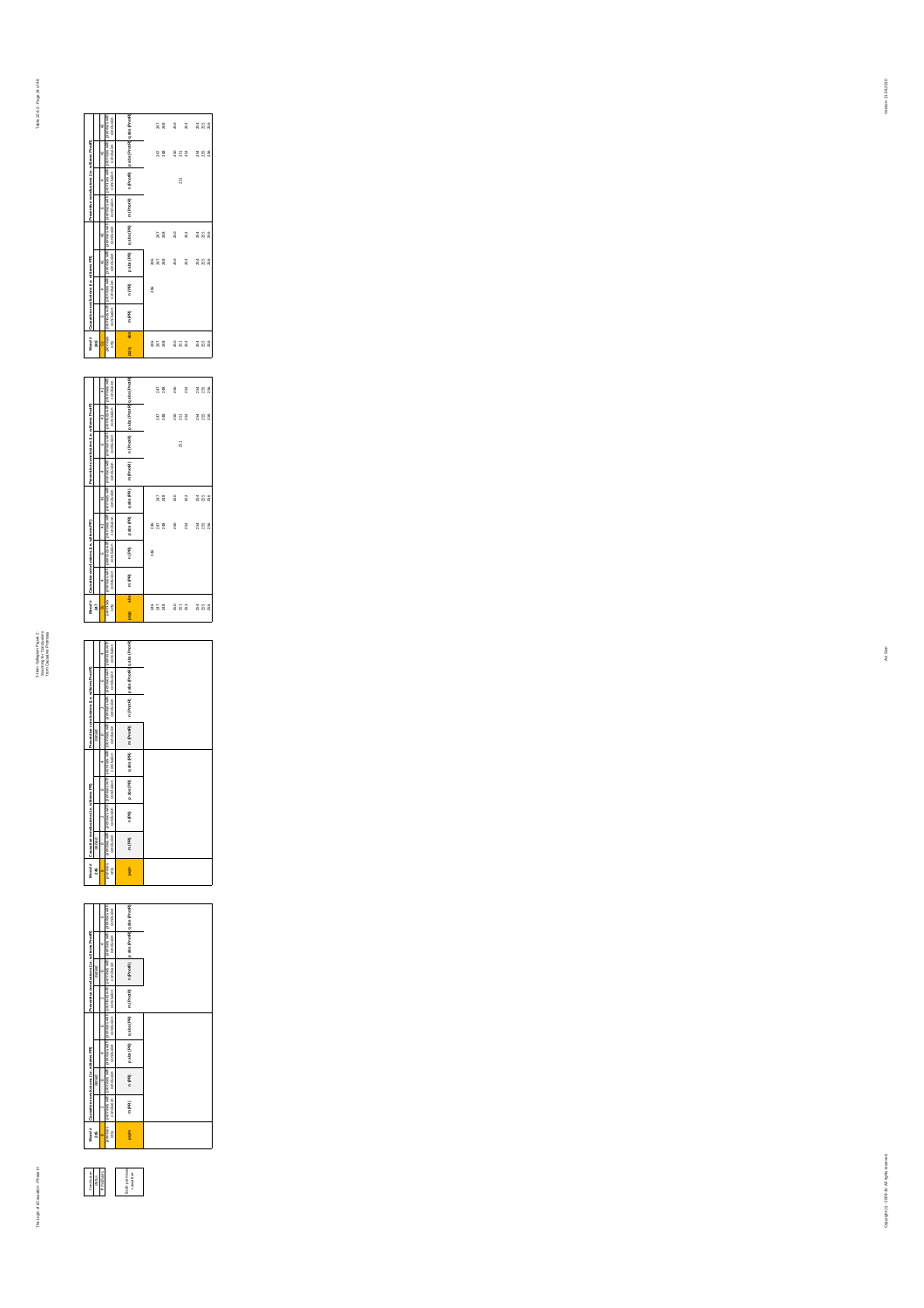|                                                |        | $\frac{3}{4}$ | Dream sea with<br>operation                                                         |                                          |     | 247<br>248       |                     | 250  |     | 252 | <b>DEA</b> |
|------------------------------------------------|--------|---------------|-------------------------------------------------------------------------------------|------------------------------------------|-----|------------------|---------------------|------|-----|-----|------------|
|                                                |        | ş             | premises with<br>oondusion                                                          | pates (Priot R) q also (P notR)          |     | ã                | 248                 | 250  | ã   | 252 | ě          |
|                                                |        |               | premises with<br>candusion                                                          | n (ProtR)                                |     |                  |                     |      | ä   |     |            |
| Preventive conclusion s (i.e., wiltems Profit) |        |               | promises with<br>conclusion                                                         | m (ProtR)                                |     |                  |                     |      |     |     |            |
|                                                |        | ą             | promises with<br>oondusion                                                          | qabs (PR)                                |     | 247<br>248       |                     | 250  |     | 252 | <b>DES</b> |
|                                                |        | ş             | premises with<br>oondusion                                                          | pabs (PR)                                | 245 |                  | 248                 | 250  |     | 252 | <b>DEA</b> |
|                                                |        |               | promises with<br>canduaion                                                          | n (PR)                                   | 346 |                  |                     |      |     |     |            |
| Causaire con dusions (i.e. wiltems PR)         |        |               | onmises with<br>operation                                                           | $\frac{m(PR)}{E}$                        |     |                  |                     |      |     |     |            |
| Mood #                                         | 248    | 36            | D/01/11 905<br>only                                                                 | ab s<br>ga                               |     | <b>g &amp; g</b> |                     | 853  |     |     | <b>DES</b> |
|                                                |        |               |                                                                                     |                                          |     |                  |                     |      |     |     |            |
|                                                |        | ş             | premises with<br>oondusion                                                          | pates (Pn ofR) qates (PnotR)             |     | à g              |                     | 20   |     | 32  | <b>MA</b>  |
|                                                |        | ş             | pright sea with<br>candusian                                                        |                                          |     | 2.8              |                     | 29   | 352 |     | ž          |
|                                                |        |               | Dream ses with<br>oorclusion                                                        | n (ProtR)                                |     |                  |                     |      | 51  |     |            |
| Preventive conclusions (i.e. wiltems Phot R)   |        |               | premises with<br>oondusion                                                          | m (PriotR)                               |     |                  |                     |      |     |     |            |
|                                                |        | ş             | promises with premises with<br>candusion                                            | qabs (PR)                                |     | à                | $_{\rm 35}^{\rm o}$ | 30   |     | 32  | <b>MA</b>  |
|                                                |        | Ş             | conclusion                                                                          | p atos (PR)                              | 246 | $\overline{2}$   | 248                 | 290  |     | 32  | ž          |
|                                                |        |               | Dream sea with<br>oorchasion                                                        | n (PR)                                   | 246 |                  |                     |      |     |     |            |
| Causative conclusions (i.e. wiltems PR)        |        |               | premises with<br>oondusion                                                          | m (PR)                                   |     |                  |                     |      |     |     |            |
| Mood#                                          | ă      | 56            | promises<br>öπ                                                                      | 855<br>å                                 |     | 222              |                     | និងី |     |     | <b>MA</b>  |
|                                                |        |               |                                                                                     |                                          |     |                  |                     |      |     |     |            |
|                                                |        |               | promises with<br>oorclusion                                                         |                                          |     |                  |                     |      |     |     |            |
|                                                |        |               | promises with<br>operation                                                          | patrs (Prooff) qubs (Prooff)             |     |                  |                     |      |     |     |            |
|                                                |        |               | premises with<br>oondusion                                                          | n (ProfR)                                |     |                  |                     |      |     |     |            |
| Preventive con dusions (i.e. w/lears Profit)   | denied |               | or emises with<br>candusion                                                         | m (ProtR)                                |     |                  |                     |      |     |     |            |
|                                                |        |               | promises with<br>conclusion                                                         | $q$ abs $(PR)$                           |     |                  |                     |      |     |     |            |
| (i.e. w/tems PR)                               |        |               | Dreamises with<br>opridualon                                                        | (PR)<br>pate                             |     |                  |                     |      |     |     |            |
|                                                |        |               | premises with premises with<br>oondusion                                            | n (PR)                                   |     |                  |                     |      |     |     |            |
| Cau sative conclusions                         | dened  |               | condusion                                                                           | m(PR)                                    |     |                  |                     |      |     |     |            |
| Mood#                                          | 246    |               | DYOTH 50%<br>č                                                                      | å                                        |     |                  |                     |      |     |     |            |
|                                                |        |               |                                                                                     |                                          |     |                  |                     |      |     |     |            |
|                                                |        |               | condusion                                                                           |                                          |     |                  |                     |      |     |     |            |
|                                                |        |               | candusion                                                                           | n (Prooft)   pabs (Prot R) qabs (Prooft) |     |                  |                     |      |     |     |            |
|                                                | dened  |               | conclusion                                                                          |                                          |     |                  |                     |      |     |     |            |
| Preventive conclusions (i.e. wilterns Proof)   |        |               | oprehasion                                                                          | m (ProofR)                               |     |                  |                     |      |     |     |            |
|                                                |        |               | promises with loremises with promises with premises with promises with<br>oondusion | qabs (PR)                                |     |                  |                     |      |     |     |            |
|                                                |        |               | condusion                                                                           | pates (PR)                               |     |                  |                     |      |     |     |            |
| Causative condusions (i.e. wiltems PR)         | dened  |               | compasswith comises with premises with<br>conclusion                                | n (PR)                                   |     |                  |                     |      |     |     |            |
|                                                |        |               | operchasines                                                                        | m (PR)                                   |     |                  |                     |      |     |     |            |
|                                                |        |               |                                                                                     |                                          |     |                  |                     |      |     |     |            |
| Mood#                                          | 245    |               | 200mlses<br>ania<br>B                                                               | Po <sup>in</sup>                         |     |                  |                     |      |     |     |            |

Conclusion status # moduses causative Both premises

|                                             |               | Ŧ  | 06 M 000<br>oorciu                 |                                                                               | ä<br>Ä                             | ā       |
|---------------------------------------------|---------------|----|------------------------------------|-------------------------------------------------------------------------------|------------------------------------|---------|
|                                             |               | 4  | premises with<br>mediation         |                                                                               | $\frac{1}{2}$<br>248               | 250     |
|                                             |               |    | promises with<br>candusion         | n (PnotR) pates (PnotR) ques (P                                               |                                    |         |
| Preventive conclusions (i.e. wiltems ProfR) |               |    | promises with<br>oorclusion        |                                                                               |                                    |         |
|                                             |               | ą  | premises with<br>opridualon        | qabs (PR) m (PnotR)                                                           | 247<br>248                         | 250     |
|                                             |               | ą  | premises with<br>oondusion         | palos (PR)                                                                    | 246<br>$247$<br>248                | 250     |
| ausaire con dusions (i.e. witems PR)        |               |    | promises with<br>candusion         |                                                                               | 346                                |         |
|                                             |               |    | com sea with<br>conclusion         | $m(PR)$ $n(PR)$                                                               |                                    |         |
| Mood #                                      | 248           | 56 | DON'TH SOS<br>only                 | see blee                                                                      | 222                                | 250     |
|                                             |               |    |                                    |                                                                               |                                    |         |
|                                             |               | 4  | promises with<br>oondusion         |                                                                               | å<br>$_{\rm 34}^{\rm 58}$          | 20      |
|                                             |               | ą  | promises with<br>condusion         |                                                                               | 12<br>2.格                          | 290     |
|                                             |               |    | Dream ses with<br>conclusion       |                                                                               |                                    |         |
| Preventive conclusions (i.e. witems PhotR)  |               |    | premises with<br>oondusion         |                                                                               |                                    |         |
|                                             |               | ş  | promises with<br>candusion         | q abs (PR) = m(ProtR) = n (ProtR) = p abs (ProtR) q abs (ProtR)               | $_{\rm 34}^{\rm 58}$<br>ã          | 20      |
|                                             |               | 4  | promises with<br>conclusion        |                                                                               | $\frac{2}{3}$ $\frac{8}{3}$<br>246 | 290     |
| Causative conclusions (Le. witems PR)       |               |    | DYRITTI SIG WITH<br>operation      | n (PR) patos (PR)                                                             | 246                                |         |
|                                             |               |    | <b>KWMMMMMM</b><br>oondusion       |                                                                               |                                    |         |
| Mood #                                      | žK            | 56 | promises<br>orty                   | bid ape de                                                                    | x x x                              | $_{20}$ |
|                                             |               |    |                                    |                                                                               |                                    |         |
|                                             |               |    | promises with<br>oorchasion        |                                                                               |                                    |         |
|                                             |               |    | DYNTH 505 With<br>combination      |                                                                               |                                    |         |
|                                             |               |    | premises with<br>oondusion         |                                                                               |                                    |         |
| Preventive conclusions (i.e. w/lears ProfR) | dened         |    | promises with<br>candusion         | pates (PR) qubs (PR) im (PnoR) in (PnoR) pates (PnoR) qubs (PnoR)             |                                    |         |
|                                             |               |    | Dream ses with<br>conclusion       |                                                                               |                                    |         |
| sions (i.e. witness PR)                     |               |    | premises with<br>condusion         |                                                                               |                                    |         |
|                                             |               |    | mises with<br>ondusion             | nPRO                                                                          |                                    |         |
| Causative conclu                            | <b>Senior</b> |    | <b>SIMMERS</b><br>condusion        | m(PR)                                                                         |                                    |         |
| Mood #                                      | 246           |    | DYOTH 50%<br>celv                  | å                                                                             |                                    |         |
|                                             |               |    |                                    |                                                                               |                                    |         |
|                                             |               |    | opedualon                          | patos (PR)   qabs (PR)   m (ProoR)   n (ProoR)   patos (ProtR)   qabs (ProoR) |                                    |         |
|                                             |               |    | premises with<br>candualon         |                                                                               |                                    |         |
| Preventive conclusions (Le. witems ProfR)   | dened         |    | or or omi sessi with<br>conclusion |                                                                               |                                    |         |
|                                             |               |    | Dremises with<br>operation         |                                                                               |                                    |         |
|                                             |               |    | ロック でんきになる<br>oondusion            |                                                                               |                                    |         |
|                                             |               |    | promises with<br>candusion         |                                                                               |                                    |         |
| ausalve condusions (i.e. witems PR)         | denied        |    | conclusion<br>promises with        | n (PR)                                                                        |                                    |         |
|                                             |               |    | 200m ses with<br>operchasines      | m(99)                                                                         |                                    |         |
|                                             | ţ             |    | i tions                            |                                                                               |                                    |         |

Scanning for Conclusions from Causative Premises

3-lam Sylogian Figure 2<br>Scaming for Conduisons<br>from Causalive Premises

| $\frac{1}{2}$ |                            | Causative conclusions (i.e. wiltems PR) |                             |                            | Preventive conclusions (i.e. witems Phot R) |                             |                            |                               | Mood#                   |                             | Causaive con dusions (i.e. witems PR) |                             |                              | Preventive conclusions (i.e. wittems ProfR) |                            |                            |                      |
|---------------|----------------------------|-----------------------------------------|-----------------------------|----------------------------|---------------------------------------------|-----------------------------|----------------------------|-------------------------------|-------------------------|-----------------------------|---------------------------------------|-----------------------------|------------------------------|---------------------------------------------|----------------------------|----------------------------|----------------------|
| ğ             |                            |                                         |                             |                            |                                             |                             |                            |                               | 248                     |                             |                                       |                             |                              |                                             |                            |                            |                      |
| 56<br>mises   |                            | ó                                       | 9                           | ş                          |                                             | é                           | ş                          | ş                             | 56                      |                             |                                       | ş                           | ş                            | ò                                           |                            | ą                          | ş                    |
| È             | premises with<br>oondusion | DYNTH SAS WITH<br>oprobasion            | premises with<br>conclusion | premises with<br>candusion | premises with<br>oondusion                  | premises with<br>conclusion | premises with<br>candusian | premises with<br>oondusion    | promises<br>$\tilde{g}$ | 200m ses with<br>conclusion | promises with<br>candusion            | promises with<br>oondusion  | premises with<br>opriduation | promises with<br>conclusion                 | promises with<br>candusion | premises with<br>oondusion | Dream ses<br>oorclus |
| abs           | m (PR)                     | n (PR)                                  | p atos (PR)                 | qabs (PR)                  | m(Proot R)                                  | n (Prooff)                  |                            | pates (Pn ofR) q alss (PnotR) | å<br>å                  | m(PR)                       | n (PR)                                | pals (PR)                   | qabs (PR)                    | m (P notR)                                  | n (Prooff)                 | pates (ProtR) q also (P)   |                      |
| 222           |                            | 246                                     | 246<br>$\frac{1}{2}$<br>248 | à g                        |                                             |                             | ğ<br>叟                     | 348<br>å                      | 222                     |                             | 3í6                                   | 246<br>$\frac{1}{2}$<br>248 | 243                          |                                             |                            | 243                        | 욿<br>$\frac{3}{2}$   |
| 858           |                            |                                         | 8<br>252                    | 30<br>32                   |                                             | 251                         | 8<br>Ø<br>32               | 30<br>32                      | 353                     |                             |                                       | 8<br>252                    | 250<br>252                   |                                             | ä                          | 353                        | ă<br>š               |
|               |                            |                                         |                             |                            |                                             |                             |                            |                               |                         |                             |                                       |                             |                              |                                             |                            |                            |                      |

\*\*\* \*\*\* \*\*

| <b>N</b>                       |                            | Causative conclusions (i.e. wiltems PR) |                                           |                | Preventive conclusions (i.e. wiltems ProtR) |                             |                                         |                            | Mood #        |                            | Causaive con dusions (i.e. wiltems PR) |                            |                            |                             |                            | Preventive conclusions (i.e. wittems Profit) |                              |
|--------------------------------|----------------------------|-----------------------------------------|-------------------------------------------|----------------|---------------------------------------------|-----------------------------|-----------------------------------------|----------------------------|---------------|----------------------------|----------------------------------------|----------------------------|----------------------------|-----------------------------|----------------------------|----------------------------------------------|------------------------------|
| à                              |                            |                                         |                                           |                |                                             |                             |                                         |                            | 248           |                            |                                        |                            |                            |                             |                            |                                              |                              |
| 56                             |                            | v                                       | q                                         | ş              |                                             |                             | ş                                       | ş                          | 36            | ć                          |                                        | ş                          | ą                          |                             |                            | ş                                            | ş                            |
| È                              | premises with<br>oondusion | promises with<br>operation              | promises with premises with<br>conclusion | candusion      | DYN BRITISH<br>oondusion                    | premises with<br>conclusion | promises with<br>condusion              | premises with<br>oondusion | premiera<br>ğ | DYN BREAD DO<br>conclusion | promises with<br>candusion             | premises with<br>oondusion | premises with<br>oondusion | promises with<br>conclusion | promises with<br>candusion | promises with<br>oondusion                   | Dream ses with<br>oorchasion |
| ă                              | m (PR)                     | n (PR)                                  | p also (PR)                               | qabs (PR)      | m (Proot R)                                 |                             | n (Prooff) pates (Pnotft) qabs (Protf() |                            | ă<br>å        | $\frac{m(PR)}{E}$          | n (PR)                                 | pals (PR)                  | qabs (PR)                  | m (ProofR)                  | n (Prooft)                 | pates (Priot R) q also (PriotR)              |                              |
| 223                            |                            | 246                                     | $\frac{1}{2}$<br>g                        | å              |                                             |                             | 247                                     |                            | 246           |                            | g                                      | $\frac{1}{2}$<br>246       |                            |                             |                            |                                              |                              |
|                                |                            |                                         | 248                                       | $\frac{8}{24}$ |                                             |                             | 248                                     | 异胃                         | 247<br>248    |                            |                                        | 248                        | 243<br>248                 |                             |                            | 243<br>248                                   | 243                          |
|                                |                            |                                         | 8                                         | g              |                                             | 31                          | 858                                     | 8                          | 853           |                            |                                        | 250                        | 250                        |                             | ä                          | និងី                                         | 250                          |
| 858                            |                            |                                         | ă                                         | 32             |                                             |                             |                                         | 32                         |               |                            |                                        | 252                        | 252                        |                             |                            |                                              | 252                          |
| $\frac{4}{10}$ $\frac{10}{10}$ |                            |                                         | 35                                        | ă              |                                             |                             | 254                                     | ă                          | 55            |                            |                                        | 55                         | 55                         |                             |                            | 55                                           | 551                          |
|                                |                            |                                         | $\frac{25}{6}$                            | ăi             |                                             |                             | $\frac{25}{6}$                          | ă i                        |               |                            |                                        |                            |                            |                             |                            |                                              |                              |

Table 22.6-2 - Page 24 of 48

Table 22-6-2 - Page 24 of 48

Avi Sion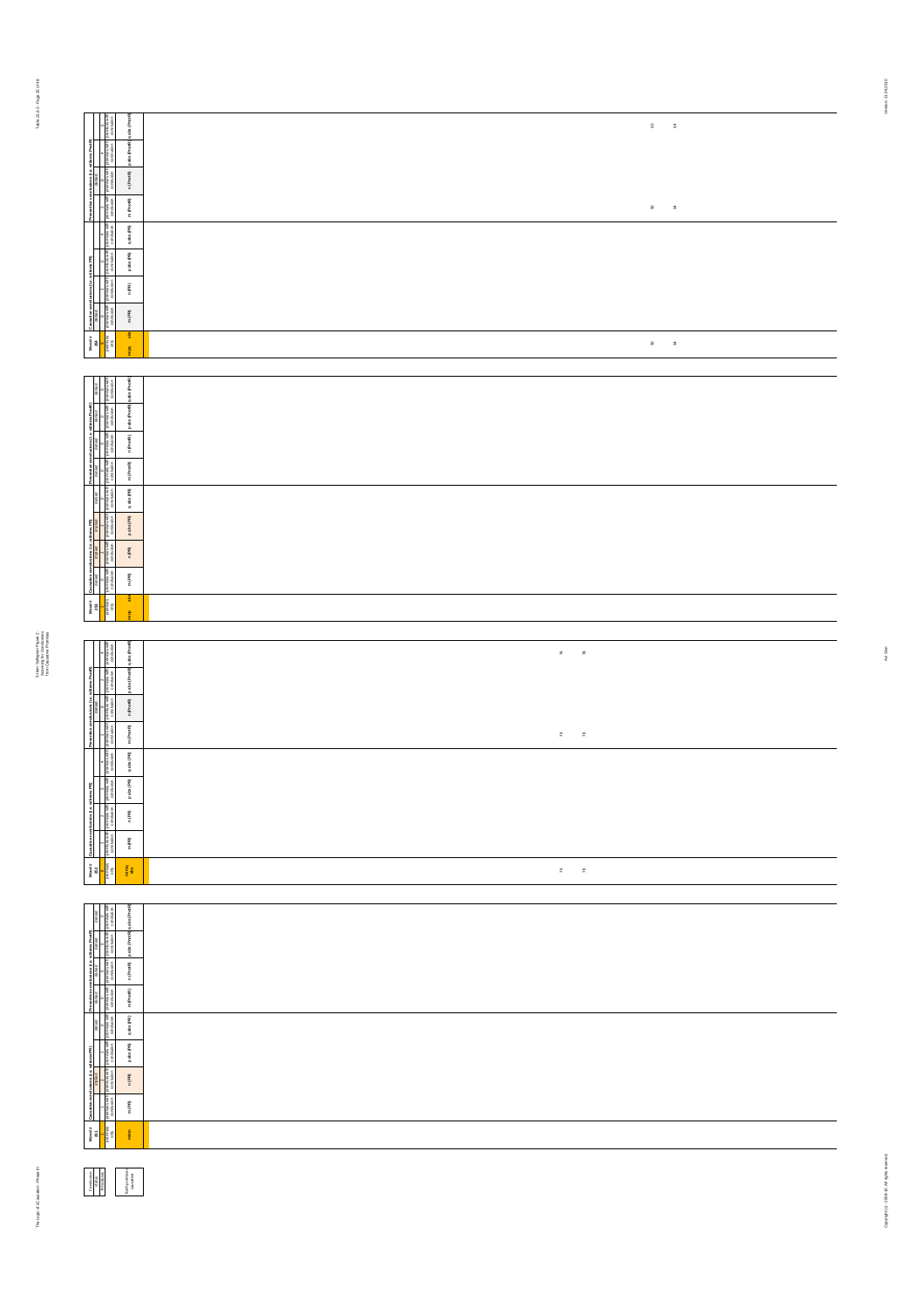| o<br>remises with<br>conclusion<br>abs (Profi                                                                                                                                                                                                            | $\frac{6}{2}$<br>$\overline{g}$   |
|----------------------------------------------------------------------------------------------------------------------------------------------------------------------------------------------------------------------------------------------------------|-----------------------------------|
| Preventive conclusions (i.e. without Prock)<br>vita premise value formings<br>m. Conclusion Conclusion conclusion of<br>m. Conclusion Conclusion conclusion of<br>pato (Prot                                                                             |                                   |
| n (Pn ofR)                                                                                                                                                                                                                                               |                                   |
| $m$ (P rooff)                                                                                                                                                                                                                                            | $^{\circ}$<br>$\overline{\sigma}$ |
| $\begin{array}{ccc} 4 & \text{prime} & 2 \\ \text{normalsash prime} & \text{prime} & \text{with} \\ \text{correlation} & \text{conclusion} \end{array}$<br>$q$ ab s $\langle \mathsf{PR} \rangle$                                                        |                                   |
| $p$ abs (PR)                                                                                                                                                                                                                                             |                                   |
| n (PR)                                                                                                                                                                                                                                                   |                                   |
| Causative conclusions (i.e. whens PR)<br>- Official Causa (i.e. when PR)<br>- permain point and with permain and on<br>- coolusion - coolusion - conclusion - co<br>$\mathfrak{m}(\mathsf{PR})$                                                          |                                   |
| $\begin{array}{c}\n\hline\n\text{mod } n \\ 254\n\end{array}$<br>$\frac{3}{4}$<br>portises                                                                                                                                                               | $\frac{1}{2}$<br>$^\circledR$     |
| ş                                                                                                                                                                                                                                                        |                                   |
| dehijd<br>omisea w<br>ab s (P r                                                                                                                                                                                                                          |                                   |
| abs (Proff)                                                                                                                                                                                                                                              |                                   |
| $n$ (P roofR)                                                                                                                                                                                                                                            |                                   |
| $m(p \cos \theta)$                                                                                                                                                                                                                                       |                                   |
| about a basebara constances de values par $\frac{1}{\log m}$<br>Constantin de la constantin de values de la constantin de values de la constantin de values de values de value<br>Constantin de values de la constantin de values de la co<br>q abs (PR) |                                   |
| pats (PR)                                                                                                                                                                                                                                                |                                   |
| $_{n\,(\mathrm{PR})}$                                                                                                                                                                                                                                    |                                   |
| $\frac{\partial}{\partial t}$                                                                                                                                                                                                                            |                                   |
| å<br>promises                                                                                                                                                                                                                                            |                                   |
| ł                                                                                                                                                                                                                                                        |                                   |
| $4$<br>promises with<br>abs (Proff)<br>$\mathbb R$<br>$\approx$                                                                                                                                                                                          |                                   |
| 흨                                                                                                                                                                                                                                                        |                                   |
| n (ProtR)                                                                                                                                                                                                                                                |                                   |
| Preventive conclusions (i.e. wikens Provet)<br>h pomilia with pomiliar and pomiliar profit profit<br>h conclusion conclusion conclusion co<br>conclusion conclusion conclusion co<br>$m$ (Pn ofR)<br>$\mathbb R$ – $\mathbb R$                           |                                   |
| qabs (PR)                                                                                                                                                                                                                                                |                                   |
| $p$ ab s $\left( \mathsf{PR}\right)$                                                                                                                                                                                                                     |                                   |
| $_{\alpha}$ geg                                                                                                                                                                                                                                          |                                   |
| Causative conclusions (i.e. willenins PR)<br>premission with premissions with premission of premission<br>conclusion providuation premission conclusion<br>mpn                                                                                           |                                   |
| Mood #<br>penissa<br>otiy<br>$\frac{g}{\epsilon}$ is<br>$\mathbb R$<br>$\qquad$ $\qquad$                                                                                                                                                                 |                                   |
|                                                                                                                                                                                                                                                          |                                   |
| i ato (Pro                                                                                                                                                                                                                                               |                                   |
| abs (Proot                                                                                                                                                                                                                                               |                                   |
| $n$ (P rooff)                                                                                                                                                                                                                                            |                                   |
| $m$ (ProofR)                                                                                                                                                                                                                                             |                                   |
| $\mathbf{q}$ abs (PR)                                                                                                                                                                                                                                    |                                   |
| pabs (PR)                                                                                                                                                                                                                                                |                                   |
| $n$ (PR)                                                                                                                                                                                                                                                 |                                   |
| $\frac{\partial \widehat{E}}{\partial t}$                                                                                                                                                                                                                |                                   |
|                                                                                                                                                                                                                                                          |                                   |
| Mood #                                                                                                                                                                                                                                                   |                                   |

Copyright (c) - 2008-10. All rights reserved. Avi Sion Version: 21.06.2010

Avi Sion

nsion: 21.06.2010

Conclusion<br># moduses<br>xh premis<br>causative Both premises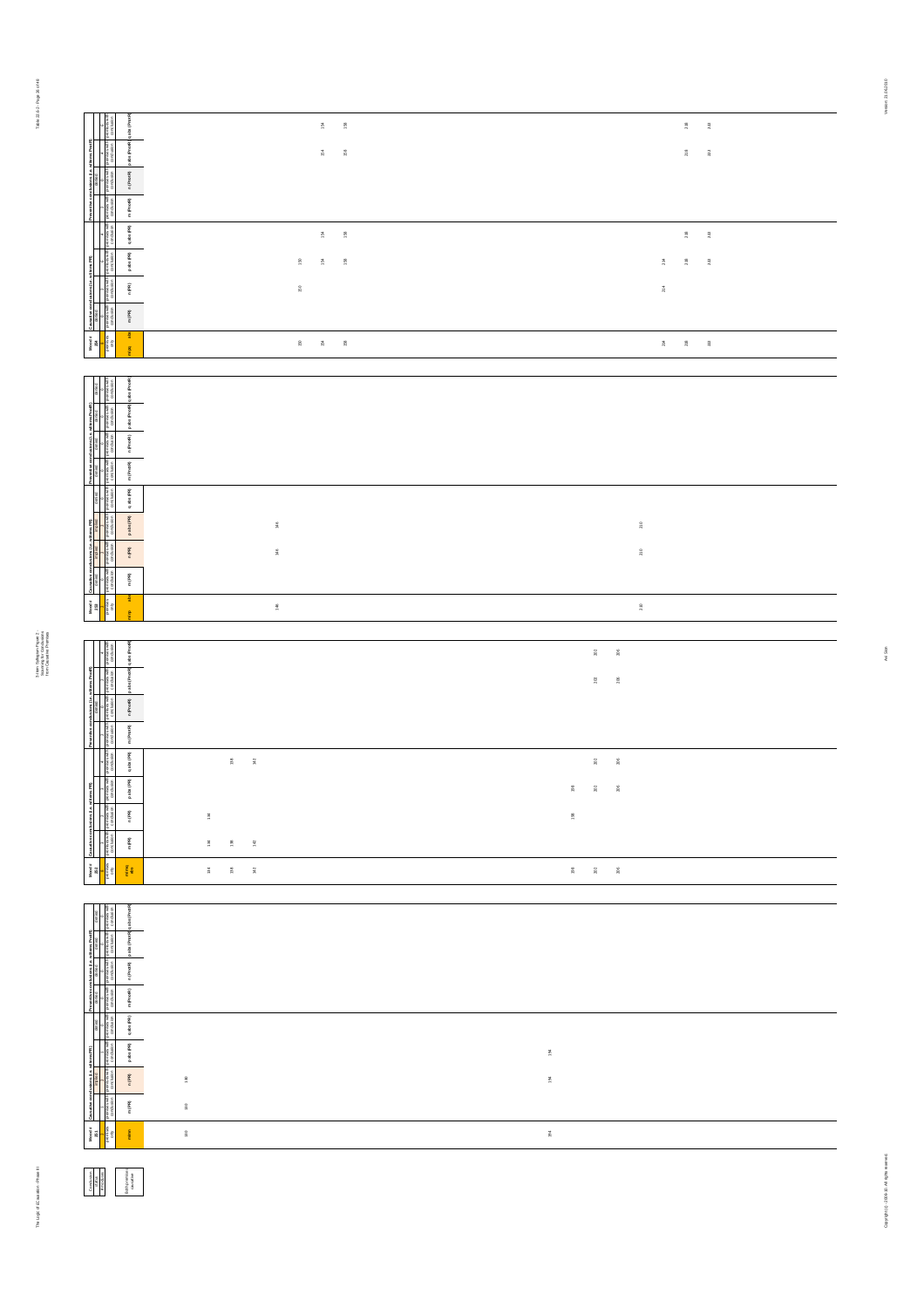| ۱<br>i,     |
|-------------|
| ֠<br>í<br>I |
| í           |
|             |

| <b>Z</b> 60TOL<br>$\cdot$                         | aming for Cendurions<br>i | causable Promises<br>Ì |  |
|---------------------------------------------------|---------------------------|------------------------|--|
|                                                   |                           |                        |  |
|                                                   |                           |                        |  |
|                                                   |                           |                        |  |
|                                                   |                           |                        |  |
|                                                   |                           |                        |  |
|                                                   |                           |                        |  |
|                                                   |                           |                        |  |
| ×<br>Phase I<br><b>Logic of ECausation -</b><br>ē |                           |                        |  |

|                                       | ohning<br>premises with<br>conclusion                                                                                                                                   |                                       |                    |  |               |  |  |
|---------------------------------------|-------------------------------------------------------------------------------------------------------------------------------------------------------------------------|---------------------------------------|--------------------|--|---------------|--|--|
|                                       | Preventive conclusions (i.e. witherns Procifi)<br>- Christian Control - Christian<br>- promise uth promise with promises with<br>- conclusion - conclusion - conclusion | ×                                     |                    |  |               |  |  |
|                                       |                                                                                                                                                                         | $\epsilon$                            |                    |  |               |  |  |
|                                       |                                                                                                                                                                         |                                       |                    |  |               |  |  |
| <b>District</b>                       | +<br>\$<br>promises<br>conclusio                                                                                                                                        | £<br>$\sigma$                         |                    |  |               |  |  |
| Ē                                     | hises with<br>hdusion<br>통통                                                                                                                                             | $\tilde{\phantom{a}}$<br>$\mathbf{a}$ |                    |  | $\frac{3}{2}$ |  |  |
| duslons (i.e. w/leans PR)<br>Timplied | premises with<br>condusion                                                                                                                                              | $n$ (PR)                              | $_{\rm B}^{\rm o}$ |  | ă             |  |  |
| $\frac{1}{8}$<br>Causative            | premises<br>contrat                                                                                                                                                     |                                       | $\tilde{z}$        |  |               |  |  |
| Mood #                                | promises                                                                                                                                                                |                                       | $\frac{9}{2}$      |  |               |  |  |

Conclusion<br># moduses<br>xh premis<br>causative Both premises

2106.2010

 $\overline{\phantom{a}}$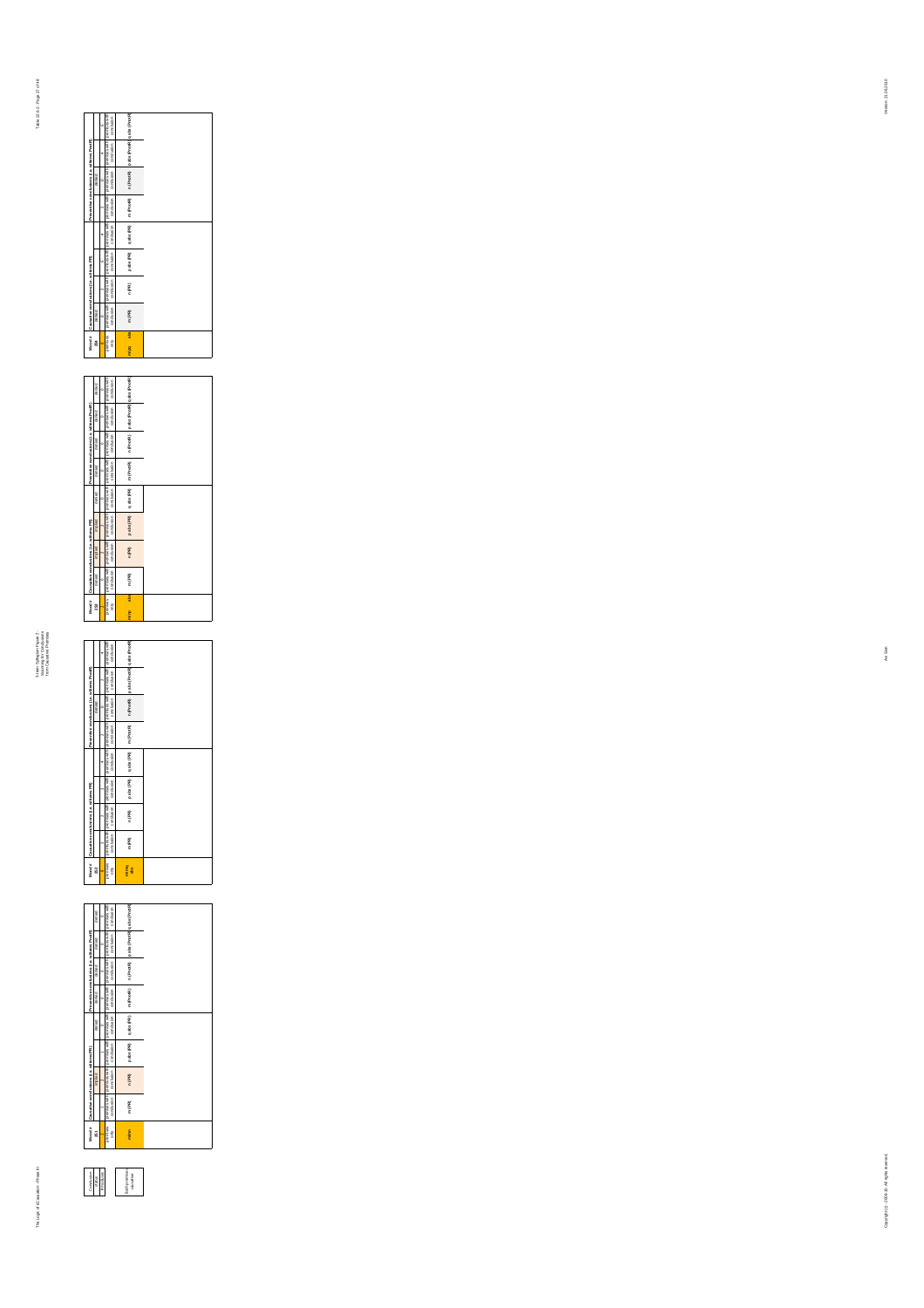Conclusion<br># moduses<br>xh premis<br>causative Both premises

premises only premises with conclusion premises with conclusion premises with conclusion premises with conclusion premises with conclusion premises with conclusion premises with conclusion premises with conclusion

premises only premises with conclusion premises with conclusion premises with conclusion premises with conclusion premises with conclusion premises with conclusion premises with conclusion premises with conclusion

 $\begin{bmatrix} 252 \\ 252 \end{bmatrix}$ 

qabs (ProfR)

pates (ProdR)  $\begin{array}{c} n\left( \text{Prox R}\right) \end{array}$ 

 $\left.\begin{array}{ccc} \displaystyle\min_{\mathbf{q}\in\mathbf{M}}\mathbf{q} & \displaystyle\min_{\mathbf{q}\in\mathbf{M}}\mathbf{q} & \displaystyle\max_{\mathbf{q}\in\mathbf{M}}\rho(\mathbf{q}) & \displaystyle\min_{\mathbf{q}\in\mathbf{M}}\mathbf{q}\in\mathbf{M}\mathbf{q} & \displaystyle\min_{\mathbf{q}\in\mathbf{M}}\rho(\mathbf{q}) \end{array}\right|$ 

| Mood #           |                            | Causative conclusions (i.e. w/tems PR) |                            |                             |                            | Preventive con duslons (i.e. wiltems PnotR) |                                            |                             |
|------------------|----------------------------|----------------------------------------|----------------------------|-----------------------------|----------------------------|---------------------------------------------|--------------------------------------------|-----------------------------|
| 35               | deried                     |                                        |                            |                             |                            | denied                                      |                                            |                             |
| 80               | $\circ$                    |                                        |                            |                             |                            | $\circ$                                     |                                            |                             |
| promises<br>only | premises with<br>condusion | premises with<br>oondusion             | premises with<br>oondusion | premises with<br>conclusion | premises with<br>candusion | premises with<br>oondusion                  | こうこう でんきこうどうし<br>oondusion                 | premises with<br>conclusion |
| m/pq abs         | m(PR)                      | n (PR)                                 |                            | pate(PR) qabs(PR)           | $m(p \mod 8)$              |                                             | n (PhotR)   patra (P notR) q also (P notR) |                             |
|                  |                            |                                        |                            |                             |                            |                                             |                                            |                             |
|                  |                            |                                        |                            |                             |                            |                                             |                                            |                             |
|                  |                            |                                        |                            |                             |                            |                                             |                                            |                             |
|                  |                            |                                        |                            |                             |                            |                                             |                                            |                             |
|                  |                            |                                        |                            |                             |                            |                                             |                                            |                             |
|                  |                            |                                        |                            |                             |                            |                                             |                                            |                             |

Avi Sion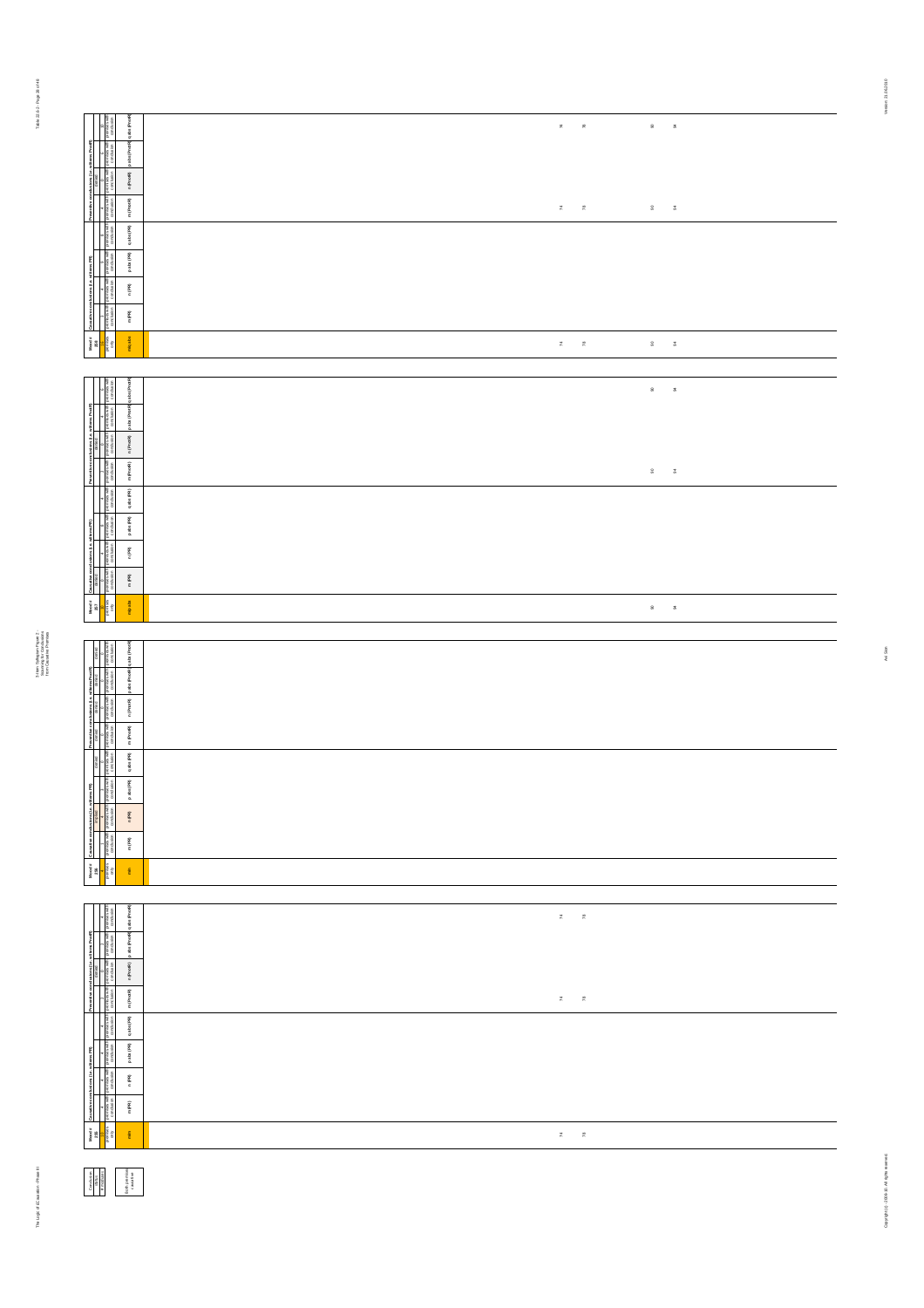|                                                                                                                                                                                                                                                                                                                                                                  | 10<br>promises with<br>conclusion                                                                                                                                                                                                                                                                                                                                    | $\overline{\kappa}$             | $\mathbb R$                   | $\mathbb{S}$          | $\overline{\mathfrak{g}}$ |
|------------------------------------------------------------------------------------------------------------------------------------------------------------------------------------------------------------------------------------------------------------------------------------------------------------------------------------------------------------------|----------------------------------------------------------------------------------------------------------------------------------------------------------------------------------------------------------------------------------------------------------------------------------------------------------------------------------------------------------------------|---------------------------------|-------------------------------|-----------------------|---------------------------|
|                                                                                                                                                                                                                                                                                                                                                                  | p abs (ProtR) q abs (ProtR                                                                                                                                                                                                                                                                                                                                           |                                 |                               |                       |                           |
|                                                                                                                                                                                                                                                                                                                                                                  | $n$ (Prooff)                                                                                                                                                                                                                                                                                                                                                         |                                 |                               |                       |                           |
|                                                                                                                                                                                                                                                                                                                                                                  | oemaa van pemiak van pemiak pemiak van die pemiak van die 10.<br>1999 – Pemiak Pemiak Pemiak Pemiak pemiak pemiak pemiak pemiak van pemiak oordelevin<br>1999 – George Pemiak Pemiakan Sendakon<br>$m$ (Prooff)                                                                                                                                                      |                                 | $\mathcal{R}$ , $\mathcal{R}$ | $\frac{6}{2}$         | $\frac{1}{2}$             |
|                                                                                                                                                                                                                                                                                                                                                                  | $\mathbf{q}$ abs (PR)                                                                                                                                                                                                                                                                                                                                                |                                 |                               |                       |                           |
|                                                                                                                                                                                                                                                                                                                                                                  | pats (PR)                                                                                                                                                                                                                                                                                                                                                            |                                 |                               |                       |                           |
|                                                                                                                                                                                                                                                                                                                                                                  | $_{\rm n}(\rho\,R)$                                                                                                                                                                                                                                                                                                                                                  |                                 |                               |                       |                           |
| Causaire condusions (i.e. witems PR)                                                                                                                                                                                                                                                                                                                             | $\frac{\partial \mathbf{E}}{\partial \mathbf{r}}$                                                                                                                                                                                                                                                                                                                    |                                 |                               |                       |                           |
| $\begin{array}{r}\n\text{Model} \# \\ 258 \\ \hline\n\text{porm 905} \\ \hline\n\end{array}$                                                                                                                                                                                                                                                                     | m/qabs                                                                                                                                                                                                                                                                                                                                                               |                                 |                               |                       | $\overline{g}$            |
|                                                                                                                                                                                                                                                                                                                                                                  |                                                                                                                                                                                                                                                                                                                                                                      | $\mathcal{R}$                   | $\mathbb R$                   | $\mathbin{\mathbb S}$ |                           |
|                                                                                                                                                                                                                                                                                                                                                                  |                                                                                                                                                                                                                                                                                                                                                                      |                                 |                               | $\hbox{S}$            | $\overline{g}$            |
|                                                                                                                                                                                                                                                                                                                                                                  | p alss (Pn ofR) q alss (PnotR)                                                                                                                                                                                                                                                                                                                                       |                                 |                               |                       |                           |
|                                                                                                                                                                                                                                                                                                                                                                  | $n$ (P rooff)                                                                                                                                                                                                                                                                                                                                                        |                                 |                               |                       |                           |
| Preventive conclusions (i.e. witems ProtR)                                                                                                                                                                                                                                                                                                                       | $m(\hbox{\rm Prox\,R})$                                                                                                                                                                                                                                                                                                                                              |                                 |                               | $\,^{\circ}_{\circ}$  | $\frac{1}{2}$             |
|                                                                                                                                                                                                                                                                                                                                                                  | q abs (PR)                                                                                                                                                                                                                                                                                                                                                           |                                 |                               |                       |                           |
|                                                                                                                                                                                                                                                                                                                                                                  | p als (PR)                                                                                                                                                                                                                                                                                                                                                           |                                 |                               |                       |                           |
| Causatène conclusions (le wikema PR)<br>- Gerici - Constante pentres valh promise valh pen<br>- pentres ou conclusion - conclusion - p<br>- conclusion - conclusion - conclusion -                                                                                                                                                                               |                                                                                                                                                                                                                                                                                                                                                                      |                                 |                               |                       |                           |
|                                                                                                                                                                                                                                                                                                                                                                  | $\frac{\partial}{\partial t}$                                                                                                                                                                                                                                                                                                                                        |                                 |                               |                       |                           |
|                                                                                                                                                                                                                                                                                                                                                                  | $\omega$ or $\omega$                                                                                                                                                                                                                                                                                                                                                 |                                 |                               |                       |                           |
| Mood #                                                                                                                                                                                                                                                                                                                                                           | and and an<br>m/pabs                                                                                                                                                                                                                                                                                                                                                 |                                 |                               | $^{\circ}$            | $\overline{\mathbf{g}}$   |
|                                                                                                                                                                                                                                                                                                                                                                  |                                                                                                                                                                                                                                                                                                                                                                      |                                 |                               |                       |                           |
|                                                                                                                                                                                                                                                                                                                                                                  | p abs (PnotR) q abs (PnotR)                                                                                                                                                                                                                                                                                                                                          |                                 |                               |                       |                           |
|                                                                                                                                                                                                                                                                                                                                                                  | $n$ (Pro $\mathfrak{M}$                                                                                                                                                                                                                                                                                                                                              |                                 |                               |                       |                           |
|                                                                                                                                                                                                                                                                                                                                                                  |                                                                                                                                                                                                                                                                                                                                                                      |                                 |                               |                       |                           |
| $\mathfrak{G}_{\bullet}$ where PR) $\mathfrak{g}_{\bullet}$ district the Presentine conclusions $\mathfrak{g}_{\bullet}$ where Present $\overline{\mathfrak{m}}$ and $\overline{\mathfrak{m}}$ and $\overline{\mathfrak{m}}$ and $\overline{\mathfrak{m}}$ and $\overline{\mathfrak{m}}$ and $\overline{\mathfrak{m}}$ and $\overline{\mathfrak{m}}$ and $\over$ | $m$ (P rooff)                                                                                                                                                                                                                                                                                                                                                        |                                 |                               |                       |                           |
|                                                                                                                                                                                                                                                                                                                                                                  | $q$ ab s $\langle \theta   R \rangle$                                                                                                                                                                                                                                                                                                                                |                                 |                               |                       |                           |
|                                                                                                                                                                                                                                                                                                                                                                  | $\mathsf{p}$ abs (PR)                                                                                                                                                                                                                                                                                                                                                |                                 |                               |                       |                           |
| Causative conclusions                                                                                                                                                                                                                                                                                                                                            | n (PR)<br>promises                                                                                                                                                                                                                                                                                                                                                   |                                 |                               |                       |                           |
|                                                                                                                                                                                                                                                                                                                                                                  | promises with<br>$\mathfrak{m}(\mathsf{PR})$                                                                                                                                                                                                                                                                                                                         |                                 |                               |                       |                           |
| Mood #                                                                                                                                                                                                                                                                                                                                                           | $\begin{picture}(130,10) \put(0,0){\line(1,0){15}} \put(15,0){\line(1,0){15}} \put(15,0){\line(1,0){15}} \put(15,0){\line(1,0){15}} \put(15,0){\line(1,0){15}} \put(15,0){\line(1,0){15}} \put(15,0){\line(1,0){15}} \put(15,0){\line(1,0){15}} \put(15,0){\line(1,0){15}} \put(15,0){\line(1,0){15}} \put(15,0){\line(1,0){15}} \put(15,0){\line($<br>$\frac{1}{4}$ |                                 |                               |                       |                           |
|                                                                                                                                                                                                                                                                                                                                                                  | promises with                                                                                                                                                                                                                                                                                                                                                        | $\boldsymbol{\pi}$              | $\mathcal{R}$                 |                       |                           |
|                                                                                                                                                                                                                                                                                                                                                                  | pates (ProtR) q abs (Prooft)                                                                                                                                                                                                                                                                                                                                         |                                 |                               |                       |                           |
| reventive conclusions (i.e. witems ProdR)                                                                                                                                                                                                                                                                                                                        |                                                                                                                                                                                                                                                                                                                                                                      |                                 |                               |                       |                           |
|                                                                                                                                                                                                                                                                                                                                                                  | $n$ (ProofR)                                                                                                                                                                                                                                                                                                                                                         |                                 |                               |                       |                           |
|                                                                                                                                                                                                                                                                                                                                                                  | $\frac{4}{1}$ promises with promises with promises with conclusion conclusion<br>$\mathfrak{m}$ (P rooff)                                                                                                                                                                                                                                                            | $\mathbb{R}^+$ – $\mathbb{R}^+$ |                               |                       |                           |
|                                                                                                                                                                                                                                                                                                                                                                  | qabs (PR)                                                                                                                                                                                                                                                                                                                                                            |                                 |                               |                       |                           |
| usative condusions (i.e. witems PR)                                                                                                                                                                                                                                                                                                                              | permises with<br>pats (PR)                                                                                                                                                                                                                                                                                                                                           |                                 |                               |                       |                           |
|                                                                                                                                                                                                                                                                                                                                                                  | A<br>promises with<br>conclusion<br>$_{\rm n}$ (PR)                                                                                                                                                                                                                                                                                                                  |                                 |                               |                       |                           |
|                                                                                                                                                                                                                                                                                                                                                                  | $\begin{array}{c c}\n4 & \text{} \\ \hline\n\end{array}$<br>$\frac{1}{n}$ (PR)                                                                                                                                                                                                                                                                                       |                                 |                               |                       |                           |
| $\frac{4}{255}$                                                                                                                                                                                                                                                                                                                                                  | <b>Resident</b><br>ł                                                                                                                                                                                                                                                                                                                                                 | $\mathbb{R}^+$ , $\mathbb{R}^+$ |                               |                       |                           |

| Mood #<br>256<br>pomissis                                                                                                                                                                                                                |                                   |                                    |
|------------------------------------------------------------------------------------------------------------------------------------------------------------------------------------------------------------------------------------------|-----------------------------------|------------------------------------|
|                                                                                                                                                                                                                                          |                                   |                                    |
| A<br>premises with<br>condusion                                                                                                                                                                                                          | an a<br>$\ddot{\sigma}$           | $\overline{\kappa}$<br>$\mathbb R$ |
|                                                                                                                                                                                                                                          | or R)<br>abs (Pro<br>$\mathbf{a}$ |                                    |
|                                                                                                                                                                                                                                          | $\widehat{\mathbf{g}}$<br>ę.      |                                    |
| character conclusions (i.e. white map)<br>are also in the permit of the permit of the conclusion of the conclusion (i.e. where $\frac{d}{dt}$<br>conclusion conclusion (conclusion permit conclusion conclusion permits of the conclusio | e.<br>e                           | $\mathbf{z}=-\mathbf{z}$           |
|                                                                                                                                                                                                                                          | qabs (PR)                         |                                    |
|                                                                                                                                                                                                                                          | pats (PR)                         |                                    |
|                                                                                                                                                                                                                                          | $\frac{1}{n}$ (PR)                |                                    |
|                                                                                                                                                                                                                                          | es (PR)                           |                                    |
| Mood #<br>255<br>pambas<br>pambas                                                                                                                                                                                                        | 톻                                 | $\mathcal{R}$<br>$\mathbb{R}^+$    |

| s.<br>Causative   | premises with<br>×              | condusion<br>m(p R)    |  |
|-------------------|---------------------------------|------------------------|--|
| ٠<br>Wood:<br>256 | promises<br>٠                   | 히<br>看                 |  |
|                   |                                 |                        |  |
|                   | premises with<br>oordusion<br>٠ | qabs (ProfR)           |  |
| ms ProtR)         | misies with                     | bs (ProtR)<br>ondusion |  |

Conclusion status # moduses causative Both premises

minn: 2106.2010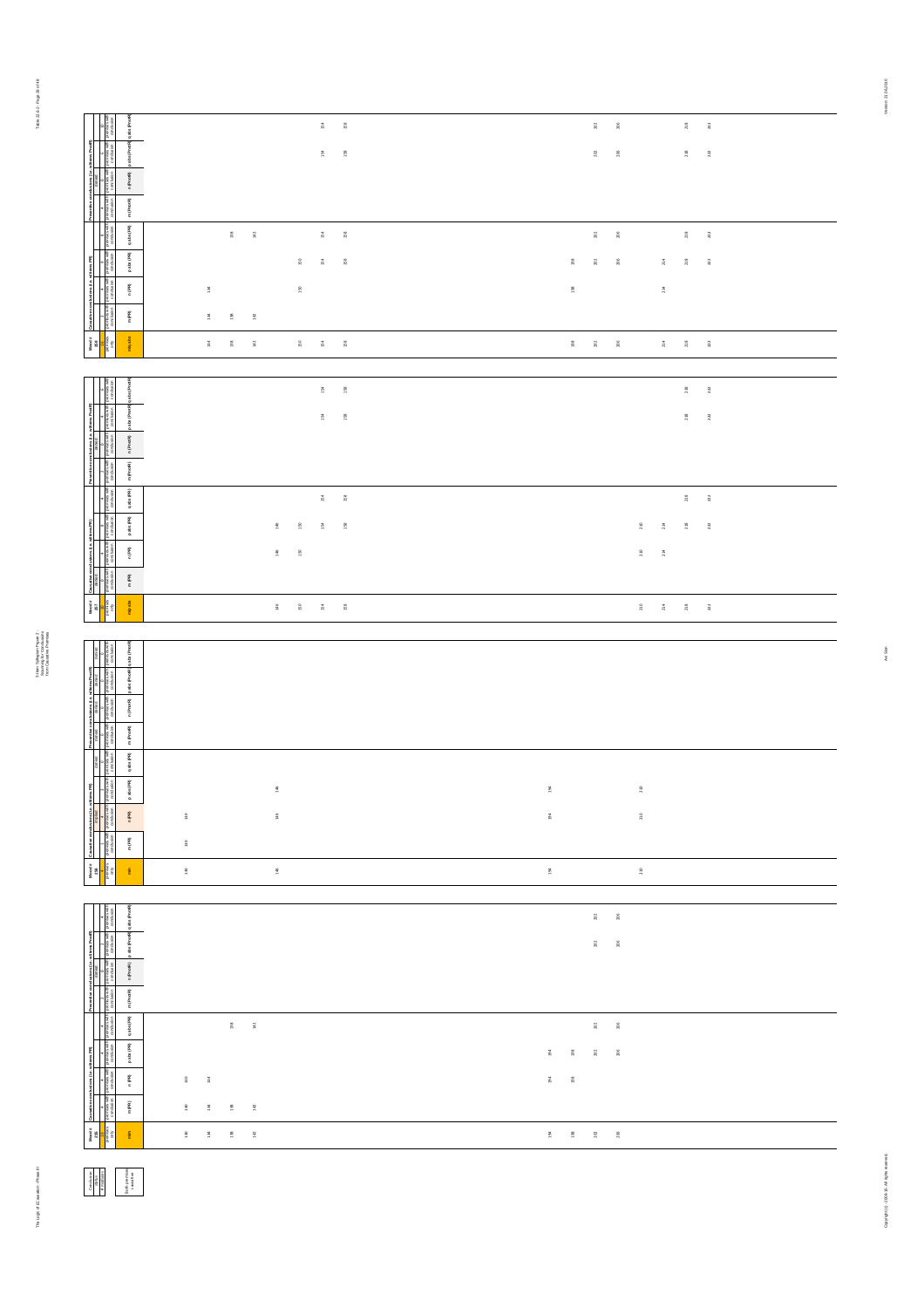|                     |                                        |                        |                 |                                                                           |                 |                                                                                                                                                                                                                                                                                            | $154$ $158$                                                                                                         |                                                                                                                                                                                                                                                                                                                                                                                                                                   |                           |                                                                                                                                                                                                                                                                                                                                                                                                 |                               | $\begin{matrix} \mathfrak{A} & \mathfrak{A} & \mathfrak{A} & \mathfrak{A} \\ \mathfrak{A} & \mathfrak{A} & \mathfrak{A} & \mathfrak{A} \end{matrix}$                                                                                                                                                                               |                    |                                                                                                                                                                                                                                                                                                                                                                                                                                                               |                                   |  |
|---------------------|----------------------------------------|------------------------|-----------------|---------------------------------------------------------------------------|-----------------|--------------------------------------------------------------------------------------------------------------------------------------------------------------------------------------------------------------------------------------------------------------------------------------------|---------------------------------------------------------------------------------------------------------------------|-----------------------------------------------------------------------------------------------------------------------------------------------------------------------------------------------------------------------------------------------------------------------------------------------------------------------------------------------------------------------------------------------------------------------------------|---------------------------|-------------------------------------------------------------------------------------------------------------------------------------------------------------------------------------------------------------------------------------------------------------------------------------------------------------------------------------------------------------------------------------------------|-------------------------------|------------------------------------------------------------------------------------------------------------------------------------------------------------------------------------------------------------------------------------------------------------------------------------------------------------------------------------|--------------------|---------------------------------------------------------------------------------------------------------------------------------------------------------------------------------------------------------------------------------------------------------------------------------------------------------------------------------------------------------------------------------------------------------------------------------------------------------------|-----------------------------------|--|
|                     |                                        |                        |                 |                                                                           |                 |                                                                                                                                                                                                                                                                                            | $\frac{3}{21}$ $\frac{3}{21}$                                                                                       |                                                                                                                                                                                                                                                                                                                                                                                                                                   |                           |                                                                                                                                                                                                                                                                                                                                                                                                 |                               | $\begin{matrix} \mathfrak{A} & \mathfrak{A} & \mathfrak{A} & \mathfrak{A} \\ \mathfrak{A} & \mathfrak{A} & \mathfrak{A} & \mathfrak{A} \end{matrix}$                                                                                                                                                                               |                    |                                                                                                                                                                                                                                                                                                                                                                                                                                                               |                                   |  |
|                     |                                        |                        |                 |                                                                           |                 |                                                                                                                                                                                                                                                                                            |                                                                                                                     |                                                                                                                                                                                                                                                                                                                                                                                                                                   |                           |                                                                                                                                                                                                                                                                                                                                                                                                 |                               |                                                                                                                                                                                                                                                                                                                                    |                    |                                                                                                                                                                                                                                                                                                                                                                                                                                                               |                                   |  |
|                     | $m(p \mod 8)$                          |                        |                 |                                                                           |                 |                                                                                                                                                                                                                                                                                            |                                                                                                                     |                                                                                                                                                                                                                                                                                                                                                                                                                                   |                           |                                                                                                                                                                                                                                                                                                                                                                                                 |                               |                                                                                                                                                                                                                                                                                                                                    |                    |                                                                                                                                                                                                                                                                                                                                                                                                                                                               |                                   |  |
|                     | $q$ also $(PR)$                        |                        |                 |                                                                           |                 | 00 - 다<br>2월 10일 - 대한민국의 대한민국의 대한민국의 대한민국의 대한민국의 대한민국의 대한민국의 대한민국의 대한민국의 대한민국의 대한민국의 대한민국의 대한민국의 대한민국의 대한민국의 대한민국의 대한민국<br>1980년 - 대한민국의 대한민국의 대한민국의 대한민국의 대한민국의 대한민국의 대한민국의 대한민국의 대한민국의 대한민국의 대한민국의 대한민국의 대한민국의 대한민국의 대한민국의 대한민국의                                                         |                                                                                                                     |                                                                                                                                                                                                                                                                                                                                                                                                                                   |                           |                                                                                                                                                                                                                                                                                                                                                                                                 |                               | $\begin{matrix} \mathfrak{A} & \mathfrak{A} & \mathfrak{A} & \mathfrak{A} & \mathfrak{A} \\ \mathfrak{A} & \mathfrak{A} & \mathfrak{A} & \mathfrak{A} & \mathfrak{A} \end{matrix}$                                                                                                                                                 |                    |                                                                                                                                                                                                                                                                                                                                                                                                                                                               |                                   |  |
|                     | $\widehat{\mathbf{g}}$                 |                        |                 |                                                                           |                 |                                                                                                                                                                                                                                                                                            | $\frac{50}{12}$ $\frac{34}{12}$ $\frac{36}{12}$                                                                     |                                                                                                                                                                                                                                                                                                                                                                                                                                   |                           |                                                                                                                                                                                                                                                                                                                                                                                                 |                               | $\begin{matrix} 0 & 0 & 0 \\ 0 & 0 & 0 \\ 0 & 0 & 0 \\ 0 & 0 & 0 \\ 0 & 0 & 0 \\ 0 & 0 & 0 \\ 0 & 0 & 0 \\ 0 & 0 & 0 \\ 0 & 0 & 0 \\ 0 & 0 & 0 \\ 0 & 0 & 0 \\ 0 & 0 & 0 \\ 0 & 0 & 0 \\ 0 & 0 & 0 & 0 \\ 0 & 0 & 0 & 0 \\ 0 & 0 & 0 & 0 \\ 0 & 0 & 0 & 0 & 0 \\ 0 & 0 & 0 & 0 & 0 \\ 0 & 0 & 0 & 0 & 0 \\ 0 & 0 & 0 & 0 & 0 \\ 0$ |                    |                                                                                                                                                                                                                                                                                                                                                                                                                                                               |                                   |  |
|                     | pate<br>$_{\rm n}(\rho\,R)$            |                        | $\vec{n}$       |                                                                           |                 |                                                                                                                                                                                                                                                                                            | $\begin{array}{lll} \mathbb{S} & \mathbb{S} \\ \mathbb{S} & \mathbb{S} \end{array}$                                 |                                                                                                                                                                                                                                                                                                                                                                                                                                   |                           |                                                                                                                                                                                                                                                                                                                                                                                                 |                               | $\frac{33}{21}$                                                                                                                                                                                                                                                                                                                    |                    | $\overline{\mathbf{a}}$                                                                                                                                                                                                                                                                                                                                                                                                                                       |                                   |  |
|                     | $\frac{60}{\pi}$                       |                        |                 | $\begin{array}{cccccccccc} \Xi & \cdots & \Xi & \cdots & \Xi \end{array}$ |                 |                                                                                                                                                                                                                                                                                            |                                                                                                                     |                                                                                                                                                                                                                                                                                                                                                                                                                                   |                           |                                                                                                                                                                                                                                                                                                                                                                                                 |                               |                                                                                                                                                                                                                                                                                                                                    |                    |                                                                                                                                                                                                                                                                                                                                                                                                                                                               |                                   |  |
| $\frac{6}{258}$     | m/q abs                                |                        |                 |                                                                           |                 | $\begin{array}{cccccccccccccc} \Xi & \cdots & \Xi & \cdots & \Xi & \cdots & \Xi & \cdots & \Xi & \cdots & \Xi \end{array}$                                                                                                                                                                 |                                                                                                                     |                                                                                                                                                                                                                                                                                                                                                                                                                                   |                           | $\begin{array}{ccccccccccccc} \mathbb{S}^3 & \mathbb{S}^3 & \mathbb{S}^3 & \mathbb{S}^3 & \mathbb{S}^3 & \mathbb{S}^3 & \mathbb{S}^3 & \mathbb{S}^3 & \mathbb{S}^3 & \mathbb{S}^3 & \mathbb{S}^3 & \mathbb{S}^3 & \mathbb{S}^3 & \mathbb{S}^3 & \mathbb{S}^3 & \mathbb{S}^3 & \mathbb{S}^3 & \mathbb{S}^3 & \mathbb{S}^3 & \mathbb{S}^3 & \mathbb{S}^3 & \mathbb{S}^3 & \mathbb{S}^3 & \mathbb$ |                               |                                                                                                                                                                                                                                                                                                                                    |                    |                                                                                                                                                                                                                                                                                                                                                                                                                                                               |                                   |  |
|                     |                                        |                        |                 |                                                                           |                 |                                                                                                                                                                                                                                                                                            |                                                                                                                     |                                                                                                                                                                                                                                                                                                                                                                                                                                   |                           |                                                                                                                                                                                                                                                                                                                                                                                                 |                               |                                                                                                                                                                                                                                                                                                                                    |                    |                                                                                                                                                                                                                                                                                                                                                                                                                                                               |                                   |  |
|                     | abs (Proof                             |                        |                 |                                                                           |                 |                                                                                                                                                                                                                                                                                            | $\begin{array}{ccc}\n\frac{\partial}{\partial t} & \qquad & \frac{\partial}{\partial t}\n\end{array}$               |                                                                                                                                                                                                                                                                                                                                                                                                                                   |                           |                                                                                                                                                                                                                                                                                                                                                                                                 |                               |                                                                                                                                                                                                                                                                                                                                    |                    |                                                                                                                                                                                                                                                                                                                                                                                                                                                               | $\overline{n}$                    |  |
|                     |                                        |                        |                 |                                                                           |                 |                                                                                                                                                                                                                                                                                            |                                                                                                                     | $\begin{array}{ccc}\n\mathbb{R} & \mathbb{R} & \mathbb{R} & \mathbb{R} & \mathbb{R} & \mathbb{R} & \mathbb{R} & \mathbb{R} & \mathbb{R} & \mathbb{R} & \mathbb{R} & \mathbb{R} & \mathbb{R} & \mathbb{R} & \mathbb{R} & \mathbb{R} & \mathbb{R} & \mathbb{R} & \mathbb{R} & \mathbb{R} & \mathbb{R} & \mathbb{R} & \mathbb{R} & \mathbb{R} & \mathbb{R} & \mathbb{R} & \mathbb{R} & \mathbb{R} & \mathbb{R} & \mathbb{R} & \math$ |                           |                                                                                                                                                                                                                                                                                                                                                                                                 |                               |                                                                                                                                                                                                                                                                                                                                    |                    |                                                                                                                                                                                                                                                                                                                                                                                                                                                               | $\mathbbmss{B}$ , $\mathbbmss{B}$ |  |
|                     |                                        |                        |                 |                                                                           |                 |                                                                                                                                                                                                                                                                                            |                                                                                                                     |                                                                                                                                                                                                                                                                                                                                                                                                                                   |                           |                                                                                                                                                                                                                                                                                                                                                                                                 |                               |                                                                                                                                                                                                                                                                                                                                    |                    |                                                                                                                                                                                                                                                                                                                                                                                                                                                               |                                   |  |
|                     | m(Proot R)                             |                        |                 |                                                                           |                 |                                                                                                                                                                                                                                                                                            |                                                                                                                     |                                                                                                                                                                                                                                                                                                                                                                                                                                   |                           |                                                                                                                                                                                                                                                                                                                                                                                                 |                               |                                                                                                                                                                                                                                                                                                                                    |                    |                                                                                                                                                                                                                                                                                                                                                                                                                                                               |                                   |  |
|                     | qabs (PR)                              |                        |                 |                                                                           |                 |                                                                                                                                                                                                                                                                                            | $\overline{\mathfrak{A}}\hspace{0.5cm} \overline{\mathfrak{A}}\hspace{0.5cm} \overline{\mathfrak{A}}\hspace{0.5cm}$ |                                                                                                                                                                                                                                                                                                                                                                                                                                   |                           |                                                                                                                                                                                                                                                                                                                                                                                                 |                               |                                                                                                                                                                                                                                                                                                                                    |                    |                                                                                                                                                                                                                                                                                                                                                                                                                                                               | $\overline{n}$ and                |  |
|                     | p also (PR)                            |                        |                 |                                                                           |                 | $\begin{array}{ccccccccccccc} \Xi & & & & \Xi & & & \Xi & & & \Xi \end{array}$                                                                                                                                                                                                             |                                                                                                                     |                                                                                                                                                                                                                                                                                                                                                                                                                                   |                           |                                                                                                                                                                                                                                                                                                                                                                                                 |                               |                                                                                                                                                                                                                                                                                                                                    |                    | $\begin{array}{cccccccccc} \mathbf{S} & \cdots & \mathbf{S} & \cdots & \mathbf{S} & \cdots & \mathbf{S} \\ \end{array}$                                                                                                                                                                                                                                                                                                                                       |                                   |  |
|                     | $_{\rm n}$ (ee)                        |                        |                 |                                                                           |                 | $\begin{array}{ccccc}\n3.6 & & & & \\ 3.6 & & & & \\ 3.6 & & & & \\ \end{array}$                                                                                                                                                                                                           |                                                                                                                     |                                                                                                                                                                                                                                                                                                                                                                                                                                   |                           |                                                                                                                                                                                                                                                                                                                                                                                                 |                               |                                                                                                                                                                                                                                                                                                                                    |                    | $\begin{array}{ccccc}\n\text{2.5}\quad & \text{2.5}\quad & \text{2.6}\quad & \text{2.7}\quad & \text{2.7}\quad & \text{2.7}\quad & \text{2.7}\quad & \text{2.7}\quad & \text{2.7}\quad & \text{2.7}\quad & \text{2.7}\quad & \text{2.7}\quad & \text{2.7}\quad & \text{2.7}\quad & \text{2.7}\quad & \text{2.7}\quad & \text{2.7}\quad & \text{2.7}\quad & \text{2.7}\quad & \text{2.7}\quad & \text{2.7}\quad & \text{2.7}\quad & \text{2.7}\quad & \text{2$ |                                   |  |
|                     | $\omega$ or $\omega$                   |                        |                 |                                                                           |                 |                                                                                                                                                                                                                                                                                            |                                                                                                                     |                                                                                                                                                                                                                                                                                                                                                                                                                                   |                           |                                                                                                                                                                                                                                                                                                                                                                                                 |                               |                                                                                                                                                                                                                                                                                                                                    |                    |                                                                                                                                                                                                                                                                                                                                                                                                                                                               |                                   |  |
| $\frac{4}{37}$      |                                        |                        |                 |                                                                           |                 | $\begin{matrix} \frac{\alpha}{2} & \alpha & \alpha \\ \frac{\alpha}{2} & \alpha & \alpha \end{matrix} \qquad \begin{matrix} \frac{\alpha}{2} & \alpha \\ \frac{\alpha}{2} & \alpha \end{matrix} \qquad \begin{matrix} \frac{\alpha}{2} & \alpha \\ \frac{\alpha}{2} & \alpha \end{matrix}$ |                                                                                                                     |                                                                                                                                                                                                                                                                                                                                                                                                                                   |                           |                                                                                                                                                                                                                                                                                                                                                                                                 |                               |                                                                                                                                                                                                                                                                                                                                    |                    |                                                                                                                                                                                                                                                                                                                                                                                                                                                               |                                   |  |
|                     |                                        |                        |                 |                                                                           |                 |                                                                                                                                                                                                                                                                                            |                                                                                                                     |                                                                                                                                                                                                                                                                                                                                                                                                                                   |                           |                                                                                                                                                                                                                                                                                                                                                                                                 |                               |                                                                                                                                                                                                                                                                                                                                    |                    |                                                                                                                                                                                                                                                                                                                                                                                                                                                               |                                   |  |
|                     |                                        |                        |                 |                                                                           |                 |                                                                                                                                                                                                                                                                                            |                                                                                                                     |                                                                                                                                                                                                                                                                                                                                                                                                                                   |                           |                                                                                                                                                                                                                                                                                                                                                                                                 |                               |                                                                                                                                                                                                                                                                                                                                    |                    |                                                                                                                                                                                                                                                                                                                                                                                                                                                               |                                   |  |
|                     |                                        |                        |                 |                                                                           |                 |                                                                                                                                                                                                                                                                                            |                                                                                                                     |                                                                                                                                                                                                                                                                                                                                                                                                                                   |                           |                                                                                                                                                                                                                                                                                                                                                                                                 |                               |                                                                                                                                                                                                                                                                                                                                    |                    |                                                                                                                                                                                                                                                                                                                                                                                                                                                               |                                   |  |
|                     |                                        |                        |                 |                                                                           |                 |                                                                                                                                                                                                                                                                                            |                                                                                                                     |                                                                                                                                                                                                                                                                                                                                                                                                                                   |                           |                                                                                                                                                                                                                                                                                                                                                                                                 |                               |                                                                                                                                                                                                                                                                                                                                    |                    |                                                                                                                                                                                                                                                                                                                                                                                                                                                               |                                   |  |
|                     | $m(p \text{ node})$                    |                        |                 |                                                                           |                 |                                                                                                                                                                                                                                                                                            |                                                                                                                     |                                                                                                                                                                                                                                                                                                                                                                                                                                   |                           |                                                                                                                                                                                                                                                                                                                                                                                                 |                               |                                                                                                                                                                                                                                                                                                                                    |                    |                                                                                                                                                                                                                                                                                                                                                                                                                                                               |                                   |  |
|                     | $q$ ab s $\langle \mathsf{PR} \rangle$ |                        |                 |                                                                           |                 |                                                                                                                                                                                                                                                                                            |                                                                                                                     |                                                                                                                                                                                                                                                                                                                                                                                                                                   |                           |                                                                                                                                                                                                                                                                                                                                                                                                 |                               |                                                                                                                                                                                                                                                                                                                                    |                    |                                                                                                                                                                                                                                                                                                                                                                                                                                                               |                                   |  |
|                     | $p$ abs (PR)                           |                        |                 |                                                                           | $\sim 146$      |                                                                                                                                                                                                                                                                                            |                                                                                                                     |                                                                                                                                                                                                                                                                                                                                                                                                                                   | 19 <sup>2</sup>           |                                                                                                                                                                                                                                                                                                                                                                                                 |                               |                                                                                                                                                                                                                                                                                                                                    |                    |                                                                                                                                                                                                                                                                                                                                                                                                                                                               |                                   |  |
|                     | nen                                    | $_{\rm 30}$            |                 |                                                                           | $\frac{9}{24}$  |                                                                                                                                                                                                                                                                                            |                                                                                                                     |                                                                                                                                                                                                                                                                                                                                                                                                                                   | $\overline{\mathfrak{A}}$ |                                                                                                                                                                                                                                                                                                                                                                                                 |                               |                                                                                                                                                                                                                                                                                                                                    | $_{\rm 210}$       |                                                                                                                                                                                                                                                                                                                                                                                                                                                               |                                   |  |
|                     | $\mathfrak{m}(\mathsf{PR})$            | $\frac{3}{13}$         |                 |                                                                           |                 |                                                                                                                                                                                                                                                                                            |                                                                                                                     |                                                                                                                                                                                                                                                                                                                                                                                                                                   |                           |                                                                                                                                                                                                                                                                                                                                                                                                 |                               |                                                                                                                                                                                                                                                                                                                                    |                    |                                                                                                                                                                                                                                                                                                                                                                                                                                                               |                                   |  |
| $\frac{1}{2}$<br>i₹ | 音                                      | $\mathop{\mathrm{ss}}$ |                 |                                                                           | $\frac{16}{14}$ |                                                                                                                                                                                                                                                                                            |                                                                                                                     |                                                                                                                                                                                                                                                                                                                                                                                                                                   | $\frac{3}{21}$            |                                                                                                                                                                                                                                                                                                                                                                                                 |                               |                                                                                                                                                                                                                                                                                                                                    | $\mathop{\rm s}_z$ |                                                                                                                                                                                                                                                                                                                                                                                                                                                               |                                   |  |
|                     |                                        |                        |                 |                                                                           |                 |                                                                                                                                                                                                                                                                                            |                                                                                                                     |                                                                                                                                                                                                                                                                                                                                                                                                                                   |                           |                                                                                                                                                                                                                                                                                                                                                                                                 |                               |                                                                                                                                                                                                                                                                                                                                    |                    |                                                                                                                                                                                                                                                                                                                                                                                                                                                               |                                   |  |
|                     |                                        |                        |                 |                                                                           |                 |                                                                                                                                                                                                                                                                                            |                                                                                                                     |                                                                                                                                                                                                                                                                                                                                                                                                                                   |                           |                                                                                                                                                                                                                                                                                                                                                                                                 | $_{\rm 202}$                  | $_{\rm 206}$                                                                                                                                                                                                                                                                                                                       |                    |                                                                                                                                                                                                                                                                                                                                                                                                                                                               |                                   |  |
|                     |                                        |                        |                 |                                                                           |                 |                                                                                                                                                                                                                                                                                            |                                                                                                                     |                                                                                                                                                                                                                                                                                                                                                                                                                                   |                           |                                                                                                                                                                                                                                                                                                                                                                                                 | $\widetilde{\mathbf{z}}$      | $\rm{^{13}S}$                                                                                                                                                                                                                                                                                                                      |                    |                                                                                                                                                                                                                                                                                                                                                                                                                                                               |                                   |  |
|                     |                                        |                        |                 |                                                                           |                 |                                                                                                                                                                                                                                                                                            |                                                                                                                     |                                                                                                                                                                                                                                                                                                                                                                                                                                   |                           |                                                                                                                                                                                                                                                                                                                                                                                                 |                               |                                                                                                                                                                                                                                                                                                                                    |                    |                                                                                                                                                                                                                                                                                                                                                                                                                                                               |                                   |  |
|                     | $m(p \mod 8)$                          |                        |                 |                                                                           |                 |                                                                                                                                                                                                                                                                                            |                                                                                                                     |                                                                                                                                                                                                                                                                                                                                                                                                                                   |                           |                                                                                                                                                                                                                                                                                                                                                                                                 |                               |                                                                                                                                                                                                                                                                                                                                    |                    |                                                                                                                                                                                                                                                                                                                                                                                                                                                               |                                   |  |
|                     | qabs (PR)                              |                        |                 | $\frac{8}{2}$ $-\frac{2}{2}$                                              |                 |                                                                                                                                                                                                                                                                                            |                                                                                                                     |                                                                                                                                                                                                                                                                                                                                                                                                                                   |                           |                                                                                                                                                                                                                                                                                                                                                                                                 | $\frac{2}{3}$ – $\frac{8}{3}$ |                                                                                                                                                                                                                                                                                                                                    |                    |                                                                                                                                                                                                                                                                                                                                                                                                                                                               |                                   |  |
|                     | pate (PR)                              |                        |                 |                                                                           |                 |                                                                                                                                                                                                                                                                                            |                                                                                                                     |                                                                                                                                                                                                                                                                                                                                                                                                                                   | 番                         | $_{\rm g_2}$                                                                                                                                                                                                                                                                                                                                                                                    | $\overline{\mathbf{a}}$       | $\mathbbmss{3}$                                                                                                                                                                                                                                                                                                                    |                    |                                                                                                                                                                                                                                                                                                                                                                                                                                                               |                                   |  |
|                     | $\frac{6}{\pi}$                        | $\frac{30}{4}$         | $\frac{\pi}{m}$ |                                                                           |                 |                                                                                                                                                                                                                                                                                            |                                                                                                                     |                                                                                                                                                                                                                                                                                                                                                                                                                                   |                           | $\begin{matrix} 3 \\ 2 \end{matrix} \qquad \qquad \begin{matrix} 3 \\ 2 \end{matrix}$                                                                                                                                                                                                                                                                                                           |                               |                                                                                                                                                                                                                                                                                                                                    |                    |                                                                                                                                                                                                                                                                                                                                                                                                                                                               |                                   |  |
|                     | $\frac{60}{6}$                         | $\frac{9}{11}$         |                 |                                                                           |                 |                                                                                                                                                                                                                                                                                            |                                                                                                                     |                                                                                                                                                                                                                                                                                                                                                                                                                                   |                           |                                                                                                                                                                                                                                                                                                                                                                                                 |                               |                                                                                                                                                                                                                                                                                                                                    |                    |                                                                                                                                                                                                                                                                                                                                                                                                                                                               |                                   |  |
|                     |                                        |                        |                 |                                                                           |                 |                                                                                                                                                                                                                                                                                            |                                                                                                                     |                                                                                                                                                                                                                                                                                                                                                                                                                                   |                           | $\begin{matrix} 3 & 0 \\ 0 & 0 \\ 0 & 0 \\ 0 & 0 \\ 0 & 0 \\ 0 & 0 \\ 0 & 0 \\ 0 & 0 \\ 0 & 0 \\ 0 & 0 \\ 0 & 0 \\ 0 & 0 \\ 0 & 0 \\ 0 & 0 \\ 0 & 0 \\ 0 & 0 \\ 0 & 0 \\ 0 & 0 \\ 0 & 0 \\ 0 & 0 \\ 0 & 0 \\ 0 & 0 \\ 0 & 0 & 0 \\ 0 & 0 & 0 \\ 0 & 0 & 0 & 0 \\ 0 & 0 & 0 & 0 \\ 0 & 0 & 0 & 0 \\ 0 & 0 & 0 & 0 & 0 \\ 0 & 0 & 0 & 0 & 0$                                                      |                               |                                                                                                                                                                                                                                                                                                                                    |                    |                                                                                                                                                                                                                                                                                                                                                                                                                                                               |                                   |  |
|                     |                                        |                        |                 |                                                                           |                 |                                                                                                                                                                                                                                                                                            |                                                                                                                     |                                                                                                                                                                                                                                                                                                                                                                                                                                   |                           |                                                                                                                                                                                                                                                                                                                                                                                                 |                               |                                                                                                                                                                                                                                                                                                                                    |                    |                                                                                                                                                                                                                                                                                                                                                                                                                                                               |                                   |  |

Copyright (c) - 2008-10. All rights reserved. Avi Sion Version: 21.06.2010

Avi Sion

ph (c) - 2008-10

nsion: 21.06.2010

 $\equiv$ 

Conclusion status # moduses causative Both premises

The Lagic of ECausation - Phase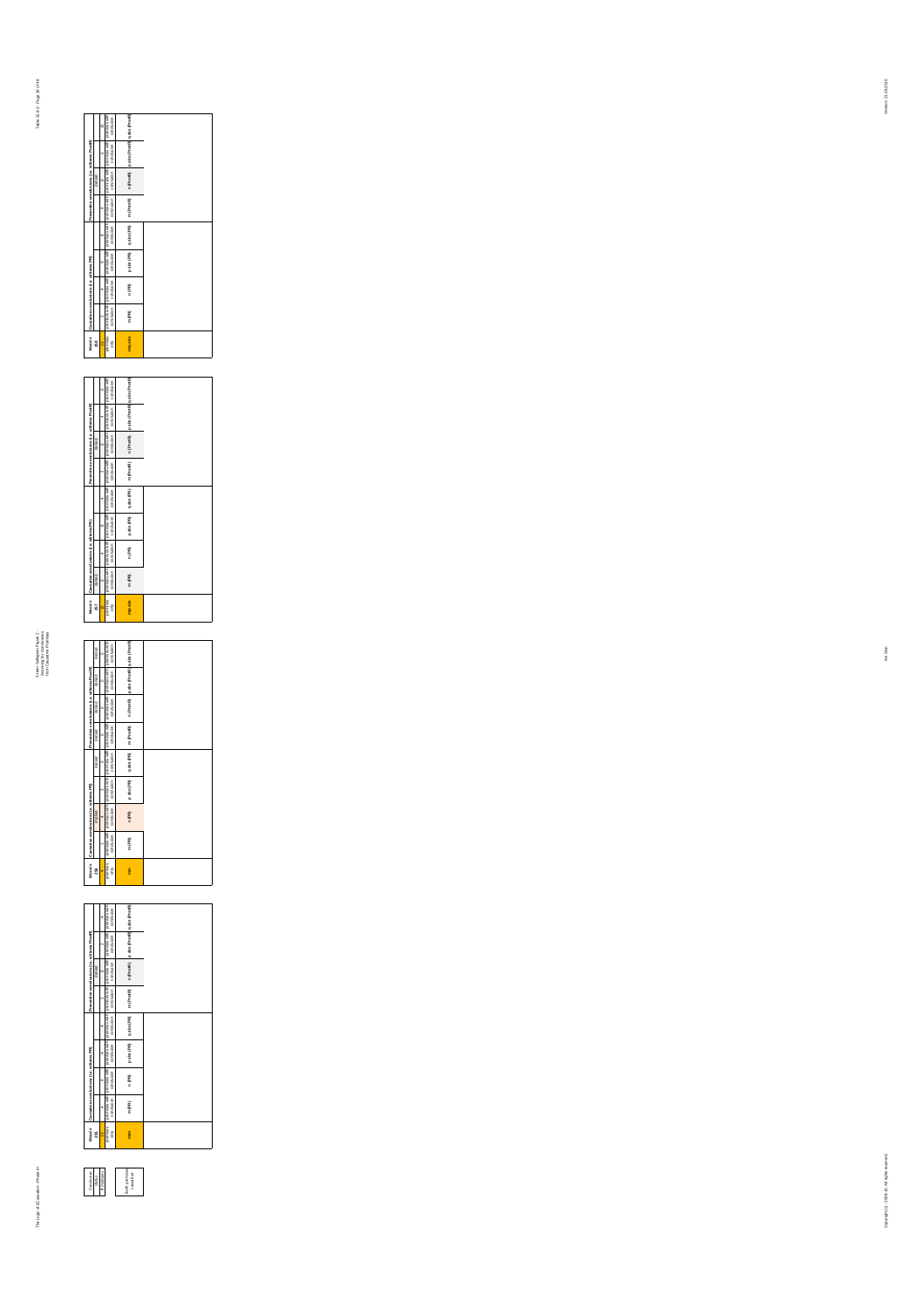|                                                |        |   | oorciu                                                                |                                                                 |  |
|------------------------------------------------|--------|---|-----------------------------------------------------------------------|-----------------------------------------------------------------|--|
|                                                |        |   | oondusion                                                             |                                                                 |  |
|                                                | dened  |   | candualon                                                             | n (PriodR) pabs (PriotR) q abs (P                               |  |
| Preventive conclusions (i.e. willems Proof)    |        |   | premises with   premises with   premises with   premises<br>operation | m (ProofR)                                                      |  |
|                                                |        |   | promises with<br>oondusion                                            | qabs (PR)                                                       |  |
|                                                |        |   | oondusion                                                             | pabs (PR)                                                       |  |
| ausaive condusions (i.e. witems PR)            |        |   | promises with premises with<br>condusion                              | n (PR)                                                          |  |
|                                                |        |   | com sea with<br>operation                                             | m(PR)                                                           |  |
| Mood#                                          | 258    |   | D/01/11 905<br>č                                                      | m/g abs                                                         |  |
|                                                |        |   |                                                                       |                                                                 |  |
|                                                |        |   | oondusion                                                             |                                                                 |  |
| Preventive conclusions (i.e. witems PhotR)     |        |   | promises with premises with<br>condusion                              |                                                                 |  |
|                                                | dinind |   | promises with promises with<br>oprehasion                             |                                                                 |  |
|                                                |        |   | oondusion                                                             | q abs (PR) = m(PnotR) = n (PnotR) = p abs (PnotR) q abs (PnotR) |  |
|                                                |        |   | promises with<br>canduaso                                             |                                                                 |  |
|                                                |        |   | Dream sea with promises with<br>conclusion                            | p atos (PR)                                                     |  |
| Causative conclusions (i.e. witems PR)         |        |   | oprehasion                                                            | n (PR)                                                          |  |
|                                                | denied |   | remises with<br>oondusion                                             | m(pR)                                                           |  |
| Mood#                                          | 78Z    | 9 | premises<br>σťν                                                       | m/p abs                                                         |  |
|                                                |        |   |                                                                       |                                                                 |  |
|                                                | dened  |   | oonclusion                                                            |                                                                 |  |
| Preventive conclusions (i.e. w/ltems Prooff.)  | denied |   | Torema es with Toremas a with Toremises with<br>operation             |                                                                 |  |
|                                                | denied |   | oondusion                                                             | qubs (PR)   m (PnotR)   n (PnotR)   pabs (PnotR) q abs (PnotR)  |  |
|                                                | denied |   | candualon                                                             |                                                                 |  |
|                                                | denied |   | mises with conmises with conmises with premises with<br>conclusion    |                                                                 |  |
| sions (i.e. witness PR)                        |        |   | oondusion                                                             | pabs (PR)                                                       |  |
|                                                | mpled  |   | oondusion                                                             | mpm                                                             |  |
| Causative concil                               |        |   | promises with<br>condusion                                            | m (PR)                                                          |  |
| Mood #                                         | 256    |   | DYOTH 50%<br>č                                                        | ł                                                               |  |
|                                                |        |   | oondusion                                                             |                                                                 |  |
|                                                |        |   | premises with premises<br>canduaton                                   |                                                                 |  |
| Preventive conclusions (i.e., wilterns Profit) | dened  |   | promises with<br>conclusion                                           | n (ProofR)   p.abs (ProofR) q abs (ProofR)                      |  |
|                                                |        |   | premises with<br>oprobasion                                           | m (ProtR)                                                       |  |
|                                                |        |   | premises with<br>oondusion                                            | qabs (PR)                                                       |  |
|                                                |        |   | candusion                                                             | pate (PR)                                                       |  |
|                                                |        |   | promises with premises with<br>conclusion                             | n (PR)                                                          |  |
| Causalve condusions (i.e. witems PR)           |        |   | vernises with<br>operation                                            | m (PR)                                                          |  |
| Mood #                                         | 255    | g | DY01mid905<br>ă                                                       | ł                                                               |  |
|                                                |        |   |                                                                       |                                                                 |  |

Conclusion status # moduses causative Both premises

 $\overline{3}$ 

The Lagic of £Causation

| implied                                  | Causative conclusions (i.e. w/tems PR) |                             |                            | Preventive conclusions (i.e. w/ltems ProtR) |                            |                                      |
|------------------------------------------|----------------------------------------|-----------------------------|----------------------------|---------------------------------------------|----------------------------|--------------------------------------|
|                                          |                                        | densed                      | dened                      | denied                                      | dining                     | denied                               |
|                                          |                                        | ċ                           | ö                          | ċ                                           |                            |                                      |
| promises with premises with<br>oondusion | promises with<br>oondusion             | premises with<br>conclusion | promises with<br>candualon | premises with<br>oondusion                  | premises with<br>operation | promises with<br>conclusion          |
| nopa                                     |                                        |                             | m (Prooft)                 |                                             |                            | n (Pro IR) pais (ProfR) qabs (ProfR) |
|                                          | pabs (PR) qabs (PR)                    |                             |                            |                                             |                            |                                      |

|                                              |             | $\approx$ | wm ses with<br>operation                |                                        |  |
|----------------------------------------------|-------------|-----------|-----------------------------------------|----------------------------------------|--|
|                                              |             |           | coemses with<br>oondusion               | pate (Prot R) q abs (P notR)           |  |
| Preventive conclusions (i.e., witems Profit) | dened       |           | premises with<br>candusion              | n (ProtR)                              |  |
|                                              |             |           | promises with<br>conclusion             | $m(P \text{ nodeR})$                   |  |
|                                              |             |           | oondusion                               | qabs (PR)                              |  |
|                                              |             |           | premises with<br>oondusion              | pabs (PR)                              |  |
|                                              |             |           | <b>Systems</b><br>candusion             | n (PR)                                 |  |
| Causaive conclusions (i.e. wiltems PR)       |             |           | how post users<br>conclusion            | m (PR)                                 |  |
| Mood #                                       | 258         | 16        | 200m 905<br>cely                        | m/q abs                                |  |
|                                              |             |           | premises with                           |                                        |  |
|                                              |             |           | oondusion<br>promises with<br>condusion | pates (Pn ofR) q alss (PnotR)          |  |
| Preventive conclusions (i.e. wiltems PnotR)  |             |           |                                         |                                        |  |
|                                              | dining      |           | DYNTH SAS WITH<br>conclusion            | n (ProtR)                              |  |
|                                              |             |           | promises with<br>oondusion              | m (ProtR)                              |  |
|                                              |             |           | premises with<br>candusion              | qabs (PR)                              |  |
|                                              |             |           | promises with<br>conclusion             | p atos (PR)                            |  |
| Causative conclusions (i.e. wiltems PR)      |             |           | onmises with<br>operation               | n (PR)                                 |  |
| Mood #                                       | denied<br>ă |           | してる 切りになる<br>oondusion                  | $\omega$ or $\omega$                   |  |
|                                              |             | g         | premises<br>ğ                           | m/p abs                                |  |
|                                              | derived     | ۰         | DYNYN 5935 WITH<br>conclusion           |                                        |  |
|                                              | dinind      |           | 200m ses with<br>operation              | pates (Prooft) qubs (Prooft)           |  |
|                                              | denied      |           | comises with<br>oondusion               | n (Prooff)                             |  |
| Preventive conclusions (i.e. w/ltems ProtR)  | dened       |           | promises with<br>candusion              | m (ProtR)                              |  |
|                                              | densed      |           | DYRITTI SIG WITH<br>conclusion          | $q$ at $s$ $(PR)$                      |  |
| Ê                                            |             |           | rees with<br>oondusion                  | pabs (PR)                              |  |
| ausative conclusions (i.e. w/tem             | impled      |           | <b>Systems</b><br>oondusion             | nopRy                                  |  |
|                                              |             |           | comments with<br>candualan              | m (PR)                                 |  |
| Mood #                                       | 256         |           | DYOTH 505<br>č                          | ę                                      |  |
|                                              |             |           |                                         |                                        |  |
|                                              |             |           | <b>SYN DISSUES</b><br>opriduation       |                                        |  |
|                                              |             |           | premises with<br>candusion              | n (P notR) pabs (PnotR) q abs (P notR) |  |
| Preventive conclusions (Le. witems Profit)   | dened       |           | D'emission Vilh<br>conclusion           |                                        |  |
|                                              |             |           | Dream sea with<br>operation             | $m(P \text{ model})$                   |  |
|                                              |             |           | nees with<br>oondusion                  | qabs (PR)                              |  |
|                                              |             |           | promises with<br>candusion              | pate (PR)                              |  |
| Causalive condusions (i.e. witems PR)        |             |           | first state<br>conclusion               | n (PR)                                 |  |
|                                              |             |           | oprobasion<br>たま でぶこ                    | m (PR)                                 |  |
| $\frac{1}{8}$                                | 255         |           | š                                       |                                        |  |

pyright (c) - 2008-10

**Nov. 2106.2010**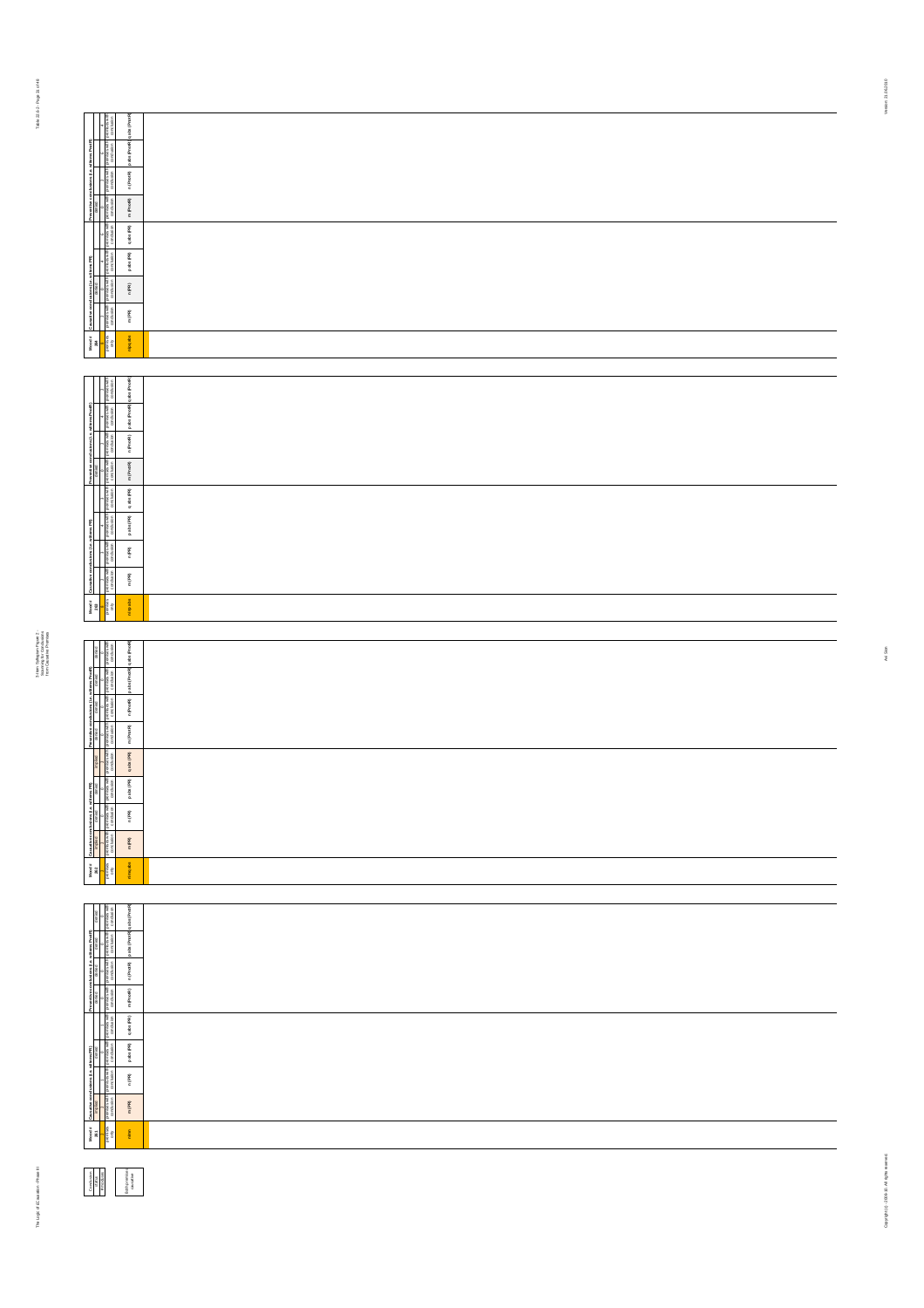Table 22.6-2 - Page 31 of 48

de22.62-Page 31of 48

|                                        |                         | $\mathbf{r}$                                                     |  |
|----------------------------------------|-------------------------|------------------------------------------------------------------|--|
| conclusions (i.e. witems PnotR)        | ŧ                       | ಸ<br>s<br>$\Omega$                                               |  |
|                                        | is as with              | $\widehat{\mathbf{g}}$<br>န္                                     |  |
| š<br>Prove                             | Ē                       | $\tilde{a}$<br>$\frac{a}{\epsilon}$                              |  |
|                                        | kith                    | $\epsilon_{\rm (PR)}$<br>$\ddot{\phantom{0}}$<br>$\ddot{\sigma}$ |  |
|                                        |                         | $_{\rm bs}$ (PR)<br>Ā                                            |  |
| Causative conclusions (i.e. w/tems PR) | H                       | $\frac{\varrho}{\varrho}$<br>$\epsilon$                          |  |
|                                        | ā<br>p<br>E             | $\widehat{\mathbf{g}}$<br>€                                      |  |
|                                        | Mood #<br><b>SERIES</b> | n/pqubs                                                          |  |

|                       | $rac{2}{1000}$ with<br><b>BE</b>                                                                                                                                                                                               | $\bullet$<br>$\ddot{\sigma}$   |  |
|-----------------------|--------------------------------------------------------------------------------------------------------------------------------------------------------------------------------------------------------------------------------|--------------------------------|--|
| s ProtR)              | $\frac{6}{3}$<br>H<br>E <sub>c</sub>                                                                                                                                                                                           | ۴<br>э.<br>$\mathbf{a}$        |  |
| ins (Le. wile         | $\begin{array}{c} \hline 2 \\ \hline \hline \hline \end{array}$ promises with                                                                                                                                                  | $\tilde{z}$<br>s<br>$\epsilon$ |  |
|                       |                                                                                                                                                                                                                                | έŝ.<br>€                       |  |
|                       |                                                                                                                                                                                                                                | Ê<br>÷                         |  |
|                       | proveminant of the state of the state of the state of the state of the state of the state of the state of the state of the state of the state of the state of the state of the state of the state of the state of the state of | ε<br>ъ<br>ä.                   |  |
| sions (i.e. wite<br>퀽 | 3<br>promises with<br>conclusion                                                                                                                                                                                               | n (PR)                         |  |
| $\frac{8}{8}$         | $\frac{1}{2}$<br>$\frac{1}{\text{normal}}$                                                                                                                                                                                     | Ê<br>€                         |  |
| Mood #                | omissi                                                                                                                                                                                                                         | -31<br>$\alpha$                |  |

| stated<br>Reiming<br>pates (Prooft) qabs (P<br>promises with<br>promises with<br>$\mathfrak{n}$ (Pn ofR)<br><b>Preventive conclusion</b><br>offered and prominent<br>conclusion concl<br>conclusion concl<br>$\mathfrak{m}$ (Prooff)<br>pomises with<br>pomises with<br>$q$ abs $(\mathsf{PR})$<br>p abs (PR)<br>$4$<br>promises with<br>Causalive conclusions (i.e. w /k ems PR)<br>Premises with permises with permeters with<br>Premises with permises with permises with<br>n (PR)<br>promises with<br>$\mathop{\mathbb{R}}\limits_{\mathbb{R}}$<br>Mood #<br>264<br>pomisos<br>only<br>n/pqabs                                                                                                                                                                                                                                                                                                                                                                                                                                                                                                                              |  |  |
|----------------------------------------------------------------------------------------------------------------------------------------------------------------------------------------------------------------------------------------------------------------------------------------------------------------------------------------------------------------------------------------------------------------------------------------------------------------------------------------------------------------------------------------------------------------------------------------------------------------------------------------------------------------------------------------------------------------------------------------------------------------------------------------------------------------------------------------------------------------------------------------------------------------------------------------------------------------------------------------------------------------------------------------------------------------------------------------------------------------------------------|--|--|
| 2<br>promises with<br>pabs (PnotR) qabs (Pnot<br>witems ProtR)<br>4<br>promises with<br>conduction<br>Preventive conclusions (i.e. wil<br>- dinting with promises with p<br>- portugion - conclusion -<br>- conclusion - conclusion<br>n (ProdR)<br>$m$ (ProotR)<br>3<br>promises with<br>qabs (PR)<br>$\begin{array}{c c}\n4 & \text{with} \quad \text{if} \quad \text{if} \quad \text{if} \quad \text{if} \quad \text{if} \quad \text{if} \quad \text{if} \quad \text{if} \quad \text{if} \quad \text{if} \quad \text{if} \quad \text{if} \quad \text{if} \quad \text{if} \quad \text{if} \quad \text{if} \quad \text{if} \quad \text{if} \quad \text{if} \quad \text{if} \quad \text{if} \quad \text{if} \quad \text{if} \quad \text{if} \quad \text{if} \quad \text{if} \quad \text{if} \quad \text{if} \quad \text{if}$<br>patos (PR)<br>ER)<br>$3 - 3$<br>promises with<br>Causative conclusions (i.e.<br>$\frac{\widehat{\mathfrak{g}}}{\mathfrak{g}}$<br>2<br>homises with<br>$\frac{\partial \widehat{R}}{\partial t}$<br>$\begin{array}{r} \text{Mod } \# \\ 243 \\ \text{Permitian} \\ \hline \end{array}$<br>ninpabs |  |  |
| promises with<br>p abs (Prooft) q abs (Prooft)<br>Preventive conclusions (i.e. witems Phosts)<br>- deviat - deviat - deviat<br>- premise - premise with premise with pr<br>- produkton - conclusion - conclusion pr<br>$n$ (Proot R)<br>$m$ (Pn ofR)<br>impled<br>promises with<br>condusion<br>qabs (PR)<br>Causative conclusions (a. wikens PR)<br>  Immigrad and Sunday and Sunday of Partial Control<br>  Immigrad perimeter with permission pr<br>  Conclusion conclusion conclusion<br>$p$ abs $\left( \mathsf{PR}\right)$<br>$\alpha$ (PR)<br>$m \varphi R$<br>$\begin{array}{r}\n\text{Mod } H \\ 20 \\ \hline\n\text{pransion} \\ \hline\n\end{array}$<br>ning abs                                                                                                                                                                                                                                                                                                                                                                                                                                                      |  |  |
| $\begin{tabular}{ c c } \hline & and \\ \hline 0 & \\ \hline 0 & \\ \hline 0 & \\ \hline 0 & \\ \hline 0 & \\ \hline 0 & \\ \hline \end{tabular}$<br>n (PnotR) pabs (PnotR) q abs (PnotR<br>Perentino condusions (a. whense Poet)<br>permain and Control device<br>condustry permain permain and permain<br>condustry condustry condustry condustry<br>condustry condustry condustry<br>$m$ (P rooff)<br>$q$ alos (PR)<br>Causative conclusions (i.e. whens PR)<br>$\frac{1}{2}$<br>permass with promises with permission with<br>permass with promises with<br>$\frac{3}{2}$<br>$\mathsf{p}$ abs (PR)<br>$_{\rm n}$ (PR)<br>$\frac{m}{m}$<br>$rac{1}{\cos x}$<br>$\frac{1}{3}$                                                                                                                                                                                                                                                                                                                                                                                                                                                  |  |  |

| 4<br>promises with<br>conclusion                                                                                                                                                                                                                                                                                                                                                                                             |  |
|------------------------------------------------------------------------------------------------------------------------------------------------------------------------------------------------------------------------------------------------------------------------------------------------------------------------------------------------------------------------------------------------------------------------------|--|
| patra (Prooft) q alos (Prooft                                                                                                                                                                                                                                                                                                                                                                                                |  |
| $n$ (Pn ofR)                                                                                                                                                                                                                                                                                                                                                                                                                 |  |
| Perentino con dualcota (e. Wilman Prock)<br>portifica (e. 1999)<br>portifica (e. 1999)<br>contain (conduison conduison portifica (e. 1999)<br>conduison (conduison conduison portifica)                                                                                                                                                                                                                                      |  |
| $q$ abs $(PR)$ m $(P \text{ node } R)$                                                                                                                                                                                                                                                                                                                                                                                       |  |
| $p$ abs (PR)                                                                                                                                                                                                                                                                                                                                                                                                                 |  |
|                                                                                                                                                                                                                                                                                                                                                                                                                              |  |
| $_{\rm n}$ $\varphi$ es                                                                                                                                                                                                                                                                                                                                                                                                      |  |
| Mood # Causalive conclusions (i.e. w Mems PR)<br>2014 - Permiss - Premission pomission pomission (i.e.<br>pomission premission pomission pomission (i.e.<br>conclusion pomission conclusion conclusion<br>$\mathop{\mathsf{m}}\nolimits(\mathsf{PR})$                                                                                                                                                                        |  |
| promises<br>only<br>n/pq db s                                                                                                                                                                                                                                                                                                                                                                                                |  |
|                                                                                                                                                                                                                                                                                                                                                                                                                              |  |
| Perentia<br>comitate percentation (i.e., whereas Post Ry<br>comitation percentation (percentation) percentation (increased)<br>comitation (i.e., and increased) percentation (increased)<br>n (Prooff) pabs (Prooff) qubs (Proof                                                                                                                                                                                             |  |
|                                                                                                                                                                                                                                                                                                                                                                                                                              |  |
|                                                                                                                                                                                                                                                                                                                                                                                                                              |  |
| m (ProtR)                                                                                                                                                                                                                                                                                                                                                                                                                    |  |
| qabs (PR)                                                                                                                                                                                                                                                                                                                                                                                                                    |  |
| 3<br>promises with promises with<br>opplyision condusion<br>pats (PR)                                                                                                                                                                                                                                                                                                                                                        |  |
| $_{\rm n}$ (PR)                                                                                                                                                                                                                                                                                                                                                                                                              |  |
| $2$<br>romises with<br>$\frac{\partial}{\partial t}$                                                                                                                                                                                                                                                                                                                                                                         |  |
| Mood # Causalve conclusions (i.e. wileims PR)<br>243<br>Promises<br>ninpabs                                                                                                                                                                                                                                                                                                                                                  |  |
|                                                                                                                                                                                                                                                                                                                                                                                                                              |  |
|                                                                                                                                                                                                                                                                                                                                                                                                                              |  |
|                                                                                                                                                                                                                                                                                                                                                                                                                              |  |
|                                                                                                                                                                                                                                                                                                                                                                                                                              |  |
|                                                                                                                                                                                                                                                                                                                                                                                                                              |  |
| n (ProotR) pates (ProotR) qates (ProotR)                                                                                                                                                                                                                                                                                                                                                                                     |  |
| $m(p_{0.05}q)$                                                                                                                                                                                                                                                                                                                                                                                                               |  |
|                                                                                                                                                                                                                                                                                                                                                                                                                              |  |
| pas(PR) qabs (PR)                                                                                                                                                                                                                                                                                                                                                                                                            |  |
| $\frac{2}{n}$                                                                                                                                                                                                                                                                                                                                                                                                                |  |
| $\mathfrak{m} \otimes \mathfrak{N}$                                                                                                                                                                                                                                                                                                                                                                                          |  |
| Mood Cassin's contribution (a where PR) project President Cassing a shear Point of the Cassing Cassing Cassing Cassing Cassing Cassing Cassing Cassing Cassing Cassing Cassing Cassing Cassing Cassing Cassing Cassing Cassin<br>ning abs                                                                                                                                                                                    |  |
|                                                                                                                                                                                                                                                                                                                                                                                                                              |  |
|                                                                                                                                                                                                                                                                                                                                                                                                                              |  |
|                                                                                                                                                                                                                                                                                                                                                                                                                              |  |
|                                                                                                                                                                                                                                                                                                                                                                                                                              |  |
|                                                                                                                                                                                                                                                                                                                                                                                                                              |  |
| $\begin{tabular}{ c c c c c c } \hline \textbf{P} & \textbf{p} & \textbf{q} & \textbf{q} & \textbf{p} & \textbf{p} & \textbf{p} & \textbf{p} & \textbf{p} & \textbf{p} & \textbf{p} \\ \hline \textbf{p} & \textbf{q} & \textbf{p} & \textbf{p} & \textbf{p} & \textbf{p} & \textbf{p} & \textbf{p} & \textbf{p} & \textbf{p} \\ \hline \textbf{p} & \textbf{p} & \textbf{p} & \textbf{p} & \textbf{p} & \textbf{p} & \text$ |  |
| pates (PR) = q abs (PR) = m (ProcR) = n (ProcR) = p abs (ProcR) q abs (ProcR<br>oomises with p<br>oondusive                                                                                                                                                                                                                                                                                                                  |  |
| promises with<br>$_{\rm n}$ (PR)                                                                                                                                                                                                                                                                                                                                                                                             |  |
| romises with<br>$\frac{m(\Theta R)}{m}$                                                                                                                                                                                                                                                                                                                                                                                      |  |
| Mood # Causative conclusions (i.e. w/learns PR)<br>261 <mark>mpled =</mark><br>premises<br>$_{\rm n/mn}$                                                                                                                                                                                                                                                                                                                     |  |

Losic of ECausation

Conclusion<br># moduses<br>xh premis<br>causative Both premises

The Logic of Economic of Economic of Figure 2 - Phase III 3-Item Sylvism Figure 2 - Phase III 30-Item Sylvism Figure 2 - Phase III 30-Item Sylvism Figure 2 - Phase III 30-Item Sylvism Figure 2 - Phase III 31-Item Sylvism F

Scanning for Conclusions from Causative Premises

3-tem Syligjen Figure 2<br>Saaming for Condusions<br>from Causalive Premises

18<sub>00</sub>

Version: 21.06.2010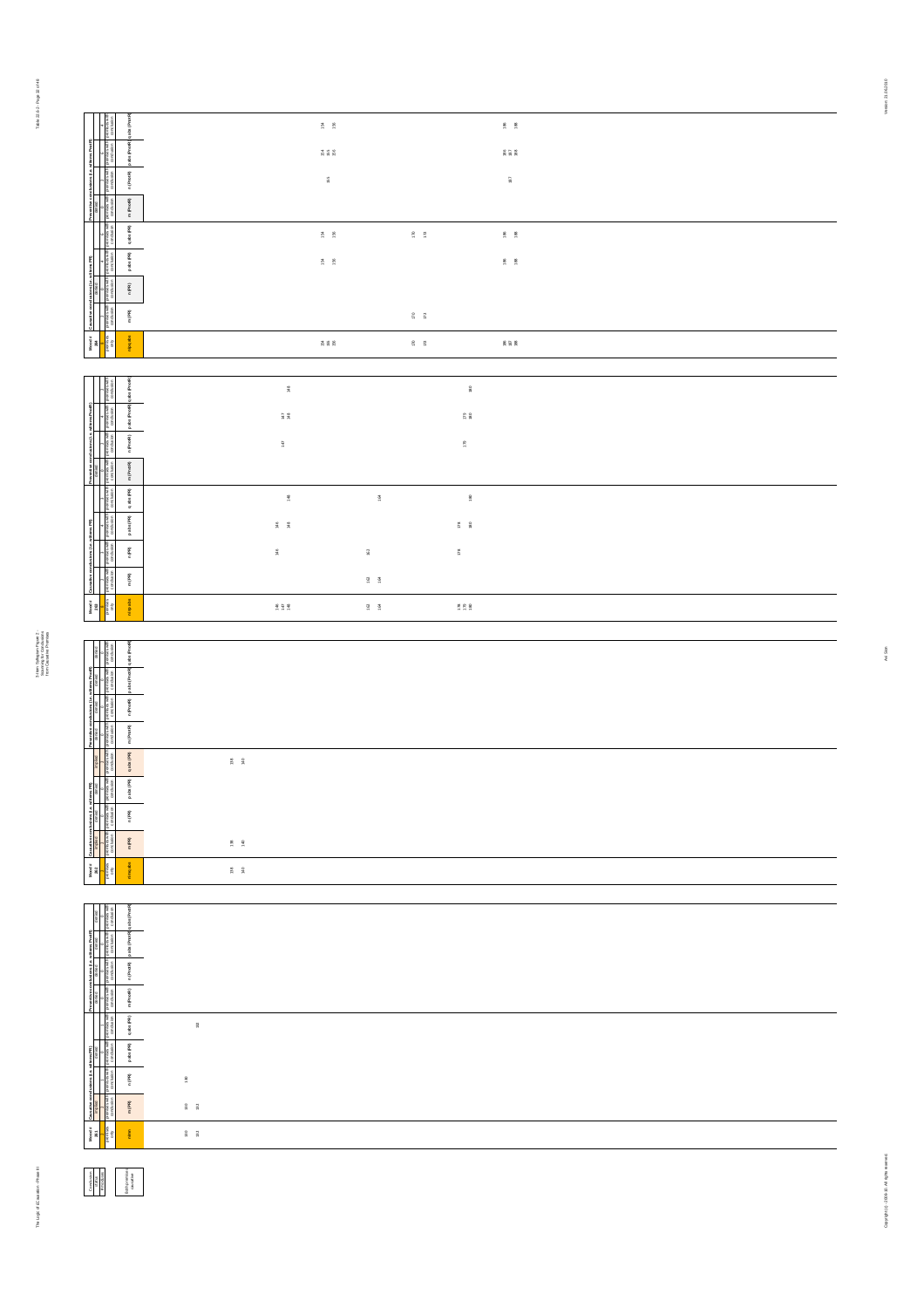| ã |                 |                                               | Preventive con duslons (i.e. wiltems PnotR) |                                        |                             |
|---|-----------------|-----------------------------------------------|---------------------------------------------|----------------------------------------|-----------------------------|
|   |                 | dened                                         |                                             |                                        |                             |
|   |                 |                                               |                                             |                                        |                             |
| š | conclusion      | with premises with premises with<br>candusion | premises with<br>oondusion                  | premises with<br>opricion              | promises with<br>conclusion |
| £ | $q$ at $s$ (PR) | m (Prooft)                                    |                                             | n (Pn ofR) pates (PnofR) q abs (PnofR) |                             |

| 4<br>promises with<br>conclusion<br>qabs (Proof)                                                                                                                                                                                                                                                                             |                                                           |                                                                       |                                                                                                                  | $\frac{35}{12}-\frac{36}{12}$   |                      |                                               |                                                                                           | $\frac{18}{11}$ – $\frac{18}{11}$              |  |  |  |
|------------------------------------------------------------------------------------------------------------------------------------------------------------------------------------------------------------------------------------------------------------------------------------------------------------------------------|-----------------------------------------------------------|-----------------------------------------------------------------------|------------------------------------------------------------------------------------------------------------------|---------------------------------|----------------------|-----------------------------------------------|-------------------------------------------------------------------------------------------|------------------------------------------------|--|--|--|
| promises with<br>utes (Pro                                                                                                                                                                                                                                                                                                   |                                                           |                                                                       |                                                                                                                  | $\substack{5.3 \\ 2.3 \\ 1.5$   |                      |                                               |                                                                                           | $\begin{array}{c} 8.5 \\ 3.3 \\ 1 \end{array}$ |  |  |  |
| vimities with<br>n (Pn ofR)                                                                                                                                                                                                                                                                                                  |                                                           |                                                                       |                                                                                                                  | $_{155}$                        |                      |                                               |                                                                                           | $^{\rm 187}$                                   |  |  |  |
| Preventive conclusions (i.e. wittems PnotR)<br>promises with<br>$m$ (ProofR)                                                                                                                                                                                                                                                 |                                                           |                                                                       |                                                                                                                  |                                 |                      |                                               |                                                                                           |                                                |  |  |  |
| promises with                                                                                                                                                                                                                                                                                                                |                                                           |                                                                       |                                                                                                                  | $\frac{3}{10}$ – $\frac{9}{10}$ |                      | $\frac{1}{n}$ – $\frac{n}{n}$                 |                                                                                           | $\frac{18}{14}$ – $\frac{18}{14}$              |  |  |  |
| $p$ abs $(PR)$ qabs $(PR)$<br>premises with                                                                                                                                                                                                                                                                                  |                                                           |                                                                       |                                                                                                                  | $\frac{54}{156}$                |                      |                                               |                                                                                           | $\begin{array}{c} 36 \\ 38 \end{array}$        |  |  |  |
| premises with p<br>onduring<br>$\mathfrak{n}\not\in\mathsf{R}$                                                                                                                                                                                                                                                               |                                                           |                                                                       |                                                                                                                  |                                 |                      |                                               |                                                                                           |                                                |  |  |  |
| promises with<br>$\mathfrak{m}(\mathsf{PR})$                                                                                                                                                                                                                                                                                 |                                                           |                                                                       |                                                                                                                  |                                 |                      | $\mathop{\mathbb{R}}_n=\mathop{\mathbb{R}}_n$ |                                                                                           |                                                |  |  |  |
| $\frac{8}{\text{pounds}}$<br>n/pq db s                                                                                                                                                                                                                                                                                       |                                                           |                                                                       |                                                                                                                  | $\frac{3}{2} \frac{35}{25}$     |                      | $\frac{20}{3}$                                |                                                                                           | $387$<br>$387$                                 |  |  |  |
|                                                                                                                                                                                                                                                                                                                              |                                                           |                                                                       |                                                                                                                  |                                 |                      |                                               |                                                                                           |                                                |  |  |  |
| 2<br>remises with<br>1 ab s (P notR                                                                                                                                                                                                                                                                                          |                                                           |                                                                       | $^{\rm 148}$                                                                                                     |                                 |                      |                                               | $^{\rm 180}$                                                                              |                                                |  |  |  |
| premises with<br>훀                                                                                                                                                                                                                                                                                                           |                                                           |                                                                       | $\stackrel{\scriptstyle \text{m}}{\scriptstyle \text{m}}\stackrel{\scriptstyle \text{m}}{\scriptstyle \text{m}}$ |                                 |                      |                                               | $\stackrel{\circ}{\scriptscriptstyle{\sim}}$ $\stackrel{\circ}{\scriptscriptstyle{\sim}}$ |                                                |  |  |  |
| un sesius.<br>n (ProfR)                                                                                                                                                                                                                                                                                                      |                                                           |                                                                       | $\frac{\Omega}{\Omega}$                                                                                          |                                 |                      |                                               | $\mathcal{R}_1$                                                                           |                                                |  |  |  |
| Preventive conclusions (i.e. witems Prooff)<br>promises with<br>$m(p \cos R)$                                                                                                                                                                                                                                                |                                                           |                                                                       |                                                                                                                  |                                 |                      |                                               |                                                                                           |                                                |  |  |  |
| $3 - 1$<br>qabs (PR)                                                                                                                                                                                                                                                                                                         |                                                           |                                                                       | $\frac{9}{4}$                                                                                                    |                                 | $_{164}$             |                                               | $^{\rm 38}$                                                                               |                                                |  |  |  |
| 3<br>promises with promises with<br>conclusion conclusion<br>pabs (PR)<br>Mood # Causalve conclusions (i.e., willems PR)<br>263                                                                                                                                                                                              |                                                           |                                                                       | $\frac{6}{3}$ – $\frac{9}{3}$                                                                                    |                                 |                      |                                               | $\frac{m}{m}=\frac{0}{m}$                                                                 |                                                |  |  |  |
| $\frac{6}{n}$                                                                                                                                                                                                                                                                                                                |                                                           |                                                                       | $\frac{16}{14}$                                                                                                  |                                 | $\widetilde{\alpha}$ |                                               | $\mathbb{R}$                                                                              |                                                |  |  |  |
| nomises with<br>$\frac{\partial \mathbf{F}}{\partial t}$                                                                                                                                                                                                                                                                     |                                                           |                                                                       |                                                                                                                  |                                 | $\frac{52}{164}$     |                                               |                                                                                           |                                                |  |  |  |
| promises<br>ninpabs                                                                                                                                                                                                                                                                                                          |                                                           |                                                                       | $\begin{smallmatrix} 4 & 6 \\ 3 & 4 \\ 14 & 3 \end{smallmatrix}$                                                 |                                 | $\frac{52}{164}$     |                                               | $\substack{+8 \\ -128 \\ -180$                                                            |                                                |  |  |  |
|                                                                                                                                                                                                                                                                                                                              |                                                           |                                                                       |                                                                                                                  |                                 |                      |                                               |                                                                                           |                                                |  |  |  |
|                                                                                                                                                                                                                                                                                                                              |                                                           |                                                                       |                                                                                                                  |                                 |                      |                                               |                                                                                           |                                                |  |  |  |
| ilons (La wikens ProtR)<br>comses with                                                                                                                                                                                                                                                                                       |                                                           |                                                                       |                                                                                                                  |                                 |                      |                                               |                                                                                           |                                                |  |  |  |
| n (ProtR)                                                                                                                                                                                                                                                                                                                    |                                                           |                                                                       |                                                                                                                  |                                 |                      |                                               |                                                                                           |                                                |  |  |  |
| Preventive conc<br>promises with<br>condition<br>$m$ (Pn ofR)                                                                                                                                                                                                                                                                |                                                           |                                                                       |                                                                                                                  |                                 |                      |                                               |                                                                                           |                                                |  |  |  |
| $p$ abs $(PR)$ q also $(PR)$<br>$\begin{array}{ c c }\n\hline\n\text{impidot} & \text{if } \\ \hline\n\hline\n\end{array}$                                                                                                                                                                                                   |                                                           | $\begin{array}{cc} 33 & 8 \\ 1 & 40 \end{array}$                      |                                                                                                                  |                                 |                      |                                               |                                                                                           |                                                |  |  |  |
|                                                                                                                                                                                                                                                                                                                              |                                                           |                                                                       |                                                                                                                  |                                 |                      |                                               |                                                                                           |                                                |  |  |  |
| $n$ (PR)                                                                                                                                                                                                                                                                                                                     |                                                           |                                                                       |                                                                                                                  |                                 |                      |                                               |                                                                                           |                                                |  |  |  |
| Mood Cassatheconclusions (A. Whense PR)<br>242 – Inglas Maria (A. Monda)<br>period periods virtually periods periods of<br>period (conclusion periodsion periodsion)<br>conclusion (conclusion periodsion periodsion<br>$m \varphi R$                                                                                        |                                                           | $\overset{\text{\tiny{93}}}{\pi}$ – $\overset{\text{\tiny{93}}}{\pi}$ |                                                                                                                  |                                 |                      |                                               |                                                                                           |                                                |  |  |  |
| ninqabs                                                                                                                                                                                                                                                                                                                      |                                                           | $\begin{array}{cc} 33 & 8 \\ 3 & 4 \\ \end{array}$                    |                                                                                                                  |                                 |                      |                                               |                                                                                           |                                                |  |  |  |
|                                                                                                                                                                                                                                                                                                                              |                                                           |                                                                       |                                                                                                                  |                                 |                      |                                               |                                                                                           |                                                |  |  |  |
|                                                                                                                                                                                                                                                                                                                              |                                                           |                                                                       |                                                                                                                  |                                 |                      |                                               |                                                                                           |                                                |  |  |  |
|                                                                                                                                                                                                                                                                                                                              |                                                           |                                                                       |                                                                                                                  |                                 |                      |                                               |                                                                                           |                                                |  |  |  |
|                                                                                                                                                                                                                                                                                                                              |                                                           |                                                                       |                                                                                                                  |                                 |                      |                                               |                                                                                           |                                                |  |  |  |
| boot Cause's constants (a when PM)<br>$\frac{2\pi}{\sinh\theta}$ contains the phase parameter constants constants a whenever between the stress of the constant<br>contains permanental process and permanental permanental permanental proces<br>patos (PR) quito (PR) im (Proces) in (Proces) patos (Proces) also (Proces) |                                                           |                                                                       |                                                                                                                  |                                 |                      |                                               |                                                                                           |                                                |  |  |  |
|                                                                                                                                                                                                                                                                                                                              | $^{\rm 132}$                                              |                                                                       |                                                                                                                  |                                 |                      |                                               |                                                                                           |                                                |  |  |  |
|                                                                                                                                                                                                                                                                                                                              |                                                           |                                                                       |                                                                                                                  |                                 |                      |                                               |                                                                                           |                                                |  |  |  |
| $n(\mathsf{PR})$                                                                                                                                                                                                                                                                                                             | $\frac{\Omega}{\Omega}$                                   |                                                                       |                                                                                                                  |                                 |                      |                                               |                                                                                           |                                                |  |  |  |
| $\frac{1}{m}$ (PR)                                                                                                                                                                                                                                                                                                           | $\frac{8}{12}$                                            |                                                                       |                                                                                                                  |                                 |                      |                                               |                                                                                           |                                                |  |  |  |
| $rac{2}{\cos \theta}$                                                                                                                                                                                                                                                                                                        | $\begin{array}{cc} 1.0 & 0 \\ 0 & 0 \\ 0 & 0 \end{array}$ |                                                                       |                                                                                                                  |                                 |                      |                                               |                                                                                           |                                                |  |  |  |

Copyright (c) - 2008-10. All rights reserved. Avi Sion Version: 21.06.2010

Son

2106.2010

|                                                                         | B<br>premises<br>conclus                                                                    | $\mathbf{r}$                         |            |                                          |  |  |  |
|-------------------------------------------------------------------------|---------------------------------------------------------------------------------------------|--------------------------------------|------------|------------------------------------------|--|--|--|
|                                                                         | $\frac{1}{2}$<br>buse<br>Buse pana                                                          | ø<br>$\sim$                          |            |                                          |  |  |  |
| Preventive condusions (i.e. witterns Prodit)<br>derived derived derived | pemise<br>condi                                                                             | ÷<br>ို                              |            |                                          |  |  |  |
|                                                                         | $\frac{6}{3}$ 6<br>promise<br>contiu                                                        | $\ddot{\phantom{1}}$<br>$\mathbf{f}$ |            |                                          |  |  |  |
|                                                                         | $\frac{1}{100}$<br>$\frac{1}{100}$<br>$\frac{1}{100}$<br>$\frac{1}{100}$<br>$\frac{1}{100}$ | $\widehat{\mathbf{g}}$<br>÷          |            | $_{\rm 132}$                             |  |  |  |
|                                                                         |                                                                                             | ĝ<br>ä.                              |            |                                          |  |  |  |
| dustons (i.e. w/leams PR)<br>Colrad                                     | promises with premises<br>condusion condusi                                                 | æ<br>ì                               | $_{\rm B}$ |                                          |  |  |  |
| Causative o                                                             | promises with<br>conclusion                                                                 | m(PR)                                |            | $\Xi$ $\Xi$                              |  |  |  |
| Mood #                                                                  | promises                                                                                    | ÷                                    |            | $\begin{array}{cc} 30 \\ 21 \end{array}$ |  |  |  |

Table 22.6-2 - Page 32 of 48

Table 22.6-2 - Page 32 of 48

The Logic of Economic of Economic of Figure 2 - Phase III 3-Item Sylvism Figure 2 - Phase III 30-Item Sylvism Figure 2 - Phase III 30-Item Sylvism Figure 2 - Phase III 30-Item Sylvism Figure 2 - Phase III 31-Item Sylvism F nasa l

Conclusion<br># moduses<br>xh premis<br>causative Both premises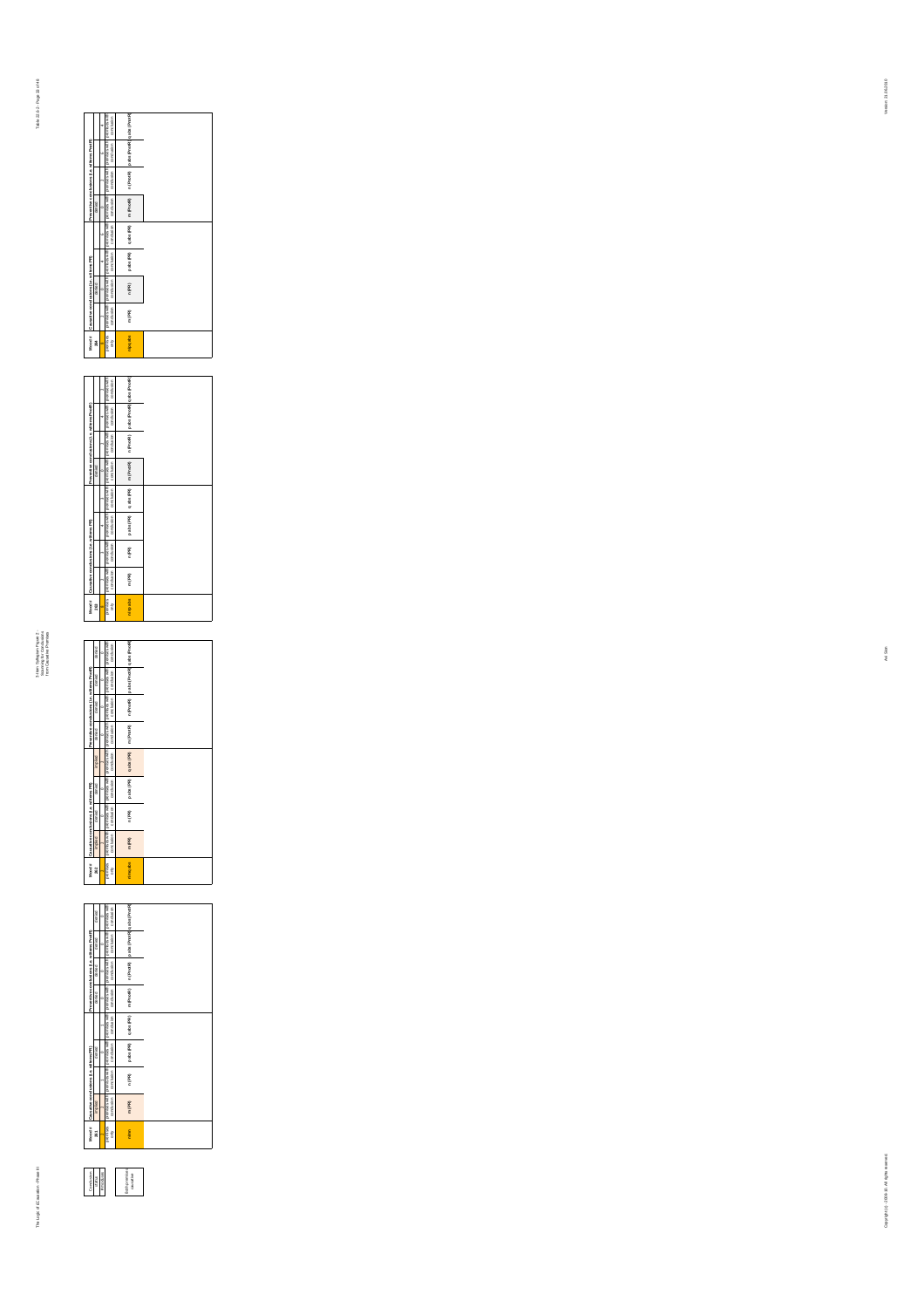| Mood#         |            | Causative con dusions (i.e. w/ltems PR)                              |           |            |                            | Preventive conclusions (i.e. willems Prooff) |                                         |                            |
|---------------|------------|----------------------------------------------------------------------|-----------|------------|----------------------------|----------------------------------------------|-----------------------------------------|----------------------------|
| 261           | mpled      |                                                                      | denied    |            | denied                     | denied                                       | denied                                  | <b>Distant</b>             |
|               |            |                                                                      | ö         |            | ö                          | ö                                            |                                         |                            |
| premises<br>ğ | conclusion | premises with premises with premises with premises with<br>candusion | oondusion | oorchasion | promises with<br>combision | premises with<br>candusion                   | promises with<br>oondusion              | premises with<br>operation |
| n/mn          | m(PR)      | n (PR)                                                               | pabs (PR) | qabs (PR)  | m (ProtR)                  |                                              | n (PriodR) pubs (Priod R) qubs (PriodR) |                            |
|               |            |                                                                      |           |            |                            |                                              |                                         |                            |
|               |            |                                                                      |           |            |                            |                                              |                                         |                            |
|               |            |                                                                      |           |            |                            |                                              |                                         |                            |
|               |            |                                                                      |           |            |                            |                                              |                                         |                            |

Conclusion<br># moduses<br>xh premis<br>causative Both premises

|                                              |         |   | DYRTH SAS WITH<br>conclusion             |                                                                                         |  |
|----------------------------------------------|---------|---|------------------------------------------|-----------------------------------------------------------------------------------------|--|
|                                              |         |   | Dreamises with<br>condusion              |                                                                                         |  |
|                                              |         |   | premises with<br>oondusion               |                                                                                         |  |
| Preventive conclusions (i.e. witems PnotR)   | dened   | c | promises with<br>candusion               |                                                                                         |  |
|                                              |         |   | Dream ses with<br>conclusion             | pabs (PR)   qabs (PR)   m (PnoR)   n (PnoR)   pabs (PnoR) qabs (PnoR)                   |  |
|                                              |         |   | premises with<br>oondusion               |                                                                                         |  |
|                                              | denied  |   | promision with<br>oondusion              |                                                                                         |  |
| Causative conclusions (i.e. w/kens PR)       |         |   | or any ses with<br>condusion             | n/pqabs m.(PR) n.(PR)                                                                   |  |
| Mood #                                       | 264     |   | 200 m 905<br>only                        |                                                                                         |  |
|                                              |         |   |                                          |                                                                                         |  |
|                                              |         |   | premises with<br>oondusion               |                                                                                         |  |
|                                              |         |   | promises with<br>candusion               |                                                                                         |  |
| Preventive conclusions (Le. witems ProtR)    |         |   | conclusion                               |                                                                                         |  |
|                                              | dining  |   | premises with premises with<br>operation |                                                                                         |  |
|                                              |         |   | promises with<br>oondusion               |                                                                                         |  |
|                                              |         |   | promises with<br>candusion               |                                                                                         |  |
|                                              |         |   | promises with<br>conclusion              |                                                                                         |  |
| Causative conclusions (i.e. wiltems PR)      |         |   | vermises with<br>oonduston               | m. (PR)   pabs (PR)   qabs (PR)   m. (ProcR)   n. (ProcR)   pabs (ProcR)   pabs (ProcR) |  |
| Mood #                                       | 263     |   | 200mlses<br>only                         | ning abs                                                                                |  |
|                                              |         |   |                                          |                                                                                         |  |
|                                              | dened   |   | promises with<br>candusion               |                                                                                         |  |
|                                              | denied  |   | DYNTH SAS WITH<br>conclusion             |                                                                                         |  |
|                                              | denied  |   | <b>200mises</b> with<br>oondusion        |                                                                                         |  |
| Preventive conclusions (i.e. wittens Pro IR) | denied  |   | promises with<br>oondusion               |                                                                                         |  |
|                                              | implied |   | premises with<br>condusion               |                                                                                         |  |
|                                              | denied  |   | premises with<br>conclusion              | patis (PR)   qabs (PR)   m (PhotR)   n (PhotR)   pabs (PhotR)   qabs (PhotR)            |  |
| (i.e. wilterns PR)                           | ðoll    |   | ş<br>oondusion<br>premies                | e<br>S                                                                                  |  |
| Causative conclusions                        | implied |   | premises with<br>candusion               | m(pR)                                                                                   |  |
| Mood#                                        | 202     |   | promises<br>öπ                           | n <i>Ima</i> abs                                                                        |  |
|                                              |         |   |                                          |                                                                                         |  |
|                                              | diciero |   | DYNT 905 WET<br>operation                |                                                                                         |  |
|                                              | denied  |   | premises with<br>oondusion               |                                                                                         |  |
|                                              | denied  |   | premises with<br>candusion               |                                                                                         |  |
| Preventive condusions (i.e. witems Profit.)  | denied  |   | promises with<br>conclusion              |                                                                                         |  |
|                                              |         |   | premises with<br>operation               | qabs (PR) m (PnotR) n (PnotR) pabs (PnotR) qabs (PnotR)                                 |  |
|                                              | denied  |   | premises with<br>oondusion               | pabs (PR)                                                                               |  |
|                                              |         |   | promises with<br>candusion               | n (PR)                                                                                  |  |
| ausative con dusions (i.e. w/ltems PR)       | mpled   |   | com sea with<br>conclusion               | m(PR)                                                                                   |  |
| food #                                       | 261     |   | com ses<br>ğ                             | n/mn                                                                                    |  |

|                             |           |                                          |                            |                             | Preventive conclusions (Le. witems Prot R) |                            |
|-----------------------------|-----------|------------------------------------------|----------------------------|-----------------------------|--------------------------------------------|----------------------------|
|                             |           |                                          | dining                     |                             |                                            |                            |
|                             |           |                                          |                            |                             |                                            |                            |
| promises with<br>conclusion | candusion | promises with premises with<br>oondusion | premises with<br>operation | promises with<br>conclusion | promises with<br>candusion                 | DYRTTIERSS WE<br>oondusion |
| n (PR)                      | pate (PR) | qabs (PR)                                | m (Prot R)                 | n (Prooff)                  | pates (Pro IR) q ab s (P notR)             |                            |
|                             |           |                                          |                            |                             |                                            |                            |
|                             |           |                                          |                            |                             |                                            |                            |
|                             |           |                                          |                            |                             |                                            |                            |
|                             |           |                                          |                            |                             |                                            |                            |
|                             |           |                                          |                            |                             |                                            |                            |
|                             |           |                                          |                            |                             |                                            |                            |
|                             |           |                                          |                            |                             |                                            |                            |
|                             |           |                                          |                            |                             |                                            |                            |
|                             |           |                                          |                            |                             |                                            |                            |

| Mood #        |                            | Causative conclusions (i.e. will ems PR) |                            |                             |                            | Preventive con dusions (i.e. willens Profit) |                                          |                             |
|---------------|----------------------------|------------------------------------------|----------------------------|-----------------------------|----------------------------|----------------------------------------------|------------------------------------------|-----------------------------|
| 284           |                            | denied                                   |                            |                             | dened                      |                                              |                                          |                             |
| 88            |                            |                                          |                            |                             |                            |                                              |                                          |                             |
| 200m 905<br>č | promises with<br>condusion | premises with<br>oondusion               | premises with<br>oondusion | premises with<br>conclusion | premises with<br>candusion | premises with<br>oondusion                   | premises with<br>oondusion               | promises with<br>conclusion |
| a designation | m (PR)                     | nopRy                                    | pabs (PR)                  | $q$ ab $s$ $(PR)$           | m (ProtR)                  |                                              | n (Pn ofR) p also (PnotR) q also (PnotR) |                             |
|               |                            |                                          |                            |                             |                            |                                              |                                          |                             |
|               |                            |                                          |                            |                             |                            |                                              |                                          |                             |

Avi Sion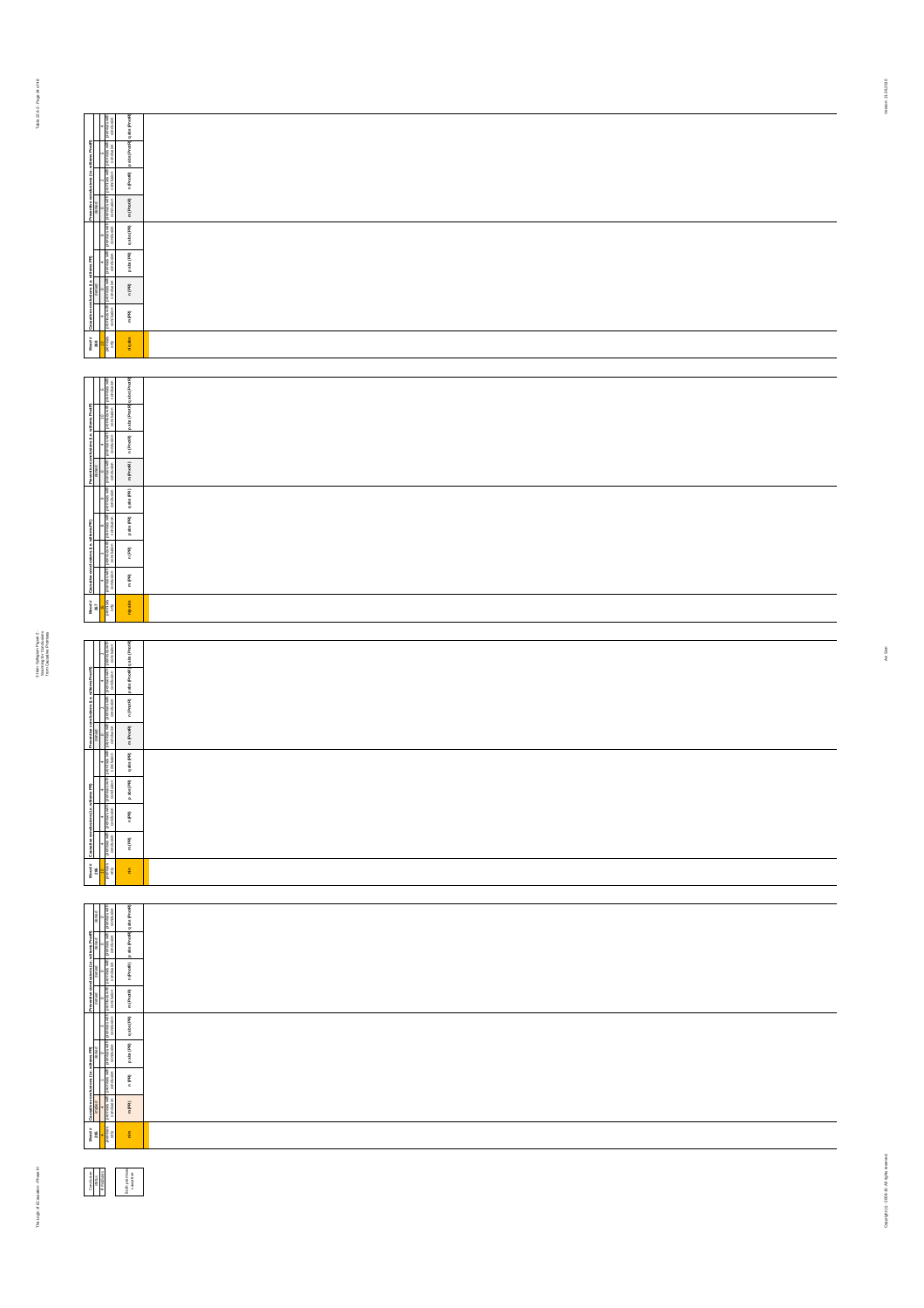Scanning for Conclusions from Causative Premises

3-lam Sylogian Figure 2<br>Scaming for Conduisons<br>from Causative Premises

Conclusion status # moduses causative Both premises

|                                                         | omises with<br>conclusion                                                                                                                                                                                                                                                          |  |
|---------------------------------------------------------|------------------------------------------------------------------------------------------------------------------------------------------------------------------------------------------------------------------------------------------------------------------------------------|--|
|                                                         | pate (ProtR) q als (ProtR                                                                                                                                                                                                                                                          |  |
|                                                         | $n$ (ProofR)                                                                                                                                                                                                                                                                       |  |
| Preventive conclusions (i.e., witems Prooft)<br>derival |                                                                                                                                                                                                                                                                                    |  |
|                                                         | $\frac{4}{3}$ pixels of the set of the set of the set of the set of the set of the set of the set of the set of the set of the set of the set of the set of the set of the set of the set of the set of the set of the set of the<br>$p$ abs (PR) $q$ abs (PR) $m(p \text{ node})$ |  |
|                                                         |                                                                                                                                                                                                                                                                                    |  |
|                                                         | $n$ (PR)                                                                                                                                                                                                                                                                           |  |
| Causative conclusions (i.e. witems PR)                  | $4$<br>promises with promises with<br>conclusion condusion<br>$\frac{\partial \widehat{\mathbf{r}}}{\partial \mathbf{r}}$                                                                                                                                                          |  |
|                                                         |                                                                                                                                                                                                                                                                                    |  |
|                                                         | $\begin{array}{r}\n\text{Mod } \# \\ \text{208}\n\end{array}$<br>niqabs                                                                                                                                                                                                            |  |
|                                                         |                                                                                                                                                                                                                                                                                    |  |
|                                                         | n (Prooft) p abs (Pn oft) q abs (Protf()                                                                                                                                                                                                                                           |  |
|                                                         |                                                                                                                                                                                                                                                                                    |  |
| Preventive conclusions (i.e. witems Phot R)<br>derival  | $m(\hbox{\rm Prox\,} R)$                                                                                                                                                                                                                                                           |  |
|                                                         | mania wilaya kata na mania kata kata na kata na kata na kata na kata na kata na kata na kata na kata na kata n<br>condatan pontaka na kata na kata na kata na kata na kata na kata na kata na kata na kata na kata na kata na ka<br><br>qabs (PR)                                  |  |
|                                                         | p also (PR)                                                                                                                                                                                                                                                                        |  |
|                                                         |                                                                                                                                                                                                                                                                                    |  |
| ausative conclusions (Le, witems PR)                    | $_{\rm n}$ (PR)                                                                                                                                                                                                                                                                    |  |
|                                                         | $\mathfrak{g}_{\mathfrak{g}}$                                                                                                                                                                                                                                                      |  |
| $rac{1}{\frac{37}{2}}$                                  | pomisos<br>pomisos<br>nipabs                                                                                                                                                                                                                                                       |  |
|                                                         | 2<br>promises with<br>conclusion                                                                                                                                                                                                                                                   |  |
|                                                         |                                                                                                                                                                                                                                                                                    |  |
|                                                         |                                                                                                                                                                                                                                                                                    |  |
|                                                         | pates (Prooft) quite (Prooft)<br>A<br>promises with<br>corclusion                                                                                                                                                                                                                  |  |
|                                                         | $n$ (Pro $\theta$ )                                                                                                                                                                                                                                                                |  |
| Preventive conclusions (i.e. w/lanms ProcR)             | $m$ (P rooff)                                                                                                                                                                                                                                                                      |  |
|                                                         |                                                                                                                                                                                                                                                                                    |  |
|                                                         | $p$ abs $(PR)$ $q$ abs $(PR)$                                                                                                                                                                                                                                                      |  |
|                                                         | n (PR)                                                                                                                                                                                                                                                                             |  |
|                                                         | $m(\theta R)$                                                                                                                                                                                                                                                                      |  |
|                                                         | $\mathbf{g}$                                                                                                                                                                                                                                                                       |  |
|                                                         |                                                                                                                                                                                                                                                                                    |  |
|                                                         |                                                                                                                                                                                                                                                                                    |  |
|                                                         |                                                                                                                                                                                                                                                                                    |  |
|                                                         |                                                                                                                                                                                                                                                                                    |  |
|                                                         |                                                                                                                                                                                                                                                                                    |  |
|                                                         |                                                                                                                                                                                                                                                                                    |  |
|                                                         | pato (PR) quite (PR) m (Prooft) n (Prooft) pato (Prooft) quite (Prooft                                                                                                                                                                                                             |  |
|                                                         | $_{\rm n}$ (PR)                                                                                                                                                                                                                                                                    |  |
|                                                         | $\underset{\mathbb{E}}{\mathbb{E}}$<br>$\frac{g}{2}$                                                                                                                                                                                                                               |  |

|                | $\frac{1}{2}$ $\frac{1}{2}$ $\frac{1}{2}$ $\frac{1}{2}$ $\frac{1}{2}$ $\frac{1}{2}$ $\frac{1}{2}$ $\frac{1}{2}$ $\frac{1}{2}$ $\frac{1}{2}$ $\frac{1}{2}$ $\frac{1}{2}$ $\frac{1}{2}$ $\frac{1}{2}$ $\frac{1}{2}$ $\frac{1}{2}$ $\frac{1}{2}$ $\frac{1}{2}$ $\frac{1}{2}$ $\frac{1}{2}$ $\frac{1}{2}$ $\frac{1}{2}$ | - 8                                |  |
|----------------|---------------------------------------------------------------------------------------------------------------------------------------------------------------------------------------------------------------------------------------------------------------------------------------------------------------------|------------------------------------|--|
|                |                                                                                                                                                                                                                                                                                                                     |                                    |  |
|                | 下足                                                                                                                                                                                                                                                                                                                  | e                                  |  |
| €ा<br>æ<br>Ŧ.  | $\frac{6}{3}$ s<br>$\approx$                                                                                                                                                                                                                                                                                        | -<br>$\sim$                        |  |
| $\frac{3}{8}$  | $\frac{4}{3}$ 5<br>points<br>core                                                                                                                                                                                                                                                                                   | $\tilde{z}$<br>s<br>$\overline{a}$ |  |
| Preventive o   | fi s<br>$rac{6}{6}$                                                                                                                                                                                                                                                                                                 | $\widehat{\alpha}$<br>ī            |  |
|                | premises with p<br>condusion                                                                                                                                                                                                                                                                                        | Ê<br>$\sigma$                      |  |
| 5PR)           | $rac{3}{9}$ $rac{5}{9}$<br>$-0.15$<br>$\frac{1}{2}$                                                                                                                                                                                                                                                                 | @<br>$\mathbf{a}$                  |  |
| $\frac{1}{2}$  | a with                                                                                                                                                                                                                                                                                                              | Ê<br>$\epsilon$                    |  |
| $\bar{c}$      | 4<br>premises with<br>oordusion                                                                                                                                                                                                                                                                                     | g<br>$\epsilon$                    |  |
| $M_{\rm cool}$ | <b>Samina</b>                                                                                                                                                                                                                                                                                                       | -21                                |  |

| q abs (ProdR)<br>ほら<br>$\begin{array}{c}\n 4 \\  \hline\n 4 \\  \hline\n 0000000 \\  \hline\n 00000000\n \end{array}$ |  |
|-----------------------------------------------------------------------------------------------------------------------|--|
| p abs (Prot R)<br>6<br>https://th<br>hdusion<br>promi                                                                 |  |
| Preventive conclusions (i.e. willeres Prooft)<br>detect<br>wth<br>aon<br>n (ProfR)<br>promises<br>condui              |  |
| D<br>promises with<br>conclusion<br>$m(p \text{ node})$                                                               |  |
| swith<br>sion<br>$q$ abs (PR)<br>premises<br>condus                                                                   |  |
| 4<br>Promises with<br>condusion<br>$p$ abs $\langle \mathsf{PR} \rangle$                                              |  |
| $\frac{1}{2}$<br>n (PR)<br>$p$ onlines                                                                                |  |
| Causative conclusions (i.e. willems PR)<br>onted<br>4<br>premises with<br>conclusion<br>$\frac{60}{3}$                |  |
| $\frac{M \cos \theta}{268}$<br>niqabs<br><b>The Search</b>                                                            |  |

2106.2010

Copyright (c) - 2008-10. All rights reserved. Avi Sion Version: 21.06.2010

 $rac{6}{3}$ 

 $\overline{a}$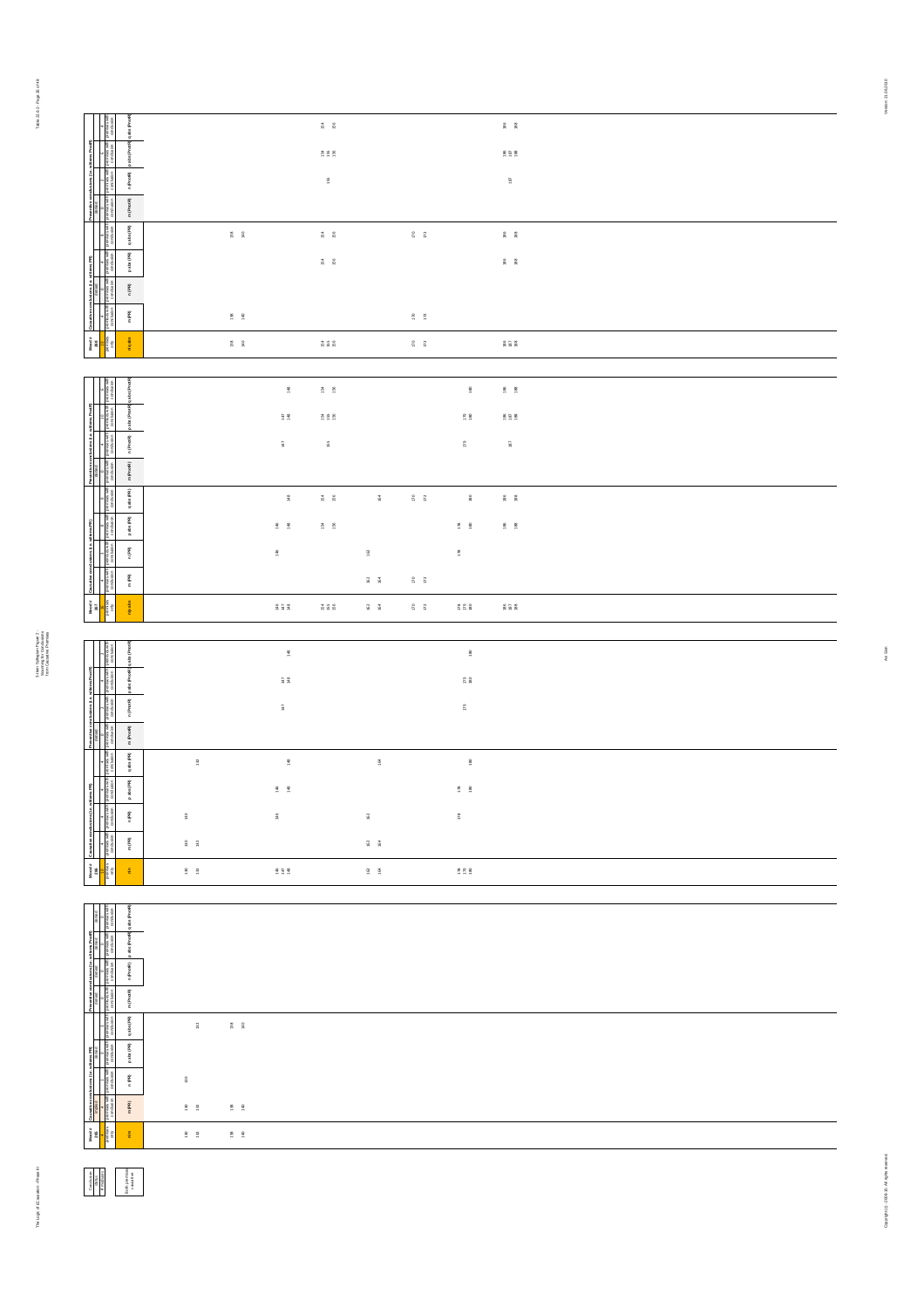|                                                                                                      |                                          |                                                      |                                                                                       | $\begin{array}{c} 134 \\ 156 \end{array}$ |                                                                                            |                                                         |                                                                                                                                                                                                                                                                                                                      | $\frac{8}{18}$                                                         |  |
|------------------------------------------------------------------------------------------------------|------------------------------------------|------------------------------------------------------|---------------------------------------------------------------------------------------|-------------------------------------------|--------------------------------------------------------------------------------------------|---------------------------------------------------------|----------------------------------------------------------------------------------------------------------------------------------------------------------------------------------------------------------------------------------------------------------------------------------------------------------------------|------------------------------------------------------------------------|--|
|                                                                                                      |                                          |                                                      |                                                                                       | $\frac{3}{2} \frac{9}{2} \frac{9}{2}$     |                                                                                            |                                                         |                                                                                                                                                                                                                                                                                                                      | $\begin{array}{c} 8.5 & 8 \\ 3.8 & 3 \end{array}$                      |  |
|                                                                                                      |                                          |                                                      |                                                                                       | $\frac{95}{10}$                           |                                                                                            |                                                         |                                                                                                                                                                                                                                                                                                                      | $\widetilde{\mathbb{R}}$                                               |  |
|                                                                                                      |                                          |                                                      |                                                                                       |                                           |                                                                                            |                                                         |                                                                                                                                                                                                                                                                                                                      |                                                                        |  |
| $q$ abs $(\sf PR)$                                                                                   |                                          | $\begin{array}{cc} 33 & 9 \\ 34 & 14 \\ \end{array}$ |                                                                                       | $3 - 36$                                  |                                                                                            | $\mathbb{R}^m$                                          |                                                                                                                                                                                                                                                                                                                      | $\frac{8}{18}$                                                         |  |
| pates (PR)                                                                                           |                                          |                                                      |                                                                                       | $\substack{54 \\ 156}$                    |                                                                                            |                                                         |                                                                                                                                                                                                                                                                                                                      | $\begin{array}{cc} 186 \\ 183 \end{array}$                             |  |
| $_{\rm n}$ (PR)                                                                                      |                                          |                                                      |                                                                                       |                                           |                                                                                            |                                                         |                                                                                                                                                                                                                                                                                                                      |                                                                        |  |
|                                                                                                      |                                          |                                                      |                                                                                       |                                           |                                                                                            |                                                         |                                                                                                                                                                                                                                                                                                                      |                                                                        |  |
| $\frac{60}{\pi}$                                                                                     |                                          | $\frac{28}{14}-\frac{27}{14}$                        |                                                                                       |                                           |                                                                                            | $\frac{1}{2}$ . $\frac{1}{2}$                           |                                                                                                                                                                                                                                                                                                                      |                                                                        |  |
| $\frac{M \cos \theta}{268}$<br>n/qabs                                                                |                                          | $\begin{array}{cc} 138 \\ 140 \end{array}$           |                                                                                       | 3.38                                      |                                                                                            | $\mathop{\mathbb{R}}$ . $\mathop{\mathbb{R}}$           |                                                                                                                                                                                                                                                                                                                      | 353                                                                    |  |
|                                                                                                      |                                          |                                                      | $\frac{80}{25}$                                                                       | $\frac{3}{10}$ – $\frac{6}{10}$           |                                                                                            |                                                         | $\frac{\Omega}{20}$                                                                                                                                                                                                                                                                                                  | $\frac{9}{21}$ – $\frac{9}{21}$                                        |  |
|                                                                                                      |                                          |                                                      | $\frac{m}{2}$ if                                                                      | $\frac{35}{12}\frac{16}{12}\frac{8}{12}$  |                                                                                            |                                                         | $\mathop{\mathbb{R}}\nolimits$ $\mathop{\mathbb{R}}\nolimits$                                                                                                                                                                                                                                                        | $\mathbb{R} \stackrel{\text{\tiny{W}}}{\approx} \mathbb{R}$            |  |
|                                                                                                      |                                          |                                                      |                                                                                       |                                           |                                                                                            |                                                         |                                                                                                                                                                                                                                                                                                                      |                                                                        |  |
|                                                                                                      |                                          |                                                      | $\frac{1}{2}$                                                                         | $_{155}^{\circ}$                          |                                                                                            |                                                         | $\mathbb{R}^n$                                                                                                                                                                                                                                                                                                       | $\frac{1}{2}$                                                          |  |
| $\check{\epsilon}$                                                                                   |                                          |                                                      |                                                                                       |                                           |                                                                                            |                                                         |                                                                                                                                                                                                                                                                                                                      |                                                                        |  |
| qabs $\langle \mathsf{PR} \rangle$                                                                   |                                          |                                                      | $\mathbb{R}^3$                                                                        | $\frac{q}{10}$ – $\frac{q}{10}$           | $\vec{g}_i$                                                                                | $\frac{8}{10}$ – $\frac{8}{10}$                         | $\qquad \qquad \mathbb{R}$                                                                                                                                                                                                                                                                                           | $\frac{9}{21}$ – $\frac{9}{21}$                                        |  |
| $p$ abs $\langle \mathsf{PR} \rangle$                                                                |                                          |                                                      | $\frac{16}{16}$ – $\frac{16}{16}$                                                     | $\frac{3}{2}$ – $\frac{9}{2}$             |                                                                                            |                                                         | $\mathbb{R}^n=\mathbb{R}$                                                                                                                                                                                                                                                                                            | $\frac{18}{14}$ – $\frac{18}{14}$                                      |  |
| $_{\rm n}$ (ee)                                                                                      |                                          |                                                      | $\frac{6}{3}$                                                                         |                                           | $^{\rm 162}$                                                                               |                                                         | $\mathbb{R}^n$                                                                                                                                                                                                                                                                                                       |                                                                        |  |
| $\omega$ or $\omega$                                                                                 |                                          |                                                      |                                                                                       |                                           | $\begin{array}{c} 162 \\ 164 \end{array}$                                                  | $\frac{2}{n-2}$                                         |                                                                                                                                                                                                                                                                                                                      |                                                                        |  |
| nipabs<br>$\frac{3}{87}$                                                                             |                                          |                                                      | $\stackrel{\circ}{\mathbb{R}}\stackrel{\sim}{\mathbb{R}}\stackrel{\circ}{\mathbb{R}}$ | គឺ ដំ ធំ                                  | $\frac{\alpha}{8} - \frac{\pi}{8}$                                                         | $\begin{array}{cc} \mathbb{R} & \mathbb{R} \end{array}$ | $\begin{smallmatrix} 8 & 8 & 2 \\ 11 & 11 & 2 \\ 13 & 14 & 2 \\ 15 & 28 & 2 \\ 16 & 20 & 20 \\ 20 & 20 & 20 \\ 20 & 20 & 20 \\ 20 & 20 & 20 \\ 20 & 20 & 20 \\ 20 & 20 & 20 \\ 20 & 20 & 20 \\ 20 & 20 & 20 \\ 20 & 20 & 20 \\ 20 & 20 & 20 \\ 20 & 20 & 20 \\ 20 & 20 & 20 \\ 20 & 20 & 20 \\ 20 & 20 & 20 \\ 20 &$ | $\begin{array}{c} 0.0111 \\ 0.0111 \\ 0.0111 \\ 0.0111 \\ \end{array}$ |  |
|                                                                                                      |                                          |                                                      |                                                                                       |                                           |                                                                                            |                                                         |                                                                                                                                                                                                                                                                                                                      |                                                                        |  |
|                                                                                                      |                                          |                                                      | $\frac{1}{2}$                                                                         |                                           |                                                                                            |                                                         | $\frac{8}{18}$                                                                                                                                                                                                                                                                                                       |                                                                        |  |
|                                                                                                      |                                          |                                                      |                                                                                       |                                           |                                                                                            |                                                         |                                                                                                                                                                                                                                                                                                                      |                                                                        |  |
|                                                                                                      |                                          |                                                      | $\frac{5}{24}$                                                                        |                                           |                                                                                            |                                                         | $\mathop{^{29}_{18}}$                                                                                                                                                                                                                                                                                                |                                                                        |  |
|                                                                                                      |                                          |                                                      | $\frac{\pi}{2}$                                                                       |                                           |                                                                                            |                                                         | $\frac{29}{24}$                                                                                                                                                                                                                                                                                                      |                                                                        |  |
|                                                                                                      |                                          |                                                      |                                                                                       |                                           |                                                                                            |                                                         |                                                                                                                                                                                                                                                                                                                      |                                                                        |  |
|                                                                                                      | $\Xi$                                    |                                                      | $\sim$ 18                                                                             |                                           | $\frac{3}{2}$                                                                              |                                                         | $\frac{3}{2}$                                                                                                                                                                                                                                                                                                        |                                                                        |  |
| $q$ ab s $(P\,R)$                                                                                    |                                          |                                                      | $\begin{array}{cc} 3.46 \\ 3.48 \end{array}$                                          |                                           |                                                                                            |                                                         | $\begin{array}{c} 278 \\ 180 \end{array}$                                                                                                                                                                                                                                                                            |                                                                        |  |
| $p$ abs (PR)<br>tons PR)                                                                             | $\frac{\Omega}{\Omega}$                  |                                                      | $\frac{9}{24}$                                                                        |                                           | $\widetilde{\mathbf{x}}$                                                                   |                                                         | $\overline{\rm m}$                                                                                                                                                                                                                                                                                                   |                                                                        |  |
| usions (i.e.<br>n (PR)                                                                               | $\frac{9}{12}$                           |                                                      |                                                                                       |                                           |                                                                                            |                                                         |                                                                                                                                                                                                                                                                                                                      |                                                                        |  |
| $\mathfrak{m}(\mathsf{PR})$                                                                          |                                          |                                                      |                                                                                       |                                           | $\frac{\alpha}{\alpha}=\frac{\alpha}{\alpha}$                                              |                                                         |                                                                                                                                                                                                                                                                                                                      |                                                                        |  |
| $\frac{M_{\odot} \odot H}{2 M_{\odot}}$<br>$\pmb{\xi}$                                               | $\begin{array}{cc} 33 \\ 23 \end{array}$ |                                                      | 2.78                                                                                  |                                           | $\begin{array}{cc} \mathfrak{A} & \mathfrak{A} \\ \mathfrak{A} & \mathfrak{A} \end{array}$ |                                                         | $\mathop{\mathbb{R}}\limits^{\mathbb{R}}\mathop{\mathbb{R}}\limits^{\mathbb{R}}\mathop{\mathbb{R}}$                                                                                                                                                                                                                  |                                                                        |  |
|                                                                                                      |                                          |                                                      |                                                                                       |                                           |                                                                                            |                                                         |                                                                                                                                                                                                                                                                                                                      |                                                                        |  |
| iab s (P)                                                                                            |                                          |                                                      |                                                                                       |                                           |                                                                                            |                                                         |                                                                                                                                                                                                                                                                                                                      |                                                                        |  |
| abs (Prot                                                                                            |                                          |                                                      |                                                                                       |                                           |                                                                                            |                                                         |                                                                                                                                                                                                                                                                                                                      |                                                                        |  |
| n (ProfR)                                                                                            |                                          |                                                      |                                                                                       |                                           |                                                                                            |                                                         |                                                                                                                                                                                                                                                                                                                      |                                                                        |  |
| Pavantive conclusions (i.e., witems PnoR)<br>-<br>- Ginied - Ginted - Ginted - Ginted -<br>m (ProdR) |                                          |                                                      |                                                                                       |                                           |                                                                                            |                                                         |                                                                                                                                                                                                                                                                                                                      |                                                                        |  |
| qabs (PR)                                                                                            | $\widetilde{\Xi}$                        | $\frac{33}{140}$                                     |                                                                                       |                                           |                                                                                            |                                                         |                                                                                                                                                                                                                                                                                                                      |                                                                        |  |
| pates (PR)                                                                                           |                                          |                                                      |                                                                                       |                                           |                                                                                            |                                                         |                                                                                                                                                                                                                                                                                                                      |                                                                        |  |
| lons (i.e. wilsoms PR)<br>deniati<br>$_{\rm n}$ (PR)                                                 | $\frac{\Omega}{\Omega}$                  |                                                      |                                                                                       |                                           |                                                                                            |                                                         |                                                                                                                                                                                                                                                                                                                      |                                                                        |  |
| ausative condu<br>Implied<br>$\frac{60}{\pi}$                                                        | $\begin{array}{cc} 30 \\ 21 \end{array}$ | $\begin{array}{cc} 3.8 \\ 2.40 \end{array}$          |                                                                                       |                                           |                                                                                            |                                                         |                                                                                                                                                                                                                                                                                                                      |                                                                        |  |

Copyright (c) - 2008-10. All rights reserved. Avi Sion Version: 21.06.2010

Ξ

Table 22.6-2 - Page 35 of 48

Page 35 of 48

The Logic of Economic of Economic of Figure 2 - Phase III 3-Item Sylvism Figure 2 - Phase III 30-Item Sylvism Figure 2 - Phase III 30-Item Sylvism Figure 2 - Phase III 30-Item Sylvism Figure 2 - Phase III 31-Item Sylvism F

Conclusion status # moduses causative Both premises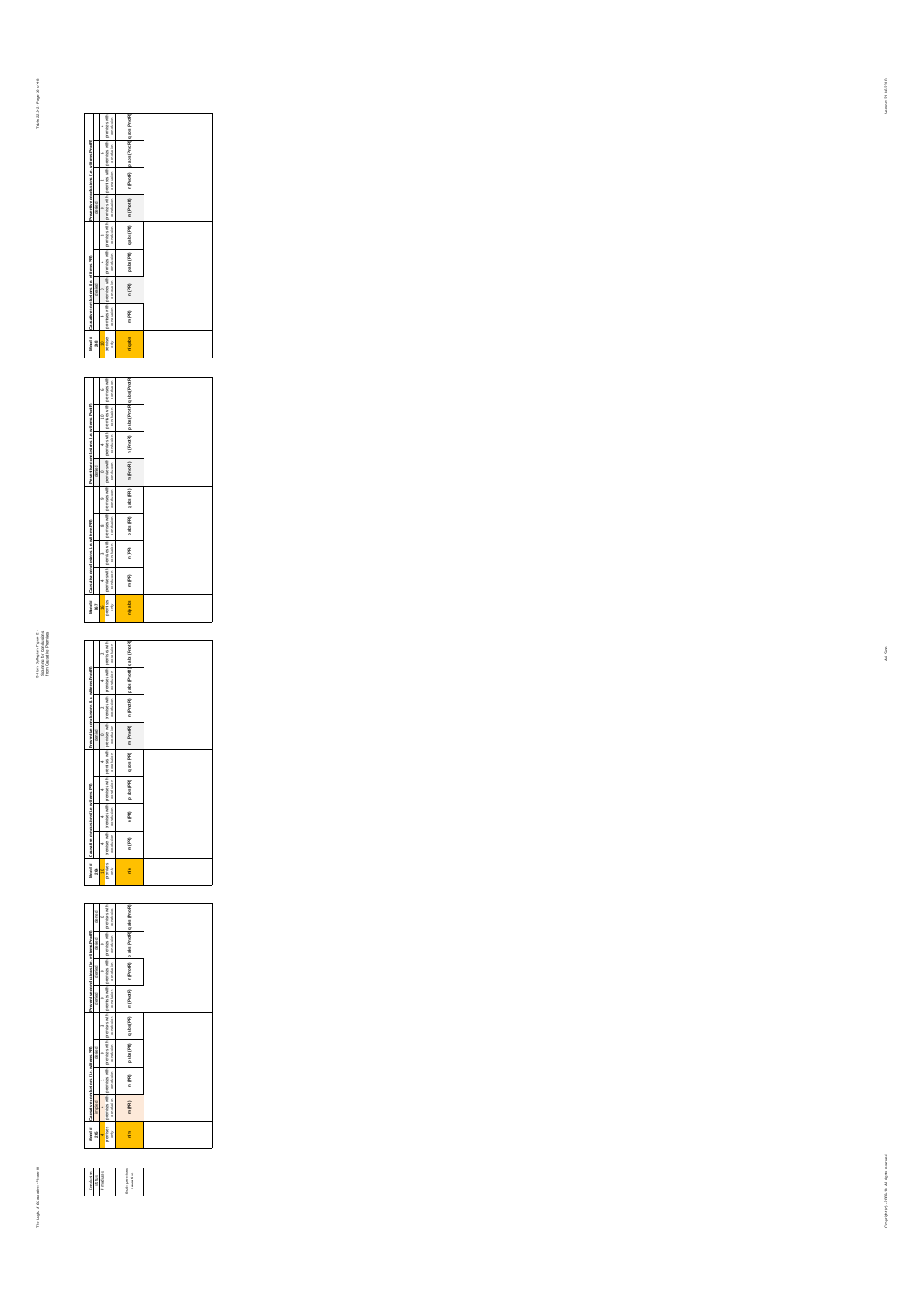Scanning for Conclusions from Causative Premises

| n (Prooft)   pabs (Prot R) qabs (Prooft)<br>oondusion<br>dining<br>premises with<br>candusion<br>denied<br>promises with<br>conclusion<br>denied<br>premises with<br>$m(p \mod 8)$<br>operation<br>dining<br>premises with premises with<br>qabs (PR)<br>oondusion<br>pates (PR)<br>candusion<br>denied<br>ö<br>promises with<br>corchasion<br>n (PR)<br>DYRITTI SIG WITH<br>operation<br>mplied<br>m(m)<br>premises<br>265<br>ă<br>톻 | Mood# | Causative condusions (i.e. wiltems PR) |  | Preventive conclusions (i.e. witems Prooft) |               |
|---------------------------------------------------------------------------------------------------------------------------------------------------------------------------------------------------------------------------------------------------------------------------------------------------------------------------------------------------------------------------------------------------------------------------------------|-------|----------------------------------------|--|---------------------------------------------|---------------|
|                                                                                                                                                                                                                                                                                                                                                                                                                                       |       |                                        |  |                                             |               |
|                                                                                                                                                                                                                                                                                                                                                                                                                                       |       |                                        |  |                                             |               |
|                                                                                                                                                                                                                                                                                                                                                                                                                                       |       |                                        |  |                                             | premises with |
|                                                                                                                                                                                                                                                                                                                                                                                                                                       |       |                                        |  |                                             |               |
|                                                                                                                                                                                                                                                                                                                                                                                                                                       |       |                                        |  |                                             |               |
|                                                                                                                                                                                                                                                                                                                                                                                                                                       |       |                                        |  |                                             |               |
|                                                                                                                                                                                                                                                                                                                                                                                                                                       |       |                                        |  |                                             |               |
|                                                                                                                                                                                                                                                                                                                                                                                                                                       |       |                                        |  |                                             |               |

Conclusion status # moduses causative Both premises

The Logic of ECausation - Phase II

|                                              |        |           | operation                                                                         |                                                                                |  |
|----------------------------------------------|--------|-----------|-----------------------------------------------------------------------------------|--------------------------------------------------------------------------------|--|
|                                              |        |           | premises with premises with<br>oondusion                                          |                                                                                |  |
|                                              |        |           | premises with<br>candusion                                                        |                                                                                |  |
| Preventive conclusions (i.e. witems Prooff)  | deried | $\circ$   | conclusion                                                                        | patra (PR)   qatra (PR)   m (ProoR)   n (ProoR)   patra (ProoR) q atra (ProoR) |  |
|                                              |        |           | oprobasion                                                                        |                                                                                |  |
|                                              |        |           | oondusion                                                                         |                                                                                |  |
|                                              | dened  |           | comises with promises with promises with promises with promises with<br>canduaton | n (PR)                                                                         |  |
| Causaive conclusions (i.e. witems PR)        |        |           | oonclusion                                                                        | m(PR)                                                                          |  |
| Accod #                                      | 268    | g         | 200 m 905<br>only                                                                 | n/g abs                                                                        |  |
|                                              |        |           |                                                                                   |                                                                                |  |
|                                              |        |           | premises with premises with premises with premises with<br>oondusion              | m(PnotR) n(PnotR) pabs (PnotR) qabs (PnotR)                                    |  |
| Preventive conclusions (i.e. wiltems Phot R) |        | $\approx$ | candualan                                                                         |                                                                                |  |
|                                              |        |           | operation                                                                         |                                                                                |  |
|                                              | denied |           | opridualon                                                                        |                                                                                |  |
|                                              |        |           | candusion                                                                         | q abs (PR)                                                                     |  |
|                                              |        |           | canclusian                                                                        | p also (PR)                                                                    |  |
| Causative conclusions (i.e. wiltems PR)      |        |           | premises with premises with premises with premises with<br>operation              | n (PR)                                                                         |  |
|                                              |        |           | oondusion                                                                         | method in                                                                      |  |
| Mood #                                       | ă      | 16        | promises<br>οtγ                                                                   | n/p abs                                                                        |  |
|                                              |        |           |                                                                                   |                                                                                |  |
|                                              |        |           | DOWN 505 WITH<br>oonclusion                                                       | qubs(PR)   m (PnotR)   n (PnotR)   pubs (PnotR)   qubs (PnotR)                 |  |
|                                              |        |           | Dream ses with<br>operchasion                                                     |                                                                                |  |
| Preventive con diusions (i.e. w/leans PnotR) |        |           | premises with<br>oondusion                                                        |                                                                                |  |
|                                              | dened  |           | pright sea with<br>candusion                                                      |                                                                                |  |
|                                              |        |           | conclusion                                                                        |                                                                                |  |
| (i.e. w/tems PR)                             |        |           | premises with premises with premises with premises premises<br>oondusion          | pabs (PR)                                                                      |  |
|                                              |        |           | oondusion                                                                         | n (PR)                                                                         |  |
| Causative conclusions                        |        |           | condusion                                                                         | m (PR)                                                                         |  |
| Mood #                                       | 205    | 9         | DYOTH 50%<br>only                                                                 | ę                                                                              |  |
|                                              |        |           |                                                                                   |                                                                                |  |
|                                              | dicies |           | comises with cremises with premises with premises with cremises with<br>condusion | q abs (PR) = m (P notR) = n (P notR) = p abs (PnotR) q abs (P notR)            |  |
| Preventive conclusions (i.e. wilterns Proof) | denied |           | candusion                                                                         |                                                                                |  |
|                                              | dened  |           | conclusion                                                                        |                                                                                |  |
|                                              | denied |           | operation                                                                         |                                                                                |  |
|                                              |        |           | oondusion                                                                         |                                                                                |  |
|                                              | denied |           | comises with premises with<br>condusion                                           | pats (PR)                                                                      |  |
| ausative condusions (i.e. wiltems PR)        |        |           | conclusion                                                                        | n (PR)                                                                         |  |
|                                              | mplied |           | premises with<br>operation                                                        | m(m)                                                                           |  |
| tood #                                       | 265    |           | remises<br>only                                                                   | ę                                                                              |  |

|                                           | dened |                | premises with<br>conclusion              | m (ProtR)                                 |  |
|-------------------------------------------|-------|----------------|------------------------------------------|-------------------------------------------|--|
| Preventive co                             |       |                |                                          |                                           |  |
|                                           |       | w              | premises with<br>opriduation             | qabs (PR)                                 |  |
|                                           |       |                | oondusion                                | pabs (PR)                                 |  |
|                                           | dened |                | promises with premises with<br>candusion | n (PR)                                    |  |
| Causaive conclusions (i.e. willems PR)    |       |                | premises with<br>conclusion              | m(PR)                                     |  |
| Mood #                                    | 263   | g              | premises<br>cely                         | n/q abs                                   |  |
|                                           |       |                |                                          |                                           |  |
|                                           |       |                |                                          |                                           |  |
|                                           |       |                | premises with<br>oondusion               |                                           |  |
|                                           |       | $\overline{a}$ | promises with<br>candusian               |                                           |  |
| trentive conclusions (i.e. witems Pnot R) |       |                | premises with<br>conclusion              | pates (Pn ofR) qabs (PnotR)<br>n (ProofR) |  |

Avi Sion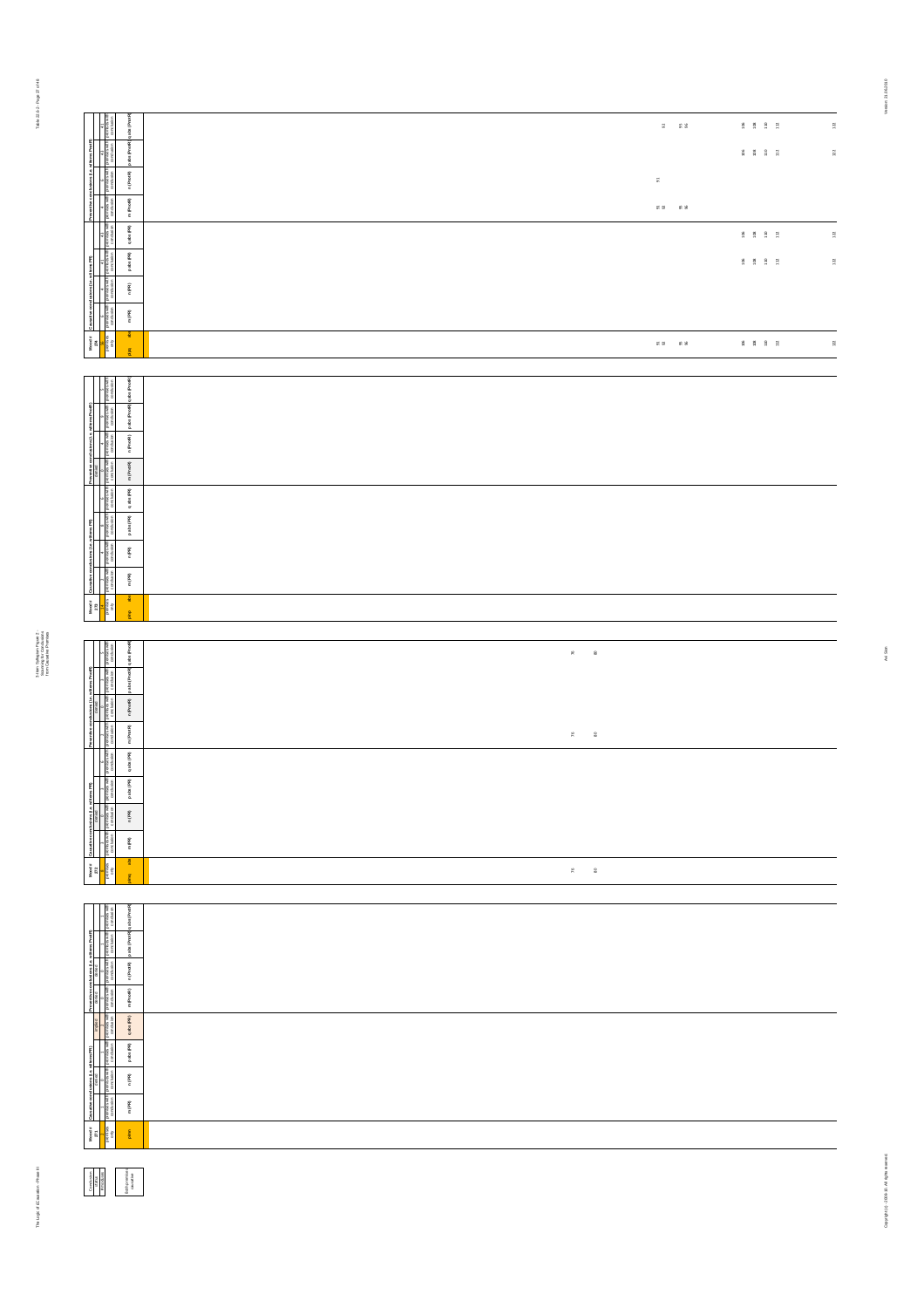| 41<br>premises with<br>conclusion<br>abs (Prof                                                                              | $\begin{array}{ccc} \mathbb{S}^1 & \mathbb{S}^1 \mathbb{S}^1 & \mathbb{S}^1 \end{array}$ | $\begin{array}{cccccccccc} \mathbf{g} & & \mathbf{g} & & \mathbf{g} & & \mathbf{g} & & \mathbf{g} \end{array}$                                                                                                                                                                                                                                                                                                                              | $\Xi$          |
|-----------------------------------------------------------------------------------------------------------------------------|------------------------------------------------------------------------------------------|---------------------------------------------------------------------------------------------------------------------------------------------------------------------------------------------------------------------------------------------------------------------------------------------------------------------------------------------------------------------------------------------------------------------------------------------|----------------|
| ubs (Prof                                                                                                                   |                                                                                          | $\begin{array}{cccccccccc} \mathbf{g} & & \mathbf{g} & & \mathbf{g} & & \mathbf{g} & & \mathbf{g} & & \mathbf{g} & & \mathbf{g} & & \mathbf{g} & & \mathbf{g} & & \mathbf{g} & & \mathbf{g} & & \mathbf{g} & & \mathbf{g} & & \mathbf{g} & & \mathbf{g} & & \mathbf{g} & & \mathbf{g} & & \mathbf{g} & & \mathbf{g} & & \mathbf{g} & & \mathbf{g} & & \mathbf{g} & & \mathbf{g} & & \mathbf{g} & & \mathbf{g} & & \mathbf{g} & & \mathbf$   | $\mathbb{R}^2$ |
| sions (i.e. witems Prooff)<br>n (Pn ofR)                                                                                    | $\overline{\circ}$                                                                       |                                                                                                                                                                                                                                                                                                                                                                                                                                             |                |
| Preventive con dur<br>4<br>pramises with<br>condusion<br>$m$ (P rooff)                                                      | $\begin{array}{ccc} \mathbb{R} & \mathbb{R} & \mathbb{R} & \mathbb{R} \end{array}$       |                                                                                                                                                                                                                                                                                                                                                                                                                                             |                |
| 43<br>comises with<br>conclusion<br>$q$ ab s $\langle \mathsf{PR} \rangle$                                                  |                                                                                          | $\begin{array}{cccccccccc} \mathbf{g} & & \mathbf{g} & & \mathbf{g} & & \mathbf{g} & & \mathbf{g} & & \mathbf{g} & & \mathbf{g} & & \mathbf{g} & & \mathbf{g} & & \mathbf{g} & & \mathbf{g} & & \mathbf{g} & & \mathbf{g} & & \mathbf{g} & & \mathbf{g} & & \mathbf{g} & & \mathbf{g} & & \mathbf{g} & & \mathbf{g} & & \mathbf{g} & & \mathbf{g} & & \mathbf{g} & & \mathbf{g} & & \mathbf{g} & & \mathbf{g} & & \mathbf{g} & & \mathbf$   | $\Xi$          |
| 41<br>comises with<br>condusion<br>pabs (PR)                                                                                |                                                                                          | $\begin{array}{cccccccccccccc} \mathbf{g} & & \mathbf{g} & & \mathbf{g} & & \mathbf{g} & & \mathbf{g} & & \mathbf{g} & & \mathbf{g} & & \mathbf{g} & & \mathbf{g} & & \mathbf{g} & & \mathbf{g} & & \mathbf{g} & & \mathbf{g} & & \mathbf{g} & & \mathbf{g} & & \mathbf{g} & & \mathbf{g} & & \mathbf{g} & & \mathbf{g} & & \mathbf{g} & & \mathbf{g} & & \mathbf{g} & & \mathbf{g} & & \mathbf{g} & & \mathbf{g} & & \mathbf{g} & & \math$ | $\mathbb{R}^2$ |
| remises with<br>oordusion<br>$\mathfrak{so}_{\mathfrak{g}}$                                                                 |                                                                                          |                                                                                                                                                                                                                                                                                                                                                                                                                                             |                |
| Causative conclusions (i.e. w/tems PR)<br>$\mathfrak{m}(\mathsf{PR})$                                                       |                                                                                          |                                                                                                                                                                                                                                                                                                                                                                                                                                             |                |
| 普<br>Mood #<br><b>Property</b>                                                                                              | $55 - 58$                                                                                | $\begin{array}{cccccccccc} 8 & 8 & 9 & 9 & 3 \\ 10 & 10 & 10 & 10 \\ 11 & 11 & 10 & 10 \\ 11 & 11 & 11 & 10 \\ 12 & 12 & 12 & 10 \\ 13 & 13 & 14 & 10 \\ 14 & 15 & 12 & 10 \\ 15 & 16 & 10 & 10 \\ 16 & 10 & 10 & 10 \\ 17 & 10 & 10 & 10 \\ 18 & 10 & 10 & 10 \\ 19 & 10 & 10 & 10 \\ 19 & 10 & 10 & 10 \\ 19 &$                                                                                                                           | $\mathbb{R}^2$ |
| 룣                                                                                                                           |                                                                                          |                                                                                                                                                                                                                                                                                                                                                                                                                                             |                |
| 吾:<br>abs (Prot                                                                                                             |                                                                                          |                                                                                                                                                                                                                                                                                                                                                                                                                                             |                |
| 죸                                                                                                                           |                                                                                          |                                                                                                                                                                                                                                                                                                                                                                                                                                             |                |
| $n$ (P rooff)                                                                                                               |                                                                                          |                                                                                                                                                                                                                                                                                                                                                                                                                                             |                |
| Preventive conclusions (i.e. witems ProtR)<br> <br>  Oriviol<br>0<br>promises with<br>conclusion<br>$m(p \cos \theta)$      |                                                                                          |                                                                                                                                                                                                                                                                                                                                                                                                                                             |                |
| 6<br>comises with<br>condusion<br>qabs $\langle \theta R \rangle$                                                           |                                                                                          |                                                                                                                                                                                                                                                                                                                                                                                                                                             |                |
| a<br>premises with<br>condusion<br>pata (PR)                                                                                |                                                                                          |                                                                                                                                                                                                                                                                                                                                                                                                                                             |                |
| xemises with<br>conclusion<br>$\frac{1}{n}$ (PR)                                                                            |                                                                                          |                                                                                                                                                                                                                                                                                                                                                                                                                                             |                |
| Causalve conclusions (i.e. witems PR)<br>fs<br>S<br>$\frac{6}{6}$<br>comissis                                               |                                                                                          |                                                                                                                                                                                                                                                                                                                                                                                                                                             |                |
| 骨<br>remises<br>$M_{\text{cool}}$                                                                                           |                                                                                          |                                                                                                                                                                                                                                                                                                                                                                                                                                             |                |
| ł                                                                                                                           |                                                                                          |                                                                                                                                                                                                                                                                                                                                                                                                                                             |                |
| $\kappa$ – $\kappa$<br>훀                                                                                                    |                                                                                          |                                                                                                                                                                                                                                                                                                                                                                                                                                             |                |
| 횰                                                                                                                           |                                                                                          |                                                                                                                                                                                                                                                                                                                                                                                                                                             |                |
| n (ProtR)                                                                                                                   |                                                                                          |                                                                                                                                                                                                                                                                                                                                                                                                                                             |                |
| Preventive conclusions (i.e. wittens PhotR)<br>2<br>premises with<br>condusion<br>$m$ (Pn ofR)<br>$\mathbb R$ – $\mathbb R$ |                                                                                          |                                                                                                                                                                                                                                                                                                                                                                                                                                             |                |
| premises with<br>condusion<br>q also (PR)                                                                                   |                                                                                          |                                                                                                                                                                                                                                                                                                                                                                                                                                             |                |
| t (La willems PR)<br>ed →<br>sion premissa whi<br>sion oxclusion<br>$p$ ab s $\langle \mathsf{PR} \rangle$                  |                                                                                          |                                                                                                                                                                                                                                                                                                                                                                                                                                             |                |
| $_{\alpha}$ geg<br>lusions (                                                                                                |                                                                                          |                                                                                                                                                                                                                                                                                                                                                                                                                                             |                |
| Causative como<br>$\omega_{\rm d}$                                                                                          |                                                                                          |                                                                                                                                                                                                                                                                                                                                                                                                                                             |                |
| 普<br>$\frac{\text{Mod } n}{22}$<br>ogiuna<br>Temisor<br>$^{\circ}$<br>$\mathbb{R}$<br>$\overline{g}$                        |                                                                                          |                                                                                                                                                                                                                                                                                                                                                                                                                                             |                |
|                                                                                                                             |                                                                                          |                                                                                                                                                                                                                                                                                                                                                                                                                                             |                |
| i abs (Pro                                                                                                                  |                                                                                          |                                                                                                                                                                                                                                                                                                                                                                                                                                             |                |
| Preventive conductions (i.e., witems Proofi)<br>dense<br>premises with<br>conclusion<br>abs (ProtR                          |                                                                                          |                                                                                                                                                                                                                                                                                                                                                                                                                                             |                |
| premises with<br>condusion<br>n (ProdR)                                                                                     |                                                                                          |                                                                                                                                                                                                                                                                                                                                                                                                                                             |                |
| U<br>promises with<br>conclusion<br>$\mathfrak{m}$ (P rooff)                                                                |                                                                                          |                                                                                                                                                                                                                                                                                                                                                                                                                                             |                |
| implied<br>premises with<br>conclusion<br>$\mathbf{q}$ abs (PR)                                                             |                                                                                          |                                                                                                                                                                                                                                                                                                                                                                                                                                             |                |
| $p$ abs (PR)<br>remises with<br>condusion                                                                                   |                                                                                          |                                                                                                                                                                                                                                                                                                                                                                                                                                             |                |
| premises with<br>condusion<br>$n$ (PR)                                                                                      |                                                                                          |                                                                                                                                                                                                                                                                                                                                                                                                                                             |                |
| Causative conclusions (i.e. w/leams PR)<br>$\frac{60}{\pi}$                                                                 |                                                                                          |                                                                                                                                                                                                                                                                                                                                                                                                                                             |                |
| promises<br>$\frac{M \cos \theta}{271}$                                                                                     |                                                                                          |                                                                                                                                                                                                                                                                                                                                                                                                                                             |                |

31 lo 12 62 - Page 37 of 48 Table 22.6-2 - Page 37 of 48

Conclusion<br># moduses<br>xh premis<br>causative Both premises

Avi Sion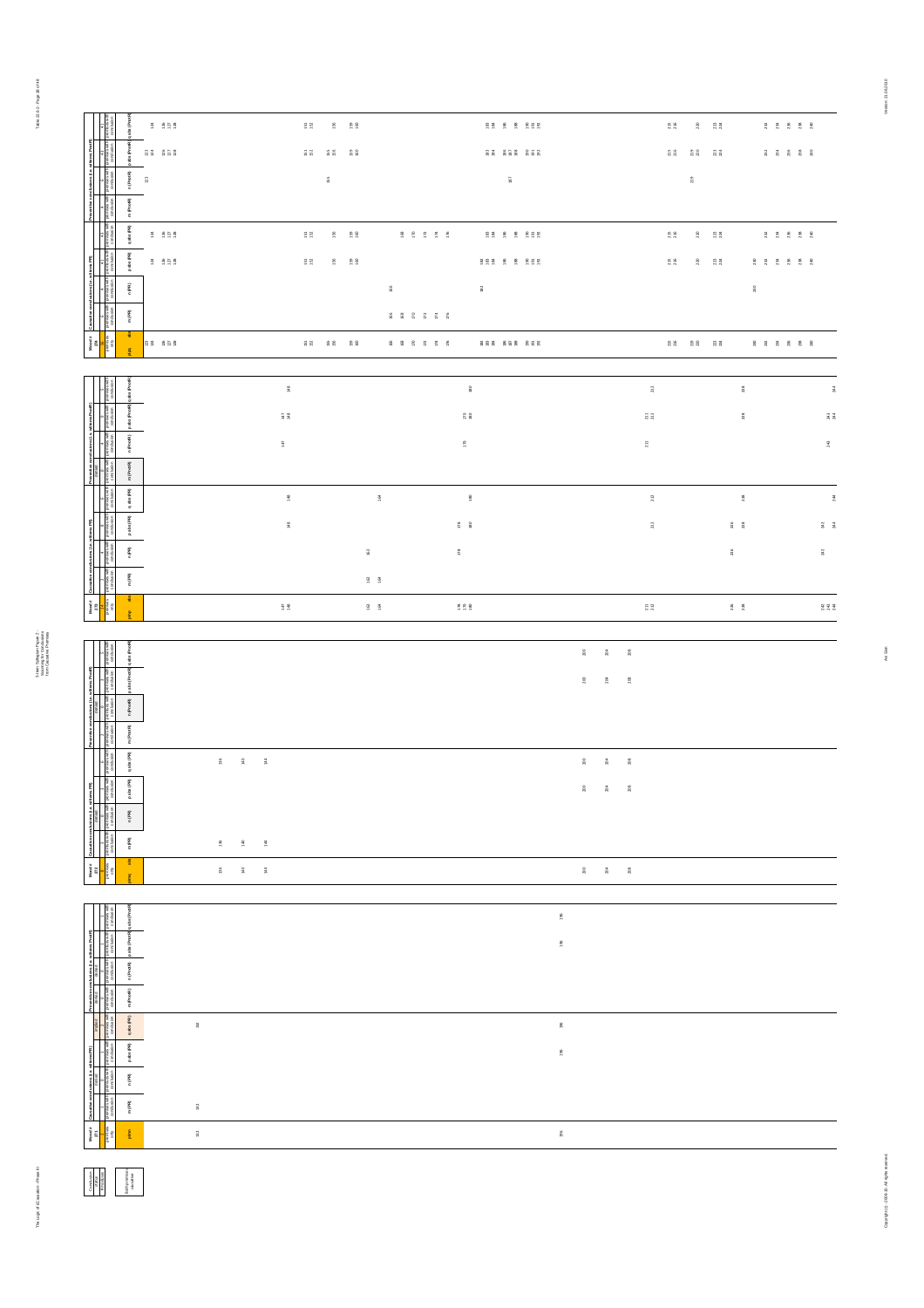|                                           | 3.888                                                                                                                                                |              |                                                                             |  |                         |                                         | 53 3 3                                                                                                                                                                         |          |                  |                                                                                           |                                 |                            | - 종 종 18 - 종 18 - 종 종 종                                                                                                                                                                                                                                                                                                                                                                      |                   |              |                                                                                                                                                                                                                                                                                                                                                                                        |                       |                                                                                                                                             |     |                                           |                    | $\begin{array}{cccccccccc} R & \bar{A} & \bar{B} & \bar{B} & \bar{B} & \bar{B} \end{array}$ |                          |
|-------------------------------------------|------------------------------------------------------------------------------------------------------------------------------------------------------|--------------|-----------------------------------------------------------------------------|--|-------------------------|-----------------------------------------|--------------------------------------------------------------------------------------------------------------------------------------------------------------------------------|----------|------------------|-------------------------------------------------------------------------------------------|---------------------------------|----------------------------|----------------------------------------------------------------------------------------------------------------------------------------------------------------------------------------------------------------------------------------------------------------------------------------------------------------------------------------------------------------------------------------------|-------------------|--------------|----------------------------------------------------------------------------------------------------------------------------------------------------------------------------------------------------------------------------------------------------------------------------------------------------------------------------------------------------------------------------------------|-----------------------|---------------------------------------------------------------------------------------------------------------------------------------------|-----|-------------------------------------------|--------------------|---------------------------------------------------------------------------------------------|--------------------------|
|                                           | $33$ $333$                                                                                                                                           |              |                                                                             |  |                         |                                         | $\frac{1}{2}$ $\frac{3}{2}$ $\frac{3}{2}$ $\frac{3}{2}$ $\frac{3}{2}$ $\frac{3}{2}$                                                                                            |          |                  |                                                                                           |                                 |                            |                                                                                                                                                                                                                                                                                                                                                                                              | <b>EA BRE SES</b> |              |                                                                                                                                                                                                                                                                                                                                                                                        |                       |                                                                                                                                             |     |                                           |                    |                                                                                             |                          |
|                                           | $\Xi$                                                                                                                                                |              |                                                                             |  |                         |                                         | $155\,$                                                                                                                                                                        |          |                  |                                                                                           |                                 |                            | $\frac{1}{2} \frac{1}{2} \frac{1}{2} \frac{1}{2} \frac{1}{2} \frac{1}{2} \frac{1}{2} \frac{1}{2} \frac{1}{2} \frac{1}{2} \frac{1}{2} \frac{1}{2} \frac{1}{2} \frac{1}{2} \frac{1}{2} \frac{1}{2} \frac{1}{2} \frac{1}{2} \frac{1}{2} \frac{1}{2} \frac{1}{2} \frac{1}{2} \frac{1}{2} \frac{1}{2} \frac{1}{2} \frac{1}{2} \frac{1}{2} \frac{1}{2} \frac{1}{2} \frac{1}{2} \frac{1}{2} \frac{$ |                   |              |                                                                                                                                                                                                                                                                                                                                                                                        |                       |                                                                                                                                             | 219 |                                           |                    |                                                                                             |                          |
|                                           |                                                                                                                                                      |              |                                                                             |  |                         |                                         |                                                                                                                                                                                |          |                  |                                                                                           |                                 |                            |                                                                                                                                                                                                                                                                                                                                                                                              |                   |              |                                                                                                                                                                                                                                                                                                                                                                                        |                       |                                                                                                                                             |     |                                           |                    |                                                                                             |                          |
| $q$ ab s $(PR)$                           | 5.888                                                                                                                                                |              |                                                                             |  |                         | $\begin{array}{c} 53 \\ 23 \end{array}$ |                                                                                                                                                                                |          |                  |                                                                                           |                                 |                            |                                                                                                                                                                                                                                                                                                                                                                                              |                   |              |                                                                                                                                                                                                                                                                                                                                                                                        |                       |                                                                                                                                             |     |                                           |                    |                                                                                             |                          |
| $p$ abs (PR)                              | $\begin{array}{cc} \mathbf{3} & \mathbf{3} & \mathbf{3} \\ \mathbf{2} & \mathbf{3} & \mathbf{3} \\ \mathbf{3} & \mathbf{3} & \mathbf{3} \end{array}$ |              |                                                                             |  |                         |                                         | $\begin{matrix} 5 & 3 \\ 2 & 5 \end{matrix} \qquad \quad \begin{matrix} 8 & 0 \\ 3 & 0 \\ 2 & 0 \end{matrix} \qquad \quad \begin{matrix} 9 & 0 \\ 0 & 1 \\ 0 & 0 \end{matrix}$ |          |                  |                                                                                           |                                 |                            | <b>NHA N N N N N N</b>                                                                                                                                                                                                                                                                                                                                                                       |                   |              |                                                                                                                                                                                                                                                                                                                                                                                        |                       | $\frac{1}{2}$ $\frac{1}{2}$ $\frac{1}{2}$ $\frac{1}{2}$ $\frac{1}{2}$ $\frac{1}{2}$ $\frac{1}{2}$ $\frac{1}{2}$ $\frac{1}{2}$ $\frac{1}{2}$ |     |                                           |                    |                                                                                             |                          |
| o (PR)                                    |                                                                                                                                                      |              |                                                                             |  |                         |                                         |                                                                                                                                                                                |          |                  | $\frac{1}{20}$                                                                            |                                 | $\widetilde{\mathfrak{M}}$ |                                                                                                                                                                                                                                                                                                                                                                                              |                   |              |                                                                                                                                                                                                                                                                                                                                                                                        |                       |                                                                                                                                             |     |                                           | $_{\rm 20}$        |                                                                                             |                          |
| $\mathfrak{g}_{\mathfrak{m}}$             |                                                                                                                                                      |              |                                                                             |  |                         |                                         |                                                                                                                                                                                |          |                  | $\begin{array}{cccccccccccccc} \Xi & \Xi & \Xi & \Xi & \Xi & \Xi & \Xi & \Xi \end{array}$ |                                 |                            |                                                                                                                                                                                                                                                                                                                                                                                              |                   |              |                                                                                                                                                                                                                                                                                                                                                                                        |                       |                                                                                                                                             |     |                                           |                    |                                                                                             |                          |
| Mood !                                    | na ana                                                                                                                                               |              |                                                                             |  |                         |                                         |                                                                                                                                                                                | 55 55 59 |                  |                                                                                           |                                 |                            |                                                                                                                                                                                                                                                                                                                                                                                              |                   |              |                                                                                                                                                                                                                                                                                                                                                                                        |                       |                                                                                                                                             |     |                                           | <b>ARRIA SARRA</b> |                                                                                             |                          |
|                                           |                                                                                                                                                      |              |                                                                             |  |                         |                                         |                                                                                                                                                                                |          |                  |                                                                                           |                                 |                            |                                                                                                                                                                                                                                                                                                                                                                                              |                   |              |                                                                                                                                                                                                                                                                                                                                                                                        |                       |                                                                                                                                             |     |                                           |                    |                                                                                             |                          |
|                                           |                                                                                                                                                      |              |                                                                             |  | 148                     |                                         |                                                                                                                                                                                |          |                  |                                                                                           | $\frac{5}{2}$                   |                            |                                                                                                                                                                                                                                                                                                                                                                                              |                   |              |                                                                                                                                                                                                                                                                                                                                                                                        | $\frac{2}{3}$         |                                                                                                                                             |     | $_{\rm 228}$                              |                    |                                                                                             |                          |
|                                           |                                                                                                                                                      |              |                                                                             |  | 7.8                     |                                         |                                                                                                                                                                                |          |                  |                                                                                           | 580                             |                            |                                                                                                                                                                                                                                                                                                                                                                                              |                   |              |                                                                                                                                                                                                                                                                                                                                                                                        | $\substack{21 \\ 21}$ |                                                                                                                                             |     | $_{\rm 23}$                               |                    |                                                                                             |                          |
|                                           |                                                                                                                                                      |              |                                                                             |  | $\frac{\Omega}{\Omega}$ |                                         |                                                                                                                                                                                |          |                  |                                                                                           | $\frac{2}{n}$                   |                            |                                                                                                                                                                                                                                                                                                                                                                                              |                   |              |                                                                                                                                                                                                                                                                                                                                                                                        | $\Xi^-$               |                                                                                                                                             |     |                                           |                    |                                                                                             | $\mathbb{R}$             |
|                                           |                                                                                                                                                      |              |                                                                             |  |                         |                                         |                                                                                                                                                                                |          |                  |                                                                                           |                                 |                            |                                                                                                                                                                                                                                                                                                                                                                                              |                   |              |                                                                                                                                                                                                                                                                                                                                                                                        |                       |                                                                                                                                             |     |                                           |                    |                                                                                             |                          |
| qabs $\langle \theta R \rangle$           |                                                                                                                                                      |              |                                                                             |  | $\frac{90}{24}$         |                                         |                                                                                                                                                                                |          | $\frac{1}{24}$   |                                                                                           |                                 |                            |                                                                                                                                                                                                                                                                                                                                                                                              |                   |              |                                                                                                                                                                                                                                                                                                                                                                                        | $\frac{2}{3}$         |                                                                                                                                             |     | $\overline{23}$                           |                    |                                                                                             |                          |
| g.                                        |                                                                                                                                                      |              |                                                                             |  | $\frac{\infty}{24}$     |                                         |                                                                                                                                                                                |          |                  |                                                                                           | $\mathbb{R}^n$ . $\mathbb{R}^n$ |                            |                                                                                                                                                                                                                                                                                                                                                                                              |                   |              |                                                                                                                                                                                                                                                                                                                                                                                        | $\overline{a}$        |                                                                                                                                             |     | $\mathbbm{2}^6$ $\mathbbm{2}^8$           |                    |                                                                                             | $\widetilde{\mathbf{z}}$ |
| $\frac{5}{6}$<br>$\frac{1}{n}$ (PR)       |                                                                                                                                                      |              |                                                                             |  |                         |                                         |                                                                                                                                                                                |          | 그 모델             |                                                                                           | $\mathbb{R}$                    |                            |                                                                                                                                                                                                                                                                                                                                                                                              |                   |              |                                                                                                                                                                                                                                                                                                                                                                                        |                       |                                                                                                                                             |     | $28\,$                                    |                    |                                                                                             | $_{\rm 24}$              |
| $\mathop{\mathrm{me}}_\alpha$             |                                                                                                                                                      |              |                                                                             |  |                         |                                         |                                                                                                                                                                                |          | $\frac{52}{164}$ |                                                                                           |                                 |                            |                                                                                                                                                                                                                                                                                                                                                                                              |                   |              |                                                                                                                                                                                                                                                                                                                                                                                        |                       |                                                                                                                                             |     |                                           |                    |                                                                                             |                          |
| 革                                         |                                                                                                                                                      |              |                                                                             |  | $\frac{72}{34}$         |                                         |                                                                                                                                                                                |          | 162              |                                                                                           | 77.80                           |                            |                                                                                                                                                                                                                                                                                                                                                                                              |                   |              |                                                                                                                                                                                                                                                                                                                                                                                        | $\Xi$ $\Xi$           |                                                                                                                                             |     | $\begin{array}{c} 216 \\ 218 \end{array}$ |                    |                                                                                             | $\substack{242 \\ 243}$  |
| Į                                         |                                                                                                                                                      |              |                                                                             |  |                         |                                         |                                                                                                                                                                                |          |                  |                                                                                           |                                 |                            |                                                                                                                                                                                                                                                                                                                                                                                              |                   |              |                                                                                                                                                                                                                                                                                                                                                                                        |                       |                                                                                                                                             |     |                                           |                    |                                                                                             |                          |
|                                           |                                                                                                                                                      |              |                                                                             |  |                         |                                         |                                                                                                                                                                                |          |                  |                                                                                           |                                 |                            |                                                                                                                                                                                                                                                                                                                                                                                              |                   |              | $\begin{matrix} \mathbf{S}^1 & \mathbf{S}^1 & \mathbf{S}^1 & \mathbf{S}^1 & \mathbf{S}^1 & \mathbf{S}^1 & \mathbf{S}^1 & \mathbf{S}^1 & \mathbf{S}^1 & \mathbf{S}^1 & \mathbf{S}^1 & \mathbf{S}^1 & \mathbf{S}^1 & \mathbf{S}^1 & \mathbf{S}^1 & \mathbf{S}^1 & \mathbf{S}^1 & \mathbf{S}^2 & \mathbf{S}^2 & \mathbf{S}^2 & \mathbf{S}^2 & \mathbf{S}^2 & \mathbf{S}^3 & \mathbf{S}^3$ |                       |                                                                                                                                             |     |                                           |                    |                                                                                             |                          |
|                                           |                                                                                                                                                      |              |                                                                             |  |                         |                                         |                                                                                                                                                                                |          |                  |                                                                                           |                                 |                            |                                                                                                                                                                                                                                                                                                                                                                                              |                   |              | $\begin{matrix} \mathfrak{A} & \mathfrak{A} & \mathfrak{A} \\ \mathfrak{A} & \mathfrak{A} & \mathfrak{A} \end{matrix}$                                                                                                                                                                                                                                                                 |                       |                                                                                                                                             |     |                                           |                    |                                                                                             |                          |
|                                           |                                                                                                                                                      |              |                                                                             |  |                         |                                         |                                                                                                                                                                                |          |                  |                                                                                           |                                 |                            |                                                                                                                                                                                                                                                                                                                                                                                              |                   |              |                                                                                                                                                                                                                                                                                                                                                                                        |                       |                                                                                                                                             |     |                                           |                    |                                                                                             |                          |
|                                           |                                                                                                                                                      |              |                                                                             |  |                         |                                         |                                                                                                                                                                                |          |                  |                                                                                           |                                 |                            |                                                                                                                                                                                                                                                                                                                                                                                              |                   |              |                                                                                                                                                                                                                                                                                                                                                                                        |                       |                                                                                                                                             |     |                                           |                    |                                                                                             |                          |
| qabs (PR)                                 |                                                                                                                                                      |              | $\begin{array}{cccccccccccccc} B & & & B & & & B & & & B & & & \end{array}$ |  |                         |                                         |                                                                                                                                                                                |          |                  |                                                                                           |                                 |                            |                                                                                                                                                                                                                                                                                                                                                                                              |                   |              | $\begin{matrix} \mathfrak{g} & \mathfrak{g} & \mathfrak{g} \\ \mathfrak{g} & \mathfrak{g} & \mathfrak{g} \end{matrix}$                                                                                                                                                                                                                                                                 |                       |                                                                                                                                             |     |                                           |                    |                                                                                             |                          |
| $p$ abs $\left( \mathsf{PR}\right)$       |                                                                                                                                                      |              |                                                                             |  |                         |                                         |                                                                                                                                                                                |          |                  |                                                                                           |                                 |                            |                                                                                                                                                                                                                                                                                                                                                                                              |                   |              | $\begin{matrix} \mathfrak{A} & \mathfrak{A} & \mathfrak{A} \\ \mathfrak{A} & \mathfrak{A} & \mathfrak{A} \end{matrix}$                                                                                                                                                                                                                                                                 |                       |                                                                                                                                             |     |                                           |                    |                                                                                             |                          |
| $_{\rm n}$ (PR)                           |                                                                                                                                                      |              |                                                                             |  |                         |                                         |                                                                                                                                                                                |          |                  |                                                                                           |                                 |                            |                                                                                                                                                                                                                                                                                                                                                                                              |                   |              |                                                                                                                                                                                                                                                                                                                                                                                        |                       |                                                                                                                                             |     |                                           |                    |                                                                                             |                          |
| conclusions (<br>ğ<br>$m(\theta)$         |                                                                                                                                                      |              | $\mathbbmss{B}$                                                             |  |                         |                                         |                                                                                                                                                                                |          |                  |                                                                                           |                                 |                            |                                                                                                                                                                                                                                                                                                                                                                                              |                   |              |                                                                                                                                                                                                                                                                                                                                                                                        |                       |                                                                                                                                             |     |                                           |                    |                                                                                             |                          |
| Caus<br>革<br>Mood # $272$                 |                                                                                                                                                      |              | $\begin{array}{cccccccccc} \Xi & \cdots & \Xi & \cdots & \Xi \end{array}$   |  |                         |                                         |                                                                                                                                                                                |          |                  |                                                                                           |                                 |                            |                                                                                                                                                                                                                                                                                                                                                                                              |                   |              | $\begin{matrix} \mathfrak{g} & \mathfrak{g} & \mathfrak{g} \\ & \mathfrak{h} & \mathfrak{g} \end{matrix}$                                                                                                                                                                                                                                                                              |                       |                                                                                                                                             |     |                                           |                    |                                                                                             |                          |
|                                           |                                                                                                                                                      |              |                                                                             |  |                         |                                         |                                                                                                                                                                                |          |                  |                                                                                           |                                 |                            |                                                                                                                                                                                                                                                                                                                                                                                              |                   |              |                                                                                                                                                                                                                                                                                                                                                                                        |                       |                                                                                                                                             |     |                                           |                    |                                                                                             |                          |
|                                           |                                                                                                                                                      |              |                                                                             |  |                         |                                         |                                                                                                                                                                                |          |                  |                                                                                           |                                 |                            |                                                                                                                                                                                                                                                                                                                                                                                              |                   | $_{\rm 196}$ |                                                                                                                                                                                                                                                                                                                                                                                        |                       |                                                                                                                                             |     |                                           |                    |                                                                                             |                          |
|                                           |                                                                                                                                                      |              |                                                                             |  |                         |                                         |                                                                                                                                                                                |          |                  |                                                                                           |                                 |                            |                                                                                                                                                                                                                                                                                                                                                                                              |                   | 196          |                                                                                                                                                                                                                                                                                                                                                                                        |                       |                                                                                                                                             |     |                                           |                    |                                                                                             |                          |
| sions (i.e. y                             |                                                                                                                                                      |              |                                                                             |  |                         |                                         |                                                                                                                                                                                |          |                  |                                                                                           |                                 |                            |                                                                                                                                                                                                                                                                                                                                                                                              |                   |              |                                                                                                                                                                                                                                                                                                                                                                                        |                       |                                                                                                                                             |     |                                           |                    |                                                                                             |                          |
| o extreme.c<br>ę                          |                                                                                                                                                      |              |                                                                             |  |                         |                                         |                                                                                                                                                                                |          |                  |                                                                                           |                                 |                            |                                                                                                                                                                                                                                                                                                                                                                                              |                   |              |                                                                                                                                                                                                                                                                                                                                                                                        |                       |                                                                                                                                             |     |                                           |                    |                                                                                             |                          |
| ္ငံ<br>$q$ abs (PR)                       |                                                                                                                                                      | $_{\rm 132}$ |                                                                             |  |                         |                                         |                                                                                                                                                                                |          |                  |                                                                                           |                                 |                            |                                                                                                                                                                                                                                                                                                                                                                                              |                   | 196          |                                                                                                                                                                                                                                                                                                                                                                                        |                       |                                                                                                                                             |     |                                           |                    |                                                                                             |                          |
| $p$ abs $\langle \mathsf{PR} \rangle$     |                                                                                                                                                      |              |                                                                             |  |                         |                                         |                                                                                                                                                                                |          |                  |                                                                                           |                                 |                            |                                                                                                                                                                                                                                                                                                                                                                                              |                   | $_{\rm 196}$ |                                                                                                                                                                                                                                                                                                                                                                                        |                       |                                                                                                                                             |     |                                           |                    |                                                                                             |                          |
| usions (i.e. w<br>$_{\rm n}$ (PR)         |                                                                                                                                                      |              |                                                                             |  |                         |                                         |                                                                                                                                                                                |          |                  |                                                                                           |                                 |                            |                                                                                                                                                                                                                                                                                                                                                                                              |                   |              |                                                                                                                                                                                                                                                                                                                                                                                        |                       |                                                                                                                                             |     |                                           |                    |                                                                                             |                          |
| $\frac{\partial \widehat{R}}{\partial t}$ |                                                                                                                                                      |              |                                                                             |  |                         |                                         |                                                                                                                                                                                |          |                  |                                                                                           |                                 |                            |                                                                                                                                                                                                                                                                                                                                                                                              |                   |              |                                                                                                                                                                                                                                                                                                                                                                                        |                       |                                                                                                                                             |     |                                           |                    |                                                                                             |                          |
|                                           |                                                                                                                                                      | $\Xi$        |                                                                             |  |                         |                                         |                                                                                                                                                                                |          |                  |                                                                                           |                                 |                            |                                                                                                                                                                                                                                                                                                                                                                                              |                   |              |                                                                                                                                                                                                                                                                                                                                                                                        |                       |                                                                                                                                             |     |                                           |                    |                                                                                             |                          |
| a<br>Srt                                  |                                                                                                                                                      | $_{\rm 132}$ |                                                                             |  |                         |                                         |                                                                                                                                                                                |          |                  |                                                                                           |                                 |                            |                                                                                                                                                                                                                                                                                                                                                                                              |                   | $^{\rm 196}$ |                                                                                                                                                                                                                                                                                                                                                                                        |                       |                                                                                                                                             |     |                                           |                    |                                                                                             |                          |

Scanning for Conclusions from Causative Premises

3-ltem Syltgjam Figure 2-<br>Scaming for Conduisons<br>from Causative Premises

Copyright (c) - 2008-10. All rights reserved. Avi Sion Version: 21.06.2010Avi Sion

All rights r

tight (c) - 2008-10. A

 $\begin{array}{c} \begin{array}{c} \text{13.3}\end{array} \end{array}$ 

 $\frac{3}{24}$  $\begin{array}{cc} \mathbb{R} & \mathbb{R} \\ \mathbb{R} & \mathbb{R} \end{array}$  $_{\rm 24}$ 

 $\frac{1}{2}$  $\ddot{x}$  $_{\rm 24}$ 

lenion: 21.08.2010

Conclusion<br># moduses<br>xh premis<br>causative Both premises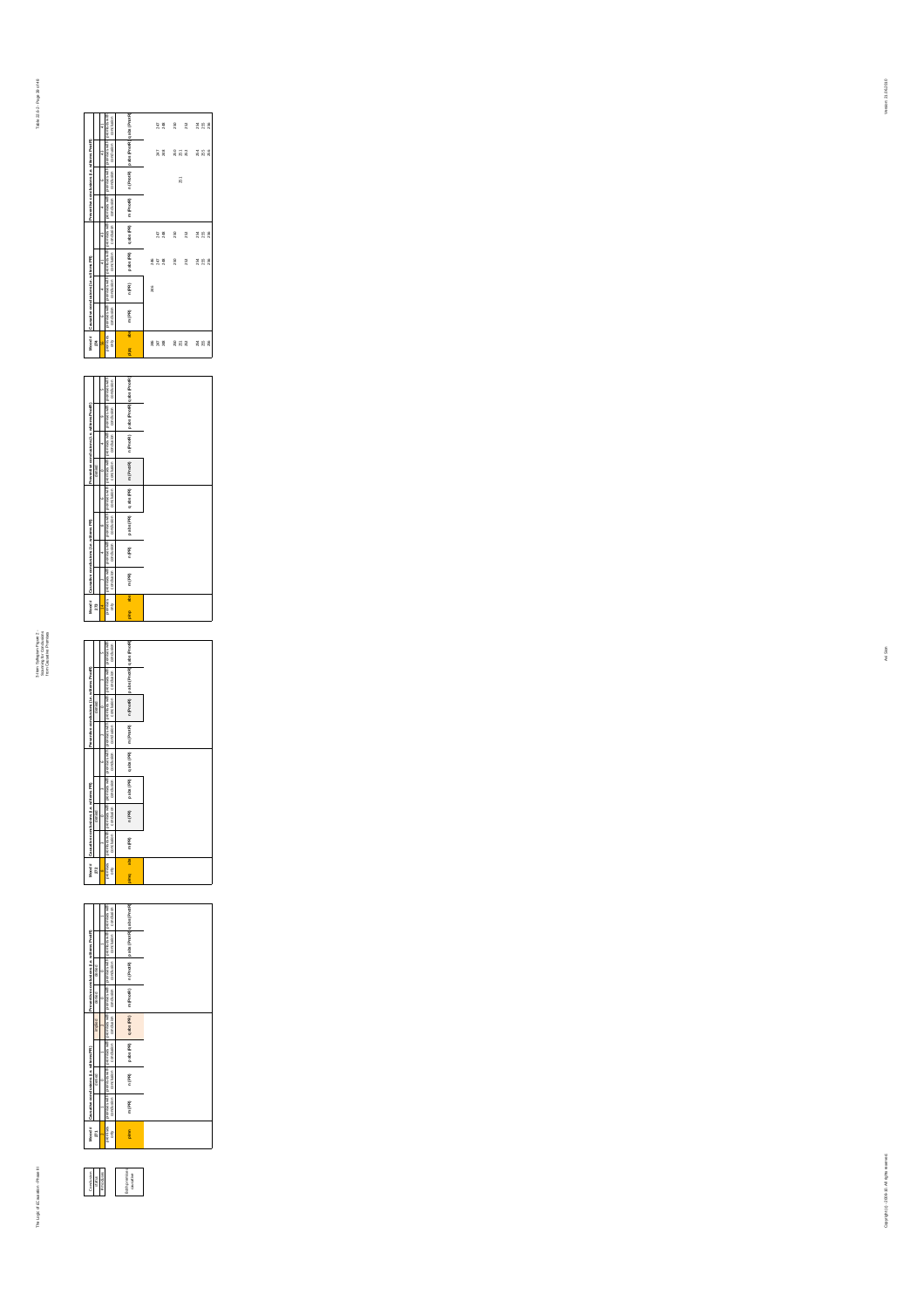| a pos         |                            | Causative conclusions (i.e. witems PR) |                            |                             |                            | Preventive con dusions (i.e. wiltems Proof?) |                                |                             |
|---------------|----------------------------|----------------------------------------|----------------------------|-----------------------------|----------------------------|----------------------------------------------|--------------------------------|-----------------------------|
| Ř,            |                            |                                        |                            |                             |                            |                                              |                                |                             |
| 8             | é                          | ۰                                      | ş                          | ą                           | ۰                          | é                                            | ş                              | ą                           |
| im ses<br>È   | promises with<br>condusion | premises with<br>oondusion             | premises with<br>oondusion | premises with<br>oorchasion | premises with<br>candusion | premises with<br>oondusion                   | premises with<br>oondusion     | premises with<br>conclusion |
| š             | m (PR)                     | n (PR)                                 | pabs (PR)                  | $q$ ab $s$ $(PR)$           | m (ProtR)                  | n (PhoeR)                                    | pates (P notR) q alss (P notR) |                             |
| 246           |                            | g                                      | 246                        |                             |                            |                                              |                                |                             |
| $\frac{1}{2}$ |                            |                                        | $\frac{1}{2}$              |                             |                            |                                              | ã                              | 247                         |
| 248           |                            |                                        | 248                        | 2 8                         |                            |                                              | 248                            | $\frac{3}{2}$               |
| 250           |                            |                                        | 250                        | 8                           |                            |                                              | 250                            | 8                           |
| ã             |                            |                                        |                            |                             |                            | 251                                          | 251                            |                             |
| 32            |                            |                                        | 252                        | 32                          |                            |                                              | 252                            | 32                          |
| 34            |                            |                                        | 254                        | 254                         |                            |                                              | 254                            | 254                         |
| 35            |                            |                                        | 255                        | 28                          |                            |                                              | 255                            | 28                          |
| 36            |                            |                                        | 256                        | 256                         |                            |                                              | 256                            | 256                         |





Version: 21.06.2010

Aw Sion

Conclusion<br># moduses<br>xh premis<br>causative Both premises

premises only premises with conclusion premises with conclusion premises with conclusion premises with conclusion premises with conclusion premises with conclusion premises with conclusion premises with conclusion

premises only premises with conclusion premises with conclusion premises with conclusion premises with conclusion premises with conclusion premises with conclusion premises with conclusion premises with conclusion

Mood #  $\frac{1}{272}$ 

reventive conclusions (i.e. w.kems Pno18)<br>- and - and - and - and - and - and - and - and - and - and - and - and - and - and - and - and - and - and -

abs (Proff

pabs (PnoR) q  $n$  (ProotR)  $p$ 

alon abstract the control of the control of the control of the control of the control of the control of the control of the control of the control of the control of the control of the control of the control of the control o

abs(ProtR) q abs (Proof

n (Prodit)  $m$  (Prooff) q abs (PR)

 $m(PR) \qquad n(PR) \qquad \text{p abs (PR)}$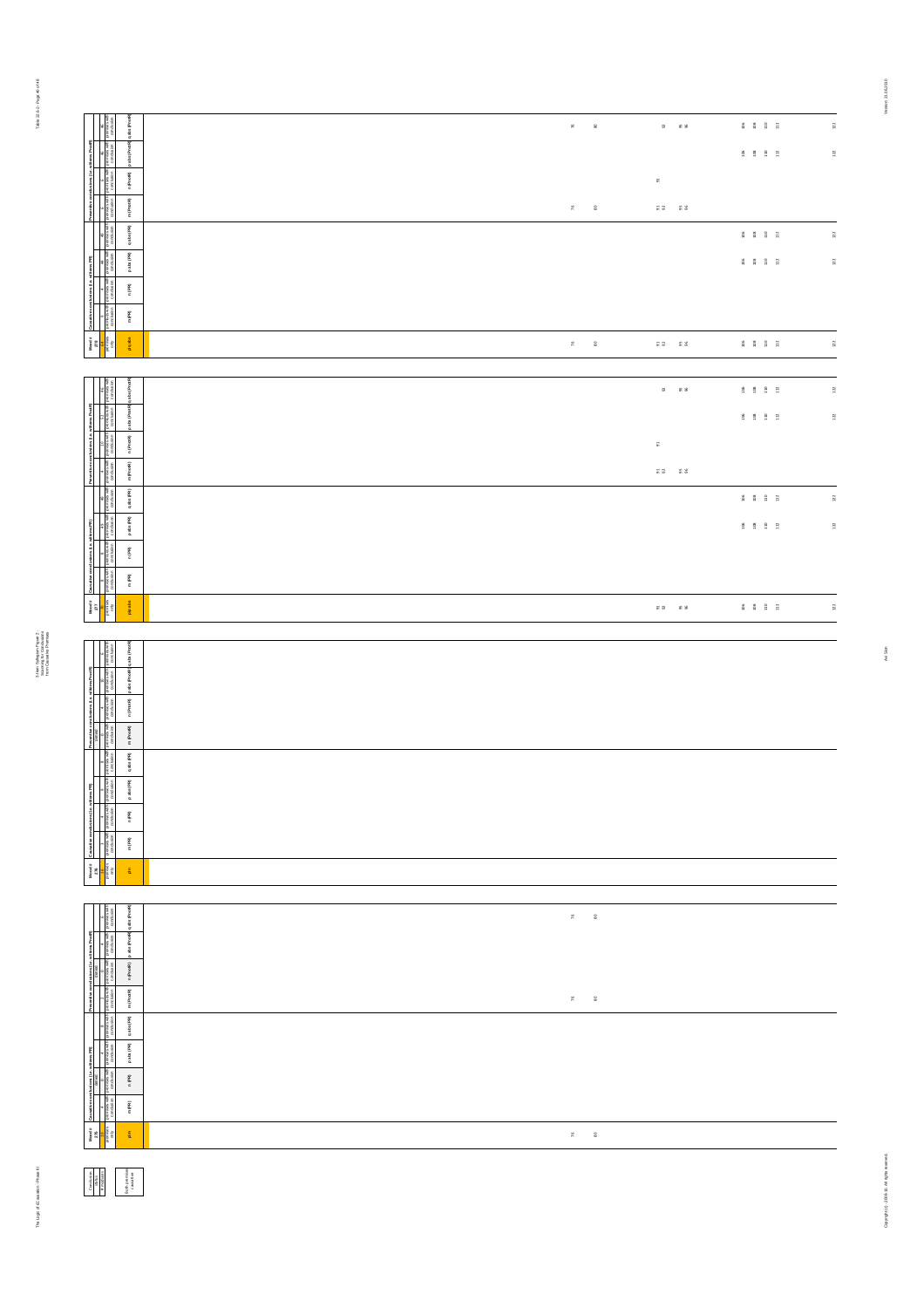| š<br>ş.            |                               | $\approx$ | $\mathbb{S}$ |
|--------------------|-------------------------------|-----------|--------------|
| asia<br>oord       | p abs (ProtR) q abs (ProoR)   |           |              |
| į<br>çand          | $n$ (P rooff)                 |           |              |
| g<br>8<br>P.<br>8. | $m(p \text{ node})$           | $\approx$ | $\mathbb{S}$ |
| ses<br>esco        | $q$ also (PR)                 |           |              |
| udranpi.<br>8      | pates (PR)                    |           |              |
| š<br>g             | $_{\alpha}$ (PR)              |           |              |
| ន<br>ត្<br>ë       | $\frac{\partial}{\partial t}$ |           |              |

| atos (Prooff<br>46<br>comissa with<br>conclusion                                                                                                                                                                                                                                                                                                             | $\begin{matrix} 0 & \cdots & \cdots & 0 \\ \vdots & \ddots & \ddots & \vdots \\ \vdots & \ddots & \ddots & \vdots \\ \vdots & \ddots & \ddots & \vdots \\ \end{matrix}$                                                                                                                                                         | $\begin{array}{ccc} \mathbb{S}^1 & \mathbb{S}^1 \mathbb{S}^1 \\ \mathbb{S}^1 & \mathbb{S}^1 \mathbb{S}^1 \end{array}$ | $\begin{array}{cccccccccc} 18 & 18 & 19 & 19 & 19 \\ 18 & 19 & 19 & 19 & 19 \\ 19 & 19 & 19 & 19 & 19 \\ \end{array}$ | $\mathbb{R}^2$           |
|--------------------------------------------------------------------------------------------------------------------------------------------------------------------------------------------------------------------------------------------------------------------------------------------------------------------------------------------------------------|---------------------------------------------------------------------------------------------------------------------------------------------------------------------------------------------------------------------------------------------------------------------------------------------------------------------------------|-----------------------------------------------------------------------------------------------------------------------|-----------------------------------------------------------------------------------------------------------------------|--------------------------|
| abs (ProtR)                                                                                                                                                                                                                                                                                                                                                  |                                                                                                                                                                                                                                                                                                                                 |                                                                                                                       | $\begin{array}{cccccccccc} \mathbf{g} & & \mathbf{g} & & \mathbf{g} & & \mathbf{g} & & \mathbf{g} \\ \end{array}$     | $\mathbb{R}^2$           |
| Preventive conclusions (i.e. witems Profit<br>n (ProfR)                                                                                                                                                                                                                                                                                                      |                                                                                                                                                                                                                                                                                                                                 | $\mathbbm{S}$                                                                                                         |                                                                                                                       |                          |
| $m$ (P roofR)                                                                                                                                                                                                                                                                                                                                                | $\begin{matrix} 1 & 0 & 0 \\ 0 & 0 & 0 \\ 0 & 0 & 0 \\ 0 & 0 & 0 \\ 0 & 0 & 0 \\ 0 & 0 & 0 \\ 0 & 0 & 0 \\ 0 & 0 & 0 \\ 0 & 0 & 0 & 0 \\ 0 & 0 & 0 & 0 \\ 0 & 0 & 0 & 0 \\ 0 & 0 & 0 & 0 \\ 0 & 0 & 0 & 0 & 0 \\ 0 & 0 & 0 & 0 & 0 \\ 0 & 0 & 0 & 0 & 0 \\ 0 & 0 & 0 & 0 & 0 & 0 \\ 0 & 0 & 0 & 0 & 0 & 0 \\ 0 & 0 & 0 & 0 & 0$ | $53$ $53$                                                                                                             |                                                                                                                       |                          |
| 49<br>remises with<br>condusion<br>$q$ abs (PR)                                                                                                                                                                                                                                                                                                              |                                                                                                                                                                                                                                                                                                                                 |                                                                                                                       | $\begin{array}{cccccccccc} \mathcal{B} & \mathcal{B} & \mathcal{B} & \mathcal{B} & \mathcal{B} & \end{array}$         | $\,$ $\,$ $\,$           |
|                                                                                                                                                                                                                                                                                                                                                              |                                                                                                                                                                                                                                                                                                                                 |                                                                                                                       |                                                                                                                       |                          |
| 44<br>remises with<br>oondusion<br>p abs $(\mathsf{PR})$                                                                                                                                                                                                                                                                                                     |                                                                                                                                                                                                                                                                                                                                 |                                                                                                                       | $\begin{array}{cccccccccc} \mathbf{g} & & \mathbf{g} & & \mathbf{g} & & \mathbf{g} & & \mathbf{g} \\ \end{array}$     | $\mathbb{R}^2$           |
| usative condusions (i.e. witems PR)<br>n (PR)                                                                                                                                                                                                                                                                                                                |                                                                                                                                                                                                                                                                                                                                 |                                                                                                                       |                                                                                                                       |                          |
| $\frac{60}{10}$                                                                                                                                                                                                                                                                                                                                              |                                                                                                                                                                                                                                                                                                                                 |                                                                                                                       |                                                                                                                       |                          |
| $\frac{4}{\pi}$ and $\frac{4}{\pi}$ points as<br>plqabs                                                                                                                                                                                                                                                                                                      |                                                                                                                                                                                                                                                                                                                                 |                                                                                                                       | $\begin{array}{cccccccccccccc} 8 & 8 & 9 & 9 & 3 \\ \end{array}$                                                      | $\mathbb{R}^2$           |
|                                                                                                                                                                                                                                                                                                                                                              |                                                                                                                                                                                                                                                                                                                                 |                                                                                                                       |                                                                                                                       |                          |
| pates (ProotR)                                                                                                                                                                                                                                                                                                                                               |                                                                                                                                                                                                                                                                                                                                 |                                                                                                                       | $\begin{array}{cccccccccc} \mathbf{g} & \mathbf{g} & \mathbf{g} & \mathbf{g} & \mathbf{g} \end{array}$                | $\widetilde{\mathbf{u}}$ |
| ions (i.e. wiltems ProtR)<br>i (PnotR)<br>죸                                                                                                                                                                                                                                                                                                                  |                                                                                                                                                                                                                                                                                                                                 |                                                                                                                       | $\begin{array}{cccccccccc} \mathbf{g} & & \mathbf{g} & & \mathbf{g} & & \mathbf{g} & & \mathbf{g} \end{array}$        | $\Xi$                    |
| $n$ (P rooff)                                                                                                                                                                                                                                                                                                                                                |                                                                                                                                                                                                                                                                                                                                 | $\overline{\circ}$                                                                                                    |                                                                                                                       |                          |
| Preventive cor<br>$m(Proot R)$                                                                                                                                                                                                                                                                                                                               |                                                                                                                                                                                                                                                                                                                                 | $\begin{array}{ccc} 5 & 3 & & 3 & 3 \\ 5 & 6 & & 3 & 3 \end{array}$                                                   |                                                                                                                       |                          |
| 49<br>pomissa with<br>condusion<br>qabs (PR)                                                                                                                                                                                                                                                                                                                 |                                                                                                                                                                                                                                                                                                                                 |                                                                                                                       | $\begin{array}{cccccccccc} \texttt{8} & \texttt{8} & \texttt{9} & \texttt{9} & \texttt{1} \end{array}$                | $\widetilde{\mathbf{a}}$ |
| 49<br>pramises with<br>conclusion<br>$p$ abs $\langle \mathsf{PR} \rangle$                                                                                                                                                                                                                                                                                   |                                                                                                                                                                                                                                                                                                                                 |                                                                                                                       | $\begin{array}{cccccccccc} \mathbf{g} & & \mathbf{g} & & \mathbf{g} & & \mathbf{g} & & \mathbf{g} \end{array}$        | $\Xi$                    |
|                                                                                                                                                                                                                                                                                                                                                              |                                                                                                                                                                                                                                                                                                                                 |                                                                                                                       |                                                                                                                       |                          |
| usative conclusions (i.e. witems PR)<br>$_{\rm n}$ (PR)                                                                                                                                                                                                                                                                                                      |                                                                                                                                                                                                                                                                                                                                 |                                                                                                                       |                                                                                                                       |                          |
| $\omega$ or $\omega$                                                                                                                                                                                                                                                                                                                                         |                                                                                                                                                                                                                                                                                                                                 |                                                                                                                       |                                                                                                                       |                          |
| $\begin{picture}(180,10) \put(0,0){\line(1,0){15}} \put(10,0){\line(1,0){15}} \put(10,0){\line(1,0){15}} \put(10,0){\line(1,0){15}} \put(10,0){\line(1,0){15}} \put(10,0){\line(1,0){15}} \put(10,0){\line(1,0){15}} \put(10,0){\line(1,0){15}} \put(10,0){\line(1,0){15}} \put(10,0){\line(1,0){15}} \put(10,0){\line(1,0){15}} \put(10,0){\line($<br>photo |                                                                                                                                                                                                                                                                                                                                 | $88$ $88$                                                                                                             |                                                                                                                       | $\mathbb{R}^2$           |
|                                                                                                                                                                                                                                                                                                                                                              |                                                                                                                                                                                                                                                                                                                                 |                                                                                                                       |                                                                                                                       |                          |
| 흨                                                                                                                                                                                                                                                                                                                                                            |                                                                                                                                                                                                                                                                                                                                 |                                                                                                                       |                                                                                                                       |                          |
| 흌                                                                                                                                                                                                                                                                                                                                                            |                                                                                                                                                                                                                                                                                                                                 |                                                                                                                       |                                                                                                                       |                          |
| n (Proff)                                                                                                                                                                                                                                                                                                                                                    |                                                                                                                                                                                                                                                                                                                                 |                                                                                                                       |                                                                                                                       |                          |
| Preventive conclusions (i.e. witheres Proces)<br>- derived<br>- promise with premise with premise with pre<br>- conclusion - conclusion - conclusion - c<br>u<br>promises with<br>candusion<br>$m$ (Prooff)                                                                                                                                                  |                                                                                                                                                                                                                                                                                                                                 |                                                                                                                       |                                                                                                                       |                          |
| $q$ abs $\langle \mathsf{PR} \rangle$<br>3<br>comissa with<br>corclusion                                                                                                                                                                                                                                                                                     |                                                                                                                                                                                                                                                                                                                                 |                                                                                                                       |                                                                                                                       |                          |
| $p$ abs (PR)                                                                                                                                                                                                                                                                                                                                                 |                                                                                                                                                                                                                                                                                                                                 |                                                                                                                       |                                                                                                                       |                          |
| $\frac{6}{5}$                                                                                                                                                                                                                                                                                                                                                |                                                                                                                                                                                                                                                                                                                                 |                                                                                                                       |                                                                                                                       |                          |
| $\mathfrak{m}(\mathsf{PR})$                                                                                                                                                                                                                                                                                                                                  |                                                                                                                                                                                                                                                                                                                                 |                                                                                                                       |                                                                                                                       |                          |
| Mood <mark>Causates concludes (La Wiens PR)</mark><br>276 – Termisa utilisem Estatuti permana valti<br>polyo – conclusion conclusion conclusion<br>polyo – conclusion conclusion conclusion<br>$\mathbf{\hat{z}}$                                                                                                                                            |                                                                                                                                                                                                                                                                                                                                 |                                                                                                                       |                                                                                                                       |                          |
|                                                                                                                                                                                                                                                                                                                                                              |                                                                                                                                                                                                                                                                                                                                 |                                                                                                                       |                                                                                                                       |                          |
| qabs@nc                                                                                                                                                                                                                                                                                                                                                      | $\mathbf{S}$<br>$\approx$                                                                                                                                                                                                                                                                                                       |                                                                                                                       |                                                                                                                       |                          |
| p abs (ProtR)<br>4<br>omises with<br>condusion                                                                                                                                                                                                                                                                                                               |                                                                                                                                                                                                                                                                                                                                 |                                                                                                                       |                                                                                                                       |                          |
| reventive conclusions (i.e. witems PnotR)                                                                                                                                                                                                                                                                                                                    |                                                                                                                                                                                                                                                                                                                                 |                                                                                                                       |                                                                                                                       |                          |
| $n$ (P roofR)                                                                                                                                                                                                                                                                                                                                                |                                                                                                                                                                                                                                                                                                                                 |                                                                                                                       |                                                                                                                       |                          |
| $m$ (P rooff)<br>8<br>comises with premises with<br>condusion conclusion                                                                                                                                                                                                                                                                                     | $\stackrel{\scriptscriptstyle \times}{\phantom{}_{\sim}}$ . $\stackrel{\scriptscriptstyle \times}{\phantom{}_{\sim}}$                                                                                                                                                                                                           |                                                                                                                       |                                                                                                                       |                          |
| q abs (PR)                                                                                                                                                                                                                                                                                                                                                   |                                                                                                                                                                                                                                                                                                                                 |                                                                                                                       |                                                                                                                       |                          |
| p abs $\varphi$ R)                                                                                                                                                                                                                                                                                                                                           |                                                                                                                                                                                                                                                                                                                                 |                                                                                                                       |                                                                                                                       |                          |
| asative condusions (i.e. witters PR)<br>clients<br>$_{\rm n}$ (PR)                                                                                                                                                                                                                                                                                           |                                                                                                                                                                                                                                                                                                                                 |                                                                                                                       |                                                                                                                       |                          |
| $\frac{\partial R}{\partial t}$                                                                                                                                                                                                                                                                                                                              |                                                                                                                                                                                                                                                                                                                                 |                                                                                                                       |                                                                                                                       |                          |
|                                                                                                                                                                                                                                                                                                                                                              |                                                                                                                                                                                                                                                                                                                                 |                                                                                                                       |                                                                                                                       |                          |

|                | pomit                            | $\mathbf{r}$                                   |  |
|----------------|----------------------------------|------------------------------------------------|--|
|                | 10<br>989 with<br>promis<br>coco | ō<br>$\mathbf{a}$                              |  |
| - 14           | premises with<br>oondusion       | $\widehat{\mathbf{g}}$<br>×.<br>$\overline{a}$ |  |
| a a            | Į<br>position.                   | $\sim$<br>ж.<br>s                              |  |
|                | $\frac{45}{8}$ 5<br>promis       | œ,<br>$\bullet$<br>٠<br>$\sigma$               |  |
|                | 9<br>promises with<br>opridualon | $\widehat{\mathbf{g}}$<br>$\mathbf{a}$         |  |
| ×              | 4<br>premises with<br>opridusion | $\frac{8}{6}$<br>$\overline{a}$                |  |
| - 61           | promises with<br>condusion       | œ,<br>€                                        |  |
| libodif<br>276 | <b>Propriet</b>                  | 音                                              |  |

| p abs (Prot R)<br>46<br>combies with<br>condusion                                                                                                                                                                                                                                                                                                                                                                                                                                          |                                                                                                                                                                                                                                                                                                                                                                                                                                                                                                                                                                                             |                                                                                       | $\begin{array}{cccccccccc} 8 & 8 & 9 & 9 & 1 \\ 10 & 10 & 10 & 10 \\ 11 & 10 & 10 & 10 \\ 11 & 10 & 10 & 10 \\ 11 & 10 & 10 & 10 \\ 11 & 10 & 10 & 10 \\ 11 & 10 & 10 & 10 \\ 11 & 10 & 10 & 10 \\ 11 & 10 & 10 & 10 \\ 11 & 10 & 10 & 10 \\ 11 & 10 & 10 & 10 \\ 11 & 10 & 10 & 10 \\ 11 & 10 & 10 & 10 \\ 11 &$<br>$\sim$ $\,$ $\,$ $\,$                                                                                                |                          |
|--------------------------------------------------------------------------------------------------------------------------------------------------------------------------------------------------------------------------------------------------------------------------------------------------------------------------------------------------------------------------------------------------------------------------------------------------------------------------------------------|---------------------------------------------------------------------------------------------------------------------------------------------------------------------------------------------------------------------------------------------------------------------------------------------------------------------------------------------------------------------------------------------------------------------------------------------------------------------------------------------------------------------------------------------------------------------------------------------|---------------------------------------------------------------------------------------|-------------------------------------------------------------------------------------------------------------------------------------------------------------------------------------------------------------------------------------------------------------------------------------------------------------------------------------------------------------------------------------------------------------------------------------------|--------------------------|
| premises with<br>condusion<br>n (ProdR)                                                                                                                                                                                                                                                                                                                                                                                                                                                    |                                                                                                                                                                                                                                                                                                                                                                                                                                                                                                                                                                                             | $\,$ 8                                                                                |                                                                                                                                                                                                                                                                                                                                                                                                                                           |                          |
| Preventive conclusions (i.e. witems Prooft)<br>6<br>promises with<br>corclusion<br>$m$ (P rooff)                                                                                                                                                                                                                                                                                                                                                                                           | $\begin{array}{cccccccccccccc} \varphi & \quad & \varphi & \quad & \varphi & \quad & \varphi & \quad & \varphi & \quad & \varphi & \quad & \varphi & \quad & \varphi & \quad & \varphi & \quad & \varphi & \quad & \varphi & \quad & \varphi & \quad & \varphi & \quad & \varphi & \quad & \varphi & \quad & \varphi & \quad & \varphi & \quad & \varphi & \quad & \varphi & \quad & \varphi & \quad & \varphi & \quad & \varphi & \quad & \varphi & \quad & \varphi & \quad & \varphi & \quad & \varphi & \quad & \varphi & \quad & \varphi & \quad & \varphi & \quad & \varphi & \quad &$ |                                                                                       |                                                                                                                                                                                                                                                                                                                                                                                                                                           |                          |
| $q$ abs (PR)                                                                                                                                                                                                                                                                                                                                                                                                                                                                               |                                                                                                                                                                                                                                                                                                                                                                                                                                                                                                                                                                                             |                                                                                       | $\begin{array}{cccccccccc} \mathbf{g} & & \mathbf{g} & & \mathbf{g} & & \mathbf{g} & & \mathbf{g} & & \mathbf{g} & & \mathbf{g} & & \mathbf{g} & & \mathbf{g} & & \mathbf{g} & & \mathbf{g} & & \mathbf{g} & & \mathbf{g} & & \mathbf{g} & & \mathbf{g} & & \mathbf{g} & & \mathbf{g} & & \mathbf{g} & & \mathbf{g} & & \mathbf{g} & & \mathbf{g} & & \mathbf{g} & & \mathbf{g} & & \mathbf{g} & & \mathbf{g} & & \mathbf{g} & & \mathbf$ | $\widetilde{\Xi}$        |
| pates (PR)                                                                                                                                                                                                                                                                                                                                                                                                                                                                                 |                                                                                                                                                                                                                                                                                                                                                                                                                                                                                                                                                                                             |                                                                                       | $\sim$ $\,$ $\,$ $\,$                                                                                                                                                                                                                                                                                                                                                                                                                     |                          |
| $_{\rm n}(\rho\,R)$                                                                                                                                                                                                                                                                                                                                                                                                                                                                        |                                                                                                                                                                                                                                                                                                                                                                                                                                                                                                                                                                                             |                                                                                       |                                                                                                                                                                                                                                                                                                                                                                                                                                           |                          |
| Course for conclusions (i.e. with<br>ensuring the state of the periodic state of the conclusion of the contraction<br>of the conclusion of the conclusion of conclusion of the conclusion of<br>$\sim$<br>$\mathfrak{m}(\mathsf{PR})$                                                                                                                                                                                                                                                      |                                                                                                                                                                                                                                                                                                                                                                                                                                                                                                                                                                                             |                                                                                       |                                                                                                                                                                                                                                                                                                                                                                                                                                           |                          |
| $\frac{M \cos \theta}{278}$                                                                                                                                                                                                                                                                                                                                                                                                                                                                | $\begin{picture}(180,10) \put(0,0){\line(1,0){10}} \put(10,0){\line(1,0){10}} \put(10,0){\line(1,0){10}} \put(10,0){\line(1,0){10}} \put(10,0){\line(1,0){10}} \put(10,0){\line(1,0){10}} \put(10,0){\line(1,0){10}} \put(10,0){\line(1,0){10}} \put(10,0){\line(1,0){10}} \put(10,0){\line(1,0){10}} \put(10,0){\line(1,0){10}} \put(10,0){\line($                                                                                                                                                                                                                                         | $55 - 58$                                                                             | $\mathbb{R}^2$                                                                                                                                                                                                                                                                                                                                                                                                                            |                          |
| premises<br>piquist                                                                                                                                                                                                                                                                                                                                                                                                                                                                        |                                                                                                                                                                                                                                                                                                                                                                                                                                                                                                                                                                                             |                                                                                       | $\begin{array}{cccccccccccccc} 8 & 8 & 9 & 9 & 3 \\ \end{array}$                                                                                                                                                                                                                                                                                                                                                                          |                          |
| q abs (Prot R)<br>46<br>premises with<br>condusion                                                                                                                                                                                                                                                                                                                                                                                                                                         |                                                                                                                                                                                                                                                                                                                                                                                                                                                                                                                                                                                             | $\begin{array}{ccc} \mathbb{S} & \mathbb{S} & \mathbb{S} & \mathbb{S} \\ \end{array}$ | $\begin{array}{cccccccccccccc} 2 & 2 & 2 & 2 & 2 & 2 \\ 3 & 3 & 2 & 2 & 2 & 2 \\ \end{array}$                                                                                                                                                                                                                                                                                                                                             | $\widetilde{\mathbf{u}}$ |
| 52<br>promises with<br>condusion<br>pates (PnotR)                                                                                                                                                                                                                                                                                                                                                                                                                                          |                                                                                                                                                                                                                                                                                                                                                                                                                                                                                                                                                                                             |                                                                                       | $\begin{array}{cccccccccc} \mathbf{g} & & \mathbf{g} & & \mathbf{g} & & \mathbf{g} & & \mathbf{g} \end{array}$                                                                                                                                                                                                                                                                                                                            | $\Xi$                    |
| up propose<br>up a ses upod<br>05<br>n (ProdR)                                                                                                                                                                                                                                                                                                                                                                                                                                             |                                                                                                                                                                                                                                                                                                                                                                                                                                                                                                                                                                                             | $\overline{\circ}$                                                                    |                                                                                                                                                                                                                                                                                                                                                                                                                                           |                          |
| Preventive conclusions (i.e. witems Prot R)<br>$m(\hbox{\rm ProzR})$                                                                                                                                                                                                                                                                                                                                                                                                                       |                                                                                                                                                                                                                                                                                                                                                                                                                                                                                                                                                                                             | $53$ $53$                                                                             |                                                                                                                                                                                                                                                                                                                                                                                                                                           |                          |
| 49<br>pomissa whi pomissa with<br>condusion condusion<br>qabs $\langle \mathsf{PR} \rangle$                                                                                                                                                                                                                                                                                                                                                                                                |                                                                                                                                                                                                                                                                                                                                                                                                                                                                                                                                                                                             |                                                                                       | $\begin{array}{cccccccccccccc} 3 & & 3 & & 2 & & 3 & & 3 \\ & & 3 & & 3 & & 3 & & 3 \\ \end{array}$                                                                                                                                                                                                                                                                                                                                       | $\widetilde{\mathbf{u}}$ |
|                                                                                                                                                                                                                                                                                                                                                                                                                                                                                            |                                                                                                                                                                                                                                                                                                                                                                                                                                                                                                                                                                                             |                                                                                       |                                                                                                                                                                                                                                                                                                                                                                                                                                           |                          |
| 49<br>promises with<br>conclusion<br>p also (PR)                                                                                                                                                                                                                                                                                                                                                                                                                                           |                                                                                                                                                                                                                                                                                                                                                                                                                                                                                                                                                                                             |                                                                                       | $\begin{array}{cccccccccc} \mathbf{g} & & \mathbf{g} & & \mathbf{g} & & \mathbf{g} & & \mathbf{g} \end{array}$                                                                                                                                                                                                                                                                                                                            | $\Xi$                    |
| Causative conclusions (i.e., whems PR)<br>nowendown<br>conclusion<br>$_{\rm e}$ 99)                                                                                                                                                                                                                                                                                                                                                                                                        |                                                                                                                                                                                                                                                                                                                                                                                                                                                                                                                                                                                             |                                                                                       |                                                                                                                                                                                                                                                                                                                                                                                                                                           |                          |
| 3<br>permises with<br>conclusion<br>$\mathfrak{m} \varphi \mathfrak{K}$                                                                                                                                                                                                                                                                                                                                                                                                                    |                                                                                                                                                                                                                                                                                                                                                                                                                                                                                                                                                                                             |                                                                                       |                                                                                                                                                                                                                                                                                                                                                                                                                                           |                          |
| Pomises<br>Children<br>$rac{u}{m}$<br>pip abs                                                                                                                                                                                                                                                                                                                                                                                                                                              |                                                                                                                                                                                                                                                                                                                                                                                                                                                                                                                                                                                             | 88                                                                                    | $\begin{array}{cccccccccccccc} 8 & 8 & 8 & 8 & 8 & 7 \\ \end{array}$                                                                                                                                                                                                                                                                                                                                                                      | $\overline{\mathbf{u}}$  |
| 6<br>remises with<br>corclusion<br>sabs (Prooft)                                                                                                                                                                                                                                                                                                                                                                                                                                           |                                                                                                                                                                                                                                                                                                                                                                                                                                                                                                                                                                                             |                                                                                       |                                                                                                                                                                                                                                                                                                                                                                                                                                           |                          |
| 10<br>permissis with<br>utes (Prooft)                                                                                                                                                                                                                                                                                                                                                                                                                                                      |                                                                                                                                                                                                                                                                                                                                                                                                                                                                                                                                                                                             |                                                                                       |                                                                                                                                                                                                                                                                                                                                                                                                                                           |                          |
| Preventive conclusions (i.e. w/fents ProdR)<br>dirivid                                                                                                                                                                                                                                                                                                                                                                                                                                     |                                                                                                                                                                                                                                                                                                                                                                                                                                                                                                                                                                                             |                                                                                       |                                                                                                                                                                                                                                                                                                                                                                                                                                           |                          |
| remises with<br>condusion<br>$n$ (Pro $\mathfrak{R})$                                                                                                                                                                                                                                                                                                                                                                                                                                      |                                                                                                                                                                                                                                                                                                                                                                                                                                                                                                                                                                                             |                                                                                       |                                                                                                                                                                                                                                                                                                                                                                                                                                           |                          |
| promises with<br>condusion<br>$m$ (ProofR)                                                                                                                                                                                                                                                                                                                                                                                                                                                 |                                                                                                                                                                                                                                                                                                                                                                                                                                                                                                                                                                                             |                                                                                       |                                                                                                                                                                                                                                                                                                                                                                                                                                           |                          |
| a<br>premises with<br>conclusion<br>$q$ ab s $\left( \mathsf{PR}\right)$                                                                                                                                                                                                                                                                                                                                                                                                                   |                                                                                                                                                                                                                                                                                                                                                                                                                                                                                                                                                                                             |                                                                                       |                                                                                                                                                                                                                                                                                                                                                                                                                                           |                          |
| $p$ abs (PR)                                                                                                                                                                                                                                                                                                                                                                                                                                                                               |                                                                                                                                                                                                                                                                                                                                                                                                                                                                                                                                                                                             |                                                                                       |                                                                                                                                                                                                                                                                                                                                                                                                                                           |                          |
| $\mathfrak{so}_{\mathfrak{g}}$                                                                                                                                                                                                                                                                                                                                                                                                                                                             |                                                                                                                                                                                                                                                                                                                                                                                                                                                                                                                                                                                             |                                                                                       |                                                                                                                                                                                                                                                                                                                                                                                                                                           |                          |
| $\begin{tabular}{ c c c } \hline \textbf{Nood $\#$} & \textbf{Gaussian} & \textbf{Co} \textbf{whness $\textbf{P0}$} \\ \hline \textbf{Nood $\#$} & \textbf{Gaussian} & \textbf{S} & \textbf{A} & \textbf{M} & \textbf{B} & \textbf{S} \\ \hline \textbf{Nood $\#$} & \textbf{S} & \textbf{B} & \textbf{B} & \textbf{B} & \textbf{B} & \textbf{B} \\ \hline \textbf{Nood $\#$} & \textbf{B} & \textbf{B} & \textbf{B} & \textbf{B} & \textbf{B} & \$<br>$\frac{\partial^2 R}{\partial t^2}$ |                                                                                                                                                                                                                                                                                                                                                                                                                                                                                                                                                                                             |                                                                                       |                                                                                                                                                                                                                                                                                                                                                                                                                                           |                          |
| $\pmb{\xi}$                                                                                                                                                                                                                                                                                                                                                                                                                                                                                |                                                                                                                                                                                                                                                                                                                                                                                                                                                                                                                                                                                             |                                                                                       |                                                                                                                                                                                                                                                                                                                                                                                                                                           |                          |
|                                                                                                                                                                                                                                                                                                                                                                                                                                                                                            |                                                                                                                                                                                                                                                                                                                                                                                                                                                                                                                                                                                             |                                                                                       |                                                                                                                                                                                                                                                                                                                                                                                                                                           |                          |
| o<br>Promises with<br>condusion<br>pates (ProtR) q abs (Proof                                                                                                                                                                                                                                                                                                                                                                                                                              | $\mathbb{R}$ – $\mathbb{S}$                                                                                                                                                                                                                                                                                                                                                                                                                                                                                                                                                                 |                                                                                       |                                                                                                                                                                                                                                                                                                                                                                                                                                           |                          |
| Preventive conclusions (i.e. witems Prooft)<br>- detect<br>premises with<br>condusion                                                                                                                                                                                                                                                                                                                                                                                                      |                                                                                                                                                                                                                                                                                                                                                                                                                                                                                                                                                                                             |                                                                                       |                                                                                                                                                                                                                                                                                                                                                                                                                                           |                          |
| promises with<br>conclusion<br>$n$ (P rooff)                                                                                                                                                                                                                                                                                                                                                                                                                                               |                                                                                                                                                                                                                                                                                                                                                                                                                                                                                                                                                                                             |                                                                                       |                                                                                                                                                                                                                                                                                                                                                                                                                                           |                          |
| premises with<br>$m$ (P roofR)                                                                                                                                                                                                                                                                                                                                                                                                                                                             | $\mathbb R$ $\qquad \quad \mathbb R$                                                                                                                                                                                                                                                                                                                                                                                                                                                                                                                                                        |                                                                                       |                                                                                                                                                                                                                                                                                                                                                                                                                                           |                          |
| pomissa with<br>pomissa with<br>pate (PR) qate (PR)                                                                                                                                                                                                                                                                                                                                                                                                                                        |                                                                                                                                                                                                                                                                                                                                                                                                                                                                                                                                                                                             |                                                                                       |                                                                                                                                                                                                                                                                                                                                                                                                                                           |                          |
| susative condusions (i.e. willems PR)<br>premises with<br>condusion                                                                                                                                                                                                                                                                                                                                                                                                                        |                                                                                                                                                                                                                                                                                                                                                                                                                                                                                                                                                                                             |                                                                                       |                                                                                                                                                                                                                                                                                                                                                                                                                                           |                          |
| premises with<br>conclusion<br>$\frac{\partial}{\partial t}$                                                                                                                                                                                                                                                                                                                                                                                                                               |                                                                                                                                                                                                                                                                                                                                                                                                                                                                                                                                                                                             |                                                                                       |                                                                                                                                                                                                                                                                                                                                                                                                                                           |                          |
| premises with<br>$\frac{\partial \mathbf{R}}{\partial \mathbf{r}}$                                                                                                                                                                                                                                                                                                                                                                                                                         |                                                                                                                                                                                                                                                                                                                                                                                                                                                                                                                                                                                             |                                                                                       |                                                                                                                                                                                                                                                                                                                                                                                                                                           |                          |
| promises<br>only<br>$\frac{\text{Mood } H}{275}$<br>$\frac{g}{\Delta}$                                                                                                                                                                                                                                                                                                                                                                                                                     |                                                                                                                                                                                                                                                                                                                                                                                                                                                                                                                                                                                             |                                                                                       |                                                                                                                                                                                                                                                                                                                                                                                                                                           |                          |
|                                                                                                                                                                                                                                                                                                                                                                                                                                                                                            |                                                                                                                                                                                                                                                                                                                                                                                                                                                                                                                                                                                             |                                                                                       |                                                                                                                                                                                                                                                                                                                                                                                                                                           |                          |

he Lagic of ECausatio

Conclusion status # moduses causative Both premises

 $480$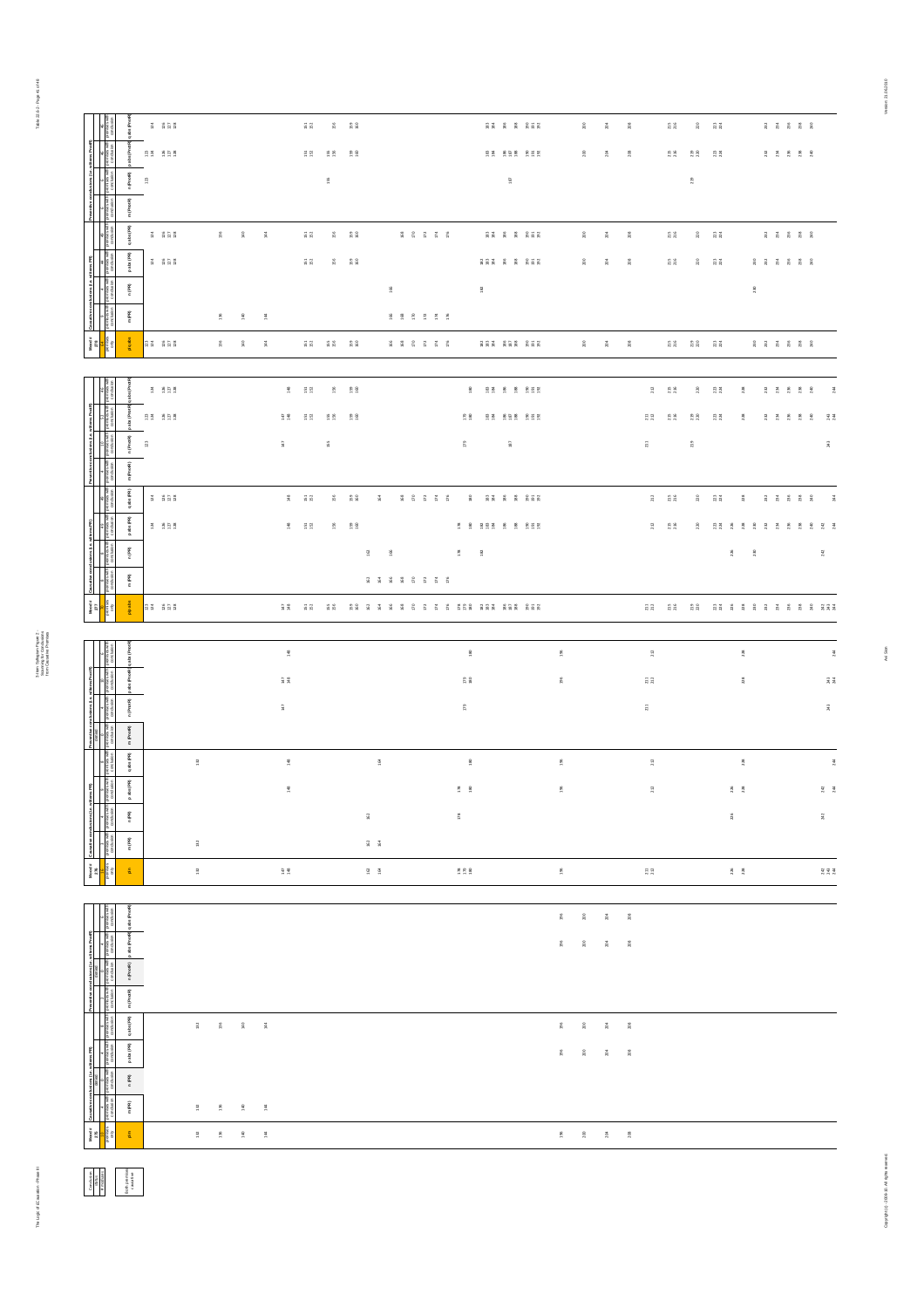|        |     | $\frac{3}{2}$ $\frac{8}{2}$ $\frac{5}{2}$                                           |                 |    |                                                                                                                                                                                                                                                                                                                                                                                                                                           |                               |                             | 53 3 59         |                                                                                                                                                                                                                                                                                                                                                                                                                                          |                                                             |                                                                                                                                                                                                                                                                                                                                                                                                            |                     | 물품 볼 홀 울름줄                                                       |                 |                                                                                                                                                                                                                                                                                                                                    |                             |               |     |                                          | $\begin{matrix} 8 & \textcolor{red}{\check{8}} & \textcolor{red}{\check{8}} & \textcolor{red}{\check{8}} & \textcolor{red}{\check{12}} & \textcolor{red}{\check{12}} & \textcolor{red}{\check{12}} & \textcolor{red}{\check{12}} & \textcolor{red}{\check{12}} & \textcolor{red}{\check{12}} & \textcolor{red}{\check{12}} & \textcolor{red}{\check{12}} & \textcolor{red}{\check{12}} & \textcolor{red}{\check{12}} & \textcolor{red}{\check{12}} & \textcolor{red}{\check{12}} & \textcolor{red}{\check{12}} & \textcolor{red}{\$ |                                                                                                                                                                                                                                                                                               |
|--------|-----|-------------------------------------------------------------------------------------|-----------------|----|-------------------------------------------------------------------------------------------------------------------------------------------------------------------------------------------------------------------------------------------------------------------------------------------------------------------------------------------------------------------------------------------------------------------------------------------|-------------------------------|-----------------------------|-----------------|------------------------------------------------------------------------------------------------------------------------------------------------------------------------------------------------------------------------------------------------------------------------------------------------------------------------------------------------------------------------------------------------------------------------------------------|-------------------------------------------------------------|------------------------------------------------------------------------------------------------------------------------------------------------------------------------------------------------------------------------------------------------------------------------------------------------------------------------------------------------------------------------------------------------------------|---------------------|------------------------------------------------------------------|-----------------|------------------------------------------------------------------------------------------------------------------------------------------------------------------------------------------------------------------------------------------------------------------------------------------------------------------------------------|-----------------------------|---------------|-----|------------------------------------------|-------------------------------------------------------------------------------------------------------------------------------------------------------------------------------------------------------------------------------------------------------------------------------------------------------------------------------------------------------------------------------------------------------------------------------------------------------------------------------------------------------------------------------------|-----------------------------------------------------------------------------------------------------------------------------------------------------------------------------------------------------------------------------------------------------------------------------------------------|
|        |     | 85 858                                                                              |                 |    |                                                                                                                                                                                                                                                                                                                                                                                                                                           |                               |                             |                 | 53 53 59                                                                                                                                                                                                                                                                                                                                                                                                                                 |                                                             |                                                                                                                                                                                                                                                                                                                                                                                                            |                     | - 음품 음품을 읽으려면 유민이는 유민이는 유민이 유민이는 유민이 유민이 없다.                     |                 |                                                                                                                                                                                                                                                                                                                                    |                             |               |     |                                          |                                                                                                                                                                                                                                                                                                                                                                                                                                                                                                                                     |                                                                                                                                                                                                                                                                                               |
|        |     |                                                                                     |                 |    |                                                                                                                                                                                                                                                                                                                                                                                                                                           |                               |                             | $\frac{1}{100}$ |                                                                                                                                                                                                                                                                                                                                                                                                                                          |                                                             |                                                                                                                                                                                                                                                                                                                                                                                                            |                     |                                                                  |                 |                                                                                                                                                                                                                                                                                                                                    |                             |               | 219 |                                          |                                                                                                                                                                                                                                                                                                                                                                                                                                                                                                                                     |                                                                                                                                                                                                                                                                                               |
|        |     |                                                                                     |                 |    |                                                                                                                                                                                                                                                                                                                                                                                                                                           |                               |                             |                 |                                                                                                                                                                                                                                                                                                                                                                                                                                          |                                                             |                                                                                                                                                                                                                                                                                                                                                                                                            |                     |                                                                  |                 |                                                                                                                                                                                                                                                                                                                                    |                             |               |     |                                          |                                                                                                                                                                                                                                                                                                                                                                                                                                                                                                                                     |                                                                                                                                                                                                                                                                                               |
|        |     |                                                                                     |                 |    |                                                                                                                                                                                                                                                                                                                                                                                                                                           |                               |                             |                 |                                                                                                                                                                                                                                                                                                                                                                                                                                          |                                                             |                                                                                                                                                                                                                                                                                                                                                                                                            |                     |                                                                  |                 |                                                                                                                                                                                                                                                                                                                                    |                             |               |     |                                          |                                                                                                                                                                                                                                                                                                                                                                                                                                                                                                                                     |                                                                                                                                                                                                                                                                                               |
|        |     | $\frac{3}{2}$ $\frac{8}{2}$ $\frac{5}{2}$                                           |                 |    |                                                                                                                                                                                                                                                                                                                                                                                                                                           |                               |                             |                 |                                                                                                                                                                                                                                                                                                                                                                                                                                          |                                                             |                                                                                                                                                                                                                                                                                                                                                                                                            |                     |                                                                  |                 |                                                                                                                                                                                                                                                                                                                                    |                             |               |     |                                          | <b>ANA</b> ANA A                                                                                                                                                                                                                                                                                                                                                                                                                                                                                                                    |                                                                                                                                                                                                                                                                                               |
|        |     |                                                                                     |                 |    |                                                                                                                                                                                                                                                                                                                                                                                                                                           |                               |                             |                 |                                                                                                                                                                                                                                                                                                                                                                                                                                          |                                                             | $\begin{array}{ccc}\n\mathbf{32} & \mathbf{12} & \mathbf{13} & \mathbf{14} & \mathbf{15} & \mathbf{16} & \mathbf{17} & \mathbf{18} & \mathbf{18} & \mathbf{18} & \mathbf{19} & \mathbf{19} & \mathbf{19} & \mathbf{19} & \mathbf{19} & \mathbf{19} & \mathbf{19} & \mathbf{19} & \mathbf{19} & \mathbf{19} & \mathbf{19} & \mathbf{19} & \mathbf{19} & \mathbf{19} & \mathbf{19} & \mathbf{19} & \mathbf{$ |                     |                                                                  |                 |                                                                                                                                                                                                                                                                                                                                    |                             |               |     |                                          | $\overline{\mathbf{a}}$                                                                                                                                                                                                                                                                                                                                                                                                                                                                                                             |                                                                                                                                                                                                                                                                                               |
|        |     |                                                                                     |                 |    | $\begin{array}{ccccccccccccc} \mathbb{H} & & \mathbb{H} & & \mathbb{H} & & \mathbb{H} & & \mathbb{H} & \mathbb{H} & \mathbb{H} & \mathbb{H} & & \mathbb{H} & \mathbb{H} & & \mathbb{H} & & \mathbb{H} & \mathbb{H} & & \mathbb{H} & \mathbb{H} & & \mathbb{H} & \mathbb{H} & & \mathbb{H} & & \mathbb{H} & \mathbb{H} & & \mathbb{H} & & \mathbb{H} & \mathbb{H} & & \mathbb{H} & & \mathbb{H} & & \mathbb{H} & & \mathbb{H} & & \mathbb$ |                               |                             |                 |                                                                                                                                                                                                                                                                                                                                                                                                                                          |                                                             |                                                                                                                                                                                                                                                                                                                                                                                                            |                     |                                                                  |                 |                                                                                                                                                                                                                                                                                                                                    |                             |               |     |                                          |                                                                                                                                                                                                                                                                                                                                                                                                                                                                                                                                     |                                                                                                                                                                                                                                                                                               |
|        |     | $B\bar{A}$ $B\bar{B}$                                                               |                 |    |                                                                                                                                                                                                                                                                                                                                                                                                                                           |                               |                             |                 |                                                                                                                                                                                                                                                                                                                                                                                                                                          |                                                             |                                                                                                                                                                                                                                                                                                                                                                                                            |                     |                                                                  |                 |                                                                                                                                                                                                                                                                                                                                    |                             |               |     |                                          |                                                                                                                                                                                                                                                                                                                                                                                                                                                                                                                                     |                                                                                                                                                                                                                                                                                               |
|        |     |                                                                                     |                 |    |                                                                                                                                                                                                                                                                                                                                                                                                                                           |                               |                             |                 |                                                                                                                                                                                                                                                                                                                                                                                                                                          |                                                             |                                                                                                                                                                                                                                                                                                                                                                                                            |                     |                                                                  |                 |                                                                                                                                                                                                                                                                                                                                    |                             |               |     |                                          |                                                                                                                                                                                                                                                                                                                                                                                                                                                                                                                                     |                                                                                                                                                                                                                                                                                               |
|        |     | $\overline{a}$ $\overline{a}$ $\overline{a}$ $\overline{a}$                         |                 |    |                                                                                                                                                                                                                                                                                                                                                                                                                                           |                               |                             |                 | $\begin{array}{ccccccccccccc} \mathfrak{B} & & \mathfrak{B} & \mathfrak{B} & & \mathfrak{B} & & \mathfrak{B} & \mathfrak{B} & \mathfrak{B} & \mathfrak{B} & \mathfrak{B} & \mathfrak{B} & \mathfrak{B} & \mathfrak{B} & \mathfrak{B} & \mathfrak{B} & \mathfrak{B} & \mathfrak{B} & \mathfrak{B} & \mathfrak{B} & \mathfrak{B} & \mathfrak{B} & \mathfrak{B} & \mathfrak{B} & \mathfrak{B} & \mathfrak{B} & \mathfrak{B} & \mathfrak{B}$ |                                                             |                                                                                                                                                                                                                                                                                                                                                                                                            |                     |                                                                  |                 |                                                                                                                                                                                                                                                                                                                                    |                             |               |     | 23                                       |                                                                                                                                                                                                                                                                                                                                                                                                                                                                                                                                     |                                                                                                                                                                                                                                                                                               |
|        |     | 88 888                                                                              |                 |    |                                                                                                                                                                                                                                                                                                                                                                                                                                           |                               |                             |                 | 늦을 끓여 봐봐 화요                                                                                                                                                                                                                                                                                                                                                                                                                              |                                                             |                                                                                                                                                                                                                                                                                                                                                                                                            |                     | 음을 통증 음을을 움을                                                     |                 |                                                                                                                                                                                                                                                                                                                                    |                             |               |     |                                          |                                                                                                                                                                                                                                                                                                                                                                                                                                                                                                                                     |                                                                                                                                                                                                                                                                                               |
|        |     |                                                                                     |                 |    |                                                                                                                                                                                                                                                                                                                                                                                                                                           |                               |                             | $147$ $15$      |                                                                                                                                                                                                                                                                                                                                                                                                                                          |                                                             |                                                                                                                                                                                                                                                                                                                                                                                                            |                     | $\begin{array}{ccc}\n 3.73 & 3.73 \\  3.87 & 3.87\n \end{array}$ |                 |                                                                                                                                                                                                                                                                                                                                    |                             | $\frac{1}{2}$ |     |                                          |                                                                                                                                                                                                                                                                                                                                                                                                                                                                                                                                     | 243                                                                                                                                                                                                                                                                                           |
|        |     |                                                                                     |                 |    |                                                                                                                                                                                                                                                                                                                                                                                                                                           |                               |                             |                 |                                                                                                                                                                                                                                                                                                                                                                                                                                          |                                                             |                                                                                                                                                                                                                                                                                                                                                                                                            |                     |                                                                  |                 |                                                                                                                                                                                                                                                                                                                                    |                             |               |     |                                          |                                                                                                                                                                                                                                                                                                                                                                                                                                                                                                                                     |                                                                                                                                                                                                                                                                                               |
|        |     | $\overline{\mathfrak{a}}$ = $\overline{\mathfrak{a}}$ = $\overline{\mathfrak{a}}$ = |                 |    |                                                                                                                                                                                                                                                                                                                                                                                                                                           |                               |                             |                 |                                                                                                                                                                                                                                                                                                                                                                                                                                          |                                                             |                                                                                                                                                                                                                                                                                                                                                                                                            |                     |                                                                  |                 |                                                                                                                                                                                                                                                                                                                                    |                             |               |     |                                          |                                                                                                                                                                                                                                                                                                                                                                                                                                                                                                                                     |                                                                                                                                                                                                                                                                                               |
|        |     | 5 888                                                                               |                 |    |                                                                                                                                                                                                                                                                                                                                                                                                                                           |                               |                             |                 |                                                                                                                                                                                                                                                                                                                                                                                                                                          | 몇 점점 1월 6월                                                  |                                                                                                                                                                                                                                                                                                                                                                                                            |                     | <u> 12. 음 영중종 16. 총 음종령</u>                                      |                 |                                                                                                                                                                                                                                                                                                                                    |                             |               |     |                                          |                                                                                                                                                                                                                                                                                                                                                                                                                                                                                                                                     | R AN A AA A A A A A A A A A A                                                                                                                                                                                                                                                                 |
|        |     |                                                                                     |                 |    |                                                                                                                                                                                                                                                                                                                                                                                                                                           |                               |                             |                 |                                                                                                                                                                                                                                                                                                                                                                                                                                          | <u>. 이 번 보기 때문에 대한 사람들은 이 번 하지 않고 있다. 그는 어디에 대한 것이 없다.</u>  |                                                                                                                                                                                                                                                                                                                                                                                                            |                     |                                                                  |                 |                                                                                                                                                                                                                                                                                                                                    |                             |               |     |                                          |                                                                                                                                                                                                                                                                                                                                                                                                                                                                                                                                     | $\frac{1}{2}$ and $\frac{1}{2}$ and $\frac{1}{2}$ and $\frac{1}{2}$ and $\frac{1}{2}$ and $\frac{1}{2}$ and $\frac{1}{2}$ and $\frac{1}{2}$ and $\frac{1}{2}$ and $\frac{1}{2}$ and $\frac{1}{2}$ and $\frac{1}{2}$ and $\frac{1}{2}$ and $\frac{1}{2}$ and $\frac{1}{2}$ and $\frac{1}{2}$ a |
|        |     |                                                                                     |                 |    |                                                                                                                                                                                                                                                                                                                                                                                                                                           |                               |                             |                 |                                                                                                                                                                                                                                                                                                                                                                                                                                          |                                                             |                                                                                                                                                                                                                                                                                                                                                                                                            |                     |                                                                  |                 |                                                                                                                                                                                                                                                                                                                                    |                             |               |     |                                          |                                                                                                                                                                                                                                                                                                                                                                                                                                                                                                                                     |                                                                                                                                                                                                                                                                                               |
|        |     |                                                                                     |                 |    |                                                                                                                                                                                                                                                                                                                                                                                                                                           |                               |                             |                 |                                                                                                                                                                                                                                                                                                                                                                                                                                          |                                                             |                                                                                                                                                                                                                                                                                                                                                                                                            |                     |                                                                  |                 |                                                                                                                                                                                                                                                                                                                                    |                             |               |     |                                          |                                                                                                                                                                                                                                                                                                                                                                                                                                                                                                                                     |                                                                                                                                                                                                                                                                                               |
|        |     | គត គតត                                                                              |                 |    |                                                                                                                                                                                                                                                                                                                                                                                                                                           |                               |                             |                 |                                                                                                                                                                                                                                                                                                                                                                                                                                          | 33 GG 66 69 9 9 3 3 3 4 5 6 6 6 6 6 6 9 9 9 9 9 9 9 0 9 0 1 |                                                                                                                                                                                                                                                                                                                                                                                                            |                     |                                                                  |                 |                                                                                                                                                                                                                                                                                                                                    |                             |               |     |                                          |                                                                                                                                                                                                                                                                                                                                                                                                                                                                                                                                     | a a a a a a a a a a a a a a a a                                                                                                                                                                                                                                                               |
|        |     |                                                                                     |                 |    |                                                                                                                                                                                                                                                                                                                                                                                                                                           |                               | $\frac{22}{24}$             |                 |                                                                                                                                                                                                                                                                                                                                                                                                                                          |                                                             |                                                                                                                                                                                                                                                                                                                                                                                                            | $\frac{8}{18}$      |                                                                  | $\frac{8}{11}$  |                                                                                                                                                                                                                                                                                                                                    | $\mathbb{R}$                |               |     | $22\!\!3$                                |                                                                                                                                                                                                                                                                                                                                                                                                                                                                                                                                     | $\frac{3}{24}$                                                                                                                                                                                                                                                                                |
|        |     |                                                                                     |                 |    |                                                                                                                                                                                                                                                                                                                                                                                                                                           |                               | $\frac{5}{4}$ $\frac{4}{4}$ |                 |                                                                                                                                                                                                                                                                                                                                                                                                                                          |                                                             |                                                                                                                                                                                                                                                                                                                                                                                                            | 580                 |                                                                  |                 |                                                                                                                                                                                                                                                                                                                                    | $\Xi$ $\Xi$                 |               |     |                                          | 23 <sup>o</sup>                                                                                                                                                                                                                                                                                                                                                                                                                                                                                                                     | $\frac{23}{244}$                                                                                                                                                                                                                                                                              |
|        |     |                                                                                     |                 |    |                                                                                                                                                                                                                                                                                                                                                                                                                                           |                               | $\frac{1}{2}$               |                 |                                                                                                                                                                                                                                                                                                                                                                                                                                          |                                                             |                                                                                                                                                                                                                                                                                                                                                                                                            | $\frac{29}{2}$      |                                                                  |                 |                                                                                                                                                                                                                                                                                                                                    | $\overline{z}$              |               |     |                                          |                                                                                                                                                                                                                                                                                                                                                                                                                                                                                                                                     | $\frac{m}{2}$                                                                                                                                                                                                                                                                                 |
|        |     |                                                                                     |                 |    |                                                                                                                                                                                                                                                                                                                                                                                                                                           |                               |                             |                 |                                                                                                                                                                                                                                                                                                                                                                                                                                          |                                                             |                                                                                                                                                                                                                                                                                                                                                                                                            |                     |                                                                  |                 |                                                                                                                                                                                                                                                                                                                                    |                             |               |     |                                          |                                                                                                                                                                                                                                                                                                                                                                                                                                                                                                                                     |                                                                                                                                                                                                                                                                                               |
|        |     |                                                                                     | $\frac{1}{2}$   |    |                                                                                                                                                                                                                                                                                                                                                                                                                                           |                               | 豊                           |                 |                                                                                                                                                                                                                                                                                                                                                                                                                                          | <u>이 대표를 통해 보이는 것이 없는 것이 없다.</u>                            |                                                                                                                                                                                                                                                                                                                                                                                                            |                     |                                                                  | $\frac{36}{21}$ |                                                                                                                                                                                                                                                                                                                                    |                             |               |     | 223                                      |                                                                                                                                                                                                                                                                                                                                                                                                                                                                                                                                     |                                                                                                                                                                                                                                                                                               |
|        |     |                                                                                     |                 |    |                                                                                                                                                                                                                                                                                                                                                                                                                                           |                               |                             |                 |                                                                                                                                                                                                                                                                                                                                                                                                                                          |                                                             |                                                                                                                                                                                                                                                                                                                                                                                                            |                     |                                                                  |                 |                                                                                                                                                                                                                                                                                                                                    | $\mathbb{R}^n$              |               |     |                                          |                                                                                                                                                                                                                                                                                                                                                                                                                                                                                                                                     | $\frac{3}{2}$                                                                                                                                                                                                                                                                                 |
|        |     |                                                                                     |                 |    |                                                                                                                                                                                                                                                                                                                                                                                                                                           |                               | $\frac{9}{14}$              |                 |                                                                                                                                                                                                                                                                                                                                                                                                                                          |                                                             |                                                                                                                                                                                                                                                                                                                                                                                                            | 778                 |                                                                  | 36              |                                                                                                                                                                                                                                                                                                                                    | $\overline{z}$              |               |     | $\begin{array}{c} 226 \\ 23 \end{array}$ |                                                                                                                                                                                                                                                                                                                                                                                                                                                                                                                                     | $\Xi$ = $\Xi$                                                                                                                                                                                                                                                                                 |
|        | npp |                                                                                     |                 |    |                                                                                                                                                                                                                                                                                                                                                                                                                                           |                               |                             |                 |                                                                                                                                                                                                                                                                                                                                                                                                                                          | $\%$                                                        |                                                                                                                                                                                                                                                                                                                                                                                                            | $\Box$<br>If $\Box$ |                                                                  |                 |                                                                                                                                                                                                                                                                                                                                    |                             |               |     | $_{\rm 25}$                              |                                                                                                                                                                                                                                                                                                                                                                                                                                                                                                                                     | $\widetilde{\mathbf{x}}$                                                                                                                                                                                                                                                                      |
|        |     |                                                                                     | $\Xi$           |    |                                                                                                                                                                                                                                                                                                                                                                                                                                           |                               |                             |                 |                                                                                                                                                                                                                                                                                                                                                                                                                                          | $\begin{array}{cc} \Xi & \Xi \end{array}$                   |                                                                                                                                                                                                                                                                                                                                                                                                            |                     |                                                                  |                 |                                                                                                                                                                                                                                                                                                                                    |                             |               |     |                                          |                                                                                                                                                                                                                                                                                                                                                                                                                                                                                                                                     |                                                                                                                                                                                                                                                                                               |
| Mood # |     |                                                                                     | $\frac{22}{11}$ |    |                                                                                                                                                                                                                                                                                                                                                                                                                                           |                               | $\frac{m}{2}$ if            |                 |                                                                                                                                                                                                                                                                                                                                                                                                                                          | $9 - 3$                                                     |                                                                                                                                                                                                                                                                                                                                                                                                            | 28.8                |                                                                  | 396             |                                                                                                                                                                                                                                                                                                                                    | $\mathbb{Z}^{\mathfrak{W}}$ |               |     | $2.35\,$ $2.33\,$                        |                                                                                                                                                                                                                                                                                                                                                                                                                                                                                                                                     | 222                                                                                                                                                                                                                                                                                           |
|        |     |                                                                                     |                 |    |                                                                                                                                                                                                                                                                                                                                                                                                                                           |                               |                             |                 |                                                                                                                                                                                                                                                                                                                                                                                                                                          |                                                             |                                                                                                                                                                                                                                                                                                                                                                                                            |                     |                                                                  |                 | $\begin{matrix} 0 & 0 & 0 \\ 0 & 0 & 0 \\ 0 & 0 & 0 \\ 0 & 0 & 0 \\ 0 & 0 & 0 \\ 0 & 0 & 0 \\ 0 & 0 & 0 \\ 0 & 0 & 0 \\ 0 & 0 & 0 \\ 0 & 0 & 0 & 0 \\ 0 & 0 & 0 & 0 \\ 0 & 0 & 0 & 0 \\ 0 & 0 & 0 & 0 \\ 0 & 0 & 0 & 0 & 0 \\ 0 & 0 & 0 & 0 & 0 \\ 0 & 0 & 0 & 0 & 0 \\ 0 & 0 & 0 & 0 & 0 & 0 \\ 0 & 0 & 0 & 0 & 0 & 0 \\ 0 & 0$   |                             |               |     |                                          |                                                                                                                                                                                                                                                                                                                                                                                                                                                                                                                                     |                                                                                                                                                                                                                                                                                               |
|        |     |                                                                                     |                 |    |                                                                                                                                                                                                                                                                                                                                                                                                                                           |                               |                             |                 |                                                                                                                                                                                                                                                                                                                                                                                                                                          |                                                             |                                                                                                                                                                                                                                                                                                                                                                                                            |                     |                                                                  |                 |                                                                                                                                                                                                                                                                                                                                    |                             |               |     |                                          |                                                                                                                                                                                                                                                                                                                                                                                                                                                                                                                                     |                                                                                                                                                                                                                                                                                               |
|        |     |                                                                                     |                 |    |                                                                                                                                                                                                                                                                                                                                                                                                                                           |                               |                             |                 |                                                                                                                                                                                                                                                                                                                                                                                                                                          |                                                             |                                                                                                                                                                                                                                                                                                                                                                                                            |                     |                                                                  |                 | $\begin{matrix} 0 & 0 & 0 \\ 0 & 0 & 0 \\ 0 & 0 & 0 \\ 0 & 0 & 0 \\ 0 & 0 & 0 \\ 0 & 0 & 0 \\ 0 & 0 & 0 \\ 0 & 0 & 0 \\ 0 & 0 & 0 \\ 0 & 0 & 0 & 0 \\ 0 & 0 & 0 & 0 \\ 0 & 0 & 0 & 0 \\ 0 & 0 & 0 & 0 & 0 \\ 0 & 0 & 0 & 0 & 0 \\ 0 & 0 & 0 & 0 & 0 \\ 0 & 0 & 0 & 0 & 0 & 0 \\ 0 & 0 & 0 & 0 & 0 & 0 \\ 0 & 0 & 0 & 0 & 0 & 0$    |                             |               |     |                                          |                                                                                                                                                                                                                                                                                                                                                                                                                                                                                                                                     |                                                                                                                                                                                                                                                                                               |
|        |     |                                                                                     |                 |    |                                                                                                                                                                                                                                                                                                                                                                                                                                           |                               |                             |                 |                                                                                                                                                                                                                                                                                                                                                                                                                                          |                                                             |                                                                                                                                                                                                                                                                                                                                                                                                            |                     |                                                                  |                 |                                                                                                                                                                                                                                                                                                                                    |                             |               |     |                                          |                                                                                                                                                                                                                                                                                                                                                                                                                                                                                                                                     |                                                                                                                                                                                                                                                                                               |
|        | Ê   |                                                                                     |                 |    |                                                                                                                                                                                                                                                                                                                                                                                                                                           |                               |                             |                 |                                                                                                                                                                                                                                                                                                                                                                                                                                          |                                                             |                                                                                                                                                                                                                                                                                                                                                                                                            |                     |                                                                  |                 |                                                                                                                                                                                                                                                                                                                                    |                             |               |     |                                          |                                                                                                                                                                                                                                                                                                                                                                                                                                                                                                                                     |                                                                                                                                                                                                                                                                                               |
|        |     |                                                                                     |                 |    | $\begin{array}{cccccccccc} \mathbf{B} & \mathbf{B} & \mathbf{B} & \mathbf{B} & \mathbf{B} & \mathbf{B} & \mathbf{B} \end{array}$                                                                                                                                                                                                                                                                                                          |                               |                             |                 |                                                                                                                                                                                                                                                                                                                                                                                                                                          |                                                             |                                                                                                                                                                                                                                                                                                                                                                                                            |                     |                                                                  |                 | $\begin{matrix} 0 & 0 & 0 \\ 0 & 0 & 0 \\ 0 & 0 & 0 \\ 0 & 0 & 0 \\ 0 & 0 & 0 \\ 0 & 0 & 0 \\ 0 & 0 & 0 \\ 0 & 0 & 0 \\ 0 & 0 & 0 \\ 0 & 0 & 0 \\ 0 & 0 & 0 \\ 0 & 0 & 0 \\ 0 & 0 & 0 \\ 0 & 0 & 0 \\ 0 & 0 & 0 & 0 \\ 0 & 0 & 0 & 0 \\ 0 & 0 & 0 & 0 \\ 0 & 0 & 0 & 0 & 0 \\ 0 & 0 & 0 & 0 & 0 \\ 0 & 0 & 0 & 0 & 0 \\ 0 & 0 & 0$ |                             |               |     |                                          |                                                                                                                                                                                                                                                                                                                                                                                                                                                                                                                                     |                                                                                                                                                                                                                                                                                               |
|        |     |                                                                                     |                 |    |                                                                                                                                                                                                                                                                                                                                                                                                                                           |                               |                             |                 |                                                                                                                                                                                                                                                                                                                                                                                                                                          |                                                             |                                                                                                                                                                                                                                                                                                                                                                                                            |                     |                                                                  | $\frac{6}{20}$  | $\begin{matrix} 2 & 3 \\ 2 & 4 \end{matrix}$                                                                                                                                                                                                                                                                                       |                             |               |     |                                          |                                                                                                                                                                                                                                                                                                                                                                                                                                                                                                                                     |                                                                                                                                                                                                                                                                                               |
|        |     |                                                                                     |                 |    |                                                                                                                                                                                                                                                                                                                                                                                                                                           |                               |                             |                 |                                                                                                                                                                                                                                                                                                                                                                                                                                          |                                                             |                                                                                                                                                                                                                                                                                                                                                                                                            |                     |                                                                  |                 |                                                                                                                                                                                                                                                                                                                                    |                             |               |     |                                          |                                                                                                                                                                                                                                                                                                                                                                                                                                                                                                                                     |                                                                                                                                                                                                                                                                                               |
|        |     |                                                                                     |                 |    | $\begin{array}{cccccccccc} \mathbf{H} & \mathbf{H} & \mathbf{H} & \mathbf{H} & \mathbf{H} & \mathbf{H} & \mathbf{H} & \mathbf{H} & \mathbf{H} & \mathbf{H} & \mathbf{H} & \mathbf{H} & \mathbf{H} & \mathbf{H} & \mathbf{H} & \mathbf{H} & \mathbf{H} & \mathbf{H} & \mathbf{H} & \mathbf{H} & \mathbf{H} & \mathbf{H} & \mathbf{H} & \mathbf{H} & \mathbf{H} & \mathbf{H} & \mathbf{H} & \mathbf{H} & \mathbf{H} & \mathbf{H} & \$       |                               |                             |                 |                                                                                                                                                                                                                                                                                                                                                                                                                                          |                                                             |                                                                                                                                                                                                                                                                                                                                                                                                            |                     |                                                                  |                 |                                                                                                                                                                                                                                                                                                                                    |                             |               |     |                                          |                                                                                                                                                                                                                                                                                                                                                                                                                                                                                                                                     |                                                                                                                                                                                                                                                                                               |
|        |     |                                                                                     | $\overline{32}$ | 36 |                                                                                                                                                                                                                                                                                                                                                                                                                                           | $\frac{40}{3}$ $\frac{44}{3}$ |                             |                 |                                                                                                                                                                                                                                                                                                                                                                                                                                          |                                                             |                                                                                                                                                                                                                                                                                                                                                                                                            |                     |                                                                  |                 | $\begin{matrix} 0 & 0 & 0 \\ 0 & 0 & 0 \\ 0 & 0 & 0 \\ 0 & 0 & 0 \\ 0 & 0 & 0 \\ 0 & 0 & 0 \\ 0 & 0 & 0 \\ 0 & 0 & 0 \\ 0 & 0 & 0 \\ 0 & 0 & 0 \\ 0 & 0 & 0 \\ 0 & 0 & 0 \\ 0 & 0 & 0 \\ 0 & 0 & 0 & 0 \\ 0 & 0 & 0 & 0 \\ 0 & 0 & 0 & 0 \\ 0 & 0 & 0 & 0 & 0 \\ 0 & 0 & 0 & 0 & 0 \\ 0 & 0 & 0 & 0 & 0 \\ 0 & 0 & 0 & 0 & 0 & 0$  |                             |               |     |                                          |                                                                                                                                                                                                                                                                                                                                                                                                                                                                                                                                     |                                                                                                                                                                                                                                                                                               |

3-tem Sytogism Figure 2<br>Scaming for Conduisons<br>from Causative Premises Scanning for Conclusions from Causative Premises

Table 22.6-2 - Page 41 of 48

The Logic of Economic of Economic of Figure 2 - Phase III 3-Item Sylvism Figure 2 - Phase III 30-Item Sylvism Figure 2 - Phase III 30-Item Sylvism Figure 2 - Phase III 30-Item Sylvism Figure 2 - Phase III 31-Item Sylvism F

Conclusion status # moduses causative Both premises

 $rac{5}{9}$ 

Copyright (c) - 2008-10. All rights reserved. Avi Sion Version: 21.06.2010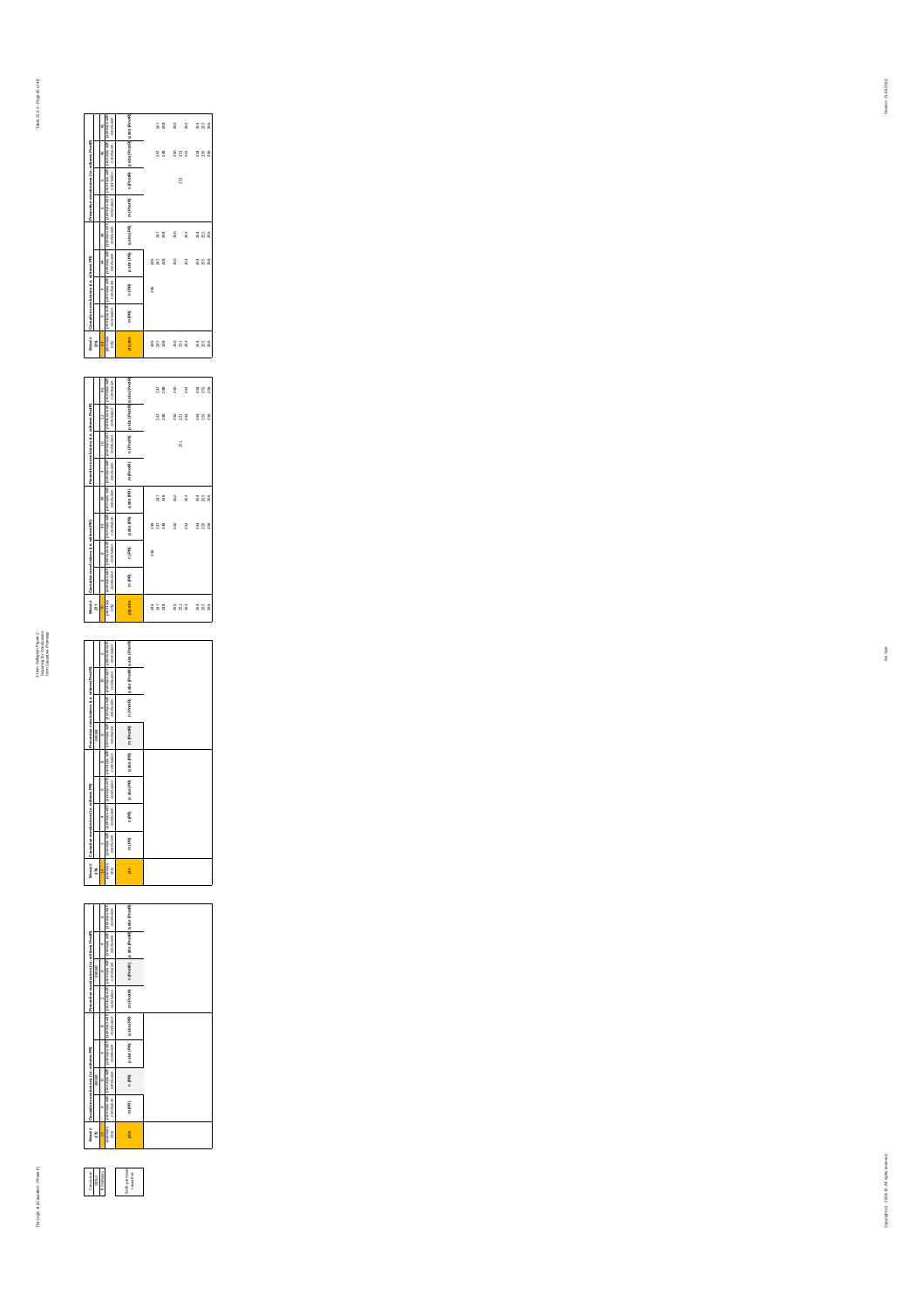|                                             |        | \$        | premises with               | operation               |                                                                | 247<br>248       |     | 250        | 252 |     | 528             |  |
|---------------------------------------------|--------|-----------|-----------------------------|-------------------------|----------------------------------------------------------------|------------------|-----|------------|-----|-----|-----------------|--|
|                                             |        | Ş         | premises with               | oondusion               | pates (ProotR) is abs (ProofR)                                 | 247<br>248       |     | 250<br>251 | 252 | 254 | 255<br>256      |  |
| Preventive conclusions (i.e. wittems ProfR) |        |           | promises with               | candusion               | n (ProtR)                                                      |                  |     | ä          |     |     |                 |  |
|                                             |        |           | promises with               | conclusion              | m (ProtR)                                                      |                  |     |            |     |     |                 |  |
|                                             |        | 9         | premises with               | oondusion               | qabs (PR)                                                      | 247<br>248       |     | 250        | 252 |     | 558             |  |
|                                             |        | 4         | premises with               | oondusion               | pabs (PR)                                                      | 222              |     | 250        | 252 |     | 528             |  |
|                                             |        |           | pright sea with             |                         |                                                                | 346              |     |            |     |     |                 |  |
| Causaive conclusions (i.e. wiltems PR)      |        |           | 200m ses with               | candusion<br>conclusion | n (PR)<br>m(PR)                                                |                  |     |            |     |     |                 |  |
| Mood?                                       | 278    | I         | DON'T SOS                   |                         | prigrates                                                      | <b>g &amp; g</b> |     | <b>SSS</b> |     |     | 558             |  |
|                                             |        |           |                             | ğ                       |                                                                |                  |     |            |     |     |                 |  |
|                                             |        | 46        | promises with               | oondusion               |                                                                | à g              |     | 20         | 32  |     | ងី គី គី        |  |
|                                             |        | X         | promises with               | candusian               | pates (PnotR) qabs (PnotR)                                     | 2.48             |     | 29<br>58   |     |     | 588             |  |
|                                             |        | 9         | promises with               | operation               | n (ProtR)                                                      |                  |     | 31         |     |     |                 |  |
| Preventive conclusions (i.e. wiltems ProtR) |        |           | promises with               | oondusion               | m (Proot R)                                                    |                  |     |            |     |     |                 |  |
|                                             |        | 9         | promises with               | candusion               | qabs (PR)                                                      | 5 R              |     | 30         | 32  |     | ងី គី គី        |  |
|                                             |        | 9         | promises with               | canclusian              | p abs (PR)                                                     | $247$<br>246     | 248 | 290        | 32  |     | 388             |  |
| Causative conclusions (i.e. wiltems PR)     |        |           | Dream sea with              | operation               | n (PR)                                                         | 246              |     |            |     |     |                 |  |
|                                             |        |           | comises with                | oondusion               | m (PR)                                                         |                  |     |            |     |     |                 |  |
| Mood#                                       | ħ      | g         | 200mbie                     | ğ                       | p/p abs                                                        | 222              |     | គី គី គី   |     |     | <b>គី គី គី</b> |  |
|                                             |        |           |                             |                         |                                                                |                  |     |            |     |     |                 |  |
|                                             |        |           | DYRTH SAS WITH              | conclusion              | pates (Prooff) q alss (Prooff)                                 |                  |     |            |     |     |                 |  |
|                                             |        | $\approx$ | premises with               | operation               |                                                                |                  |     |            |     |     |                 |  |
| Preventive con dustons (i.e. w/terms ProfR) |        |           | premises with               | oondusion               | n (ProfR)                                                      |                  |     |            |     |     |                 |  |
|                                             | dened  |           | promises with               | canduaton               | m (ProtR)                                                      |                  |     |            |     |     |                 |  |
|                                             |        |           | premises with               | conclusion              | $q$ abs $(PR)$                                                 |                  |     |            |     |     |                 |  |
| Causative conclusions (i.e. w/kems PR)      |        |           | comises with                | oondusion               | pabs (PR)                                                      |                  |     |            |     |     |                 |  |
|                                             |        |           | premises with premises with | oondusion               | n (PR)                                                         |                  |     |            |     |     |                 |  |
|                                             |        |           |                             | condusion               | m (PR)                                                         |                  |     |            |     |     |                 |  |
| Mood #                                      | m      |           | xomises                     | only                    | å                                                              |                  |     |            |     |     |                 |  |
|                                             |        |           |                             |                         |                                                                |                  |     |            |     |     |                 |  |
|                                             |        |           | premises with premises with | operation               |                                                                |                  |     |            |     |     |                 |  |
|                                             |        |           |                             | condusion<br>conclusion |                                                                |                  |     |            |     |     |                 |  |
| Preventive conclusions (Le. wiltems Prooff) | denied |           | promises with promises with | operation               | q abs (PR) in (P notR) in (P notR) pabs (ProtR) q abs (P notR) |                  |     |            |     |     |                 |  |
|                                             |        |           | premises with               | oondusion               |                                                                |                  |     |            |     |     |                 |  |
|                                             |        |           |                             | canduagon               | pats (PR)                                                      |                  |     |            |     |     |                 |  |
| Causative condusions (i.e. wiltems PR)      | dened  |           | promises with premises with | conclusion              | n (PR)                                                         |                  |     |            |     |     |                 |  |
|                                             |        |           | premises with               | operchasines            | m (PR)                                                         |                  |     |            |     |     |                 |  |
|                                             |        |           |                             |                         |                                                                |                  |     |            |     |     |                 |  |
| tood#                                       | 275    |           | remises                     | only                    | £                                                              |                  |     |            |     |     |                 |  |

The Logic of ECausation - Phase III

| Å                                           | $\frac{1}{2}$ | <b>SA</b><br>premi       |                             | ê          | ğ                              | $\frac{3}{4}$ | ã               | $\frac{3}{2}$ | $\frac{5}{2}$ | នី និ           |     | ង ដង<br>        |  |
|---------------------------------------------|---------------|--------------------------|-----------------------------|------------|--------------------------------|---------------|-----------------|---------------|---------------|-----------------|-----|-----------------|--|
|                                             |               |                          |                             |            |                                |               |                 |               |               |                 |     |                 |  |
|                                             |               | g                        | promises with premises with | oondusion  | pates (PnotR) q abs (PnotR)    |               | à å             |               | 20            |                 | 32  | <b>អី</b> គី គី |  |
|                                             |               | $\approx$                |                             | condusion  |                                |               | 2.8             |               | 29            | $\frac{51}{24}$ | 252 | 388             |  |
|                                             |               | 9                        | DYRITTI SIG WITH            | conclusion | n (Prooft)                     |               |                 |               |               | 251             |     |                 |  |
| Preventive conclusions (i.e. wiltems PhotR) |               |                          | 5<br>DOM: USO               | oondusion  | m (Priot R)                    |               |                 |               |               |                 |     |                 |  |
|                                             |               | 9                        | promises with               | candusion  | qabs (PR)                      |               | à g             |               | g             |                 | 32  | <b>អី</b> គី គី |  |
|                                             |               | 9                        | promises with               | conclusion | p also (PR)                    | 葱             | $\frac{5}{2}$ % |               | 29            |                 | 32  | 588             |  |
|                                             |               |                          | premises with               | operation  | n (PR)                         | 246           |                 |               |               |                 |     |                 |  |
| Causative conclusions (i.e. wiltems PR)     |               |                          | じょう きょうどう                   | oondusion  | mpm                            |               |                 |               |               |                 |     |                 |  |
| Mood#                                       | ħ             | g                        | onmises                     | ğ          | prio abs                       |               | 22              |               |               | និដីដី          |     | <b>ដី</b> ដឹ ដឹ |  |
|                                             |               |                          |                             |            |                                |               |                 |               |               |                 |     |                 |  |
|                                             |               |                          | DYOTH SOS WITH              | conclusion | pates (Prooff) q alss (Prooff) |               |                 |               |               |                 |     |                 |  |
| Preventive con dusions (i.e. w/leams PnotR) |               | $\frac{1}{2}$            | promises with               | operation  |                                |               |                 |               |               |                 |     |                 |  |
|                                             |               |                          | promises with               | oondusion  | n (Pro (R)                     |               |                 |               |               |                 |     |                 |  |
|                                             | dened         | $\circ$                  | promises with               | candusion  | m (ProtR)                      |               |                 |               |               |                 |     |                 |  |
|                                             |               |                          | 200m ses with               | conclusion | $q$ abs $(PR)$                 |               |                 |               |               |                 |     |                 |  |
|                                             |               |                          | Ş<br>Vee Eest               | oondusion  | pabs (PR)                      |               |                 |               |               |                 |     |                 |  |
|                                             |               |                          | promises with               | oondusion  | n (PR)                         |               |                 |               |               |                 |     |                 |  |
| Causative conclusions (i.e. wittens PR)     |               |                          | y om ses with               | candusian  | m (PR)                         |               |                 |               |               |                 |     |                 |  |
| Mood #                                      | 276           | 2                        | DORTH SOS                   | only       | å                              |               |                 |               |               |                 |     |                 |  |
|                                             |               |                          |                             |            |                                |               |                 |               |               |                 |     |                 |  |
|                                             |               |                          | š                           | oondusion  |                                |               |                 |               |               |                 |     |                 |  |
| Preventive conclusions (Le. wiltems PriodR) |               |                          | premises with               | candusion  | pates (PnotR) qabs (PnotR)     |               |                 |               |               |                 |     |                 |  |
|                                             | dened         | o                        | pright sea with             | conclusion | n (Prooft)                     |               |                 |               |               |                 |     |                 |  |
|                                             |               |                          | Dream ses with              | operation  | m (ProtR)                      |               |                 |               |               |                 |     |                 |  |
|                                             |               |                          | compass with                | oondusion  | qabs (PR)                      |               |                 |               |               |                 |     |                 |  |
|                                             |               |                          | promises with               | candusion  | pate (PR)                      |               |                 |               |               |                 |     |                 |  |
| Causative coinclu sions (i.e. wiltems PR)   | dened         | $\overline{\phantom{0}}$ | promises with               | conclusion | n (PR)                         |               |                 |               |               |                 |     |                 |  |
|                                             |               |                          | DYNTH 505 With              | operation  | m(m)                           |               |                 |               |               |                 |     |                 |  |
| $\frac{1}{2}$                               | g             |                          | head                        | š          | Ę                              |               |                 |               |               |                 |     |                 |  |

| I                                                                                            |
|----------------------------------------------------------------------------------------------|
|                                                                                              |
| ֦֖֦ׅׅ֖ׅ֪֪ׅ֖֧֧֪֪֪ׅ֖֧֪֪֪֪֧֪֪֪֪֪֪֪֪֪֪֪֪֪֪֪֛֪֪֛֪֪֛֚֚֚֚֚֚֚֚֚֚֚֚֚֚֚֚֚֚֚֚֚֚֕֕֡֡֡֡֘֝֬֝֬֝֓֞֝֬֞֝֬֞֝֬֞֝ |
|                                                                                              |
|                                                                                              |
|                                                                                              |
|                                                                                              |
|                                                                                              |
|                                                                                              |
|                                                                                              |
|                                                                                              |
|                                                                                              |
|                                                                                              |
|                                                                                              |
|                                                                                              |
|                                                                                              |
|                                                                                              |
|                                                                                              |
|                                                                                              |
|                                                                                              |
|                                                                                              |
|                                                                                              |
| l                                                                                            |
|                                                                                              |
|                                                                                              |
|                                                                                              |
|                                                                                              |
|                                                                                              |
|                                                                                              |

Avi Sion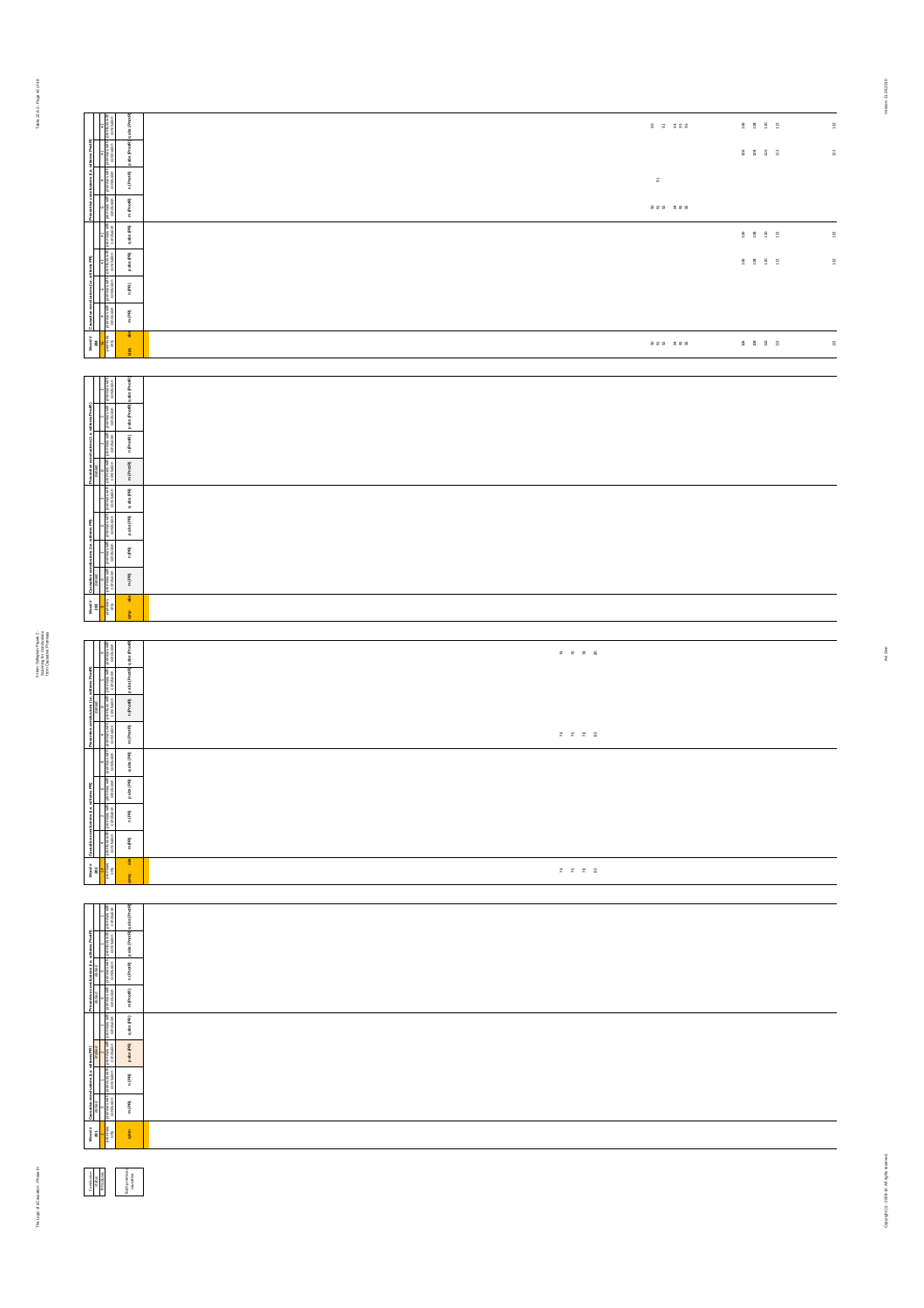| 43<br>promises with<br>conclusion<br>qaba (PnotR)                                                                                                                                                                                                                                                                                                                                                                                                               |             |                                                                                                                                                                                                                                                                                                                                                                                                                                           | $\mathbb{R}^n$ |
|-----------------------------------------------------------------------------------------------------------------------------------------------------------------------------------------------------------------------------------------------------------------------------------------------------------------------------------------------------------------------------------------------------------------------------------------------------------------|-------------|-------------------------------------------------------------------------------------------------------------------------------------------------------------------------------------------------------------------------------------------------------------------------------------------------------------------------------------------------------------------------------------------------------------------------------------------|----------------|
| <b>x</b> dos (ProcR)<br>41<br>premises with<br>condusion                                                                                                                                                                                                                                                                                                                                                                                                        |             | $\begin{array}{cccccccccccccc} \mathbf{g} & \mathbf{g} & \mathbf{g} & \mathbf{g} & \mathbf{g} & \mathbf{g} & \mathbf{g} & \mathbf{g} & \mathbf{g} & \mathbf{g} & \mathbf{g} & \mathbf{g} & \mathbf{g} & \mathbf{g} & \mathbf{g} & \mathbf{g} & \mathbf{g} & \mathbf{g} & \mathbf{g} & \mathbf{g} & \mathbf{g} & \mathbf{g} & \mathbf{g} & \mathbf{g} & \mathbf{g} & \mathbf{g} & \mathbf{g} & \mathbf{g} & \mathbf{g} & \mathbf{g} &$     |                |
| premises with<br>oordusion<br>n (Pn ofR)                                                                                                                                                                                                                                                                                                                                                                                                                        | 51          |                                                                                                                                                                                                                                                                                                                                                                                                                                           |                |
| Preventive conclusions (i.e. witems PnotR)<br>premises with<br>conduision<br>$\begin{aligned} m\left(P\, \text{mod}\, 0\right) \end{aligned}$                                                                                                                                                                                                                                                                                                                   | $8 8 8 8 8$ |                                                                                                                                                                                                                                                                                                                                                                                                                                           |                |
| 41<br>premises with<br>corclusion<br>$q$ ab s $\langle \theta   R \rangle$                                                                                                                                                                                                                                                                                                                                                                                      |             | $\begin{array}{cccccccccc} \texttt{8} & & \texttt{8} & & \texttt{8} & & \texttt{8} & & \texttt{8} & & \texttt{8} & & \texttt{8} & & \texttt{8} & & \texttt{8} & & \texttt{8} & & \texttt{8} & & \texttt{8} & & \texttt{8} & & \texttt{8} & & \texttt{8} & & \texttt{8} & & \texttt{8} & & \texttt{8} & & \texttt{8} & & \texttt{8} & & \texttt{8} & & \texttt{8} & & \texttt{8} & & \texttt{8} & & \texttt{8} & & \texttt{8} & & \texttt$ | $\Xi$          |
| 43<br>premises with<br>condusion<br>pabs (PR)                                                                                                                                                                                                                                                                                                                                                                                                                   |             | $\begin{array}{cccccccccccccc} \mathbf{g} & \mathbf{g} & \mathbf{g} & \mathbf{g} & \mathbf{g} & \mathbf{g} & \mathbf{g} & \mathbf{g} & \mathbf{g} & \mathbf{g} & \mathbf{g} & \mathbf{g} & \mathbf{g} & \mathbf{g} & \mathbf{g} & \mathbf{g} & \mathbf{g} & \mathbf{g} & \mathbf{g} & \mathbf{g} & \mathbf{g} & \mathbf{g} & \mathbf{g} & \mathbf{g} & \mathbf{g} & \mathbf{g} & \mathbf{g} & \mathbf{g} & \mathbf{g} & \mathbf{g} &$     |                |
| promises with<br>promises with<br>$\frac{1}{2}$                                                                                                                                                                                                                                                                                                                                                                                                                 |             |                                                                                                                                                                                                                                                                                                                                                                                                                                           |                |
| Causalive conclusions (i.e. w/kems PR)                                                                                                                                                                                                                                                                                                                                                                                                                          |             |                                                                                                                                                                                                                                                                                                                                                                                                                                           |                |
| 4<br>premises with<br>condusion<br>$\frac{\mathfrak{S}}{\mathfrak{m}}$<br>圖                                                                                                                                                                                                                                                                                                                                                                                     |             |                                                                                                                                                                                                                                                                                                                                                                                                                                           |                |
| $\begin{array}{c}\n\text{mod } 8 \\ \text{204} \\ \text{34}\n\end{array}$                                                                                                                                                                                                                                                                                                                                                                                       |             |                                                                                                                                                                                                                                                                                                                                                                                                                                           |                |
| premises with<br>condusion<br>qabs (ProdR)<br>Preventive conclusions (i.e. witerms Protify)<br>dividid<br>abs (Pro IR)<br>s<br>premises with<br>condusion<br>0<br>premises with premises with<br>conclusion conclusion<br>$n$ (P notR)<br>$\begin{array}{l} \mathfrak{m} \, \mathfrak{p} \, \mathfrak{m} \mathfrak{m} \, \mathfrak{R} \end{array}$<br>$\begin{array}{c} 3 \\ 3 \\ \hline \text{confinus with} \\ \text{conclass with} \end{array}$<br>qabs (PR) |             |                                                                                                                                                                                                                                                                                                                                                                                                                                           |                |
| Casuative conclusion 6.0. within<br>the state of the contract of the state of the portion of the portion of the portion of the contract of the contract of the contract of the contract of the contract of the contract of the co<br>pata (PR)<br>$\frac{\epsilon}{\epsilon}$                                                                                                                                                                                   |             |                                                                                                                                                                                                                                                                                                                                                                                                                                           |                |
| $\frac{\widehat{\mathbf{g}}}{\mathbf{g}}$<br>博<br>Mood #<br>a anison<br>anison<br>$\frac{9}{8}$                                                                                                                                                                                                                                                                                                                                                                 |             |                                                                                                                                                                                                                                                                                                                                                                                                                                           |                |
|                                                                                                                                                                                                                                                                                                                                                                                                                                                                 |             |                                                                                                                                                                                                                                                                                                                                                                                                                                           |                |
| a abs (Pro tR)<br>$\mathbb R$ $\mathbb R$ $\mathbb R$ $\mathbb R$                                                                                                                                                                                                                                                                                                                                                                                               |             |                                                                                                                                                                                                                                                                                                                                                                                                                                           |                |
| Preventive conclusions (i.e. w.lt ans Pno IR)<br>pabs (ProtR)<br>5<br>promises with<br>corclusion<br>premises with<br>oondusion<br>n (Proot R)                                                                                                                                                                                                                                                                                                                  |             |                                                                                                                                                                                                                                                                                                                                                                                                                                           |                |
| 4<br>premises with<br>condusion<br>$m$ (Pn ofR)<br>$\begin{array}{cccccccccc} \Xi & \Xi & \Xi & \Xi & \Xi \end{array}$                                                                                                                                                                                                                                                                                                                                          |             |                                                                                                                                                                                                                                                                                                                                                                                                                                           |                |
| promises with<br>condusion<br>q abs $\langle \mathsf{PR} \rangle$<br>pabs(PR)<br>premises with<br>conclusion<br>$\frac{2.4 \text{ Wibamis PR}}{2.1 \text{ power}}$<br>$\frac{2}{\text{ power}}$<br>$\frac{1}{n}$<br>Causative concl<br>$\omega_{\rm de}$<br>cond                                                                                                                                                                                                |             |                                                                                                                                                                                                                                                                                                                                                                                                                                           |                |
| $\frac{1}{2}$<br>romises<br>orly<br>$\frac{M\cos\theta}{2\pi 2}$<br>$\mathcal{R}=\mathcal{R}=\mathcal{R}=\mathcal{R}$<br>$\overline{\mathbf{r}}$                                                                                                                                                                                                                                                                                                                |             |                                                                                                                                                                                                                                                                                                                                                                                                                                           |                |
| i abs (Prot<br>ems Prooff)<br>abs (Prot R)<br>Preventive condusions (i.e. with<br>clonical district<br>remises with<br>candusion<br>$n$ (Prooff)<br>premises with<br>conclusion<br>m $(\mathrm{ProofR})$<br>$q$ abs (PR)<br>premises with<br>conclusion<br>Causative condustors (i.e. w/learns PR)<br>clerided<br>pates (PR)<br>$_{\alpha}$ (e e)<br>$\frac{\partial \mathbf{R}}{\partial \mathbf{r}}$                                                          |             |                                                                                                                                                                                                                                                                                                                                                                                                                                           |                |
|                                                                                                                                                                                                                                                                                                                                                                                                                                                                 |             |                                                                                                                                                                                                                                                                                                                                                                                                                                           |                |
| $\frac{1}{231}$<br>coupon<br><b>Ame</b>                                                                                                                                                                                                                                                                                                                                                                                                                         |             |                                                                                                                                                                                                                                                                                                                                                                                                                                           |                |

Both premises

Avi Sion

орунідт (с) - 2008-10. АІ підпа геоег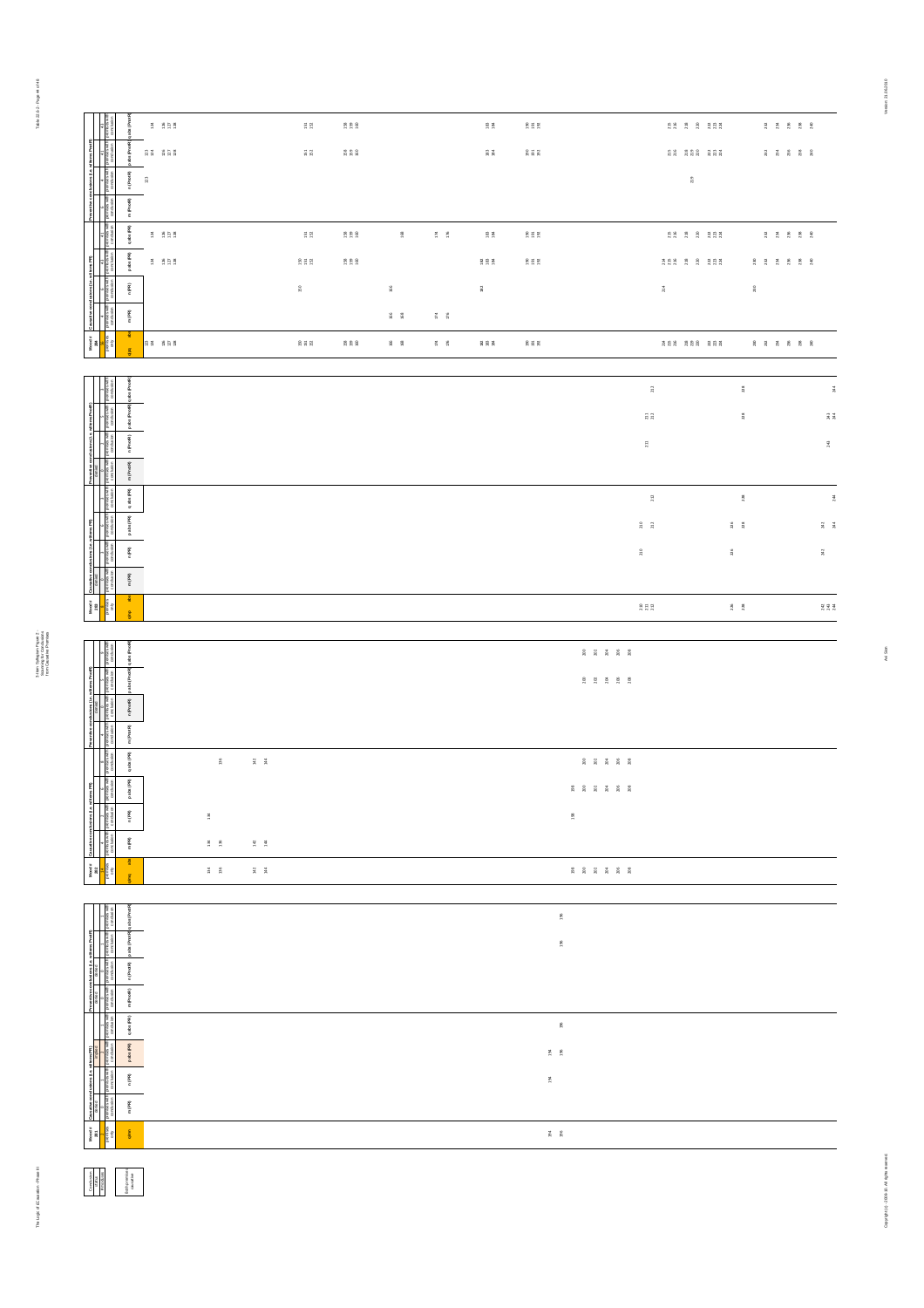|                              |                                      | 5.888                                                                                                                                                |                                                       |                                                                                                                     | $\frac{51}{21}$ $\frac{51}{21}$ | 2898 |                                 |                                           | $\frac{23}{12}$            | 888               |                                                                                                                                                                                                       | 88 8 8 8 8 8 8                                       |                                                  | $\begin{array}{cccccccccccccc} \mathbb{H} & \mathbb{H} & \mathbb{H} & \mathbb{H} & \mathbb{H} & \mathbb{H} & \mathbb{H} \end{array}$                                                                                                                                   |
|------------------------------|--------------------------------------|------------------------------------------------------------------------------------------------------------------------------------------------------|-------------------------------------------------------|---------------------------------------------------------------------------------------------------------------------|---------------------------------|------|---------------------------------|-------------------------------------------|----------------------------|-------------------|-------------------------------------------------------------------------------------------------------------------------------------------------------------------------------------------------------|------------------------------------------------------|--------------------------------------------------|------------------------------------------------------------------------------------------------------------------------------------------------------------------------------------------------------------------------------------------------------------------------|
|                              |                                      | $33$ $32$                                                                                                                                            |                                                       |                                                                                                                     | 352                             | 338  |                                 |                                           | $\frac{23}{12}$            | <b>952</b><br>952 |                                                                                                                                                                                                       | <b>22 222 222</b>                                    |                                                  | $\begin{array}{cccccccccc} & A & A & B & B & B & C \\ & B & B & B & B & C & D \end{array}$                                                                                                                                                                             |
|                              | $_{\rm 123}$                         |                                                                                                                                                      |                                                       |                                                                                                                     |                                 |      |                                 |                                           |                            |                   |                                                                                                                                                                                                       | 219                                                  |                                                  |                                                                                                                                                                                                                                                                        |
|                              |                                      |                                                                                                                                                      |                                                       |                                                                                                                     |                                 |      |                                 |                                           |                            |                   |                                                                                                                                                                                                       |                                                      |                                                  |                                                                                                                                                                                                                                                                        |
|                              | $q$ ab s $(PR)$                      | 3.88                                                                                                                                                 |                                                       |                                                                                                                     | <b>SS 25</b>                    | 2.22 | $\frac{\partial S}{\partial t}$ | $\begin{array}{cc} \Xi & \Xi \end{array}$ | $- 33.35$                  | 8.8.81            |                                                                                                                                                                                                       |                                                      |                                                  |                                                                                                                                                                                                                                                                        |
|                              | pabs (PR)                            | $\begin{array}{cc} \mathbb{R} & \mathbb{R} & \mathbb{R} \\ \mathbb{R} & \mathbb{R} & \mathbb{R} \\ \mathbb{R} & \mathbb{R} & \mathbb{R} \end{array}$ |                                                       |                                                                                                                     | 353                             | 3.38 |                                 |                                           | $\Xi \ \Xi \ \Xi$          | 253               |                                                                                                                                                                                                       | aaa a a aaa                                          |                                                  |                                                                                                                                                                                                                                                                        |
|                              | in de ut                             |                                                                                                                                                      |                                                       |                                                                                                                     | $\frac{\alpha}{10}$             |      | $\%$                            |                                           | $\widetilde{\mathfrak{A}}$ |                   |                                                                                                                                                                                                       | $\overline{a}$ and $\overline{a}$ and $\overline{a}$ | $_{\rm 20}$                                      |                                                                                                                                                                                                                                                                        |
|                              | $\mathfrak{m}(\mathsf{PR})$          |                                                                                                                                                      |                                                       |                                                                                                                     |                                 |      | $\frac{8}{14}$ $\frac{8}{14}$   | $\begin{array}{cc} \Xi & \Xi \end{array}$ |                            |                   |                                                                                                                                                                                                       |                                                      |                                                  |                                                                                                                                                                                                                                                                        |
|                              |                                      | na ana                                                                                                                                               |                                                       |                                                                                                                     | 353                             | 3.38 | 166                             | 174                                       | $\Xi \ \Xi \ \Xi$          | 953               |                                                                                                                                                                                                       | aaa aaa aaa                                          |                                                  | $\begin{array}{cccccccccc} \mathbb{S} & \mathbb{S} & \mathbb{S} & \mathbb{S} & \mathbb{S} & \mathbb{S} & \mathbb{S} & \mathbb{S} \\ \mathbb{S} & \mathbb{S} & \mathbb{S} & \mathbb{S} & \mathbb{S} & \mathbb{S} & \mathbb{S} & \mathbb{S} & \mathbb{S} \\ \end{array}$ |
|                              |                                      |                                                                                                                                                      |                                                       |                                                                                                                     |                                 |      |                                 |                                           |                            |                   |                                                                                                                                                                                                       |                                                      |                                                  |                                                                                                                                                                                                                                                                        |
|                              |                                      |                                                                                                                                                      |                                                       |                                                                                                                     |                                 |      |                                 |                                           |                            |                   | $_{\rm 21}^{\rm 22}$                                                                                                                                                                                  |                                                      | $_{\rm 223}$                                     |                                                                                                                                                                                                                                                                        |
|                              |                                      |                                                                                                                                                      |                                                       |                                                                                                                     |                                 |      |                                 |                                           |                            |                   | $\underset{23}{\pi}$                                                                                                                                                                                  |                                                      | $_{\rm 28}$                                      |                                                                                                                                                                                                                                                                        |
|                              |                                      |                                                                                                                                                      |                                                       |                                                                                                                     |                                 |      |                                 |                                           |                            |                   | $\mathbb{H}^-$                                                                                                                                                                                        |                                                      |                                                  |                                                                                                                                                                                                                                                                        |
|                              | e                                    |                                                                                                                                                      |                                                       |                                                                                                                     |                                 |      |                                 |                                           |                            |                   |                                                                                                                                                                                                       |                                                      |                                                  |                                                                                                                                                                                                                                                                        |
|                              | q abs (PR)                           |                                                                                                                                                      |                                                       |                                                                                                                     |                                 |      |                                 |                                           |                            |                   | $\mathbb{R}^n$                                                                                                                                                                                        |                                                      | 228                                              |                                                                                                                                                                                                                                                                        |
|                              | e e                                  |                                                                                                                                                      |                                                       |                                                                                                                     |                                 |      |                                 |                                           |                            |                   | $\frac{10}{12}$                                                                                                                                                                                       |                                                      | $\begin{array}{c} 26 \\ \mathbf{23} \end{array}$ |                                                                                                                                                                                                                                                                        |
|                              | pabs<br>n (PR)                       |                                                                                                                                                      |                                                       |                                                                                                                     |                                 |      |                                 |                                           |                            |                   | $\frac{8}{6}$                                                                                                                                                                                         |                                                      | $_{\rm 2.85}$                                    |                                                                                                                                                                                                                                                                        |
|                              |                                      |                                                                                                                                                      |                                                       |                                                                                                                     |                                 |      |                                 |                                           |                            |                   |                                                                                                                                                                                                       |                                                      |                                                  |                                                                                                                                                                                                                                                                        |
|                              |                                      |                                                                                                                                                      |                                                       |                                                                                                                     |                                 |      |                                 |                                           |                            |                   | $\begin{array}{c} 2 \\ 2 \\ 3 \\ 4 \\ 3 \\ \end{array}$                                                                                                                                               |                                                      | $\begin{array}{c} 256 \\ 23 \end{array}$         |                                                                                                                                                                                                                                                                        |
|                              |                                      |                                                                                                                                                      |                                                       |                                                                                                                     |                                 |      |                                 |                                           |                            |                   |                                                                                                                                                                                                       |                                                      |                                                  |                                                                                                                                                                                                                                                                        |
|                              | 죜                                    |                                                                                                                                                      |                                                       |                                                                                                                     |                                 |      |                                 |                                           |                            |                   |                                                                                                                                                                                                       |                                                      |                                                  |                                                                                                                                                                                                                                                                        |
|                              |                                      |                                                                                                                                                      |                                                       |                                                                                                                     |                                 |      |                                 |                                           |                            |                   | $\begin{array}{cccccccccc} \mathbf{8} & \mathbf{8} & \mathbf{8} & \mathbf{8} & \mathbf{8} & \mathbf{8} \\ \mathbf{1} & \mathbf{1} & \mathbf{2} & \mathbf{3} & \mathbf{8} & \mathbf{8} \\ \end{array}$ |                                                      |                                                  |                                                                                                                                                                                                                                                                        |
|                              |                                      |                                                                                                                                                      |                                                       |                                                                                                                     |                                 |      |                                 |                                           |                            |                   |                                                                                                                                                                                                       |                                                      |                                                  |                                                                                                                                                                                                                                                                        |
|                              | m (Pn ofR)                           |                                                                                                                                                      |                                                       |                                                                                                                     |                                 |      |                                 |                                           |                            |                   |                                                                                                                                                                                                       |                                                      |                                                  |                                                                                                                                                                                                                                                                        |
|                              | qabs (PR)                            |                                                                                                                                                      |                                                       | $\begin{array}{cccccccccc} \mathbf{B} & \mathbf{B} & \mathbf{B} & \mathbf{B} & \mathbf{B} & \mathbf{B} \end{array}$ |                                 |      |                                 |                                           |                            |                   |                                                                                                                                                                                                       |                                                      |                                                  |                                                                                                                                                                                                                                                                        |
|                              | $p$ abs $\langle \theta   R \rangle$ |                                                                                                                                                      |                                                       |                                                                                                                     |                                 |      |                                 |                                           |                            |                   |                                                                                                                                                                                                       |                                                      |                                                  |                                                                                                                                                                                                                                                                        |
|                              | $\frac{1}{n}$                        |                                                                                                                                                      | $\frac{\pi}{13}$                                      |                                                                                                                     |                                 |      |                                 |                                           |                            |                   | $^{\rm 198}$                                                                                                                                                                                          |                                                      |                                                  |                                                                                                                                                                                                                                                                        |
| Causative conclusions (i.e.  | $m \varphi R$                        |                                                                                                                                                      | $\overline{\mathfrak{a}}$ – $\overline{\mathfrak{a}}$ | $\frac{\alpha}{2} - \frac{\pi}{2}$                                                                                  |                                 |      |                                 |                                           |                            |                   |                                                                                                                                                                                                       |                                                      |                                                  |                                                                                                                                                                                                                                                                        |
| $\frac{M\cos\theta}{2\pi k}$ |                                      |                                                                                                                                                      | $\frac{\pi}{2}$ – $\frac{\pi}{2}$                     | $\frac{\alpha}{\alpha}=\frac{\alpha}{\alpha}$                                                                       |                                 |      |                                 |                                           |                            |                   | $\begin{array}{cccccccccccccc} \mathcal{B} & \mathcal{B} & \mathcal{B} & \mathcal{B} & \mathcal{B} & \mathcal{B} & \mathcal{B} \end{array}$                                                           |                                                      |                                                  |                                                                                                                                                                                                                                                                        |
|                              |                                      |                                                                                                                                                      |                                                       |                                                                                                                     |                                 |      |                                 |                                           |                            |                   |                                                                                                                                                                                                       |                                                      |                                                  |                                                                                                                                                                                                                                                                        |
|                              | 暮                                    |                                                                                                                                                      |                                                       |                                                                                                                     |                                 |      |                                 |                                           |                            |                   | $^{\rm 196}$                                                                                                                                                                                          |                                                      |                                                  |                                                                                                                                                                                                                                                                        |
|                              |                                      |                                                                                                                                                      |                                                       |                                                                                                                     |                                 |      |                                 |                                           |                            |                   | $^{\rm 196}$                                                                                                                                                                                          |                                                      |                                                  |                                                                                                                                                                                                                                                                        |
| sions (i.e. with             | n (Prooft)                           |                                                                                                                                                      |                                                       |                                                                                                                     |                                 |      |                                 |                                           |                            |                   |                                                                                                                                                                                                       |                                                      |                                                  |                                                                                                                                                                                                                                                                        |
| Preventive conds             |                                      |                                                                                                                                                      |                                                       |                                                                                                                     |                                 |      |                                 |                                           |                            |                   |                                                                                                                                                                                                       |                                                      |                                                  |                                                                                                                                                                                                                                                                        |
|                              | å<br>$q$ abs (PR)                    |                                                                                                                                                      |                                                       |                                                                                                                     |                                 |      |                                 |                                           |                            |                   | $_{\rm 196}$                                                                                                                                                                                          |                                                      |                                                  |                                                                                                                                                                                                                                                                        |
|                              | $p$ abs $\langle \theta R \rangle$   |                                                                                                                                                      |                                                       |                                                                                                                     |                                 |      |                                 |                                           |                            |                   | $\frac{3}{2}$ – $\frac{9}{2}$                                                                                                                                                                         |                                                      |                                                  |                                                                                                                                                                                                                                                                        |
| es (i.e. w/leems PR)         | $n(\mathsf{PR})$                     |                                                                                                                                                      |                                                       |                                                                                                                     |                                 |      |                                 |                                           |                            | $\frac{\pi}{20}$  |                                                                                                                                                                                                       |                                                      |                                                  |                                                                                                                                                                                                                                                                        |
|                              |                                      |                                                                                                                                                      |                                                       |                                                                                                                     |                                 |      |                                 |                                           |                            |                   |                                                                                                                                                                                                       |                                                      |                                                  |                                                                                                                                                                                                                                                                        |
|                              | $\frac{60}{10}$                      |                                                                                                                                                      |                                                       |                                                                                                                     |                                 |      |                                 |                                           |                            |                   |                                                                                                                                                                                                       |                                                      |                                                  |                                                                                                                                                                                                                                                                        |
|                              |                                      |                                                                                                                                                      |                                                       |                                                                                                                     |                                 |      |                                 |                                           |                            |                   | $\begin{array}{c} 194 \\ 196 \end{array}$                                                                                                                                                             |                                                      |                                                  |                                                                                                                                                                                                                                                                        |

242 242 242

 $\begin{array}{c} 242 \\ 243 \\ 244 \end{array}$ 

Copyright (c) - 2008-10. All rights reserved. Avi Sion Version: 21.06.2010

Avi Sion

opyright (c) - 2008-10. All rights r

21.06.2010  $\frac{1}{6}$ 

 $\frac{1}{2}$  $\begin{array}{cc} \mathbb{R} & \mathbb{R} \\ \mathbb{R} & \mathbb{R} \end{array}$  $_{\rm 24}$ 

 $\frac{1}{2}$  $\ddot{x}$  $_{\rm 243}$ 

Conclusion<br># moduses<br>xh premis<br>causative Both premises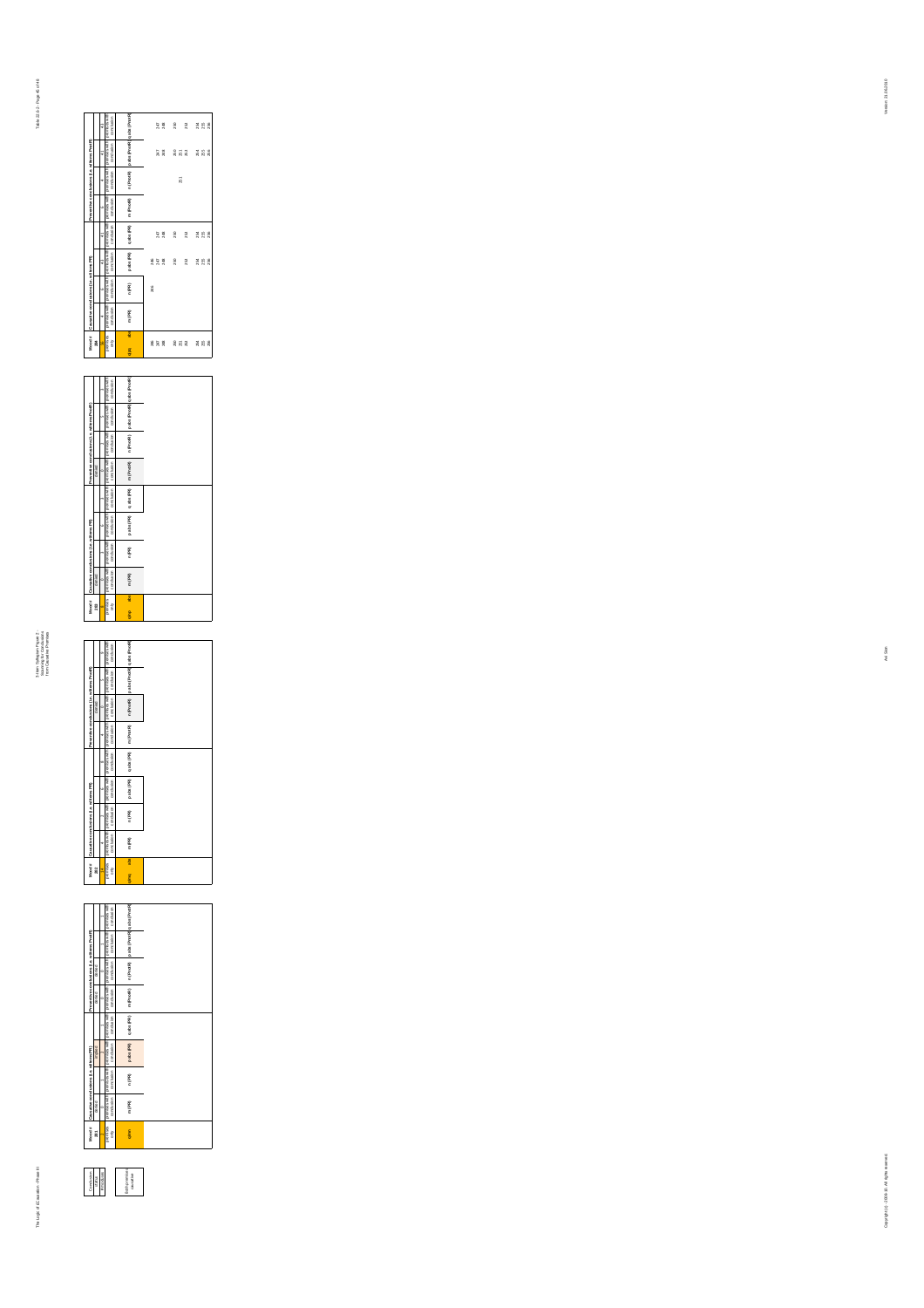| Mood #           |           | Causative conclusions (i.e. witems PR)   |                            |                             |                      | Preventive conclusions (i.e. wiltems Prooff) |                                |                             |
|------------------|-----------|------------------------------------------|----------------------------|-----------------------------|----------------------|----------------------------------------------|--------------------------------|-----------------------------|
| 284              |           |                                          |                            |                             |                      |                                              |                                |                             |
| 8                | ۰         | é                                        | ş                          | ą                           | é                    | ٠                                            | ş                              | ą                           |
| 20071995<br>only | condusion | premises with premises with<br>oondusion | premises with<br>oondusion | premises with<br>conclusion | candusion            | promises with premises with<br>oondusion     | premises with<br>oondusion     | promises with<br>conclusion |
| abs<br>ø         | m(pR)     | n@R                                      | pabs (PR)                  | $q$ at $s$ (PR)             | $m(P \text{ model})$ | n (PhotP)                                    | pates (ProofR) q alss (ProofR) |                             |
| 252              |           | g                                        | 245                        |                             |                      |                                              |                                |                             |
|                  |           |                                          |                            | $\overline{2}$              |                      |                                              | ã                              | 247                         |
|                  |           |                                          | 248                        | 248                         |                      |                                              | 248                            | $\frac{3}{2}$               |
| 250              |           |                                          | 250                        | 8                           |                      |                                              |                                | 8                           |
| $\frac{5}{2}$    |           |                                          |                            |                             |                      | 51                                           | <b>SS</b>                      |                             |
| 252              |           |                                          | 252                        | 32                          |                      |                                              | 252                            | 32                          |
| 254              |           |                                          | 254                        | 254                         |                      |                                              | 254                            | 254                         |
| 255              |           |                                          | 255                        | $2\%$                       |                      |                                              | 255                            | 28                          |
| 256              |           |                                          | 256                        | 256                         |                      |                                              | 256                            | 256                         |



The Logic of ECausation - Phase III

Conclusion<br># moduses<br>xh premis<br>causative Both premises

premises only premises with conclusion premises with conclusion premises with conclusion premises with conclusion premises with conclusion premises with conclusion premises with conclusion premises with conclusion

premises only premises with conclusion premises with conclusion premises with conclusion premises with conclusion premises with conclusion premises with conclusion premises with conclusion premises with conclusion

Mood #  $282$ 

newerkive conclusions (i.e. w.kems Prock)<br>- also - also de also<br>com da uxth : permiso wth : permiso wth : promasa wth

abs (Proff

pabs (PnoR)  $n$  (ProotR)  $p$ 

and an who when the case of the control of the control of the control of the control of the control of the control of the control of the control of the control of the control of the control of the control of the control of Causalive conclusions (i.e. willears PR)<br>-<br>pennis ex viti premiers with premiers with premiers with

abs(ProtR) q abs (Proof

n (Proff)  $m$  (Prooff)  $\mathtt{q}\text{-abs}\left(\mathsf{PR}\right)$  $p$ abs $\langle \mathsf{PR} \rangle$ 

 $m(PR) = m(PR)$ 

 $q/mn$ 

The Logic of Economic of Economic of Figure 2 - Phase III 3-Item Sylvism Figure 2 - Phase III 30-Item Sylvism Figure 2 - Phase III 30-Item Sylvism Figure 2 - Phase III 30-Item Sylvism Figure 2 - Phase III 31-Item Sylvism F

Scanning for Conclusions from Causative Premises

3-ltem Syllogism Figure 2<br>Scaming for Conclusions<br>from Causative Premises

Aw Sion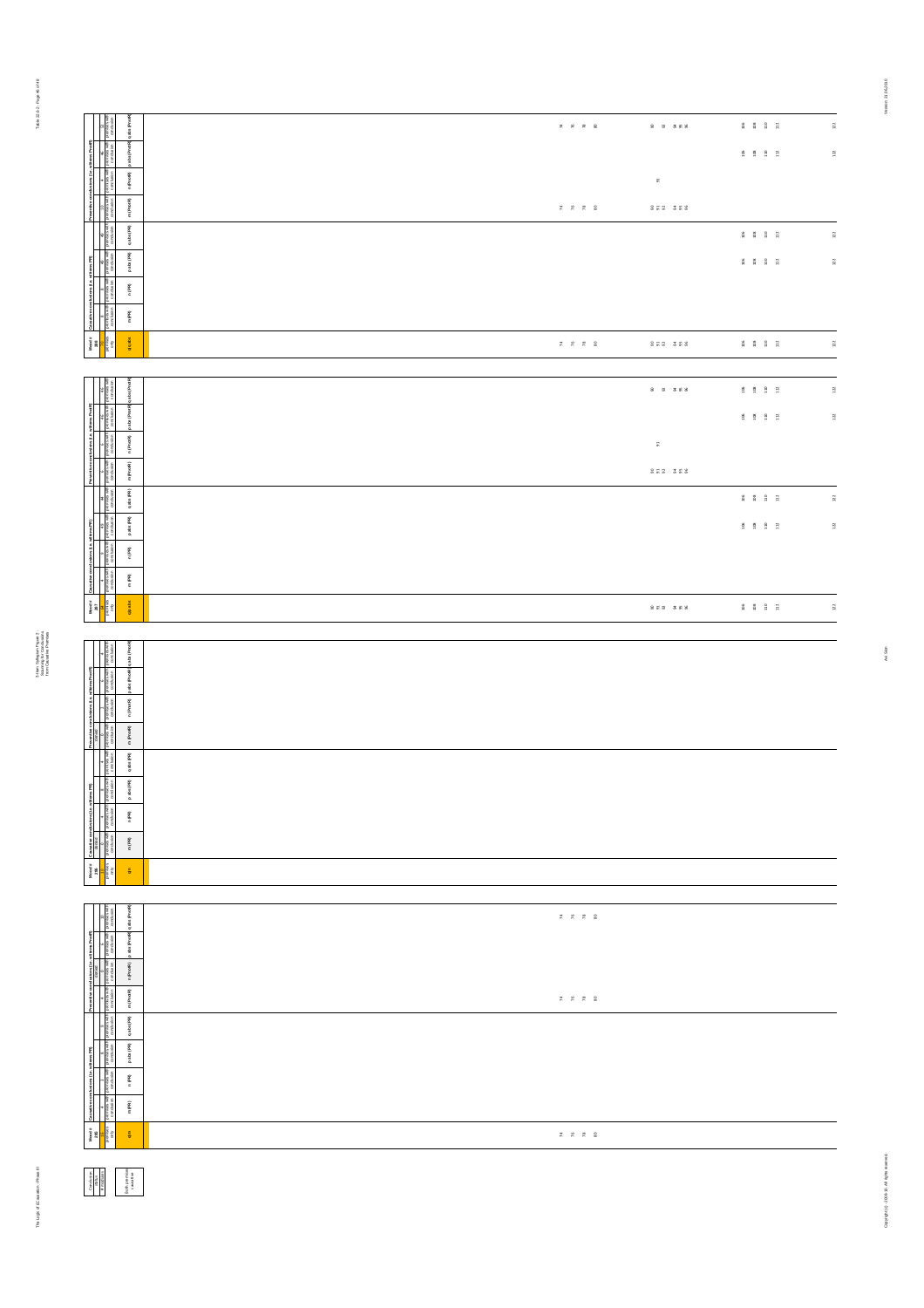|                                                                                                                                                                                     | q abs (ProoR)                      |  | $\begin{array}{cccccccccc} \pi & \pi & \pi & \pi & \pi & \pi \\ \end{array}$ |  |         |  |
|-------------------------------------------------------------------------------------------------------------------------------------------------------------------------------------|------------------------------------|--|------------------------------------------------------------------------------|--|---------|--|
| zomissa with premissa with premissa with premissa with premissa with premissa with premissa with<br>condusion condusion condusion condusion condusion condusion condusion condusion | pabs (ProtR)                       |  |                                                                              |  |         |  |
|                                                                                                                                                                                     | $n$ (P notR)                       |  |                                                                              |  | S.      |  |
|                                                                                                                                                                                     | $m(p \text{ node})$                |  | $\begin{array}{ccccc} \Xi & \quad \Xi & \quad \Xi & \quad \Xi \end{array}$   |  | 252 322 |  |
|                                                                                                                                                                                     | $q$ abs (PR)                       |  |                                                                              |  |         |  |
|                                                                                                                                                                                     | p abs (PR)                         |  |                                                                              |  |         |  |
|                                                                                                                                                                                     | $\frac{\partial}{\partial \theta}$ |  |                                                                              |  |         |  |

| 52<br>xomises with<br>conclusion<br>atos (ProofR                                                                                                                                                                                                                                                                                                                                                                                                                                |                                                                                             |                    |                                                                                                                                                                                                                                                                                                                                                                                                                                      |                         |
|---------------------------------------------------------------------------------------------------------------------------------------------------------------------------------------------------------------------------------------------------------------------------------------------------------------------------------------------------------------------------------------------------------------------------------------------------------------------------------|---------------------------------------------------------------------------------------------|--------------------|--------------------------------------------------------------------------------------------------------------------------------------------------------------------------------------------------------------------------------------------------------------------------------------------------------------------------------------------------------------------------------------------------------------------------------------|-------------------------|
| abs (ProtR)                                                                                                                                                                                                                                                                                                                                                                                                                                                                     |                                                                                             |                    | $\begin{array}{ccccccccccccc} \mathbf{g} & \mathbf{g} & \mathbf{g} & \mathbf{g} & \mathbf{g} & \mathbf{g} & \mathbf{g} & \mathbf{g} & \mathbf{g} & \mathbf{g} & \mathbf{g} & \mathbf{g} & \mathbf{g} & \mathbf{g} & \mathbf{g} & \mathbf{g} & \mathbf{g} & \mathbf{g} & \mathbf{g} & \mathbf{g} & \mathbf{g} & \mathbf{g} & \mathbf{g} & \mathbf{g} & \mathbf{g} & \mathbf{g} & \mathbf{g} & \mathbf{g} & \mathbf{g} & \mathbf{g} &$ |                         |
| $n$ (Prooff)                                                                                                                                                                                                                                                                                                                                                                                                                                                                    |                                                                                             | $\mathbbmss{S}$    |                                                                                                                                                                                                                                                                                                                                                                                                                                      |                         |
| Preventive conclusions (i.e. witems Proof)<br>$m$ (P roofR)                                                                                                                                                                                                                                                                                                                                                                                                                     |                                                                                             |                    |                                                                                                                                                                                                                                                                                                                                                                                                                                      |                         |
| $\mathbf{q}$ abs (PR)<br>49<br>comises with<br>condusion                                                                                                                                                                                                                                                                                                                                                                                                                        |                                                                                             |                    | $\begin{array}{cccccccccc} 8 & 8 & 9 & 9 & 1 \\ 10 & 10 & 10 & 10 \\ 11 & 10 & 10 & 10 \\ \end{array}$                                                                                                                                                                                                                                                                                                                               | $\mathbb{R}^2$          |
| p abs (PR)                                                                                                                                                                                                                                                                                                                                                                                                                                                                      |                                                                                             |                    | $\begin{array}{cccccccccccccc} 8 & 8 & 9 & 9 & 2 \\ \end{array}$                                                                                                                                                                                                                                                                                                                                                                     | $\mathbb{R}^2$          |
|                                                                                                                                                                                                                                                                                                                                                                                                                                                                                 |                                                                                             |                    |                                                                                                                                                                                                                                                                                                                                                                                                                                      |                         |
| usative conclusions (i.e. witems PR)<br>$_{\rm n}$ (e s)                                                                                                                                                                                                                                                                                                                                                                                                                        |                                                                                             |                    |                                                                                                                                                                                                                                                                                                                                                                                                                                      |                         |
| $\frac{60}{6}$                                                                                                                                                                                                                                                                                                                                                                                                                                                                  |                                                                                             |                    |                                                                                                                                                                                                                                                                                                                                                                                                                                      |                         |
| $\begin{array}{r}\n\text{Mod } n \\ \text{233}\n\end{array}$<br>olqabs                                                                                                                                                                                                                                                                                                                                                                                                          |                                                                                             |                    |                                                                                                                                                                                                                                                                                                                                                                                                                                      | $\sim 10$               |
| abs (ProotR)                                                                                                                                                                                                                                                                                                                                                                                                                                                                    |                                                                                             |                    |                                                                                                                                                                                                                                                                                                                                                                                                                                      | $\mathbb{R}^2$          |
| (PhoeR                                                                                                                                                                                                                                                                                                                                                                                                                                                                          |                                                                                             |                    | $\begin{array}{cccccccccccccc} \mathbf{g} & \mathbf{g} & \mathbf{g} & \mathbf{g} & & & & & \mathbf{g} & & \mathbf{g} \end{array}$                                                                                                                                                                                                                                                                                                    |                         |
| ions (i.e. wiltems ProtR)<br>죸<br>$n$ (P rooff)                                                                                                                                                                                                                                                                                                                                                                                                                                 |                                                                                             | $\overline{\circ}$ |                                                                                                                                                                                                                                                                                                                                                                                                                                      |                         |
| Preventive con<br>$m(Proot R)$                                                                                                                                                                                                                                                                                                                                                                                                                                                  |                                                                                             | $9.53$ $3.38$      |                                                                                                                                                                                                                                                                                                                                                                                                                                      |                         |
|                                                                                                                                                                                                                                                                                                                                                                                                                                                                                 |                                                                                             |                    |                                                                                                                                                                                                                                                                                                                                                                                                                                      |                         |
| 44<br>premises with<br>condusion<br>q abs (PR)                                                                                                                                                                                                                                                                                                                                                                                                                                  |                                                                                             |                    |                                                                                                                                                                                                                                                                                                                                                                                                                                      | $\overline{\mathbf{a}}$ |
| $\begin{array}{ c c }\n\hline\n49 \\ \hline\n100018800\n\end{array}$<br>p abs (PR)                                                                                                                                                                                                                                                                                                                                                                                              |                                                                                             |                    | $\begin{array}{cccccccccccccc} \mathbf{g} & & \mathbf{g} & & \mathbf{g} & & \mathbf{g} & & & \\ \end{array}$                                                                                                                                                                                                                                                                                                                         | $\mathbb{R}^n$          |
| usative conclusions (i.e. witems PR)<br>$\frac{6}{6}$                                                                                                                                                                                                                                                                                                                                                                                                                           |                                                                                             |                    |                                                                                                                                                                                                                                                                                                                                                                                                                                      |                         |
| $\frac{1}{2}$                                                                                                                                                                                                                                                                                                                                                                                                                                                                   |                                                                                             |                    |                                                                                                                                                                                                                                                                                                                                                                                                                                      |                         |
| $\begin{array}{c}\n\text{Mod } n \\ \text{as } n \\ \hline\n\text{for } n \text{ and } n\n\end{array}$<br>op ans                                                                                                                                                                                                                                                                                                                                                                |                                                                                             |                    | 888 888 - 음종음음                                                                                                                                                                                                                                                                                                                                                                                                                       | $\mathbb{R}^2$          |
|                                                                                                                                                                                                                                                                                                                                                                                                                                                                                 |                                                                                             |                    |                                                                                                                                                                                                                                                                                                                                                                                                                                      |                         |
| 4<br>comisso<br>cocclus<br>$\frac{8}{6}$                                                                                                                                                                                                                                                                                                                                                                                                                                        |                                                                                             |                    |                                                                                                                                                                                                                                                                                                                                                                                                                                      |                         |
| usions (i.e. w/Nems PnoR)<br>amb as with promises with po<br>portioison conclusion<br>흌                                                                                                                                                                                                                                                                                                                                                                                         |                                                                                             |                    |                                                                                                                                                                                                                                                                                                                                                                                                                                      |                         |
| n (Proff)                                                                                                                                                                                                                                                                                                                                                                                                                                                                       |                                                                                             |                    |                                                                                                                                                                                                                                                                                                                                                                                                                                      |                         |
| premises with<br>condusion<br>$m$ (Prooff)                                                                                                                                                                                                                                                                                                                                                                                                                                      |                                                                                             |                    |                                                                                                                                                                                                                                                                                                                                                                                                                                      |                         |
| $q$ ab s $\langle \theta   R \rangle$<br>4<br>comissa with<br>conclusion                                                                                                                                                                                                                                                                                                                                                                                                        |                                                                                             |                    |                                                                                                                                                                                                                                                                                                                                                                                                                                      |                         |
| promises with<br>condusion<br>pabs (PR)                                                                                                                                                                                                                                                                                                                                                                                                                                         |                                                                                             |                    |                                                                                                                                                                                                                                                                                                                                                                                                                                      |                         |
| $\frac{1}{n}$                                                                                                                                                                                                                                                                                                                                                                                                                                                                   |                                                                                             |                    |                                                                                                                                                                                                                                                                                                                                                                                                                                      |                         |
| $\begin{tabular}{ c c } \hline \textbf{Caust} & \textbf{co}} \\ \hline \textbf{0} & \textbf{0} & \textbf{0} & \textbf{0} \\ \hline \textbf{0} & \textbf{0} & \textbf{0} & \textbf{0} \\ \hline \textbf{0} & \textbf{0} & \textbf{0} & \textbf{0} \\ \hline \textbf{0} & \textbf{0} & \textbf{0} & \textbf{0} & \textbf{0} \\ \hline \textbf{0} & \textbf{0} & \textbf{0} & \textbf{0} & \textbf{0} & \textbf{0} \\ \hline \textbf{0} & \textbf{$<br>$\mathfrak{m}(\mathsf{PR})$ |                                                                                             |                    |                                                                                                                                                                                                                                                                                                                                                                                                                                      |                         |
| $\begin{array}{c}\n\text{Mod } n \\ \hline\n286\n\end{array}$<br>promises<br>$\frac{g}{\sigma}$                                                                                                                                                                                                                                                                                                                                                                                 |                                                                                             |                    |                                                                                                                                                                                                                                                                                                                                                                                                                                      |                         |
|                                                                                                                                                                                                                                                                                                                                                                                                                                                                                 |                                                                                             |                    |                                                                                                                                                                                                                                                                                                                                                                                                                                      |                         |
| 1abs(Pro                                                                                                                                                                                                                                                                                                                                                                                                                                                                        | $\begin{array}{ccccc} \Xi & \quad \Xi & \quad \Xi & \quad \Xi \end{array}$                  |                    |                                                                                                                                                                                                                                                                                                                                                                                                                                      |                         |
| eventive conclusions (i.e. witems PnotR)<br>abs (ProtR)                                                                                                                                                                                                                                                                                                                                                                                                                         |                                                                                             |                    |                                                                                                                                                                                                                                                                                                                                                                                                                                      |                         |
| $n$ (Prooff)                                                                                                                                                                                                                                                                                                                                                                                                                                                                    |                                                                                             |                    |                                                                                                                                                                                                                                                                                                                                                                                                                                      |                         |
| $m$ (P roofR)                                                                                                                                                                                                                                                                                                                                                                                                                                                                   | $\begin{array}{cccccccccc} \Xi & \quad \Xi & \quad \Xi & \quad \Xi & \quad \Xi \end{array}$ |                    |                                                                                                                                                                                                                                                                                                                                                                                                                                      |                         |
| q abs $(\mathsf{PR})$                                                                                                                                                                                                                                                                                                                                                                                                                                                           |                                                                                             |                    |                                                                                                                                                                                                                                                                                                                                                                                                                                      |                         |
| p abs $\langle P R \rangle$                                                                                                                                                                                                                                                                                                                                                                                                                                                     |                                                                                             |                    |                                                                                                                                                                                                                                                                                                                                                                                                                                      |                         |
| ative condusions (i.e. witems PR)<br>$\frac{1}{n}$ (PR)                                                                                                                                                                                                                                                                                                                                                                                                                         |                                                                                             |                    |                                                                                                                                                                                                                                                                                                                                                                                                                                      |                         |
| $\frac{\partial \mathbf{R}}{\partial t}$                                                                                                                                                                                                                                                                                                                                                                                                                                        |                                                                                             |                    |                                                                                                                                                                                                                                                                                                                                                                                                                                      |                         |
| $\frac{1}{2}$<br>le<br>missa<br>only                                                                                                                                                                                                                                                                                                                                                                                                                                            | $\begin{array}{cccccccccc} \pi & \pi & \pi & \pi & \pi & \pi \end{array}$                   |                    |                                                                                                                                                                                                                                                                                                                                                                                                                                      |                         |

Copyright (c) - 2008-10. All rights reserved. Avi Sion Version: 21.06.2010

 $rac{5}{3}$ 

| abs (ProtR)<br>$\frac{46}{\text{emiaus with}}$                                                                                      |                                                                                                                                                     |                     | $\begin{array}{cccccccccccccc} 8 & 8 & 9 & 9 & 3 & \dots & 3 & \dots & 3 & \dots & 3 & \dots & 3 & \dots & 3 & \dots & 3 & \dots & 3 & \dots & 3 & \dots & 3 & \dots & 3 & \dots & 3 & \dots & 3 & \dots & 3 & \dots & 3 & \dots & 3 & \dots & 3 & \dots & 3 & \dots & 3 & \dots & 3 & \dots & 3 & \dots & 3 & \dots & 3 & \dots & 3 & \dots & 3 & \dots & 3 & \dots & 3 & \dots & 3 & \dots & 3 & \dots & 3 & \dots & 3 & \dots & 3 & \dots & 3 & \dots &$       | $\frac{3}{2}$              |
|-------------------------------------------------------------------------------------------------------------------------------------|-----------------------------------------------------------------------------------------------------------------------------------------------------|---------------------|-------------------------------------------------------------------------------------------------------------------------------------------------------------------------------------------------------------------------------------------------------------------------------------------------------------------------------------------------------------------------------------------------------------------------------------------------------------------|----------------------------|
| $n(\mathrm{Proof})$                                                                                                                 |                                                                                                                                                     | $\;$ $\;$ $\;$      |                                                                                                                                                                                                                                                                                                                                                                                                                                                                   |                            |
| Preventive conclus<br>10<br>promises with<br>corolusion<br>$m$ (ProofR)                                                             |                                                                                                                                                     |                     |                                                                                                                                                                                                                                                                                                                                                                                                                                                                   |                            |
| $[ \begin{array}{c} \text{q abs} \, (\text{PR}) \end{array} \bigg]$<br>49<br>remises with<br>condusion                              |                                                                                                                                                     |                     | $\begin{array}{cccccccccccccc} \mathbf{g} & \mathbf{g} & \mathbf{g} & \mathbf{g} & \mathbf{g} & \mathbf{g} \end{array}$                                                                                                                                                                                                                                                                                                                                           | $\frac{3}{2}$              |
| 49<br>remises with<br>condusion<br>p abs (PR)<br>$\mathsf{p}\mathsf{R}$                                                             |                                                                                                                                                     |                     | $\begin{array}{cccccccccc} \mathcal{B} & \mathcal{B} & \mathcal{B} & \mathcal{B} & \mathcal{B} & \mathcal{B} & \mathcal{B} & \mathcal{B} & \mathcal{B} & \mathcal{B} & \mathcal{B} & \mathcal{B} & \mathcal{B} & \mathcal{B} & \mathcal{B} & \mathcal{B} & \mathcal{B} & \mathcal{B} & \mathcal{B} & \mathcal{B} & \mathcal{B} & \mathcal{B} & \mathcal{B} & \mathcal{B} & \mathcal{B} & \mathcal{B} & \mathcal{B} & \mathcal{B} & \mathcal{B} & \mathcal{B} & \$ | $\frac{3}{2}$              |
| 8<br>Mission<br>Iusion<br>ons (i.e.<br>$_{\rm n}$ (R)                                                                               |                                                                                                                                                     |                     |                                                                                                                                                                                                                                                                                                                                                                                                                                                                   |                            |
| aive conc<br>$\frac{\widehat{\mathfrak{g}}}{\mathfrak{g}}$                                                                          |                                                                                                                                                     |                     |                                                                                                                                                                                                                                                                                                                                                                                                                                                                   |                            |
| $\frac{M \cos \theta}{2 \delta \delta}$<br>qqabs<br>kuo<br>cesuoo                                                                   | $\begin{array}{cccccccccc} \Xi & & \Xi & & \Xi & & \Xi \end{array} \qquad \qquad \begin{array}{cccccccccccccc} \Xi & & & \Xi & & & \Xi \end{array}$ | $853$ $352$         | $\begin{array}{cccccccccc} 8 & 8 & 8 & 8 & 8 \\ \end{array}$                                                                                                                                                                                                                                                                                                                                                                                                      | $\frac{2}{3}$              |
|                                                                                                                                     |                                                                                                                                                     |                     |                                                                                                                                                                                                                                                                                                                                                                                                                                                                   |                            |
| abs (ProtR)<br>Proof R)                                                                                                             |                                                                                                                                                     | $8$ $8$ $8$ $8$ $8$ | $\begin{array}{cccccccccc} & g & g & g & g & g \\ & & g & g & g & g \\ \end{array}$                                                                                                                                                                                                                                                                                                                                                                               | $\frac{\Omega}{\Omega}$    |
| abs (Pn)<br>hs (i.e.                                                                                                                |                                                                                                                                                     |                     | $\begin{array}{cccccccccc} \mathbf{g} & & \mathbf{g} & & \mathbf{g} & & \mathbf{g} & & \mathbf{g} \end{array}$                                                                                                                                                                                                                                                                                                                                                    | $\Xi$                      |
| n (ProdR)                                                                                                                           |                                                                                                                                                     | 5 <sup>o</sup>      |                                                                                                                                                                                                                                                                                                                                                                                                                                                                   |                            |
| $m(\mathrm{Proof}\,R)$<br>Preve<br>$\widehat{\mathbf{g}}$                                                                           |                                                                                                                                                     | $853$ 382           |                                                                                                                                                                                                                                                                                                                                                                                                                                                                   |                            |
| 44<br>xemises with<br>condusion<br>qabs                                                                                             |                                                                                                                                                     |                     | $\begin{array}{cccccccccc} \mathbf{g} & & \mathbf{g} & & \mathbf{g} & & \mathbf{g} & & \mathbf{g} \\ \end{array}$                                                                                                                                                                                                                                                                                                                                                 | $\frac{\Omega}{\Omega}$    |
| p abs (PR)<br>$_{\rm rms}$ PR)                                                                                                      |                                                                                                                                                     |                     | $\begin{array}{cccccccccc} \mathbf{g} & & \mathbf{g} & & \mathbf{g} & & \mathbf{g} & & \mathbf{g} \end{array}$                                                                                                                                                                                                                                                                                                                                                    | $\Xi$                      |
| ins (i.e.<br>$_{\rm n}$ (es)                                                                                                        |                                                                                                                                                     |                     |                                                                                                                                                                                                                                                                                                                                                                                                                                                                   |                            |
| $\mathfrak{g}$ or                                                                                                                   |                                                                                                                                                     |                     |                                                                                                                                                                                                                                                                                                                                                                                                                                                                   |                            |
| $\begin{array}{c}\n\text{Mod } n \\ \text{as } n \\ \hline\n\text{points on} \\ \text{points on}\n\end{array}$<br>$\frac{8}{9}$ ats |                                                                                                                                                     | $888$ $88$          |                                                                                                                                                                                                                                                                                                                                                                                                                                                                   | $\widetilde{\mathfrak{u}}$ |
| abs (Pro                                                                                                                            |                                                                                                                                                     |                     |                                                                                                                                                                                                                                                                                                                                                                                                                                                                   |                            |
| $P_{\text{RO}}(R)$<br>abs (Pr                                                                                                       |                                                                                                                                                     |                     |                                                                                                                                                                                                                                                                                                                                                                                                                                                                   |                            |
| ns (i.e. w/l<br>$n$ (Pro $\mathfrak{M}$ )                                                                                           |                                                                                                                                                     |                     |                                                                                                                                                                                                                                                                                                                                                                                                                                                                   |                            |
| $m$ (ProofR)                                                                                                                        |                                                                                                                                                     |                     |                                                                                                                                                                                                                                                                                                                                                                                                                                                                   |                            |
| $q$ ab s $\langle \mathsf{PR}\rangle$                                                                                               |                                                                                                                                                     |                     |                                                                                                                                                                                                                                                                                                                                                                                                                                                                   |                            |
| pabs (PR)<br>ms PR)                                                                                                                 |                                                                                                                                                     |                     |                                                                                                                                                                                                                                                                                                                                                                                                                                                                   |                            |
| $_{\rm n}$ (e.g                                                                                                                     |                                                                                                                                                     |                     |                                                                                                                                                                                                                                                                                                                                                                                                                                                                   |                            |
| Causalive.conclu<br>premise with performance<br>conclusion conclusion<br>$\mathfrak{m}(\mathsf{P},\mathsf{R})$                      |                                                                                                                                                     |                     |                                                                                                                                                                                                                                                                                                                                                                                                                                                                   |                            |
| $\frac{1}{2}$<br>comises<br>$-\frac{g}{\sigma}$                                                                                     |                                                                                                                                                     |                     |                                                                                                                                                                                                                                                                                                                                                                                                                                                                   |                            |
|                                                                                                                                     |                                                                                                                                                     |                     |                                                                                                                                                                                                                                                                                                                                                                                                                                                                   |                            |
| 1 abs (Proof)                                                                                                                       | $\begin{array}{ccccccccc} \pi & & g & & g & & g \end{array}$                                                                                        |                     |                                                                                                                                                                                                                                                                                                                                                                                                                                                                   |                            |
| tms Prooff)<br>abs (PnotR)                                                                                                          |                                                                                                                                                     |                     |                                                                                                                                                                                                                                                                                                                                                                                                                                                                   |                            |
| Preventive conclusions (i.e.<br>$n$ (P roofR)                                                                                       |                                                                                                                                                     |                     |                                                                                                                                                                                                                                                                                                                                                                                                                                                                   |                            |
| m (ProdR)                                                                                                                           | $\begin{array}{cccccccccc} \Xi & \quad \Xi & \quad \Xi & \quad \Xi & \quad \Xi \end{array}$                                                         |                     |                                                                                                                                                                                                                                                                                                                                                                                                                                                                   |                            |
| qabs $\langle \mathsf{PR} \rangle$                                                                                                  |                                                                                                                                                     |                     |                                                                                                                                                                                                                                                                                                                                                                                                                                                                   |                            |
| pats (PR)<br>ms PR)                                                                                                                 |                                                                                                                                                     |                     |                                                                                                                                                                                                                                                                                                                                                                                                                                                                   |                            |
| ons (Le. w/<br>$\frac{1}{n}$ (PR)                                                                                                   |                                                                                                                                                     |                     |                                                                                                                                                                                                                                                                                                                                                                                                                                                                   |                            |
| ative condu<br>$\frac{\partial}{\partial t}$                                                                                        |                                                                                                                                                     |                     |                                                                                                                                                                                                                                                                                                                                                                                                                                                                   |                            |
| food #<br>$285$<br>comises<br>碁                                                                                                     | $\begin{array}{cccccccccc} \Xi & & \Xi & & \Xi & & \Xi \end{array}$                                                                                 |                     |                                                                                                                                                                                                                                                                                                                                                                                                                                                                   |                            |

|                     | $\frac{1}{2}$ is                           | ę.<br>÷                              | $\begin{array}{cccccccccc} \Xi & \quad \Xi & \quad \Xi & \quad \Xi & \quad \Xi \end{array}$ |
|---------------------|--------------------------------------------|--------------------------------------|---------------------------------------------------------------------------------------------|
| $\frac{8}{3}$       |                                            | ೬<br>$\Omega$                        |                                                                                             |
| $rac{9}{2}$         | s<br>sis<br>E <sub>S</sub>                 | $\widehat{\mathbf{g}}$<br>÷          |                                                                                             |
| Preventive          | fg <sub>s</sub>                            | $\widehat{\alpha}$<br>ੈਂ             | $\begin{array}{cccccccccc} \Xi & \quad \Xi & \quad \Xi & \quad \Xi & \quad \Xi \end{array}$ |
|                     | a<br>hissa with promises<br>hissan conclus | $\bf q$ abs $\langle \rm PR \rangle$ |                                                                                             |
| ns (i.e. witems PR) | 8<br>premises with<br>condusion            | pata (PR)                            |                                                                                             |
|                     | promises with<br>conclusion                | $_{\rm n}$ (PR)                      |                                                                                             |
| Causative conc      | 4<br>promises with<br>conclusion           | $\frac{1}{n}$                        |                                                                                             |
| Mood #              | amissa<br>only                             | 善                                    | $\begin{array}{cccccccccc} \Xi & & \Xi & & \Xi & & \Xi \end{array}$                         |
|                     |                                            |                                      |                                                                                             |

Conclusion status # moduses causative Both premises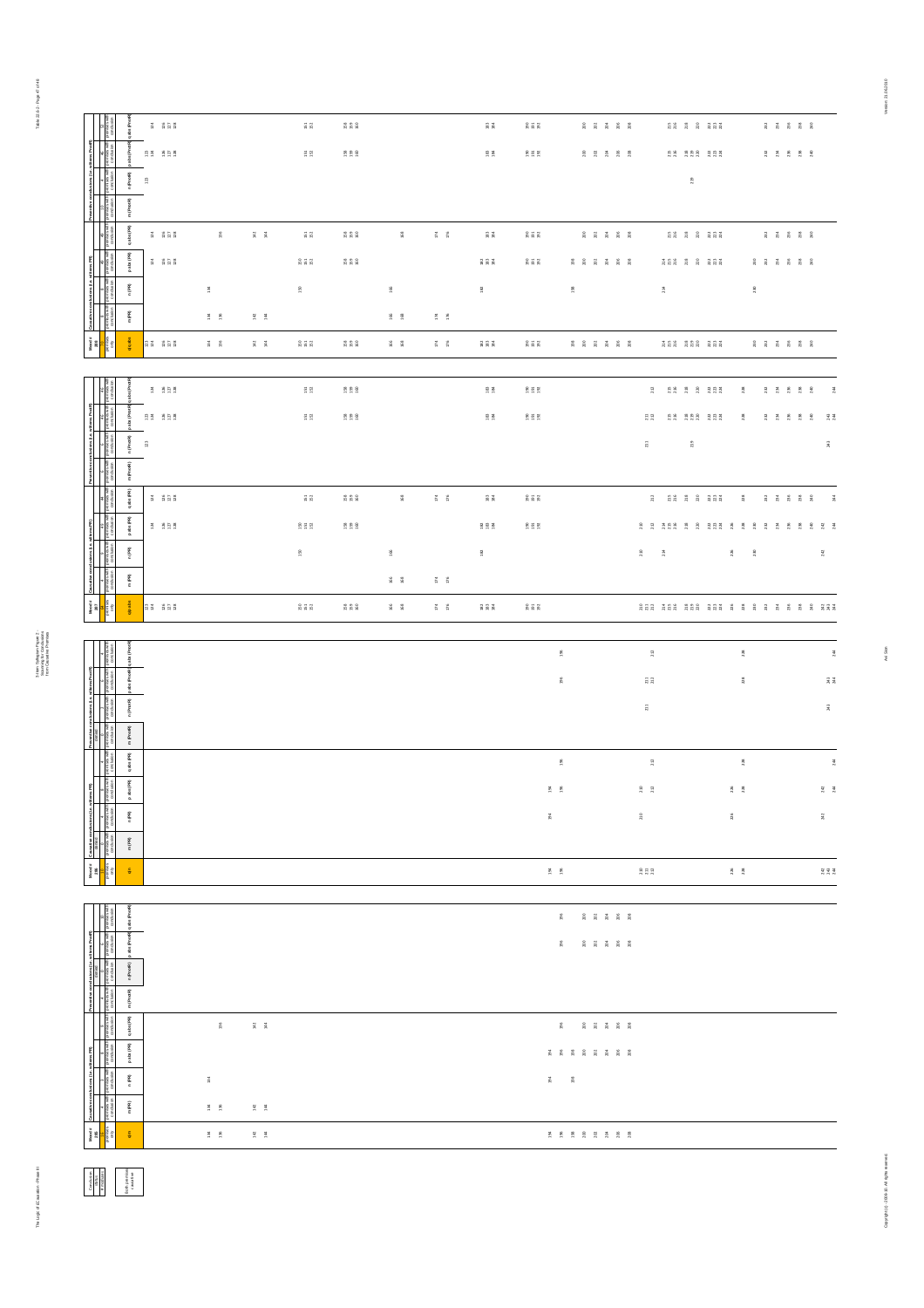| $\frac{3}{2}$ $\frac{3}{2}$ $\frac{5}{2}$ $\frac{3}{2}$                                                                  |                                 |                                               | 151                                                                      | 338                                            |                                           |                                                                | $\frac{23}{23}$                                                                                           | 553                                          |                                                                                                                                                                                                                                                                                                                                                                                               |                           |                                                                                                                                                                                                                                                                                                  |             |                                          | $\begin{array}{cccccccccc} \Xi & \Xi & \Xi & \Xi & \Xi & \Xi \end{array}$                                                                                                                                                                                                                                                                                                                                                           |                          |
|--------------------------------------------------------------------------------------------------------------------------|---------------------------------|-----------------------------------------------|--------------------------------------------------------------------------|------------------------------------------------|-------------------------------------------|----------------------------------------------------------------|-----------------------------------------------------------------------------------------------------------|----------------------------------------------|-----------------------------------------------------------------------------------------------------------------------------------------------------------------------------------------------------------------------------------------------------------------------------------------------------------------------------------------------------------------------------------------------|---------------------------|--------------------------------------------------------------------------------------------------------------------------------------------------------------------------------------------------------------------------------------------------------------------------------------------------|-------------|------------------------------------------|-------------------------------------------------------------------------------------------------------------------------------------------------------------------------------------------------------------------------------------------------------------------------------------------------------------------------------------------------------------------------------------------------------------------------------------|--------------------------|
| 83 888                                                                                                                   |                                 |                                               | 352                                                                      | <b>338</b>                                     |                                           |                                                                | $\frac{23}{184}$                                                                                          | 953                                          |                                                                                                                                                                                                                                                                                                                                                                                               |                           |                                                                                                                                                                                                                                                                                                  |             |                                          |                                                                                                                                                                                                                                                                                                                                                                                                                                     |                          |
| $\mathbf{n}$                                                                                                             |                                 |                                               |                                                                          |                                                |                                           |                                                                |                                                                                                           |                                              |                                                                                                                                                                                                                                                                                                                                                                                               |                           | 23                                                                                                                                                                                                                                                                                               |             |                                          |                                                                                                                                                                                                                                                                                                                                                                                                                                     |                          |
|                                                                                                                          |                                 |                                               |                                                                          |                                                |                                           |                                                                |                                                                                                           |                                              |                                                                                                                                                                                                                                                                                                                                                                                               |                           |                                                                                                                                                                                                                                                                                                  |             |                                          |                                                                                                                                                                                                                                                                                                                                                                                                                                     |                          |
| $\frac{3}{2}$ $\frac{3}{2}$ $\frac{5}{2}$ $\frac{3}{2}$                                                                  | $\frac{36}{2}$                  | $\Xi$ = $\Xi$                                 | 352                                                                      | 338                                            |                                           | $168$ $174$                                                    | 334                                                                                                       | 953                                          |                                                                                                                                                                                                                                                                                                                                                                                               |                           |                                                                                                                                                                                                                                                                                                  |             |                                          |                                                                                                                                                                                                                                                                                                                                                                                                                                     |                          |
| $\frac{3}{2}$ $\frac{8}{2}$ $\frac{5}{2}$                                                                                |                                 |                                               | $\begin{array}{c} 3 \  \, 5 \  \, 2 \\ 3 \  \, 5 \  \, 2 \end{array}$    | 338                                            |                                           |                                                                | ន្តន                                                                                                      | 953                                          |                                                                                                                                                                                                                                                                                                                                                                                               |                           | aaa a a aaa                                                                                                                                                                                                                                                                                      |             |                                          |                                                                                                                                                                                                                                                                                                                                                                                                                                     |                          |
|                                                                                                                          | $\vec{\Xi}$                     |                                               | $\mathbb{S}^0$                                                           |                                                | $\%$                                      |                                                                | $\mathbbm{R}$                                                                                             |                                              | $^{\rm 82}$<br>$\overline{a}$                                                                                                                                                                                                                                                                                                                                                                 |                           |                                                                                                                                                                                                                                                                                                  |             | $_{\rm 30}$                              |                                                                                                                                                                                                                                                                                                                                                                                                                                     |                          |
| $\frac{60}{n}$                                                                                                           | $\frac{3}{12}$ - $\frac{8}{12}$ | $\frac{\alpha}{\alpha}=\frac{\alpha}{\alpha}$ |                                                                          |                                                | $\mathfrak{A}=\mathfrak{A}$               | $\mathbb{R}$ $\mathbb{R}$                                      |                                                                                                           |                                              |                                                                                                                                                                                                                                                                                                                                                                                               |                           |                                                                                                                                                                                                                                                                                                  |             |                                          |                                                                                                                                                                                                                                                                                                                                                                                                                                     |                          |
| 33 333                                                                                                                   | $\frac{34}{136}$                | $\frac{12}{3}$ – $\frac{3}{2}$                | 353                                                                      | 333                                            | $166$<br>$163$                            | $174$ $176$                                                    | ន្តន                                                                                                      | 953                                          |                                                                                                                                                                                                                                                                                                                                                                                               |                           | aaa aaa aaa                                                                                                                                                                                                                                                                                      |             |                                          | $\begin{array}{cccccccccc} \mathbb{S} & \mathbb{S} & \mathbb{S} & \mathbb{S} & \mathbb{S} & \mathbb{S} & \mathbb{S} & \mathbb{S} & \mathbb{S} & \mathbb{S} & \mathbb{S} & \mathbb{S} & \mathbb{S} & \mathbb{S} & \mathbb{S} & \mathbb{S} & \mathbb{S} & \mathbb{S} & \mathbb{S} & \mathbb{S} & \mathbb{S} & \mathbb{S} & \mathbb{S} & \mathbb{S} & \mathbb{S} & \mathbb{S} & \mathbb{S} & \mathbb{S} & \mathbb{S} & \mathbb{S} & \$ |                          |
|                                                                                                                          |                                 |                                               |                                                                          |                                                |                                           |                                                                |                                                                                                           |                                              |                                                                                                                                                                                                                                                                                                                                                                                               |                           |                                                                                                                                                                                                                                                                                                  |             |                                          |                                                                                                                                                                                                                                                                                                                                                                                                                                     |                          |
| $\begin{array}{cc} \pi & \pi \otimes \pi \\ \pi \otimes \pi \otimes \pi \end{array}$                                     |                                 |                                               | $\stackrel{\leftrightarrow}{\boxtimes}\stackrel{\rightarrow}{\boxtimes}$ | នីនិនី                                         |                                           |                                                                | $\frac{73}{28}$                                                                                           | 853                                          |                                                                                                                                                                                                                                                                                                                                                                                               |                           | $\ddot{a}$ $\ddot{a}$ $\ddot{a}$ $\ddot{a}$ $\ddot{a}$ $\ddot{a}$ $\ddot{a}$ $\ddot{a}$ $\ddot{a}$                                                                                                                                                                                               |             | $_{\rm 23}$                              |                                                                                                                                                                                                                                                                                                                                                                                                                                     |                          |
| 88 888                                                                                                                   |                                 |                                               | S1 52                                                                    | $\begin{array}{c} 33.8 \\ 33.8 \\ \end{array}$ |                                           |                                                                | $\frac{28}{13}$                                                                                           | 858                                          |                                                                                                                                                                                                                                                                                                                                                                                               |                           | <b>HH HA NAA HAA</b>                                                                                                                                                                                                                                                                             |             |                                          |                                                                                                                                                                                                                                                                                                                                                                                                                                     |                          |
|                                                                                                                          |                                 |                                               |                                                                          |                                                |                                           |                                                                |                                                                                                           |                                              |                                                                                                                                                                                                                                                                                                                                                                                               |                           | $\frac{1}{2}$                                                                                                                                                                                                                                                                                    |             |                                          |                                                                                                                                                                                                                                                                                                                                                                                                                                     | 243                      |
|                                                                                                                          |                                 |                                               |                                                                          |                                                |                                           |                                                                |                                                                                                           |                                              |                                                                                                                                                                                                                                                                                                                                                                                               |                           |                                                                                                                                                                                                                                                                                                  |             |                                          |                                                                                                                                                                                                                                                                                                                                                                                                                                     |                          |
| $\begin{array}{cc} \overline{a} & \overline{a} & \overline{a} \\ \overline{a} & \overline{a} & \overline{a} \end{array}$ |                                 |                                               | វីដី ដី                                                                  | $\frac{8}{10} \frac{8}{10} \frac{9}{10}$       |                                           | $\begin{array}{ccc} & 32 & & 24 \\ & 36 & & 12 \\ \end{array}$ | $\begin{array}{ccc}\n\cdots & \cdots & \cdots & \cdots \\ \cdots & \cdots & \cdots & \cdots\n\end{array}$ | $\frac{8}{20}$ $\frac{7}{20}$ $\frac{2}{20}$ |                                                                                                                                                                                                                                                                                                                                                                                               |                           |                                                                                                                                                                                                                                                                                                  |             |                                          |                                                                                                                                                                                                                                                                                                                                                                                                                                     |                          |
| 5 555                                                                                                                    |                                 |                                               | $\begin{array}{c} 8\  \, 5\  \, 8 \\ 2\  \, 0 \\ \end{array}$            | 29.2                                           |                                           |                                                                | 日常時                                                                                                       | 8.8.81                                       |                                                                                                                                                                                                                                                                                                                                                                                               |                           |                                                                                                                                                                                                                                                                                                  |             |                                          |                                                                                                                                                                                                                                                                                                                                                                                                                                     |                          |
|                                                                                                                          |                                 |                                               | $_{\rm 150}$                                                             |                                                | $\frac{9}{2}$                             |                                                                | $182\,$                                                                                                   |                                              |                                                                                                                                                                                                                                                                                                                                                                                               |                           | $\mathbb{R}$ and $\mathbb{R}$ and $\mathbb{R}$ and $\mathbb{R}$ and $\mathbb{R}$ and $\mathbb{R}$ and $\mathbb{R}$ and $\mathbb{R}$ and $\mathbb{R}$ and $\mathbb{R}$ and $\mathbb{R}$ and $\mathbb{R}$ and $\mathbb{R}$ and $\mathbb{R}$ and $\mathbb{R}$ and $\mathbb{R}$ and $\mathbb{R}$ and |             | $226\atop-230$                           |                                                                                                                                                                                                                                                                                                                                                                                                                                     | $\widetilde{z}$          |
|                                                                                                                          |                                 |                                               |                                                                          |                                                | $\begin{array}{c} 166 \\ 368 \end{array}$ | $\frac{1}{2}$ 76                                               |                                                                                                           |                                              |                                                                                                                                                                                                                                                                                                                                                                                               |                           |                                                                                                                                                                                                                                                                                                  |             |                                          |                                                                                                                                                                                                                                                                                                                                                                                                                                     |                          |
| ដឹង ដឹង                                                                                                                  |                                 |                                               | នីនីដ                                                                    | 338                                            | $8 - 3$                                   | $\overline{\mathrm{D}}$ and $\overline{\mathrm{D}}$            | $\widetilde{\mathbb{R}}$ $\widetilde{\mathbb{R}}$ $\widetilde{\mathbb{R}}$                                | <b>858</b>                                   |                                                                                                                                                                                                                                                                                                                                                                                               |                           | 888 888 888 888 888 888 888 888 888 888 888 888 888 888 888 888 888 888 888 888 888 888 888 888 888 8                                                                                                                                                                                            |             |                                          |                                                                                                                                                                                                                                                                                                                                                                                                                                     |                          |
|                                                                                                                          |                                 |                                               |                                                                          |                                                |                                           |                                                                |                                                                                                           |                                              |                                                                                                                                                                                                                                                                                                                                                                                               |                           |                                                                                                                                                                                                                                                                                                  |             |                                          |                                                                                                                                                                                                                                                                                                                                                                                                                                     |                          |
|                                                                                                                          |                                 |                                               |                                                                          |                                                |                                           |                                                                |                                                                                                           |                                              | $\frac{8}{196}$                                                                                                                                                                                                                                                                                                                                                                               | $\frac{a}{b}$             |                                                                                                                                                                                                                                                                                                  |             | $\mathbbmss{2}{3}$                       |                                                                                                                                                                                                                                                                                                                                                                                                                                     | $\frac{3}{24}$           |
|                                                                                                                          |                                 |                                               |                                                                          |                                                |                                           |                                                                |                                                                                                           |                                              | $_{\rm 196}$                                                                                                                                                                                                                                                                                                                                                                                  | $\Xi$ $\Xi$               |                                                                                                                                                                                                                                                                                                  |             | $_{\rm 228}$                             |                                                                                                                                                                                                                                                                                                                                                                                                                                     | 243                      |
|                                                                                                                          |                                 |                                               |                                                                          |                                                |                                           |                                                                |                                                                                                           |                                              |                                                                                                                                                                                                                                                                                                                                                                                               | $\Xi^-$                   |                                                                                                                                                                                                                                                                                                  |             |                                          |                                                                                                                                                                                                                                                                                                                                                                                                                                     | $\overline{z}$           |
|                                                                                                                          |                                 |                                               |                                                                          |                                                |                                           |                                                                |                                                                                                           |                                              | 196                                                                                                                                                                                                                                                                                                                                                                                           | $\frac{1}{2}$             |                                                                                                                                                                                                                                                                                                  |             | $2.28\,$                                 |                                                                                                                                                                                                                                                                                                                                                                                                                                     |                          |
|                                                                                                                          |                                 |                                               |                                                                          |                                                |                                           |                                                                |                                                                                                           |                                              |                                                                                                                                                                                                                                                                                                                                                                                               |                           |                                                                                                                                                                                                                                                                                                  |             |                                          |                                                                                                                                                                                                                                                                                                                                                                                                                                     | $\sim$ $\frac{3}{2}$     |
|                                                                                                                          |                                 |                                               |                                                                          |                                                |                                           |                                                                |                                                                                                           |                                              | $\frac{3}{2}$ 86                                                                                                                                                                                                                                                                                                                                                                              | $\mathop{\mathrm{m}}$ and |                                                                                                                                                                                                                                                                                                  |             | $\begin{array}{c} 226 \\ 23 \end{array}$ |                                                                                                                                                                                                                                                                                                                                                                                                                                     | $\Xi$ – $\Xi$            |
| npm                                                                                                                      |                                 |                                               |                                                                          |                                                |                                           |                                                                |                                                                                                           | $\frac{\partial}{\partial t}$                |                                                                                                                                                                                                                                                                                                                                                                                               | $_{\rm 30}$               |                                                                                                                                                                                                                                                                                                  | $_{\rm 26}$ |                                          |                                                                                                                                                                                                                                                                                                                                                                                                                                     | $\widetilde{\mathbf{x}}$ |
| $\frac{M}{2}$                                                                                                            |                                 |                                               |                                                                          |                                                |                                           |                                                                |                                                                                                           |                                              |                                                                                                                                                                                                                                                                                                                                                                                               |                           |                                                                                                                                                                                                                                                                                                  |             |                                          |                                                                                                                                                                                                                                                                                                                                                                                                                                     |                          |
|                                                                                                                          |                                 |                                               |                                                                          |                                                |                                           |                                                                |                                                                                                           |                                              | $\frac{3}{2}$ $\frac{9}{2}$                                                                                                                                                                                                                                                                                                                                                                   | 377                       |                                                                                                                                                                                                                                                                                                  |             | $\mathbbm{1}^3$ .                        |                                                                                                                                                                                                                                                                                                                                                                                                                                     | 222                      |
|                                                                                                                          |                                 |                                               |                                                                          |                                                |                                           |                                                                |                                                                                                           |                                              |                                                                                                                                                                                                                                                                                                                                                                                               |                           |                                                                                                                                                                                                                                                                                                  |             |                                          |                                                                                                                                                                                                                                                                                                                                                                                                                                     |                          |
|                                                                                                                          |                                 |                                               |                                                                          |                                                |                                           |                                                                |                                                                                                           |                                              | $\begin{matrix} 8 & & 8 & 8 & 7 & 8 & 8 \\ 18 & & 18 & 18 & 18 & 18 \\ 18 & & 18 & 18 & 18 & 18 \\ 18 & & 18 & 18 & 18 & 18 \\ 18 & & 18 & 18 & 18 & 18 \\ 18 & & 18 & 18 & 18 & 18 \\ 18 & & 18 & 18 & 18 & 18 \\ 18 & & 18 & 18 & 18 & 18 \\ 18 & & 18 & 18 & 18 & 18 \\ 18 & & 18 & 18 & 18 & 18 \\ 18 & & 1$                                                                              |                           |                                                                                                                                                                                                                                                                                                  |             |                                          |                                                                                                                                                                                                                                                                                                                                                                                                                                     |                          |
|                                                                                                                          |                                 |                                               |                                                                          |                                                |                                           |                                                                |                                                                                                           |                                              |                                                                                                                                                                                                                                                                                                                                                                                               |                           |                                                                                                                                                                                                                                                                                                  |             |                                          |                                                                                                                                                                                                                                                                                                                                                                                                                                     |                          |
|                                                                                                                          |                                 |                                               |                                                                          |                                                |                                           |                                                                |                                                                                                           |                                              |                                                                                                                                                                                                                                                                                                                                                                                               |                           |                                                                                                                                                                                                                                                                                                  |             |                                          |                                                                                                                                                                                                                                                                                                                                                                                                                                     |                          |
|                                                                                                                          | $136\,$                         | $\frac{1}{2}$ , $\frac{1}{2}$                 |                                                                          |                                                |                                           |                                                                |                                                                                                           |                                              |                                                                                                                                                                                                                                                                                                                                                                                               |                           |                                                                                                                                                                                                                                                                                                  |             |                                          |                                                                                                                                                                                                                                                                                                                                                                                                                                     |                          |
| Æ                                                                                                                        |                                 |                                               |                                                                          |                                                |                                           |                                                                |                                                                                                           |                                              | $\begin{array}{cccccccccccccc} \vec{a} & \vec{a} & \vec{a} & \vec{a} & \vec{a} & \vec{a} & \vec{a} & \vec{a} & \vec{a} & \vec{a} & \vec{a} & \vec{a} & \vec{a} & \vec{a} & \vec{a} & \vec{a} & \vec{a} & \vec{a} & \vec{a} & \vec{a} & \vec{a} & \vec{a} & \vec{a} & \vec{a} & \vec{a} & \vec{a} & \vec{a} & \vec{a} & \vec{a} & \vec{a} & \vec{a} & \vec{a} & \vec{a} & \vec{a} & \vec{a} &$ |                           |                                                                                                                                                                                                                                                                                                  |             |                                          |                                                                                                                                                                                                                                                                                                                                                                                                                                     |                          |
| n (PR)                                                                                                                   | $\frac{3}{11}$                  |                                               |                                                                          |                                                |                                           |                                                                |                                                                                                           |                                              | $\frac{\pi}{2}$ $\frac{\pi}{2}$                                                                                                                                                                                                                                                                                                                                                               |                           |                                                                                                                                                                                                                                                                                                  |             |                                          |                                                                                                                                                                                                                                                                                                                                                                                                                                     |                          |
|                                                                                                                          | $\frac{3}{2}$ – $\frac{3}{2}$   | $\frac{12}{2}$ – $\frac{3}{2}$                |                                                                          |                                                |                                           |                                                                |                                                                                                           |                                              |                                                                                                                                                                                                                                                                                                                                                                                               |                           |                                                                                                                                                                                                                                                                                                  |             |                                          |                                                                                                                                                                                                                                                                                                                                                                                                                                     |                          |
|                                                                                                                          |                                 |                                               |                                                                          |                                                |                                           |                                                                |                                                                                                           |                                              |                                                                                                                                                                                                                                                                                                                                                                                               |                           |                                                                                                                                                                                                                                                                                                  |             |                                          |                                                                                                                                                                                                                                                                                                                                                                                                                                     |                          |

Conclusion status # moduses causative Both premises

 $M_{\rm cool}$  #

Version: 21.06.2010

Avi Sion